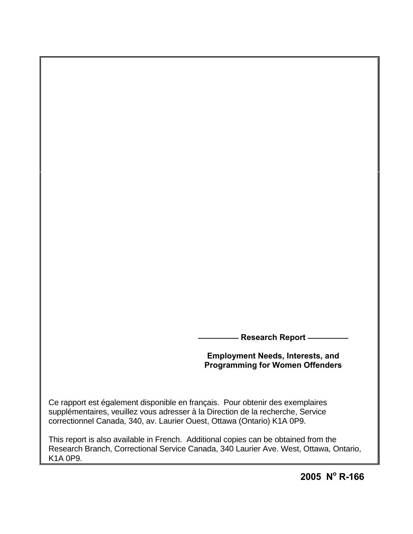**\_\_\_\_\_\_\_\_\_ Research Report \_\_\_\_\_\_\_\_\_**

# **Employment Needs, Interests, and Programming for Women Offenders**

Ce rapport est également disponible en français. Pour obtenir des exemplaires supplémentaires, veuillez vous adresser à la Direction de la recherche, Service correctionnel Canada, 340, av. Laurier Ouest, Ottawa (Ontario) K1A 0P9.

This report is also available in French. Additional copies can be obtained from the Research Branch, Correctional Service Canada, 340 Laurier Ave. West, Ottawa, Ontario, K1A 0P9.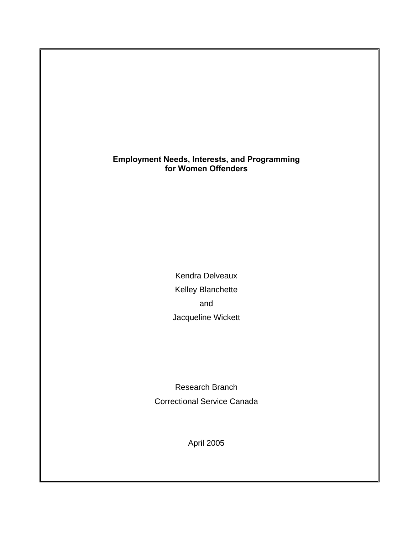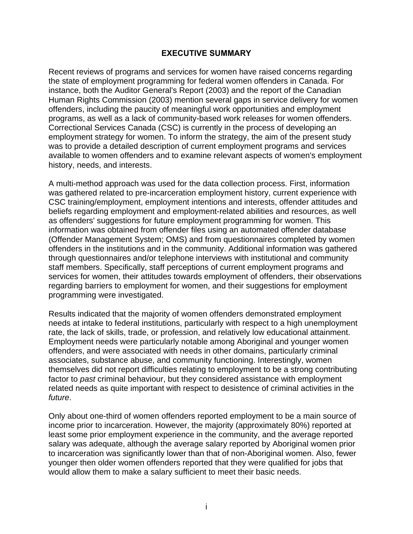## **EXECUTIVE SUMMARY**

<span id="page-2-0"></span>Recent reviews of programs and services for women have raised concerns regarding the state of employment programming for federal women offenders in Canada. For instance, both the Auditor General's Report (2003) and the report of the Canadian Human Rights Commission (2003) mention several gaps in service delivery for women offenders, including the paucity of meaningful work opportunities and employment programs, as well as a lack of community-based work releases for women offenders. Correctional Services Canada (CSC) is currently in the process of developing an employment strategy for women. To inform the strategy, the aim of the present study was to provide a detailed description of current employment programs and services available to women offenders and to examine relevant aspects of women's employment history, needs, and interests.

A multi-method approach was used for the data collection process. First, information was gathered related to pre-incarceration employment history, current experience with CSC training/employment, employment intentions and interests, offender attitudes and beliefs regarding employment and employment-related abilities and resources, as well as offenders' suggestions for future employment programming for women. This information was obtained from offender files using an automated offender database (Offender Management System; OMS) and from questionnaires completed by women offenders in the institutions and in the community. Additional information was gathered through questionnaires and/or telephone interviews with institutional and community staff members. Specifically, staff perceptions of current employment programs and services for women, their attitudes towards employment of offenders, their observations regarding barriers to employment for women, and their suggestions for employment programming were investigated.

Results indicated that the majority of women offenders demonstrated employment needs at intake to federal institutions, particularly with respect to a high unemployment rate, the lack of skills, trade, or profession, and relatively low educational attainment. Employment needs were particularly notable among Aboriginal and younger women offenders, and were associated with needs in other domains, particularly criminal associates, substance abuse, and community functioning. Interestingly, women themselves did not report difficulties relating to employment to be a strong contributing factor to *past* criminal behaviour, but they considered assistance with employment related needs as quite important with respect to desistence of criminal activities in the *future*.

Only about one-third of women offenders reported employment to be a main source of income prior to incarceration. However, the majority (approximately 80%) reported at least some prior employment experience in the community, and the average reported salary was adequate, although the average salary reported by Aboriginal women prior to incarceration was significantly lower than that of non-Aboriginal women. Also, fewer younger then older women offenders reported that they were qualified for jobs that would allow them to make a salary sufficient to meet their basic needs.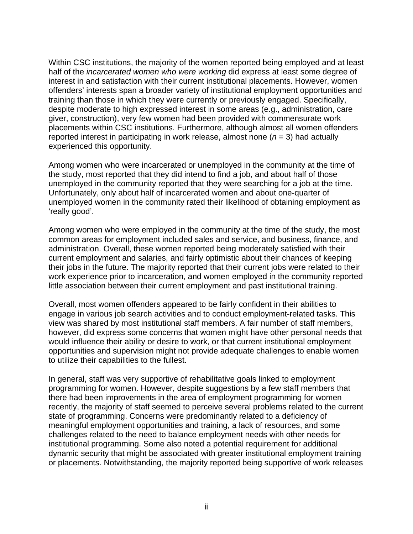Within CSC institutions, the majority of the women reported being employed and at least half of the *incarcerated women who were working* did express at least some degree of interest in and satisfaction with their current institutional placements. However, women offenders' interests span a broader variety of institutional employment opportunities and training than those in which they were currently or previously engaged. Specifically, despite moderate to high expressed interest in some areas (e.g., administration, care giver, construction), very few women had been provided with commensurate work placements within CSC institutions. Furthermore, although almost all women offenders reported interest in participating in work release, almost none (*n* = 3) had actually experienced this opportunity.

Among women who were incarcerated or unemployed in the community at the time of the study, most reported that they did intend to find a job, and about half of those unemployed in the community reported that they were searching for a job at the time. Unfortunately, only about half of incarcerated women and about one-quarter of unemployed women in the community rated their likelihood of obtaining employment as 'really good'.

Among women who were employed in the community at the time of the study, the most common areas for employment included sales and service, and business, finance, and administration. Overall, these women reported being moderately satisfied with their current employment and salaries, and fairly optimistic about their chances of keeping their jobs in the future. The majority reported that their current jobs were related to their work experience prior to incarceration, and women employed in the community reported little association between their current employment and past institutional training.

Overall, most women offenders appeared to be fairly confident in their abilities to engage in various job search activities and to conduct employment-related tasks. This view was shared by most institutional staff members. A fair number of staff members, however, did express some concerns that women might have other personal needs that would influence their ability or desire to work, or that current institutional employment opportunities and supervision might not provide adequate challenges to enable women to utilize their capabilities to the fullest.

In general, staff was very supportive of rehabilitative goals linked to employment programming for women. However, despite suggestions by a few staff members that there had been improvements in the area of employment programming for women recently, the majority of staff seemed to perceive several problems related to the current state of programming. Concerns were predominantly related to a deficiency of meaningful employment opportunities and training, a lack of resources, and some challenges related to the need to balance employment needs with other needs for institutional programming. Some also noted a potential requirement for additional dynamic security that might be associated with greater institutional employment training or placements. Notwithstanding, the majority reported being supportive of work releases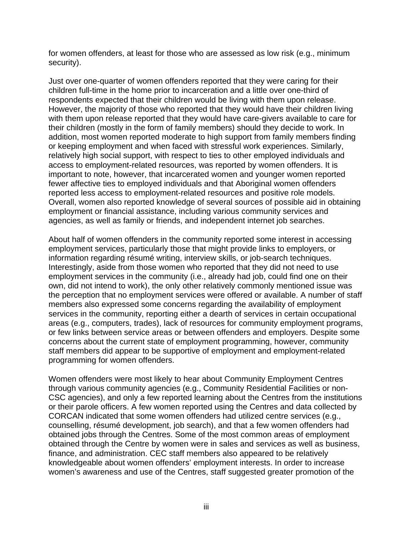for women offenders, at least for those who are assessed as low risk (e.g., minimum security).

Just over one-quarter of women offenders reported that they were caring for their children full-time in the home prior to incarceration and a little over one-third of respondents expected that their children would be living with them upon release. However, the majority of those who reported that they would have their children living with them upon release reported that they would have care-givers available to care for their children (mostly in the form of family members) should they decide to work. In addition, most women reported moderate to high support from family members finding or keeping employment and when faced with stressful work experiences. Similarly, relatively high social support, with respect to ties to other employed individuals and access to employment-related resources, was reported by women offenders. It is important to note, however, that incarcerated women and younger women reported fewer affective ties to employed individuals and that Aboriginal women offenders reported less access to employment-related resources and positive role models. Overall, women also reported knowledge of several sources of possible aid in obtaining employment or financial assistance, including various community services and agencies, as well as family or friends, and independent internet job searches.

About half of women offenders in the community reported some interest in accessing employment services, particularly those that might provide links to employers, or information regarding résumé writing, interview skills, or job-search techniques. Interestingly, aside from those women who reported that they did not need to use employment services in the community (i.e., already had job, could find one on their own, did not intend to work), the only other relatively commonly mentioned issue was the perception that no employment services were offered or available. A number of staff members also expressed some concerns regarding the availability of employment services in the community, reporting either a dearth of services in certain occupational areas (e.g., computers, trades), lack of resources for community employment programs, or few links between service areas or between offenders and employers. Despite some concerns about the current state of employment programming, however, community staff members did appear to be supportive of employment and employment-related programming for women offenders.

Women offenders were most likely to hear about Community Employment Centres through various community agencies (e.g., Community Residential Facilities or non-CSC agencies), and only a few reported learning about the Centres from the institutions or their parole officers. A few women reported using the Centres and data collected by CORCAN indicated that some women offenders had utilized centre services (e.g., counselling, résumé development, job search), and that a few women offenders had obtained jobs through the Centres. Some of the most common areas of employment obtained through the Centre by women were in sales and services as well as business, finance, and administration. CEC staff members also appeared to be relatively knowledgeable about women offenders' employment interests. In order to increase women's awareness and use of the Centres, staff suggested greater promotion of the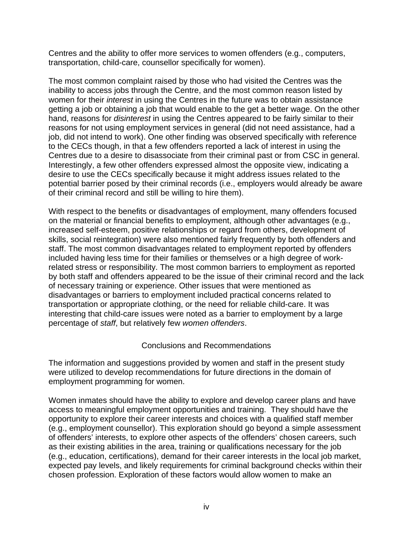Centres and the ability to offer more services to women offenders (e.g., computers, transportation, child-care, counsellor specifically for women).

The most common complaint raised by those who had visited the Centres was the inability to access jobs through the Centre, and the most common reason listed by women for their *interest* in using the Centres in the future was to obtain assistance getting a job or obtaining a job that would enable to the get a better wage. On the other hand, reasons for *disinterest* in using the Centres appeared to be fairly similar to their reasons for not using employment services in general (did not need assistance, had a job, did not intend to work). One other finding was observed specifically with reference to the CECs though, in that a few offenders reported a lack of interest in using the Centres due to a desire to disassociate from their criminal past or from CSC in general. Interestingly, a few other offenders expressed almost the opposite view, indicating a desire to use the CECs specifically because it might address issues related to the potential barrier posed by their criminal records (i.e., employers would already be aware of their criminal record and still be willing to hire them).

With respect to the benefits or disadvantages of employment, many offenders focused on the material or financial benefits to employment, although other advantages (e.g., increased self-esteem, positive relationships or regard from others, development of skills, social reintegration) were also mentioned fairly frequently by both offenders and staff. The most common disadvantages related to employment reported by offenders included having less time for their families or themselves or a high degree of workrelated stress or responsibility. The most common barriers to employment as reported by both staff and offenders appeared to be the issue of their criminal record and the lack of necessary training or experience. Other issues that were mentioned as disadvantages or barriers to employment included practical concerns related to transportation or appropriate clothing, or the need for reliable child-care. It was interesting that child-care issues were noted as a barrier to employment by a large percentage of *staff*, but relatively few *women offenders*.

## Conclusions and Recommendations

The information and suggestions provided by women and staff in the present study were utilized to develop recommendations for future directions in the domain of employment programming for women.

Women inmates should have the ability to explore and develop career plans and have access to meaningful employment opportunities and training. They should have the opportunity to explore their career interests and choices with a qualified staff member (e.g., employment counsellor). This exploration should go beyond a simple assessment of offenders' interests, to explore other aspects of the offenders' chosen careers, such as their existing abilities in the area, training or qualifications necessary for the job (e.g., education, certifications), demand for their career interests in the local job market, expected pay levels, and likely requirements for criminal background checks within their chosen profession. Exploration of these factors would allow women to make an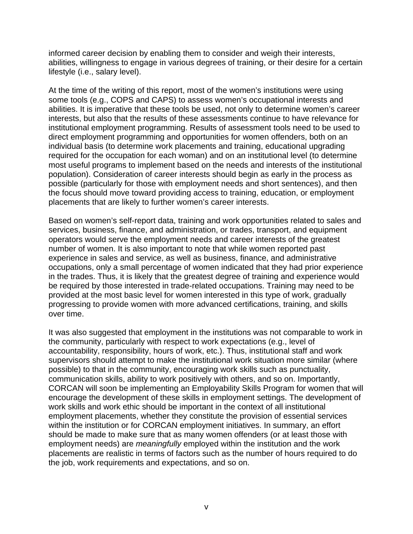informed career decision by enabling them to consider and weigh their interests, abilities, willingness to engage in various degrees of training, or their desire for a certain lifestyle (i.e., salary level).

At the time of the writing of this report, most of the women's institutions were using some tools (e.g., COPS and CAPS) to assess women's occupational interests and abilities. It is imperative that these tools be used, not only to determine women's career interests, but also that the results of these assessments continue to have relevance for institutional employment programming. Results of assessment tools need to be used to direct employment programming and opportunities for women offenders, both on an individual basis (to determine work placements and training, educational upgrading required for the occupation for each woman) and on an institutional level (to determine most useful programs to implement based on the needs and interests of the institutional population). Consideration of career interests should begin as early in the process as possible (particularly for those with employment needs and short sentences), and then the focus should move toward providing access to training, education, or employment placements that are likely to further women's career interests.

Based on women's self-report data, training and work opportunities related to sales and services, business, finance, and administration, or trades, transport, and equipment operators would serve the employment needs and career interests of the greatest number of women. It is also important to note that while women reported past experience in sales and service, as well as business, finance, and administrative occupations, only a small percentage of women indicated that they had prior experience in the trades. Thus, it is likely that the greatest degree of training and experience would be required by those interested in trade-related occupations. Training may need to be provided at the most basic level for women interested in this type of work, gradually progressing to provide women with more advanced certifications, training, and skills over time.

It was also suggested that employment in the institutions was not comparable to work in the community, particularly with respect to work expectations (e.g., level of accountability, responsibility, hours of work, etc.). Thus, institutional staff and work supervisors should attempt to make the institutional work situation more similar (where possible) to that in the community, encouraging work skills such as punctuality, communication skills, ability to work positively with others, and so on. Importantly, CORCAN will soon be implementing an Employability Skills Program for women that will encourage the development of these skills in employment settings. The development of work skills and work ethic should be important in the context of all institutional employment placements, whether they constitute the provision of essential services within the institution or for CORCAN employment initiatives. In summary, an effort should be made to make sure that as many women offenders (or at least those with employment needs) are *meaningfully* employed within the institution and the work placements are realistic in terms of factors such as the number of hours required to do the job, work requirements and expectations, and so on.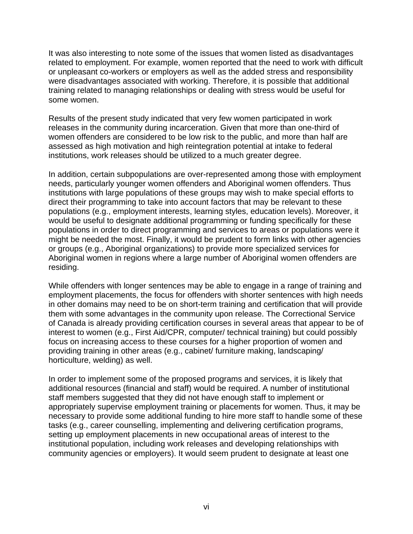It was also interesting to note some of the issues that women listed as disadvantages related to employment. For example, women reported that the need to work with difficult or unpleasant co-workers or employers as well as the added stress and responsibility were disadvantages associated with working. Therefore, it is possible that additional training related to managing relationships or dealing with stress would be useful for some women.

Results of the present study indicated that very few women participated in work releases in the community during incarceration. Given that more than one-third of women offenders are considered to be low risk to the public, and more than half are assessed as high motivation and high reintegration potential at intake to federal institutions, work releases should be utilized to a much greater degree.

In addition, certain subpopulations are over-represented among those with employment needs, particularly younger women offenders and Aboriginal women offenders. Thus institutions with large populations of these groups may wish to make special efforts to direct their programming to take into account factors that may be relevant to these populations (e.g., employment interests, learning styles, education levels). Moreover, it would be useful to designate additional programming or funding specifically for these populations in order to direct programming and services to areas or populations were it might be needed the most. Finally, it would be prudent to form links with other agencies or groups (e.g., Aboriginal organizations) to provide more specialized services for Aboriginal women in regions where a large number of Aboriginal women offenders are residing.

While offenders with longer sentences may be able to engage in a range of training and employment placements, the focus for offenders with shorter sentences with high needs in other domains may need to be on short-term training and certification that will provide them with some advantages in the community upon release. The Correctional Service of Canada is already providing certification courses in several areas that appear to be of interest to women (e.g., First Aid/CPR, computer/ technical training) but could possibly focus on increasing access to these courses for a higher proportion of women and providing training in other areas (e.g., cabinet/ furniture making, landscaping/ horticulture, welding) as well.

In order to implement some of the proposed programs and services, it is likely that additional resources (financial and staff) would be required. A number of institutional staff members suggested that they did not have enough staff to implement or appropriately supervise employment training or placements for women. Thus, it may be necessary to provide some additional funding to hire more staff to handle some of these tasks (e.g., career counselling, implementing and delivering certification programs, setting up employment placements in new occupational areas of interest to the institutional population, including work releases and developing relationships with community agencies or employers). It would seem prudent to designate at least one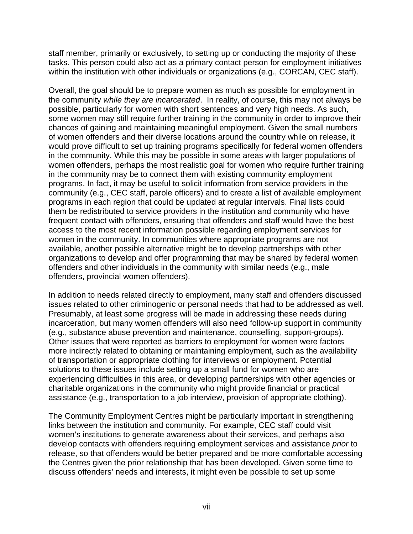staff member, primarily or exclusively, to setting up or conducting the majority of these tasks. This person could also act as a primary contact person for employment initiatives within the institution with other individuals or organizations (e.g., CORCAN, CEC staff).

Overall, the goal should be to prepare women as much as possible for employment in the community *while they are incarcerated*. In reality, of course, this may not always be possible, particularly for women with short sentences and very high needs. As such, some women may still require further training in the community in order to improve their chances of gaining and maintaining meaningful employment. Given the small numbers of women offenders and their diverse locations around the country while on release, it would prove difficult to set up training programs specifically for federal women offenders in the community. While this may be possible in some areas with larger populations of women offenders, perhaps the most realistic goal for women who require further training in the community may be to connect them with existing community employment programs. In fact, it may be useful to solicit information from service providers in the community (e.g., CEC staff, parole officers) and to create a list of available employment programs in each region that could be updated at regular intervals. Final lists could them be redistributed to service providers in the institution and community who have frequent contact with offenders, ensuring that offenders and staff would have the best access to the most recent information possible regarding employment services for women in the community. In communities where appropriate programs are not available, another possible alternative might be to develop partnerships with other organizations to develop and offer programming that may be shared by federal women offenders and other individuals in the community with similar needs (e.g., male offenders, provincial women offenders).

In addition to needs related directly to employment, many staff and offenders discussed issues related to other criminogenic or personal needs that had to be addressed as well. Presumably, at least some progress will be made in addressing these needs during incarceration, but many women offenders will also need follow-up support in community (e.g., substance abuse prevention and maintenance, counselling, support-groups). Other issues that were reported as barriers to employment for women were factors more indirectly related to obtaining or maintaining employment, such as the availability of transportation or appropriate clothing for interviews or employment. Potential solutions to these issues include setting up a small fund for women who are experiencing difficulties in this area, or developing partnerships with other agencies or charitable organizations in the community who might provide financial or practical assistance (e.g., transportation to a job interview, provision of appropriate clothing).

The Community Employment Centres might be particularly important in strengthening links between the institution and community. For example, CEC staff could visit women's institutions to generate awareness about their services, and perhaps also develop contacts with offenders requiring employment services and assistance *prior* to release, so that offenders would be better prepared and be more comfortable accessing the Centres given the prior relationship that has been developed. Given some time to discuss offenders' needs and interests, it might even be possible to set up some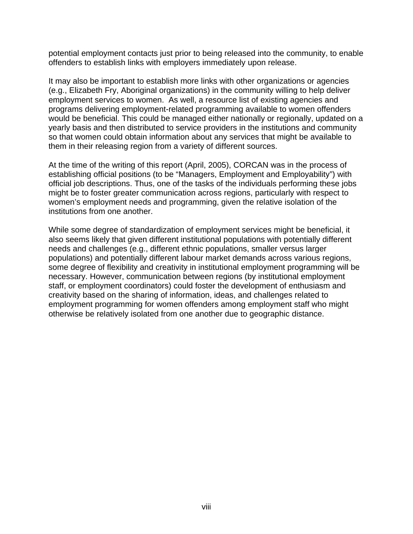potential employment contacts just prior to being released into the community, to enable offenders to establish links with employers immediately upon release.

It may also be important to establish more links with other organizations or agencies (e.g., Elizabeth Fry, Aboriginal organizations) in the community willing to help deliver employment services to women. As well, a resource list of existing agencies and programs delivering employment-related programming available to women offenders would be beneficial. This could be managed either nationally or regionally, updated on a yearly basis and then distributed to service providers in the institutions and community so that women could obtain information about any services that might be available to them in their releasing region from a variety of different sources.

At the time of the writing of this report (April, 2005), CORCAN was in the process of establishing official positions (to be "Managers, Employment and Employability") with official job descriptions. Thus, one of the tasks of the individuals performing these jobs might be to foster greater communication across regions, particularly with respect to women's employment needs and programming, given the relative isolation of the institutions from one another.

While some degree of standardization of employment services might be beneficial, it also seems likely that given different institutional populations with potentially different needs and challenges (e.g., different ethnic populations, smaller versus larger populations) and potentially different labour market demands across various regions, some degree of flexibility and creativity in institutional employment programming will be necessary. However, communication between regions (by institutional employment staff, or employment coordinators) could foster the development of enthusiasm and creativity based on the sharing of information, ideas, and challenges related to employment programming for women offenders among employment staff who might otherwise be relatively isolated from one another due to geographic distance.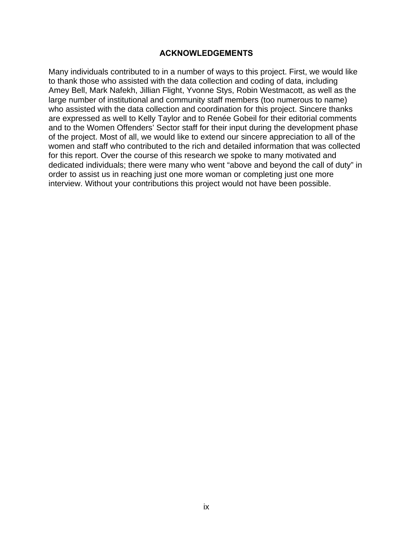## **ACKNOWLEDGEMENTS**

<span id="page-10-0"></span>Many individuals contributed to in a number of ways to this project. First, we would like to thank those who assisted with the data collection and coding of data, including Amey Bell, Mark Nafekh, Jillian Flight, Yvonne Stys, Robin Westmacott, as well as the large number of institutional and community staff members (too numerous to name) who assisted with the data collection and coordination for this project. Sincere thanks are expressed as well to Kelly Taylor and to Renée Gobeil for their editorial comments and to the Women Offenders' Sector staff for their input during the development phase of the project. Most of all, we would like to extend our sincere appreciation to all of the women and staff who contributed to the rich and detailed information that was collected for this report. Over the course of this research we spoke to many motivated and dedicated individuals; there were many who went "above and beyond the call of duty" in order to assist us in reaching just one more woman or completing just one more interview. Without your contributions this project would not have been possible.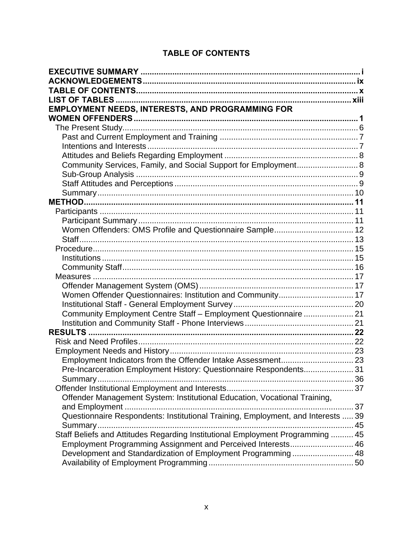# **TABLE OF CONTENTS**

<span id="page-11-0"></span>

| <b>EMPLOYMENT NEEDS, INTERESTS, AND PROGRAMMING FOR</b>                          |  |
|----------------------------------------------------------------------------------|--|
|                                                                                  |  |
|                                                                                  |  |
|                                                                                  |  |
|                                                                                  |  |
|                                                                                  |  |
| Community Services, Family, and Social Support for Employment 8                  |  |
|                                                                                  |  |
|                                                                                  |  |
|                                                                                  |  |
|                                                                                  |  |
|                                                                                  |  |
|                                                                                  |  |
| Women Offenders: OMS Profile and Questionnaire Sample 12                         |  |
|                                                                                  |  |
|                                                                                  |  |
|                                                                                  |  |
|                                                                                  |  |
|                                                                                  |  |
|                                                                                  |  |
|                                                                                  |  |
| Community Employment Centre Staff - Employment Questionnaire  21                 |  |
|                                                                                  |  |
|                                                                                  |  |
|                                                                                  |  |
|                                                                                  |  |
|                                                                                  |  |
| Pre-Incarceration Employment History: Questionnaire Respondents 31               |  |
|                                                                                  |  |
|                                                                                  |  |
| Offender Management System: Institutional Education, Vocational Training,        |  |
|                                                                                  |  |
| Questionnaire Respondents: Institutional Training, Employment, and Interests  39 |  |
|                                                                                  |  |
| Staff Beliefs and Attitudes Regarding Institutional Employment Programming  45   |  |
| Employment Programming Assignment and Perceived Interests 46                     |  |
| Development and Standardization of Employment Programming 48                     |  |
|                                                                                  |  |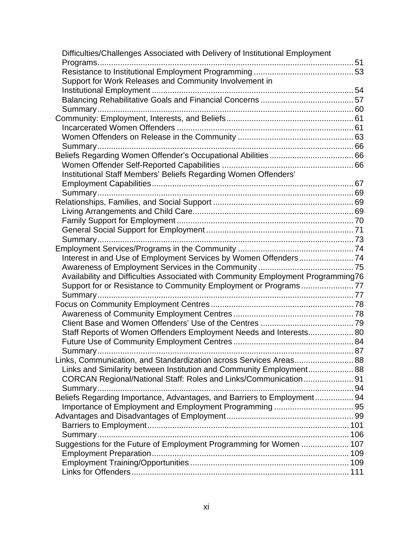| Difficulties/Challenges Associated with Delivery of Institutional Employment     |  |
|----------------------------------------------------------------------------------|--|
|                                                                                  |  |
|                                                                                  |  |
| Support for Work Releases and Community Involvement in                           |  |
|                                                                                  |  |
|                                                                                  |  |
|                                                                                  |  |
|                                                                                  |  |
|                                                                                  |  |
|                                                                                  |  |
|                                                                                  |  |
|                                                                                  |  |
|                                                                                  |  |
| Institutional Staff Members' Beliefs Regarding Women Offenders'                  |  |
|                                                                                  |  |
|                                                                                  |  |
|                                                                                  |  |
|                                                                                  |  |
|                                                                                  |  |
|                                                                                  |  |
|                                                                                  |  |
|                                                                                  |  |
|                                                                                  |  |
|                                                                                  |  |
| Availability and Difficulties Associated with Community Employment Programming76 |  |
| Support for or Resistance to Community Employment or Programs77                  |  |
| Summary                                                                          |  |
|                                                                                  |  |
|                                                                                  |  |
|                                                                                  |  |
|                                                                                  |  |
| Staff Reports of Women Offenders Employment Needs and Interests 80               |  |
|                                                                                  |  |
|                                                                                  |  |
| Links, Communication, and Standardization across Services Areas 88               |  |
| Links and Similarity between Institution and Community Employment 88             |  |
| CORCAN Regional/National Staff: Roles and Links/Communication 91                 |  |
|                                                                                  |  |
| Beliefs Regarding Importance, Advantages, and Barriers to Employment 94          |  |
|                                                                                  |  |
|                                                                                  |  |
|                                                                                  |  |
|                                                                                  |  |
| Suggestions for the Future of Employment Programming for Women  107              |  |
|                                                                                  |  |
|                                                                                  |  |
|                                                                                  |  |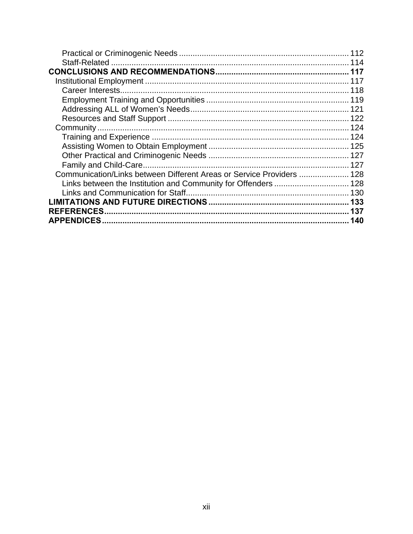| Communication/Links between Different Areas or Service Providers  128 |     |
|-----------------------------------------------------------------------|-----|
| Links between the Institution and Community for Offenders  128        |     |
|                                                                       |     |
|                                                                       |     |
| <b>REFERENCES</b>                                                     | 137 |
| <b>APPENDICES</b>                                                     | 140 |
|                                                                       |     |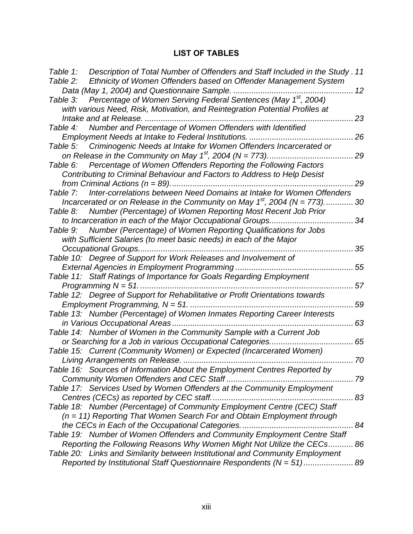# **LIST OF TABLES**

<span id="page-14-0"></span>

| Table 1: | Description of Total Number of Offenders and Staff Included in the Study. 11  |        |
|----------|-------------------------------------------------------------------------------|--------|
| Table 2: | Ethnicity of Women Offenders based on Offender Management System              |        |
|          |                                                                               |        |
| Table 3: | Percentage of Women Serving Federal Sentences (May 1 <sup>st</sup> , 2004)    |        |
|          | with various Need, Risk, Motivation, and Reintegration Potential Profiles at  |        |
|          | Intake and at Release.                                                        | 23     |
| Table 4: | Number and Percentage of Women Offenders with Identified                      |        |
|          | Employment Needs at Intake to Federal Institutions.                           | 26     |
|          | Table 5: Criminogenic Needs at Intake for Women Offenders Incarcerated or     |        |
|          | on Release in the Community on May $1^{st}$ , 2004 (N = 773)                  | 29     |
| Table 6: | Percentage of Women Offenders Reporting the Following Factors                 |        |
|          | Contributing to Criminal Behaviour and Factors to Address to Help Desist      |        |
|          |                                                                               | 29     |
| Table 7: | Inter-correlations between Need Domains at Intake for Women Offenders         |        |
|          | Incarcerated or on Release in the Community on May $1^{st}$ , 2004 (N = 773)  | 30     |
|          | Table 8: Number (Percentage) of Women Reporting Most Recent Job Prior         |        |
|          | to Incarceration in each of the Major Occupational Groups                     | 34     |
| Table 9: | Number (Percentage) of Women Reporting Qualifications for Jobs                |        |
|          | with Sufficient Salaries (to meet basic needs) in each of the Major           |        |
|          | Occupational Groups                                                           | 35     |
|          | Table 10: Degree of Support for Work Releases and Involvement of              |        |
|          |                                                                               | 55     |
|          | Table 11: Staff Ratings of Importance for Goals Regarding Employment          |        |
|          |                                                                               | 57     |
|          | Table 12: Degree of Support for Rehabilitative or Profit Orientations towards |        |
|          | Employment Programming, $N = 51$                                              | 59     |
|          | Table 13: Number (Percentage) of Women Inmates Reporting Career Interests     |        |
|          |                                                                               | 63     |
|          | Table 14: Number of Women in the Community Sample with a Current Job          |        |
|          | or Searching for a Job in various Occupational Categories<br>. 65             |        |
|          | Table 15: Current (Community Women) or Expected (Incarcerated Women)          |        |
|          |                                                                               | 70     |
|          | Table 16: Sources of Information About the Employment Centres Reported by     |        |
|          |                                                                               |        |
|          | Table 17: Services Used by Women Offenders at the Community Employment        |        |
|          | Centres (CECs) as reported by CEC staff.<br>83                                |        |
|          | Table 18: Number (Percentage) of Community Employment Centre (CEC) Staff      |        |
|          | $(n = 11)$ Reporting That Women Search For and Obtain Employment through      |        |
|          | the CECs in Each of the Occupational Categories                               | . . 84 |
|          | Table 19: Number of Women Offenders and Community Employment Centre Staff     |        |
|          | Reporting the Following Reasons Why Women Might Not Utilize the CECs 86       |        |
|          | Table 20: Links and Similarity between Institutional and Community Employment |        |
|          | Reported by Institutional Staff Questionnaire Respondents (N = 51) 89         |        |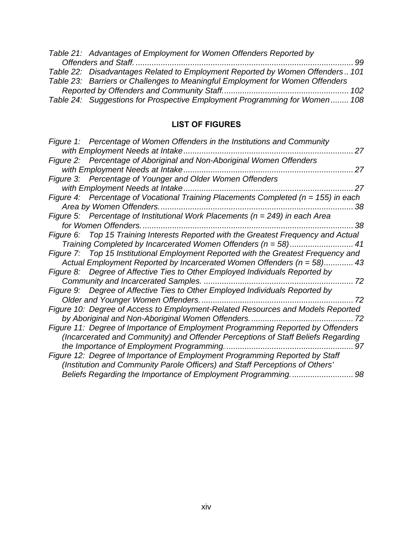| Table 21: Advantages of Employment for Women Offenders Reported by            |  |
|-------------------------------------------------------------------------------|--|
|                                                                               |  |
| Table 22: Disadvantages Related to Employment Reported by Women Offenders 101 |  |
| Table 23: Barriers or Challenges to Meaningful Employment for Women Offenders |  |
|                                                                               |  |
| Table 24: Suggestions for Prospective Employment Programming for Women 108    |  |

# **LIST OF FIGURES**

| Figure 1: Percentage of Women Offenders in the Institutions and Community              |    |
|----------------------------------------------------------------------------------------|----|
|                                                                                        | 27 |
| Figure 2: Percentage of Aboriginal and Non-Aboriginal Women Offenders                  |    |
|                                                                                        | 27 |
| Figure 3: Percentage of Younger and Older Women Offenders                              |    |
|                                                                                        | 27 |
| Figure 4: Percentage of Vocational Training Placements Completed ( $n = 155$ ) in each |    |
|                                                                                        | 38 |
| Figure 5: Percentage of Institutional Work Placements ( $n = 249$ ) in each Area       |    |
|                                                                                        | 38 |
| Figure 6: Top 15 Training Interests Reported with the Greatest Frequency and Actual    |    |
| Training Completed by Incarcerated Women Offenders (n = 58)                            | 41 |
| Figure 7: Top 15 Institutional Employment Reported with the Greatest Frequency and     |    |
| Actual Employment Reported by Incarcerated Women Offenders (n = 58) 43                 |    |
| Figure 8: Degree of Affective Ties to Other Employed Individuals Reported by           |    |
|                                                                                        |    |
| Figure 9: Degree of Affective Ties to Other Employed Individuals Reported by           |    |
|                                                                                        | 72 |
| Figure 10: Degree of Access to Employment-Related Resources and Models Reported        |    |
|                                                                                        |    |
| Figure 11: Degree of Importance of Employment Programming Reported by Offenders        |    |
| (Incarcerated and Community) and Offender Perceptions of Staff Beliefs Regarding       |    |
|                                                                                        | 97 |
| Figure 12: Degree of Importance of Employment Programming Reported by Staff            |    |
| (Institution and Community Parole Officers) and Staff Perceptions of Others'           |    |
|                                                                                        | 98 |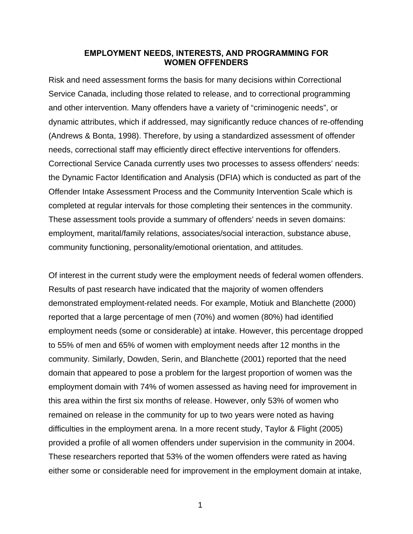## **EMPLOYMENT NEEDS, INTERESTS, AND PROGRAMMING FOR WOMEN OFFENDERS**

<span id="page-16-0"></span>Risk and need assessment forms the basis for many decisions within Correctional Service Canada, including those related to release, and to correctional programming and other intervention. Many offenders have a variety of "criminogenic needs", or dynamic attributes, which if addressed, may significantly reduce chances of re-offending (Andrews & Bonta, 1998). Therefore, by using a standardized assessment of offender needs, correctional staff may efficiently direct effective interventions for offenders. Correctional Service Canada currently uses two processes to assess offenders' needs: the Dynamic Factor Identification and Analysis (DFIA) which is conducted as part of the Offender Intake Assessment Process and the Community Intervention Scale which is completed at regular intervals for those completing their sentences in the community. These assessment tools provide a summary of offenders' needs in seven domains: employment, marital/family relations, associates/social interaction, substance abuse, community functioning, personality/emotional orientation, and attitudes.

Of interest in the current study were the employment needs of federal women offenders. Results of past research have indicated that the majority of women offenders demonstrated employment-related needs. For example, Motiuk and Blanchette (2000) reported that a large percentage of men (70%) and women (80%) had identified employment needs (some or considerable) at intake. However, this percentage dropped to 55% of men and 65% of women with employment needs after 12 months in the community. Similarly, Dowden, Serin, and Blanchette (2001) reported that the need domain that appeared to pose a problem for the largest proportion of women was the employment domain with 74% of women assessed as having need for improvement in this area within the first six months of release. However, only 53% of women who remained on release in the community for up to two years were noted as having difficulties in the employment arena. In a more recent study, Taylor & Flight (2005) provided a profile of all women offenders under supervision in the community in 2004. These researchers reported that 53% of the women offenders were rated as having either some or considerable need for improvement in the employment domain at intake,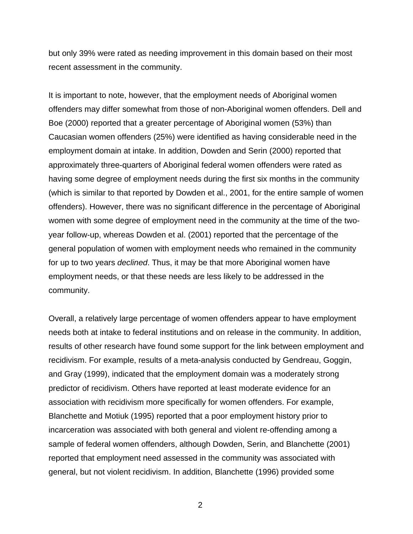but only 39% were rated as needing improvement in this domain based on their most recent assessment in the community.

It is important to note, however, that the employment needs of Aboriginal women offenders may differ somewhat from those of non-Aboriginal women offenders. Dell and Boe (2000) reported that a greater percentage of Aboriginal women (53%) than Caucasian women offenders (25%) were identified as having considerable need in the employment domain at intake. In addition, Dowden and Serin (2000) reported that approximately three-quarters of Aboriginal federal women offenders were rated as having some degree of employment needs during the first six months in the community (which is similar to that reported by Dowden et al., 2001, for the entire sample of women offenders). However, there was no significant difference in the percentage of Aboriginal women with some degree of employment need in the community at the time of the twoyear follow-up, whereas Dowden et al. (2001) reported that the percentage of the general population of women with employment needs who remained in the community for up to two years *declined*. Thus, it may be that more Aboriginal women have employment needs, or that these needs are less likely to be addressed in the community.

Overall, a relatively large percentage of women offenders appear to have employment needs both at intake to federal institutions and on release in the community. In addition, results of other research have found some support for the link between employment and recidivism. For example, results of a meta-analysis conducted by Gendreau, Goggin, and Gray (1999), indicated that the employment domain was a moderately strong predictor of recidivism. Others have reported at least moderate evidence for an association with recidivism more specifically for women offenders. For example, Blanchette and Motiuk (1995) reported that a poor employment history prior to incarceration was associated with both general and violent re-offending among a sample of federal women offenders, although Dowden, Serin, and Blanchette (2001) reported that employment need assessed in the community was associated with general, but not violent recidivism. In addition, Blanchette (1996) provided some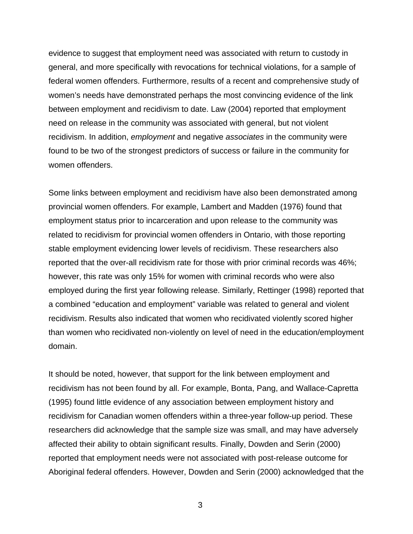evidence to suggest that employment need was associated with return to custody in general, and more specifically with revocations for technical violations, for a sample of federal women offenders. Furthermore, results of a recent and comprehensive study of women's needs have demonstrated perhaps the most convincing evidence of the link between employment and recidivism to date. Law (2004) reported that employment need on release in the community was associated with general, but not violent recidivism. In addition, *employment* and negative *associates* in the community were found to be two of the strongest predictors of success or failure in the community for women offenders.

Some links between employment and recidivism have also been demonstrated among provincial women offenders. For example, Lambert and Madden (1976) found that employment status prior to incarceration and upon release to the community was related to recidivism for provincial women offenders in Ontario, with those reporting stable employment evidencing lower levels of recidivism. These researchers also reported that the over-all recidivism rate for those with prior criminal records was 46%; however, this rate was only 15% for women with criminal records who were also employed during the first year following release. Similarly, Rettinger (1998) reported that a combined "education and employment" variable was related to general and violent recidivism. Results also indicated that women who recidivated violently scored higher than women who recidivated non-violently on level of need in the education/employment domain.

It should be noted, however, that support for the link between employment and recidivism has not been found by all. For example, Bonta, Pang, and Wallace-Capretta (1995) found little evidence of any association between employment history and recidivism for Canadian women offenders within a three-year follow-up period. These researchers did acknowledge that the sample size was small, and may have adversely affected their ability to obtain significant results. Finally, Dowden and Serin (2000) reported that employment needs were not associated with post-release outcome for Aboriginal federal offenders. However, Dowden and Serin (2000) acknowledged that the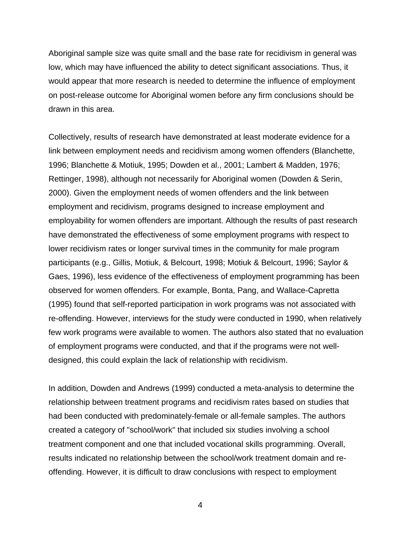Aboriginal sample size was quite small and the base rate for recidivism in general was low, which may have influenced the ability to detect significant associations. Thus, it would appear that more research is needed to determine the influence of employment on post-release outcome for Aboriginal women before any firm conclusions should be drawn in this area.

Collectively, results of research have demonstrated at least moderate evidence for a link between employment needs and recidivism among women offenders (Blanchette, 1996; Blanchette & Motiuk, 1995; Dowden et al., 2001; Lambert & Madden, 1976; Rettinger, 1998), although not necessarily for Aboriginal women (Dowden & Serin, 2000). Given the employment needs of women offenders and the link between employment and recidivism, programs designed to increase employment and employability for women offenders are important. Although the results of past research have demonstrated the effectiveness of some employment programs with respect to lower recidivism rates or longer survival times in the community for male program participants (e.g., Gillis, Motiuk, & Belcourt, 1998; Motiuk & Belcourt, 1996; Saylor & Gaes, 1996), less evidence of the effectiveness of employment programming has been observed for women offenders. For example, Bonta, Pang, and Wallace-Capretta (1995) found that self-reported participation in work programs was not associated with re-offending. However, interviews for the study were conducted in 1990, when relatively few work programs were available to women. The authors also stated that no evaluation of employment programs were conducted, and that if the programs were not welldesigned, this could explain the lack of relationship with recidivism.

In addition, Dowden and Andrews (1999) conducted a meta-analysis to determine the relationship between treatment programs and recidivism rates based on studies that had been conducted with predominately-female or all-female samples. The authors created a category of "school/work" that included six studies involving a school treatment component and one that included vocational skills programming. Overall, results indicated no relationship between the school/work treatment domain and reoffending. However, it is difficult to draw conclusions with respect to employment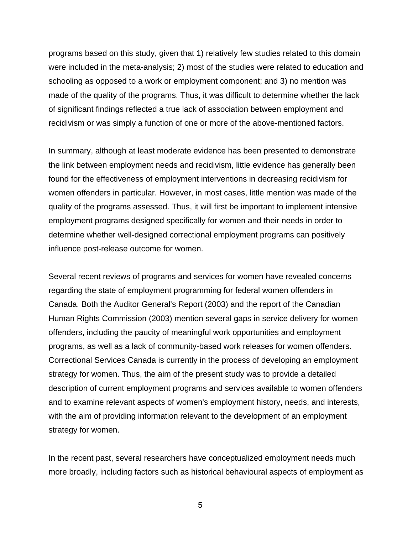programs based on this study, given that 1) relatively few studies related to this domain were included in the meta-analysis; 2) most of the studies were related to education and schooling as opposed to a work or employment component; and 3) no mention was made of the quality of the programs. Thus, it was difficult to determine whether the lack of significant findings reflected a true lack of association between employment and recidivism or was simply a function of one or more of the above-mentioned factors.

In summary, although at least moderate evidence has been presented to demonstrate the link between employment needs and recidivism, little evidence has generally been found for the effectiveness of employment interventions in decreasing recidivism for women offenders in particular. However, in most cases, little mention was made of the quality of the programs assessed. Thus, it will first be important to implement intensive employment programs designed specifically for women and their needs in order to determine whether well-designed correctional employment programs can positively influence post-release outcome for women.

Several recent reviews of programs and services for women have revealed concerns regarding the state of employment programming for federal women offenders in Canada. Both the Auditor General's Report (2003) and the report of the Canadian Human Rights Commission (2003) mention several gaps in service delivery for women offenders, including the paucity of meaningful work opportunities and employment programs, as well as a lack of community-based work releases for women offenders. Correctional Services Canada is currently in the process of developing an employment strategy for women. Thus, the aim of the present study was to provide a detailed description of current employment programs and services available to women offenders and to examine relevant aspects of women's employment history, needs, and interests, with the aim of providing information relevant to the development of an employment strategy for women.

In the recent past, several researchers have conceptualized employment needs much more broadly, including factors such as historical behavioural aspects of employment as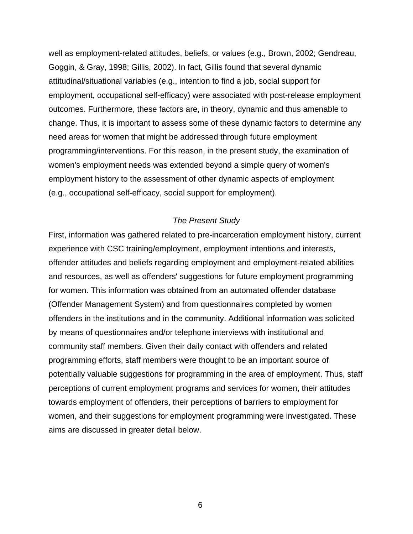<span id="page-21-0"></span>well as employment-related attitudes, beliefs, or values (e.g., Brown, 2002; Gendreau, Goggin, & Gray, 1998; Gillis, 2002). In fact, Gillis found that several dynamic attitudinal/situational variables (e.g., intention to find a job, social support for employment, occupational self-efficacy) were associated with post-release employment outcomes. Furthermore, these factors are, in theory, dynamic and thus amenable to change. Thus, it is important to assess some of these dynamic factors to determine any need areas for women that might be addressed through future employment programming/interventions. For this reason, in the present study, the examination of women's employment needs was extended beyond a simple query of women's employment history to the assessment of other dynamic aspects of employment (e.g., occupational self-efficacy, social support for employment).

## *The Present Study*

First, information was gathered related to pre-incarceration employment history, current experience with CSC training/employment, employment intentions and interests, offender attitudes and beliefs regarding employment and employment-related abilities and resources, as well as offenders' suggestions for future employment programming for women. This information was obtained from an automated offender database (Offender Management System) and from questionnaires completed by women offenders in the institutions and in the community. Additional information was solicited by means of questionnaires and/or telephone interviews with institutional and community staff members. Given their daily contact with offenders and related programming efforts, staff members were thought to be an important source of potentially valuable suggestions for programming in the area of employment. Thus, staff perceptions of current employment programs and services for women, their attitudes towards employment of offenders, their perceptions of barriers to employment for women, and their suggestions for employment programming were investigated. These aims are discussed in greater detail below.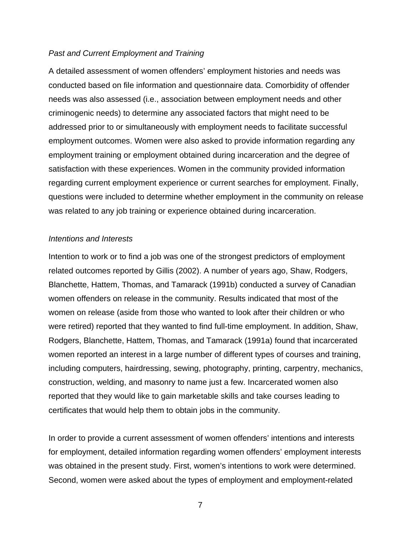## <span id="page-22-0"></span>*Past and Current Employment and Training*

A detailed assessment of women offenders' employment histories and needs was conducted based on file information and questionnaire data. Comorbidity of offender needs was also assessed (i.e., association between employment needs and other criminogenic needs) to determine any associated factors that might need to be addressed prior to or simultaneously with employment needs to facilitate successful employment outcomes. Women were also asked to provide information regarding any employment training or employment obtained during incarceration and the degree of satisfaction with these experiences. Women in the community provided information regarding current employment experience or current searches for employment. Finally, questions were included to determine whether employment in the community on release was related to any job training or experience obtained during incarceration.

#### *Intentions and Interests*

Intention to work or to find a job was one of the strongest predictors of employment related outcomes reported by Gillis (2002). A number of years ago, Shaw, Rodgers, Blanchette, Hattem, Thomas, and Tamarack (1991b) conducted a survey of Canadian women offenders on release in the community. Results indicated that most of the women on release (aside from those who wanted to look after their children or who were retired) reported that they wanted to find full-time employment. In addition, Shaw, Rodgers, Blanchette, Hattem, Thomas, and Tamarack (1991a) found that incarcerated women reported an interest in a large number of different types of courses and training, including computers, hairdressing, sewing, photography, printing, carpentry, mechanics, construction, welding, and masonry to name just a few. Incarcerated women also reported that they would like to gain marketable skills and take courses leading to certificates that would help them to obtain jobs in the community.

In order to provide a current assessment of women offenders' intentions and interests for employment, detailed information regarding women offenders' employment interests was obtained in the present study. First, women's intentions to work were determined. Second, women were asked about the types of employment and employment-related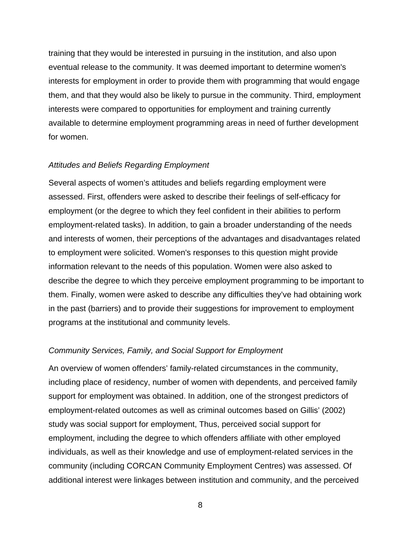<span id="page-23-0"></span>training that they would be interested in pursuing in the institution, and also upon eventual release to the community. It was deemed important to determine women's interests for employment in order to provide them with programming that would engage them, and that they would also be likely to pursue in the community. Third, employment interests were compared to opportunities for employment and training currently available to determine employment programming areas in need of further development for women.

#### *Attitudes and Beliefs Regarding Employment*

Several aspects of women's attitudes and beliefs regarding employment were assessed. First, offenders were asked to describe their feelings of self-efficacy for employment (or the degree to which they feel confident in their abilities to perform employment-related tasks). In addition, to gain a broader understanding of the needs and interests of women, their perceptions of the advantages and disadvantages related to employment were solicited. Women's responses to this question might provide information relevant to the needs of this population. Women were also asked to describe the degree to which they perceive employment programming to be important to them. Finally, women were asked to describe any difficulties they've had obtaining work in the past (barriers) and to provide their suggestions for improvement to employment programs at the institutional and community levels.

#### *Community Services, Family, and Social Support for Employment*

An overview of women offenders' family-related circumstances in the community, including place of residency, number of women with dependents, and perceived family support for employment was obtained. In addition, one of the strongest predictors of employment-related outcomes as well as criminal outcomes based on Gillis' (2002) study was social support for employment, Thus, perceived social support for employment, including the degree to which offenders affiliate with other employed individuals, as well as their knowledge and use of employment-related services in the community (including CORCAN Community Employment Centres) was assessed. Of additional interest were linkages between institution and community, and the perceived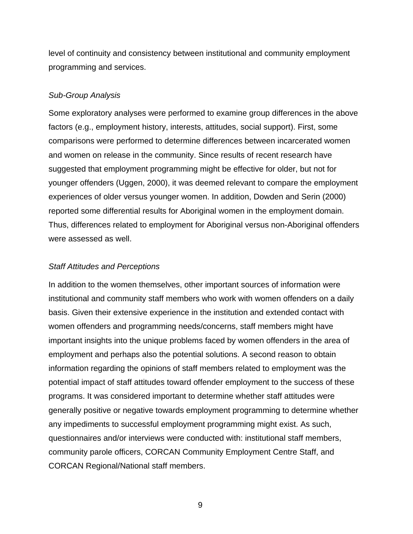<span id="page-24-0"></span>level of continuity and consistency between institutional and community employment programming and services.

### *Sub-Group Analysis*

Some exploratory analyses were performed to examine group differences in the above factors (e.g., employment history, interests, attitudes, social support). First, some comparisons were performed to determine differences between incarcerated women and women on release in the community. Since results of recent research have suggested that employment programming might be effective for older, but not for younger offenders (Uggen, 2000), it was deemed relevant to compare the employment experiences of older versus younger women. In addition, Dowden and Serin (2000) reported some differential results for Aboriginal women in the employment domain. Thus, differences related to employment for Aboriginal versus non-Aboriginal offenders were assessed as well.

### *Staff Attitudes and Perceptions*

In addition to the women themselves, other important sources of information were institutional and community staff members who work with women offenders on a daily basis. Given their extensive experience in the institution and extended contact with women offenders and programming needs/concerns, staff members might have important insights into the unique problems faced by women offenders in the area of employment and perhaps also the potential solutions. A second reason to obtain information regarding the opinions of staff members related to employment was the potential impact of staff attitudes toward offender employment to the success of these programs. It was considered important to determine whether staff attitudes were generally positive or negative towards employment programming to determine whether any impediments to successful employment programming might exist. As such, questionnaires and/or interviews were conducted with: institutional staff members, community parole officers, CORCAN Community Employment Centre Staff, and CORCAN Regional/National staff members.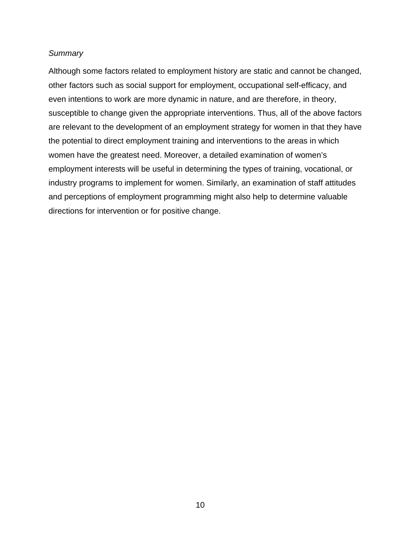### <span id="page-25-0"></span>*Summary*

Although some factors related to employment history are static and cannot be changed, other factors such as social support for employment, occupational self-efficacy, and even intentions to work are more dynamic in nature, and are therefore, in theory, susceptible to change given the appropriate interventions. Thus, all of the above factors are relevant to the development of an employment strategy for women in that they have the potential to direct employment training and interventions to the areas in which women have the greatest need. Moreover, a detailed examination of women's employment interests will be useful in determining the types of training, vocational, or industry programs to implement for women. Similarly, an examination of staff attitudes and perceptions of employment programming might also help to determine valuable directions for intervention or for positive change.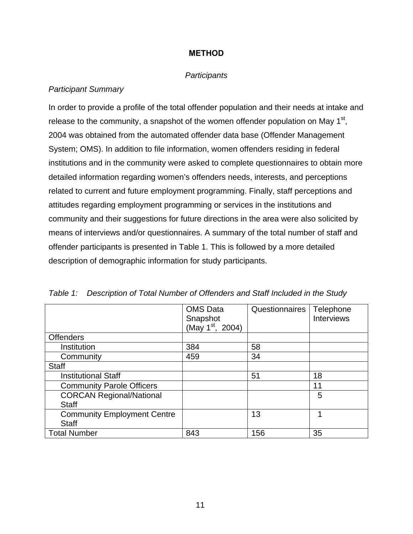# **METHOD**

## *Participants*

## <span id="page-26-0"></span>*Participant Summary*

In order to provide a profile of the total offender population and their needs at intake and release to the community, a snapshot of the women offender population on May  $1<sup>st</sup>$ , 2004 was obtained from the automated offender data base (Offender Management System; OMS). In addition to file information, women offenders residing in federal institutions and in the community were asked to complete questionnaires to obtain more detailed information regarding women's offenders needs, interests, and perceptions related to current and future employment programming. Finally, staff perceptions and attitudes regarding employment programming or services in the institutions and community and their suggestions for future directions in the area were also solicited by means of interviews and/or questionnaires. A summary of the total number of staff and offender participants is presented in Table 1. This is followed by a more detailed description of demographic information for study participants.

|                                    | <b>OMS Data</b><br>Snapshot<br>(May 1 <sup>st</sup> , 2004) | Questionnaires | Telephone<br><b>Interviews</b> |
|------------------------------------|-------------------------------------------------------------|----------------|--------------------------------|
| <b>Offenders</b>                   |                                                             |                |                                |
| Institution                        | 384                                                         | 58             |                                |
| Community                          | 459                                                         | 34             |                                |
| <b>Staff</b>                       |                                                             |                |                                |
| <b>Institutional Staff</b>         |                                                             | 51             | 18                             |
| <b>Community Parole Officers</b>   |                                                             |                | 11                             |
| <b>CORCAN Regional/National</b>    |                                                             |                | 5                              |
| <b>Staff</b>                       |                                                             |                |                                |
| <b>Community Employment Centre</b> |                                                             | 13             | 1                              |
| <b>Staff</b>                       |                                                             |                |                                |
| <b>Total Number</b>                | 843                                                         | 156            | 35                             |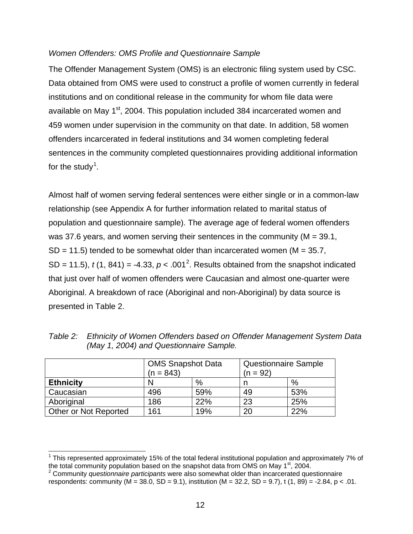## <span id="page-27-0"></span>*Women Offenders: OMS Profile and Questionnaire Sample*

The Offender Management System (OMS) is an electronic filing system used by CSC. Data obtained from OMS were used to construct a profile of women currently in federal institutions and on conditional release in the community for whom file data were available on May 1<sup>st</sup>, 2004. This population included 384 incarcerated women and 459 women under supervision in the community on that date. In addition, 58 women offenders incarcerated in federal institutions and 34 women completing federal sentences in the community completed questionnaires providing additional information for the study<sup>1</sup>.

Almost half of women serving federal sentences were either single or in a common-law relationship (see Appendix A for further information related to marital status of population and questionnaire sample). The average age of federal women offenders was 37.6 years, and women serving their sentences in the community (M = 39.1,  $SD = 11.5$ ) tended to be somewhat older than incarcerated women (M = 35.7, SD = 11.5),  $t(1, 841) = -4.33$ ,  $p < .001^2$ . Results obtained from the snapshot indicated that just over half of women offenders were Caucasian and almost one-quarter were Aboriginal. A breakdown of race (Aboriginal and non-Aboriginal) by data source is presented in Table 2.

|                       | <b>OMS Snapshot Data</b><br>$(n = 843)$ |     | <b>Questionnaire Sample</b><br>(n = 92) |     |
|-----------------------|-----------------------------------------|-----|-----------------------------------------|-----|
| <b>Ethnicity</b>      |                                         | %   |                                         | %   |
| Caucasian             | 496                                     | 59% | 49                                      | 53% |
| Aboriginal            | 186                                     | 22% | 23                                      | 25% |
| Other or Not Reported | 161                                     | 19% | 20                                      | 22% |

 $\overline{a}$ 

*Table 2: Ethnicity of Women Offenders based on Offender Management System Data (May 1, 2004) and Questionnaire Sample.* 

<sup>&</sup>lt;sup>1</sup> This represented approximately 15% of the total federal institutional population and approximately 7% of the total community population based on the snapshot data from OMS on May  $1<sup>st</sup>$ , 2004.

<sup>2</sup> Community *questionnaire participants* were also somewhat older than incarcerated questionnaire respondents: community ( $M = 38.0$ ,  $SD = 9.1$ ), institution ( $M = 32.2$ ,  $SD = 9.7$ ), t (1, 89) = -2.84, p < .01.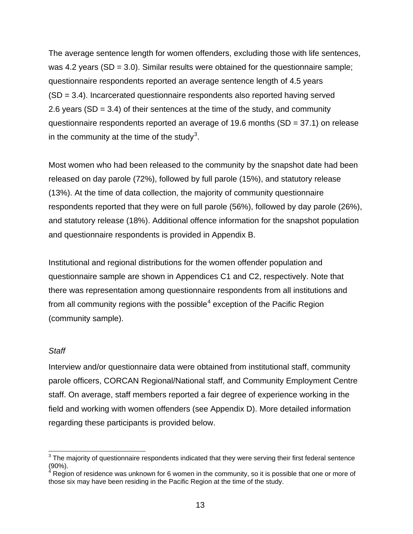<span id="page-28-0"></span>The average sentence length for women offenders, excluding those with life sentences, was 4.2 years (SD =  $3.0$ ). Similar results were obtained for the questionnaire sample; questionnaire respondents reported an average sentence length of 4.5 years (SD = 3.4). Incarcerated questionnaire respondents also reported having served 2.6 years (SD = 3.4) of their sentences at the time of the study, and community questionnaire respondents reported an average of 19.6 months  $(SD = 37.1)$  on release in the community at the time of the study<sup>3</sup>.

Most women who had been released to the community by the snapshot date had been released on day parole (72%), followed by full parole (15%), and statutory release (13%). At the time of data collection, the majority of community questionnaire respondents reported that they were on full parole (56%), followed by day parole (26%), and statutory release (18%). Additional offence information for the snapshot population and questionnaire respondents is provided in Appendix B.

Institutional and regional distributions for the women offender population and questionnaire sample are shown in Appendices C1 and C2, respectively. Note that there was representation among questionnaire respondents from all institutions and from all community regions with the possible $^4$  exception of the Pacific Region (community sample).

#### *Staff*

Interview and/or questionnaire data were obtained from institutional staff, community parole officers, CORCAN Regional/National staff, and Community Employment Centre staff. On average, staff members reported a fair degree of experience working in the field and working with women offenders (see Appendix D). More detailed information regarding these participants is provided below.

 3 The majority of questionnaire respondents indicated that they were serving their first federal sentence  $(90\%)$ .

Region of residence was unknown for 6 women in the community, so it is possible that one or more of those six may have been residing in the Pacific Region at the time of the study.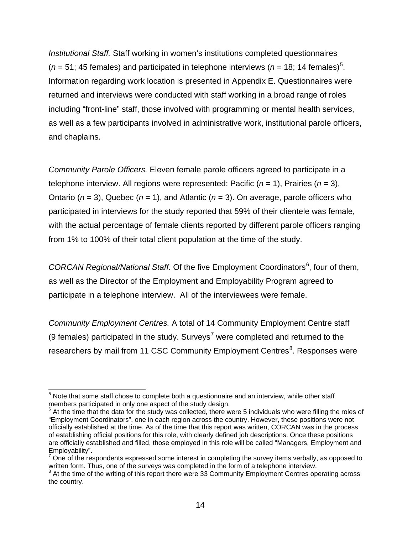*Institutional Staff.* Staff working in women's institutions completed questionnaires  $(n = 51; 45$  females) and participated in telephone interviews  $(n = 18; 14$  females)<sup>5</sup>. Information regarding work location is presented in Appendix E. Questionnaires were returned and interviews were conducted with staff working in a broad range of roles including "front-line" staff, those involved with programming or mental health services, as well as a few participants involved in administrative work, institutional parole officers, and chaplains.

*Community Parole Officers.* Eleven female parole officers agreed to participate in a telephone interview. All regions were represented: Pacific (*n* = 1), Prairies (*n* = 3), Ontario (*n* = 3), Quebec (*n* = 1), and Atlantic (*n* = 3). On average, parole officers who participated in interviews for the study reported that 59% of their clientele was female, with the actual percentage of female clients reported by different parole officers ranging from 1% to 100% of their total client population at the time of the study.

CORCAN Regional/National Staff. Of the five Employment Coordinators<sup>6</sup>, four of them, as well as the Director of the Employment and Employability Program agreed to participate in a telephone interview. All of the interviewees were female.

*Community Employment Centres.* A total of 14 Community Employment Centre staff (9 females) participated in the study. Surveys<sup>7</sup> were completed and returned to the researchers by mail from 11 CSC Community Employment Centres<sup>8</sup>. Responses were

 $\overline{a}$  $5$  Note that some staff chose to complete both a questionnaire and an interview, while other staff members participated in only one aspect of the study design.

 $6$  At the time that the data for the study was collected, there were 5 individuals who were filling the roles of "Employment Coordinators", one in each region across the country. However, these positions were not officially established at the time. As of the time that this report was written, CORCAN was in the process of establishing official positions for this role, with clearly defined job descriptions. Once these positions are officially established and filled, those employed in this role will be called "Managers, Employment and Employability".

 $7$  One of the respondents expressed some interest in completing the survey items verbally, as opposed to written form. Thus, one of the surveys was completed in the form of a telephone interview.

<sup>&</sup>lt;sup>8</sup> At the time of the writing of this report there were 33 Community Employment Centres operating across the country.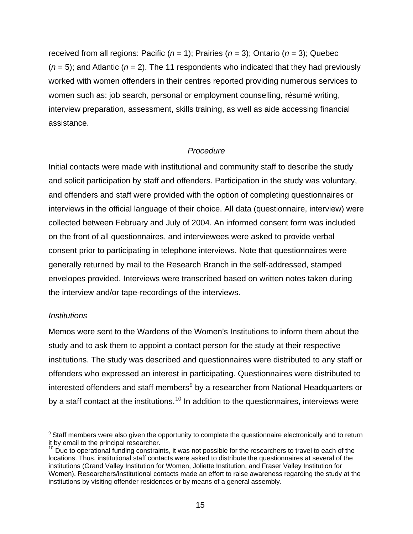<span id="page-30-0"></span>received from all regions: Pacific (*n* = 1); Prairies (*n* = 3); Ontario (*n* = 3); Quebec  $(n = 5)$ ; and Atlantic  $(n = 2)$ . The 11 respondents who indicated that they had previously worked with women offenders in their centres reported providing numerous services to women such as: job search, personal or employment counselling, résumé writing, interview preparation, assessment, skills training, as well as aide accessing financial assistance.

## *Procedure*

Initial contacts were made with institutional and community staff to describe the study and solicit participation by staff and offenders. Participation in the study was voluntary, and offenders and staff were provided with the option of completing questionnaires or interviews in the official language of their choice. All data (questionnaire, interview) were collected between February and July of 2004. An informed consent form was included on the front of all questionnaires, and interviewees were asked to provide verbal consent prior to participating in telephone interviews. Note that questionnaires were generally returned by mail to the Research Branch in the self-addressed, stamped envelopes provided. Interviews were transcribed based on written notes taken during the interview and/or tape-recordings of the interviews.

## *Institutions*

Memos were sent to the Wardens of the Women's Institutions to inform them about the study and to ask them to appoint a contact person for the study at their respective institutions. The study was described and questionnaires were distributed to any staff or offenders who expressed an interest in participating. Questionnaires were distributed to interested offenders and staff members $^9$  by a researcher from National Headquarters or by a staff contact at the institutions.<sup>10</sup> In addition to the questionnaires, interviews were

 $\overline{a}$ <sup>9</sup> Staff members were also given the opportunity to complete the questionnaire electronically and to return it by email to the principal researcher.

 $10$  Due to operational funding constraints, it was not possible for the researchers to travel to each of the locations. Thus, institutional staff contacts were asked to distribute the questionnaires at several of the institutions (Grand Valley Institution for Women, Joliette Institution, and Fraser Valley Institution for Women). Researchers/institutional contacts made an effort to raise awareness regarding the study at the institutions by visiting offender residences or by means of a general assembly.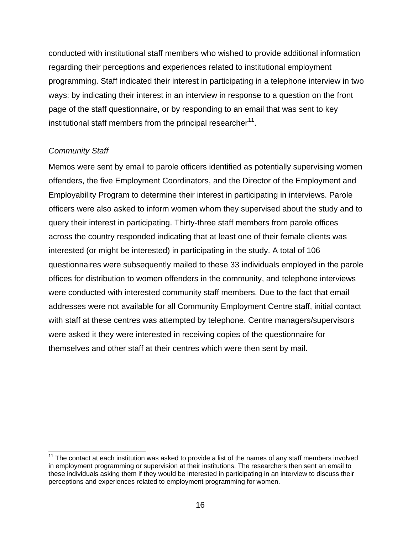<span id="page-31-0"></span>conducted with institutional staff members who wished to provide additional information regarding their perceptions and experiences related to institutional employment programming. Staff indicated their interest in participating in a telephone interview in two ways: by indicating their interest in an interview in response to a question on the front page of the staff questionnaire, or by responding to an email that was sent to key institutional staff members from the principal researcher $11$ .

# *Community Staff*

Memos were sent by email to parole officers identified as potentially supervising women offenders, the five Employment Coordinators, and the Director of the Employment and Employability Program to determine their interest in participating in interviews. Parole officers were also asked to inform women whom they supervised about the study and to query their interest in participating. Thirty-three staff members from parole offices across the country responded indicating that at least one of their female clients was interested (or might be interested) in participating in the study. A total of 106 questionnaires were subsequently mailed to these 33 individuals employed in the parole offices for distribution to women offenders in the community, and telephone interviews were conducted with interested community staff members. Due to the fact that email addresses were not available for all Community Employment Centre staff, initial contact with staff at these centres was attempted by telephone. Centre managers/supervisors were asked it they were interested in receiving copies of the questionnaire for themselves and other staff at their centres which were then sent by mail.

 $\overline{a}$  $11$  The contact at each institution was asked to provide a list of the names of any staff members involved in employment programming or supervision at their institutions. The researchers then sent an email to these individuals asking them if they would be interested in participating in an interview to discuss their perceptions and experiences related to employment programming for women.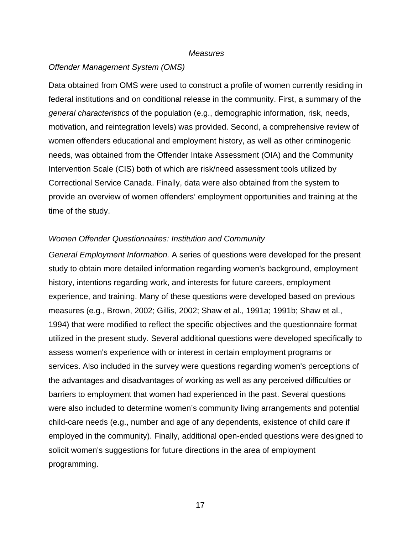#### *Measures*

#### <span id="page-32-0"></span>*Offender Management System (OMS)*

Data obtained from OMS were used to construct a profile of women currently residing in federal institutions and on conditional release in the community. First, a summary of the *general characteristics* of the population (e.g., demographic information, risk, needs, motivation, and reintegration levels) was provided. Second, a comprehensive review of women offenders educational and employment history, as well as other criminogenic needs, was obtained from the Offender Intake Assessment (OIA) and the Community Intervention Scale (CIS) both of which are risk/need assessment tools utilized by Correctional Service Canada. Finally, data were also obtained from the system to provide an overview of women offenders' employment opportunities and training at the time of the study.

#### *Women Offender Questionnaires: Institution and Community*

*General Employment Information.* A series of questions were developed for the present study to obtain more detailed information regarding women's background, employment history, intentions regarding work, and interests for future careers, employment experience, and training. Many of these questions were developed based on previous measures (e.g., Brown, 2002; Gillis, 2002; Shaw et al., 1991a; 1991b; Shaw et al., 1994) that were modified to reflect the specific objectives and the questionnaire format utilized in the present study. Several additional questions were developed specifically to assess women's experience with or interest in certain employment programs or services. Also included in the survey were questions regarding women's perceptions of the advantages and disadvantages of working as well as any perceived difficulties or barriers to employment that women had experienced in the past. Several questions were also included to determine women's community living arrangements and potential child-care needs (e.g., number and age of any dependents, existence of child care if employed in the community). Finally, additional open-ended questions were designed to solicit women's suggestions for future directions in the area of employment programming.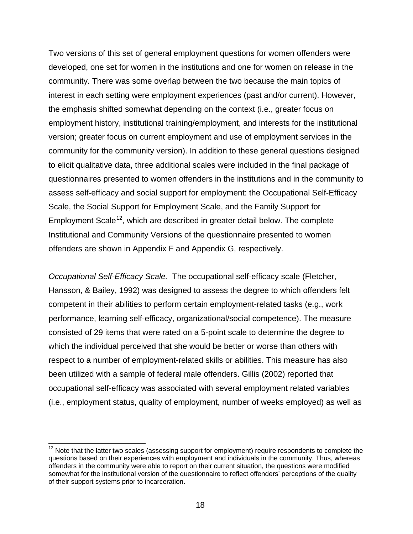Two versions of this set of general employment questions for women offenders were developed, one set for women in the institutions and one for women on release in the community. There was some overlap between the two because the main topics of interest in each setting were employment experiences (past and/or current). However, the emphasis shifted somewhat depending on the context (i.e., greater focus on employment history, institutional training/employment, and interests for the institutional version; greater focus on current employment and use of employment services in the community for the community version). In addition to these general questions designed to elicit qualitative data, three additional scales were included in the final package of questionnaires presented to women offenders in the institutions and in the community to assess self-efficacy and social support for employment: the Occupational Self-Efficacy Scale, the Social Support for Employment Scale, and the Family Support for Employment Scale<sup>12</sup>, which are described in greater detail below. The complete Institutional and Community Versions of the questionnaire presented to women offenders are shown in Appendix F and Appendix G, respectively.

*Occupational Self-Efficacy Scale.* The occupational self-efficacy scale (Fletcher, Hansson, & Bailey, 1992) was designed to assess the degree to which offenders felt competent in their abilities to perform certain employment-related tasks (e.g., work performance, learning self-efficacy, organizational/social competence). The measure consisted of 29 items that were rated on a 5-point scale to determine the degree to which the individual perceived that she would be better or worse than others with respect to a number of employment-related skills or abilities. This measure has also been utilized with a sample of federal male offenders. Gillis (2002) reported that occupational self-efficacy was associated with several employment related variables (i.e., employment status, quality of employment, number of weeks employed) as well as

 $\overline{a}$ 

 $12$  Note that the latter two scales (assessing support for employment) require respondents to complete the questions based on their experiences with employment and individuals in the community. Thus, whereas offenders in the community were able to report on their current situation, the questions were modified somewhat for the institutional version of the questionnaire to reflect offenders' perceptions of the quality of their support systems prior to incarceration.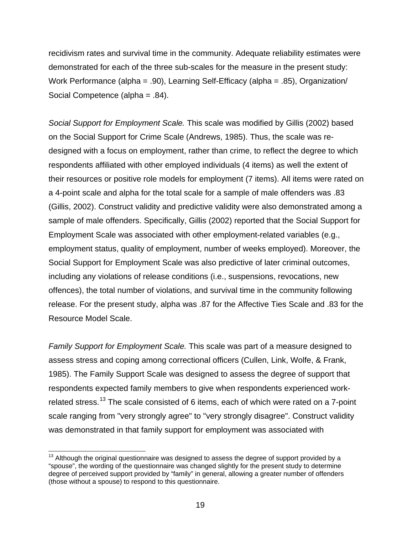recidivism rates and survival time in the community. Adequate reliability estimates were demonstrated for each of the three sub-scales for the measure in the present study: Work Performance (alpha = .90), Learning Self-Efficacy (alpha = .85), Organization/ Social Competence (alpha = .84).

*Social Support for Employment Scale.* This scale was modified by Gillis (2002) based on the Social Support for Crime Scale (Andrews, 1985). Thus, the scale was redesigned with a focus on employment, rather than crime, to reflect the degree to which respondents affiliated with other employed individuals (4 items) as well the extent of their resources or positive role models for employment (7 items). All items were rated on a 4-point scale and alpha for the total scale for a sample of male offenders was .83 (Gillis, 2002). Construct validity and predictive validity were also demonstrated among a sample of male offenders. Specifically, Gillis (2002) reported that the Social Support for Employment Scale was associated with other employment-related variables (e.g., employment status, quality of employment, number of weeks employed). Moreover, the Social Support for Employment Scale was also predictive of later criminal outcomes, including any violations of release conditions (i.e., suspensions, revocations, new offences), the total number of violations, and survival time in the community following release. For the present study, alpha was .87 for the Affective Ties Scale and .83 for the Resource Model Scale.

*Family Support for Employment Scale.* This scale was part of a measure designed to assess stress and coping among correctional officers (Cullen, Link, Wolfe, & Frank, 1985). The Family Support Scale was designed to assess the degree of support that respondents expected family members to give when respondents experienced workrelated stress.<sup>13</sup> The scale consisted of 6 items, each of which were rated on a 7-point scale ranging from "very strongly agree" to "very strongly disagree". Construct validity was demonstrated in that family support for employment was associated with

 $\overline{a}$ 

 $13$  Although the original questionnaire was designed to assess the degree of support provided by a "spouse", the wording of the questionnaire was changed slightly for the present study to determine degree of perceived support provided by "family" in general, allowing a greater number of offenders (those without a spouse) to respond to this questionnaire.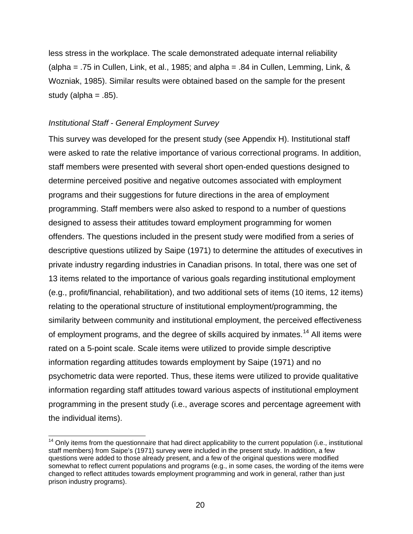<span id="page-35-0"></span>less stress in the workplace. The scale demonstrated adequate internal reliability (alpha = .75 in Cullen, Link, et al., 1985; and alpha = .84 in Cullen, Lemming, Link,  $\&$ Wozniak, 1985). Similar results were obtained based on the sample for the present study (alpha  $= .85$ ).

### *Institutional Staff - General Employment Survey*

l

This survey was developed for the present study (see Appendix H). Institutional staff were asked to rate the relative importance of various correctional programs. In addition, staff members were presented with several short open-ended questions designed to determine perceived positive and negative outcomes associated with employment programs and their suggestions for future directions in the area of employment programming. Staff members were also asked to respond to a number of questions designed to assess their attitudes toward employment programming for women offenders. The questions included in the present study were modified from a series of descriptive questions utilized by Saipe (1971) to determine the attitudes of executives in private industry regarding industries in Canadian prisons. In total, there was one set of 13 items related to the importance of various goals regarding institutional employment (e.g., profit/financial, rehabilitation), and two additional sets of items (10 items, 12 items) relating to the operational structure of institutional employment/programming, the similarity between community and institutional employment, the perceived effectiveness of employment programs, and the degree of skills acquired by inmates.<sup>14</sup> All items were rated on a 5-point scale. Scale items were utilized to provide simple descriptive information regarding attitudes towards employment by Saipe (1971) and no psychometric data were reported. Thus, these items were utilized to provide qualitative information regarding staff attitudes toward various aspects of institutional employment programming in the present study (i.e., average scores and percentage agreement with the individual items).

 $14$  Only items from the questionnaire that had direct applicability to the current population (i.e., institutional staff members) from Saipe's (1971) survey were included in the present study. In addition, a few questions were added to those already present, and a few of the original questions were modified somewhat to reflect current populations and programs (e.g., in some cases, the wording of the items were changed to reflect attitudes towards employment programming and work in general, rather than just prison industry programs).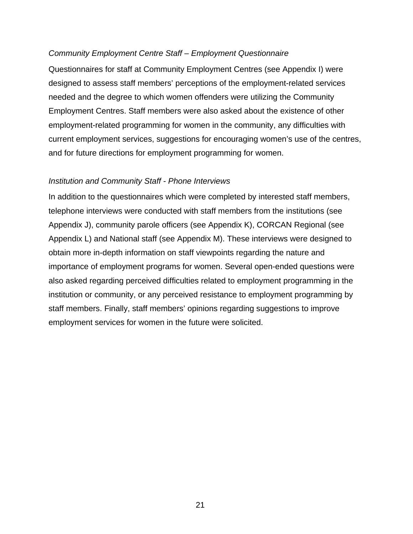### *Community Employment Centre Staff – Employment Questionnaire*

Questionnaires for staff at Community Employment Centres (see Appendix I) were designed to assess staff members' perceptions of the employment-related services needed and the degree to which women offenders were utilizing the Community Employment Centres. Staff members were also asked about the existence of other employment-related programming for women in the community, any difficulties with current employment services, suggestions for encouraging women's use of the centres, and for future directions for employment programming for women.

### *Institution and Community Staff - Phone Interviews*

In addition to the questionnaires which were completed by interested staff members, telephone interviews were conducted with staff members from the institutions (see Appendix J), community parole officers (see Appendix K), CORCAN Regional (see Appendix L) and National staff (see Appendix M). These interviews were designed to obtain more in-depth information on staff viewpoints regarding the nature and importance of employment programs for women. Several open-ended questions were also asked regarding perceived difficulties related to employment programming in the institution or community, or any perceived resistance to employment programming by staff members. Finally, staff members' opinions regarding suggestions to improve employment services for women in the future were solicited.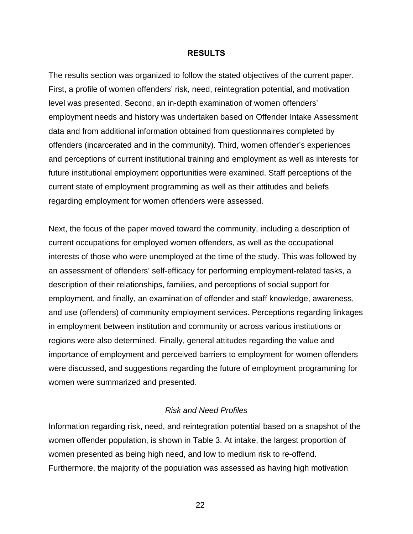#### **RESULTS**

The results section was organized to follow the stated objectives of the current paper. First, a profile of women offenders' risk, need, reintegration potential, and motivation level was presented. Second, an in-depth examination of women offenders' employment needs and history was undertaken based on Offender Intake Assessment data and from additional information obtained from questionnaires completed by offenders (incarcerated and in the community). Third, women offender's experiences and perceptions of current institutional training and employment as well as interests for future institutional employment opportunities were examined. Staff perceptions of the current state of employment programming as well as their attitudes and beliefs regarding employment for women offenders were assessed.

Next, the focus of the paper moved toward the community, including a description of current occupations for employed women offenders, as well as the occupational interests of those who were unemployed at the time of the study. This was followed by an assessment of offenders' self-efficacy for performing employment-related tasks, a description of their relationships, families, and perceptions of social support for employment, and finally, an examination of offender and staff knowledge, awareness, and use (offenders) of community employment services. Perceptions regarding linkages in employment between institution and community or across various institutions or regions were also determined. Finally, general attitudes regarding the value and importance of employment and perceived barriers to employment for women offenders were discussed, and suggestions regarding the future of employment programming for women were summarized and presented.

### *Risk and Need Profiles*

Information regarding risk, need, and reintegration potential based on a snapshot of the women offender population, is shown in Table 3. At intake, the largest proportion of women presented as being high need, and low to medium risk to re-offend. Furthermore, the majority of the population was assessed as having high motivation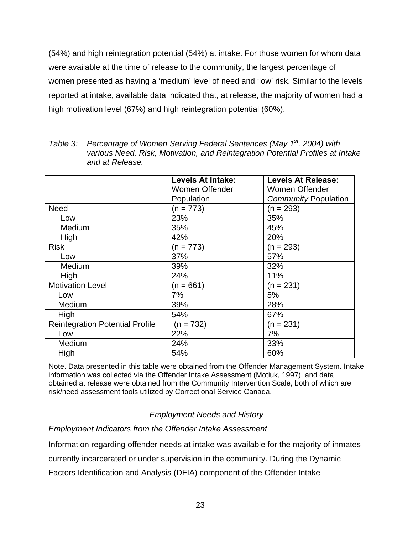(54%) and high reintegration potential (54%) at intake. For those women for whom data were available at the time of release to the community, the largest percentage of women presented as having a 'medium' level of need and 'low' risk. Similar to the levels reported at intake, available data indicated that, at release, the majority of women had a high motivation level (67%) and high reintegration potential (60%).

| Table 3: Percentage of Women Serving Federal Sentences (May 1 <sup>st</sup> , 2004) with |
|------------------------------------------------------------------------------------------|
| various Need, Risk, Motivation, and Reintegration Potential Profiles at Intake           |
| and at Release.                                                                          |

|                                        | Levels At Intake:     | <b>Levels At Release:</b>   |
|----------------------------------------|-----------------------|-----------------------------|
|                                        | <b>Women Offender</b> | Women Offender              |
|                                        | Population            | <b>Community Population</b> |
| <b>Need</b>                            | $(n = 773)$           | $(n = 293)$                 |
| Low                                    | 23%                   | 35%                         |
| Medium                                 | 35%                   | 45%                         |
| High                                   | 42%                   | 20%                         |
| <b>Risk</b>                            | $(n = 773)$           | $(n = 293)$                 |
| Low                                    | 37%                   | 57%                         |
| Medium                                 | 39%                   | 32%                         |
| High                                   | 24%                   | 11%                         |
| <b>Motivation Level</b>                | $(n = 661)$           | $(n = 231)$                 |
| Low                                    | 7%                    | 5%                          |
| Medium                                 | 39%                   | 28%                         |
| High                                   | 54%                   | 67%                         |
| <b>Reintegration Potential Profile</b> | $(n = 732)$           | $(n = 231)$                 |
| Low                                    | 22%                   | 7%                          |
| Medium                                 | 24%                   | 33%                         |
| High                                   | 54%                   | 60%                         |

Note. Data presented in this table were obtained from the Offender Management System. Intake information was collected via the Offender Intake Assessment (Motiuk, 1997), and data obtained at release were obtained from the Community Intervention Scale, both of which are risk/need assessment tools utilized by Correctional Service Canada.

## *Employment Needs and History*

*Employment Indicators from the Offender Intake Assessment* 

Information regarding offender needs at intake was available for the majority of inmates

currently incarcerated or under supervision in the community. During the Dynamic

Factors Identification and Analysis (DFIA) component of the Offender Intake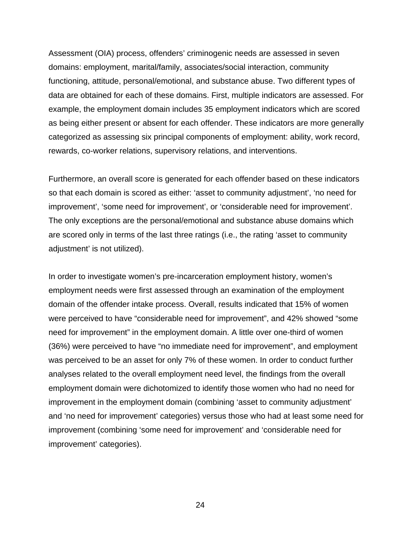Assessment (OIA) process, offenders' criminogenic needs are assessed in seven domains: employment, marital/family, associates/social interaction, community functioning, attitude, personal/emotional, and substance abuse. Two different types of data are obtained for each of these domains. First, multiple indicators are assessed. For example, the employment domain includes 35 employment indicators which are scored as being either present or absent for each offender. These indicators are more generally categorized as assessing six principal components of employment: ability, work record, rewards, co-worker relations, supervisory relations, and interventions.

Furthermore, an overall score is generated for each offender based on these indicators so that each domain is scored as either: 'asset to community adjustment', 'no need for improvement', 'some need for improvement', or 'considerable need for improvement'. The only exceptions are the personal/emotional and substance abuse domains which are scored only in terms of the last three ratings (i.e., the rating 'asset to community adjustment' is not utilized).

In order to investigate women's pre-incarceration employment history, women's employment needs were first assessed through an examination of the employment domain of the offender intake process. Overall, results indicated that 15% of women were perceived to have "considerable need for improvement", and 42% showed "some need for improvement" in the employment domain. A little over one-third of women (36%) were perceived to have "no immediate need for improvement", and employment was perceived to be an asset for only 7% of these women. In order to conduct further analyses related to the overall employment need level, the findings from the overall employment domain were dichotomized to identify those women who had no need for improvement in the employment domain (combining 'asset to community adjustment' and 'no need for improvement' categories) versus those who had at least some need for improvement (combining 'some need for improvement' and 'considerable need for improvement' categories).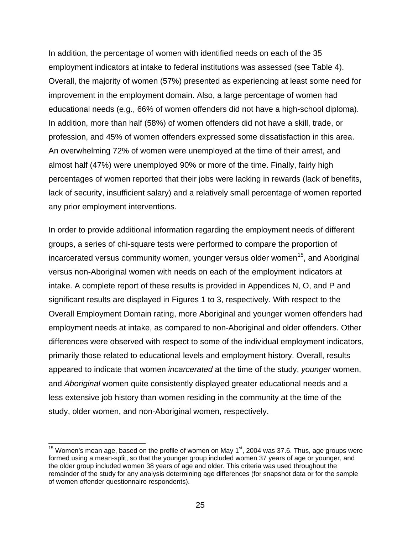In addition, the percentage of women with identified needs on each of the 35 employment indicators at intake to federal institutions was assessed (see Table 4). Overall, the majority of women (57%) presented as experiencing at least some need for improvement in the employment domain. Also, a large percentage of women had educational needs (e.g., 66% of women offenders did not have a high-school diploma). In addition, more than half (58%) of women offenders did not have a skill, trade, or profession, and 45% of women offenders expressed some dissatisfaction in this area. An overwhelming 72% of women were unemployed at the time of their arrest, and almost half (47%) were unemployed 90% or more of the time. Finally, fairly high percentages of women reported that their jobs were lacking in rewards (lack of benefits, lack of security, insufficient salary) and a relatively small percentage of women reported any prior employment interventions.

In order to provide additional information regarding the employment needs of different groups, a series of chi-square tests were performed to compare the proportion of incarcerated versus community women, younger versus older women<sup>15</sup>, and Aboriginal versus non-Aboriginal women with needs on each of the employment indicators at intake. A complete report of these results is provided in Appendices N, O, and P and significant results are displayed in Figures 1 to 3, respectively. With respect to the Overall Employment Domain rating, more Aboriginal and younger women offenders had employment needs at intake, as compared to non-Aboriginal and older offenders. Other differences were observed with respect to some of the individual employment indicators, primarily those related to educational levels and employment history. Overall, results appeared to indicate that women *incarcerated* at the time of the study, *younger* women, and *Aboriginal* women quite consistently displayed greater educational needs and a less extensive job history than women residing in the community at the time of the study, older women, and non-Aboriginal women, respectively.

 $\overline{a}$ 

<sup>&</sup>lt;sup>15</sup> Women's mean age, based on the profile of women on May 1<sup>st</sup>, 2004 was 37.6. Thus, age groups were formed using a mean-split, so that the younger group included women 37 years of age or younger, and the older group included women 38 years of age and older. This criteria was used throughout the remainder of the study for any analysis determining age differences (for snapshot data or for the sample of women offender questionnaire respondents).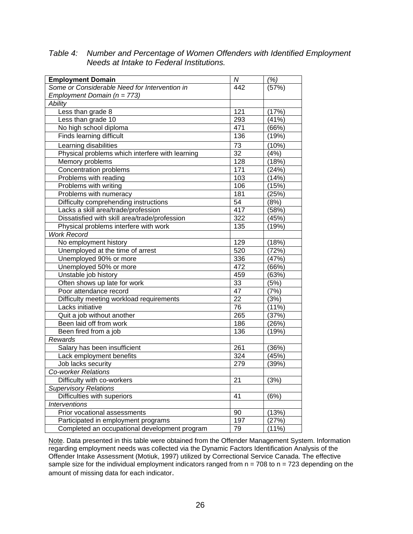*Table 4: Number and Percentage of Women Offenders with Identified Employment Needs at Intake to Federal Institutions.* 

| <b>Employment Domain</b>                        | N                | (%)   |
|-------------------------------------------------|------------------|-------|
| Some or Considerable Need for Intervention in   | 442              | (57%) |
| Employment Domain ( $n = 773$ )                 |                  |       |
| <b>Ability</b>                                  |                  |       |
| Less than grade 8                               | 121              | (17%) |
| Less than grade 10                              | 293              | (41%) |
| No high school diploma                          | 471              | (66%) |
| Finds learning difficult                        | 136              | (19%) |
| Learning disabilities                           | $\overline{73}$  | (10%) |
| Physical problems which interfere with learning | $\overline{32}$  | (4%)  |
| Memory problems                                 | 128              | (18%) |
| Concentration problems                          | 171              | (24%) |
| Problems with reading                           | 103              | (14%) |
| Problems with writing                           | 106              | (15%) |
| Problems with numeracy                          | 181              | (25%) |
| Difficulty comprehending instructions           | 54               | (8%)  |
| Lacks a skill area/trade/profession             | 417              | (58%) |
| Dissatisfied with skill area/trade/profession   | 322              | (45%) |
| Physical problems interfere with work           | 135              | (19%) |
| <b>Work Record</b>                              |                  |       |
| No employment history                           | 129              | (18%) |
| Unemployed at the time of arrest                | 520              | (72%) |
| Unemployed 90% or more                          | 336              | (47%) |
| Unemployed 50% or more                          | 472              | (66%) |
| Unstable job history                            | 459              | (63%) |
| Often shows up late for work                    | 33               | (5%)  |
| Poor attendance record                          | 47               | (7%)  |
| Difficulty meeting workload requirements        | $\overline{22}$  | (3%)  |
| Lacks initiative                                | $\overline{76}$  | (11%) |
| Quit a job without another                      | 265              | (37%) |
| Been laid off from work                         | 186              | (26%) |
| Been fired from a job                           | 136              | (19%) |
| Rewards                                         |                  |       |
| Salary has been insufficient                    | 261              | (36%) |
| Lack employment benefits                        | 324              | (45%) |
| Job lacks security                              | $\overline{279}$ | (39%) |
| <b>Co-worker Relations</b>                      |                  |       |
| Difficulty with co-workers                      | 21               | (3%)  |
| <b>Supervisory Relations</b>                    |                  |       |
| Difficulties with superiors                     | 41               | (6%)  |
| <b>Interventions</b>                            |                  |       |
| Prior vocational assessments                    | 90               | (13%) |
| Participated in employment programs             | 197              | (27%) |
| Completed an occupational development program   | 79               | (11%) |

Note. Data presented in this table were obtained from the Offender Management System. Information regarding employment needs was collected via the Dynamic Factors Identification Analysis of the Offender Intake Assessment (Motiuk, 1997) utilized by Correctional Service Canada. The effective sample size for the individual employment indicators ranged from  $n = 708$  to  $n = 723$  depending on the amount of missing data for each indicator.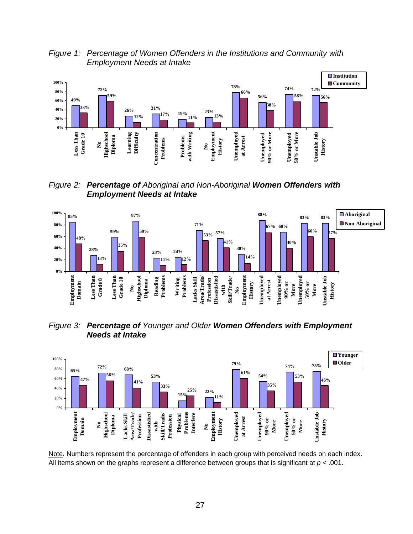*Figure 1: Percentage of Women Offenders in the Institutions and Community with Employment Needs at Intake* 



*Figure 2: Percentage of Aboriginal and Non-Aboriginal Women Offenders with Employment Needs at Intake* 



*Figure 3: Percentage of Younger and Older Women Offenders with Employment Needs at Intake* 



Note. Numbers represent the percentage of offenders in each group with perceived needs on each index. All items shown on the graphs represent a difference between groups that is significant at  $p < .001$ .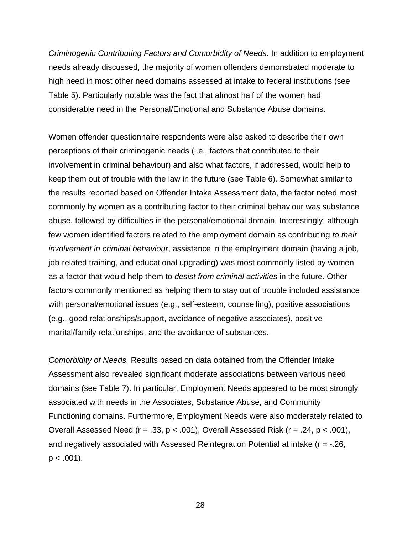*Criminogenic Contributing Factors and Comorbidity of Needs.* In addition to employment needs already discussed, the majority of women offenders demonstrated moderate to high need in most other need domains assessed at intake to federal institutions (see Table 5). Particularly notable was the fact that almost half of the women had considerable need in the Personal/Emotional and Substance Abuse domains.

Women offender questionnaire respondents were also asked to describe their own perceptions of their criminogenic needs (i.e., factors that contributed to their involvement in criminal behaviour) and also what factors, if addressed, would help to keep them out of trouble with the law in the future (see Table 6). Somewhat similar to the results reported based on Offender Intake Assessment data, the factor noted most commonly by women as a contributing factor to their criminal behaviour was substance abuse, followed by difficulties in the personal/emotional domain. Interestingly, although few women identified factors related to the employment domain as contributing *to their involvement in criminal behaviour*, assistance in the employment domain (having a job, job-related training, and educational upgrading) was most commonly listed by women as a factor that would help them to *desist from criminal activities* in the future. Other factors commonly mentioned as helping them to stay out of trouble included assistance with personal/emotional issues (e.g., self-esteem, counselling), positive associations (e.g., good relationships/support, avoidance of negative associates), positive marital/family relationships, and the avoidance of substances.

*Comorbidity of Needs.* Results based on data obtained from the Offender Intake Assessment also revealed significant moderate associations between various need domains (see Table 7). In particular, Employment Needs appeared to be most strongly associated with needs in the Associates, Substance Abuse, and Community Functioning domains. Furthermore, Employment Needs were also moderately related to Overall Assessed Need (r = .33, p < .001), Overall Assessed Risk (r = .24, p < .001), and negatively associated with Assessed Reintegration Potential at intake (r = -.26,  $p < .001$ ).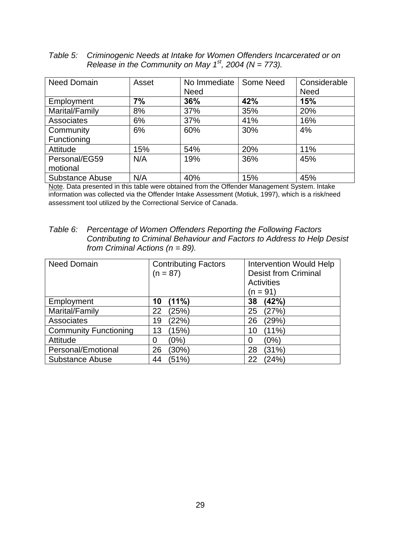*Table 5: Criminogenic Needs at Intake for Women Offenders Incarcerated or on Release in the Community on May 1st, 2004 (N = 773).* 

| <b>Need Domain</b>     | Asset | No Immediate | Some Need | Considerable |
|------------------------|-------|--------------|-----------|--------------|
|                        |       | <b>Need</b>  |           | <b>Need</b>  |
| Employment             | 7%    | 36%          | 42%       | 15%          |
| Marital/Family         | 8%    | 37%          | 35%       | 20%          |
| <b>Associates</b>      | 6%    | 37%          | 41%       | 16%          |
| Community              | 6%    | 60%          | 30%       | 4%           |
| Functioning            |       |              |           |              |
| Attitude               | 15%   | 54%          | 20%       | 11%          |
| Personal/EG59          | N/A   | 19%          | 36%       | 45%          |
| motional               |       |              |           |              |
| <b>Substance Abuse</b> | N/A   | 40%          | 15%       | 45%          |

Note. Data presented in this table were obtained from the Offender Management System. Intake information was collected via the Offender Intake Assessment (Motiuk, 1997), which is a risk/need assessment tool utilized by the Correctional Service of Canada.

*Table 6: Percentage of Women Offenders Reporting the Following Factors Contributing to Criminal Behaviour and Factors to Address to Help Desist from Criminal Actions (n = 89).* 

| <b>Need Domain</b>           | <b>Contributing Factors</b><br>$(n = 87)$ |    | <b>Intervention Would Help</b><br><b>Desist from Criminal</b><br><b>Activities</b><br>$(n = 91)$ |  |  |
|------------------------------|-------------------------------------------|----|--------------------------------------------------------------------------------------------------|--|--|
| Employment                   | (11%)<br>10                               | 38 | (42%)                                                                                            |  |  |
| Marital/Family               | 22<br>(25%)                               | 25 | (27%)                                                                                            |  |  |
| Associates                   | (22%)<br>19                               | 26 | (29%)                                                                                            |  |  |
| <b>Community Functioning</b> | (15%)<br>13                               | 10 | (11%)                                                                                            |  |  |
| Attitude                     | (0%)<br>0                                 | 0  | (0%)                                                                                             |  |  |
| Personal/Emotional           | $30\%$<br>26                              | 28 | (31%)                                                                                            |  |  |
| <b>Substance Abuse</b>       | (51%)<br>44                               | 22 | (24%)                                                                                            |  |  |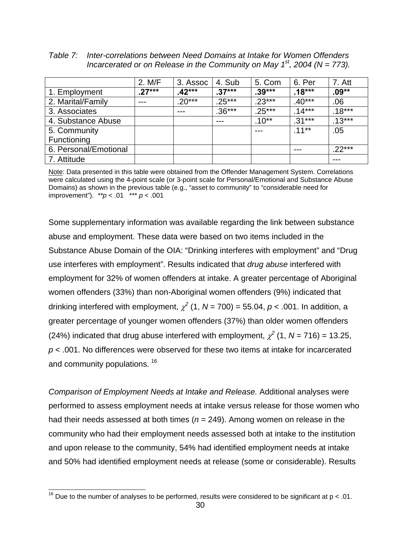*Table 7: Inter-correlations between Need Domains at Intake for Women Offenders Incarcerated or on Release in the Community on May 1<sup>st</sup>, 2004 (N = 773).* 

|                       | 2. M/F   | 3. Assoc | 4. Sub   | 5. Com   | 6. Per   | 7. Att   |
|-----------------------|----------|----------|----------|----------|----------|----------|
| 1. Employment         | $.27***$ | $.42***$ | $.37***$ | $.39***$ | $.18***$ | .09**    |
| 2. Marital/Family     | $---$    | $.20***$ | $.25***$ | $.23***$ | $.40***$ | .06      |
| 3. Associates         |          | ---      | $.36***$ | $.25***$ | $.14***$ | $.18***$ |
| 4. Substance Abuse    |          |          | ---      | $.10**$  | $.31***$ | $.13***$ |
| 5. Community          |          |          |          | ---      | $.11***$ | .05      |
| Functioning           |          |          |          |          |          |          |
| 6. Personal/Emotional |          |          |          |          | $---$    | $.22***$ |
| 7. Attitude           |          |          |          |          |          | ---      |

Note: Data presented in this table were obtained from the Offender Management System. Correlations were calculated using the 4-point scale (or 3-point scale for Personal/Emotional and Substance Abuse Domains) as shown in the previous table (e.g., "asset to community" to "considerable need for improvement"). *\*\*p* < .01 \*\*\* *p* < .001

Some supplementary information was available regarding the link between substance abuse and employment. These data were based on two items included in the Substance Abuse Domain of the OIA: "Drinking interferes with employment" and "Drug use interferes with employment". Results indicated that *drug abuse* interfered with employment for 32% of women offenders at intake. A greater percentage of Aboriginal women offenders (33%) than non-Aboriginal women offenders (9%) indicated that drinking interfered with employment,  $\chi^2$  (1, N = 700) = 55.04,  $p$  < .001. In addition, a greater percentage of younger women offenders (37%) than older women offenders (24%) indicated that drug abuse interfered with employment,  $\chi^2$  (1, N = 716) = 13.25, *p* < .001. No differences were observed for these two items at intake for incarcerated and community populations. <sup>16</sup>

*Comparison of Employment Needs at Intake and Release.* Additional analyses were performed to assess employment needs at intake versus release for those women who had their needs assessed at both times (*n* = 249). Among women on release in the community who had their employment needs assessed both at intake to the institution and upon release to the community, 54% had identified employment needs at intake and 50% had identified employment needs at release (some or considerable). Results

 $\overline{a}$ 

<sup>&</sup>lt;sup>16</sup> Due to the number of analyses to be performed, results were considered to be significant at  $p < 01$ .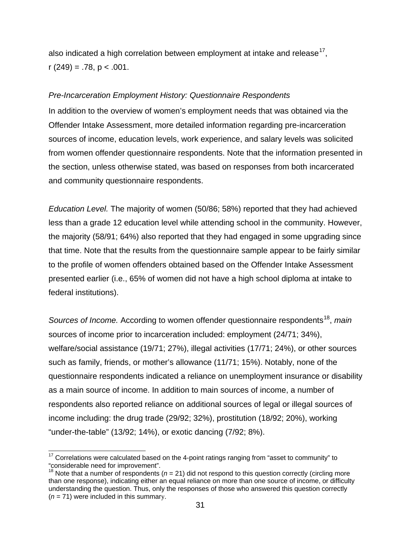also indicated a high correlation between employment at intake and release<sup>17</sup>,  $r(249) = .78$ ,  $p < .001$ .

### *Pre-Incarceration Employment History: Questionnaire Respondents*

In addition to the overview of women's employment needs that was obtained via the Offender Intake Assessment, more detailed information regarding pre-incarceration sources of income, education levels, work experience, and salary levels was solicited from women offender questionnaire respondents. Note that the information presented in the section, unless otherwise stated, was based on responses from both incarcerated and community questionnaire respondents.

*Education Level.* The majority of women (50/86; 58%) reported that they had achieved less than a grade 12 education level while attending school in the community. However, the majority (58/91; 64%) also reported that they had engaged in some upgrading since that time. Note that the results from the questionnaire sample appear to be fairly similar to the profile of women offenders obtained based on the Offender Intake Assessment presented earlier (i.e., 65% of women did not have a high school diploma at intake to federal institutions).

*Sources of Income.* According to women offender questionnaire respondents<sup>18</sup>, *main* sources of income prior to incarceration included: employment (24/71; 34%), welfare/social assistance (19/71; 27%), illegal activities (17/71; 24%), or other sources such as family, friends, or mother's allowance (11/71; 15%). Notably, none of the questionnaire respondents indicated a reliance on unemployment insurance or disability as a main source of income. In addition to main sources of income, a number of respondents also reported reliance on additional sources of legal or illegal sources of income including: the drug trade (29/92; 32%), prostitution (18/92; 20%), working "under-the-table" (13/92; 14%), or exotic dancing (7/92; 8%).

 $\overline{\phantom{a}}$ 

 $17$  Correlations were calculated based on the 4-point ratings ranging from "asset to community" to "considerable need for improvement".

<sup>&</sup>lt;sup>18</sup> Note that a number of respondents ( $n = 21$ ) did not respond to this question correctly (circling more than one response), indicating either an equal reliance on more than one source of income, or difficulty understanding the question. Thus, only the responses of those who answered this question correctly  $(n = 71)$  were included in this summary.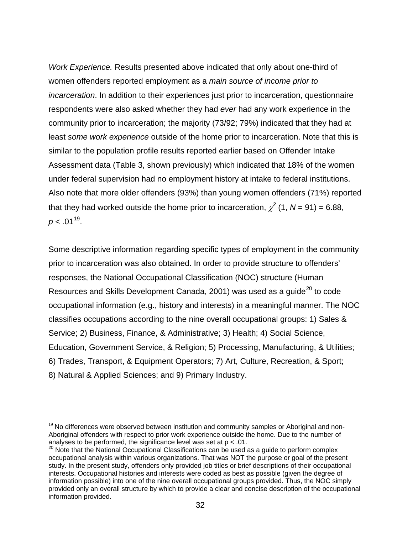*Work Experience.* Results presented above indicated that only about one-third of women offenders reported employment as a *main source of income prior to incarceration*. In addition to their experiences just prior to incarceration, questionnaire respondents were also asked whether they had *ever* had any work experience in the community prior to incarceration; the majority (73/92; 79%) indicated that they had at least *some work experience* outside of the home prior to incarceration. Note that this is similar to the population profile results reported earlier based on Offender Intake Assessment data (Table 3, shown previously) which indicated that 18% of the women under federal supervision had no employment history at intake to federal institutions. Also note that more older offenders (93%) than young women offenders (71%) reported that they had worked outside the home prior to incarceration,  $\chi^2$  (1, N = 91) = 6.88,  $p < .01^{19}$ .

Some descriptive information regarding specific types of employment in the community prior to incarceration was also obtained. In order to provide structure to offenders' responses, the National Occupational Classification (NOC) structure (Human Resources and Skills Development Canada, 2001) was used as a guide<sup>20</sup> to code occupational information (e.g., history and interests) in a meaningful manner. The NOC classifies occupations according to the nine overall occupational groups: 1) Sales & Service; 2) Business, Finance, & Administrative; 3) Health; 4) Social Science, Education, Government Service, & Religion; 5) Processing, Manufacturing, & Utilities; 6) Trades, Transport, & Equipment Operators; 7) Art, Culture, Recreation, & Sport; 8) Natural & Applied Sciences; and 9) Primary Industry.

 $\overline{\phantom{a}}$ 

 $19$  No differences were observed between institution and community samples or Aboriginal and non-Aboriginal offenders with respect to prior work experience outside the home. Due to the number of analyses to be performed, the significance level was set at  $p < 01$ .

 $20$  Note that the National Occupational Classifications can be used as a guide to perform complex occupational analysis within various organizations. That was NOT the purpose or goal of the present study. In the present study, offenders only provided job titles or brief descriptions of their occupational interests. Occupational histories and interests were coded as best as possible (given the degree of information possible) into one of the nine overall occupational groups provided. Thus, the NOC simply provided only an overall structure by which to provide a clear and concise description of the occupational information provided.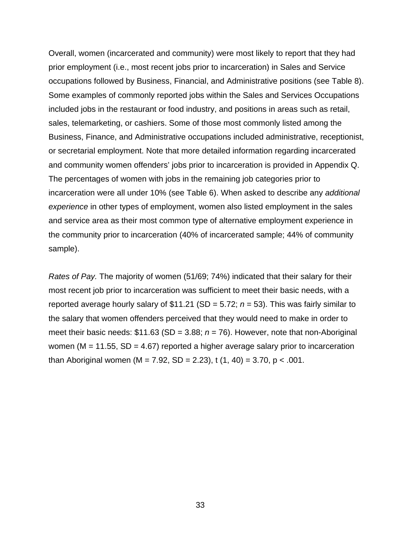Overall, women (incarcerated and community) were most likely to report that they had prior employment (i.e., most recent jobs prior to incarceration) in Sales and Service occupations followed by Business, Financial, and Administrative positions (see Table 8). Some examples of commonly reported jobs within the Sales and Services Occupations included jobs in the restaurant or food industry, and positions in areas such as retail, sales, telemarketing, or cashiers. Some of those most commonly listed among the Business, Finance, and Administrative occupations included administrative, receptionist, or secretarial employment. Note that more detailed information regarding incarcerated and community women offenders' jobs prior to incarceration is provided in Appendix Q. The percentages of women with jobs in the remaining job categories prior to incarceration were all under 10% (see Table 6). When asked to describe any *additional experience* in other types of employment, women also listed employment in the sales and service area as their most common type of alternative employment experience in the community prior to incarceration (40% of incarcerated sample; 44% of community sample).

*Rates of Pay.* The majority of women (51/69; 74%) indicated that their salary for their most recent job prior to incarceration was sufficient to meet their basic needs, with a reported average hourly salary of \$11.21 (SD = 5.72; *n* = 53). This was fairly similar to the salary that women offenders perceived that they would need to make in order to meet their basic needs: \$11.63 (SD = 3.88; *n* = 76). However, note that non-Aboriginal women ( $M = 11.55$ ,  $SD = 4.67$ ) reported a higher average salary prior to incarceration than Aboriginal women (M = 7.92, SD = 2.23), t (1, 40) = 3.70, p < .001.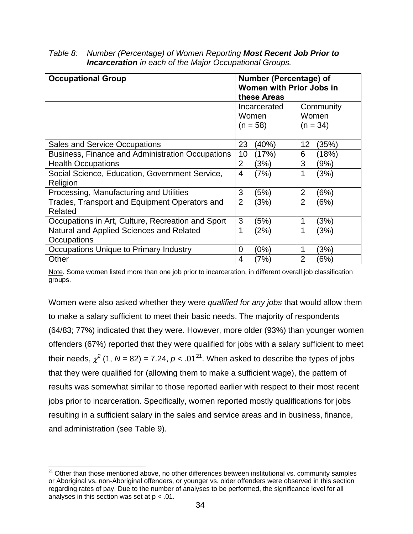| <b>Occupational Group</b>                               | <b>Number (Percentage) of</b><br>Women with Prior Jobs in<br>these Areas |                       |                    |       |  |
|---------------------------------------------------------|--------------------------------------------------------------------------|-----------------------|--------------------|-------|--|
|                                                         |                                                                          | Incarcerated<br>Women | Community<br>Women |       |  |
|                                                         |                                                                          | (n = 58)              | $(n = 34)$         |       |  |
|                                                         |                                                                          |                       |                    |       |  |
| <b>Sales and Service Occupations</b>                    | 23                                                                       | $(40\%)$              | 12                 | (35%) |  |
| <b>Business, Finance and Administration Occupations</b> | 10                                                                       | (17%)                 | 6                  | (18%) |  |
| <b>Health Occupations</b>                               | $\overline{2}$                                                           | (3%)                  | 3                  | (9%)  |  |
| Social Science, Education, Government Service,          | 4                                                                        | (7%)                  |                    | (3%)  |  |
| Religion                                                |                                                                          |                       |                    |       |  |
| Processing, Manufacturing and Utilities                 | 3                                                                        | (5%)                  | $\overline{2}$     | (6%)  |  |
| Trades, Transport and Equipment Operators and           | $\overline{2}$                                                           | (3%)                  | $\overline{2}$     | (6%)  |  |
| Related                                                 |                                                                          |                       |                    |       |  |
| Occupations in Art, Culture, Recreation and Sport       | 3                                                                        | (5%)                  |                    | (3%)  |  |
| Natural and Applied Sciences and Related                | 1                                                                        | (2%)                  |                    | (3%)  |  |
| Occupations                                             |                                                                          |                       |                    |       |  |
| Occupations Unique to Primary Industry                  | $\overline{0}$                                                           | (0%)                  |                    | (3%)  |  |
| Other                                                   | 4                                                                        | (7%)                  | 2                  | (6%)  |  |

*Table 8: Number (Percentage) of Women Reporting Most Recent Job Prior to Incarceration in each of the Major Occupational Groups.* 

Note. Some women listed more than one job prior to incarceration, in different overall job classification groups.

Women were also asked whether they were *qualified for any jobs* that would allow them to make a salary sufficient to meet their basic needs. The majority of respondents (64/83; 77%) indicated that they were. However, more older (93%) than younger women offenders (67%) reported that they were qualified for jobs with a salary sufficient to meet their needs,  $\chi^2$  (1, N = 82) = 7.24,  $p < .01^{21}$ . When asked to describe the types of jobs that they were qualified for (allowing them to make a sufficient wage), the pattern of results was somewhat similar to those reported earlier with respect to their most recent jobs prior to incarceration. Specifically, women reported mostly qualifications for jobs resulting in a sufficient salary in the sales and service areas and in business, finance, and administration (see Table 9).

 $\overline{\phantom{a}}$  $21$  Other than those mentioned above, no other differences between institutional vs. community samples or Aboriginal vs. non-Aboriginal offenders, or younger vs. older offenders were observed in this section regarding rates of pay. Due to the number of analyses to be performed, the significance level for all analyses in this section was set at  $p < 0.01$ .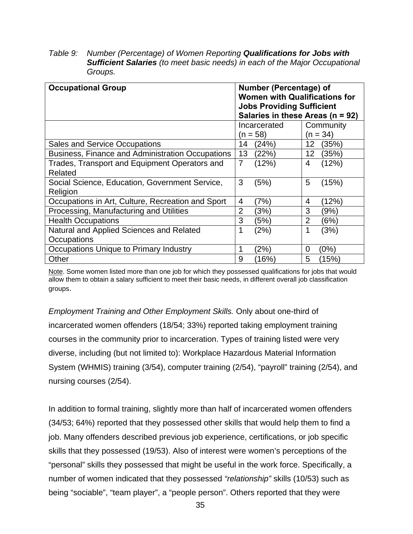*Table 9: Number (Percentage) of Women Reporting Qualifications for Jobs with Sufficient Salaries (to meet basic needs) in each of the Major Occupational Groups.* 

| <b>Occupational Group</b>                                  | <b>Number (Percentage) of</b><br><b>Women with Qualifications for</b><br><b>Jobs Providing Sufficient</b><br>Salaries in these Areas ( $n = 92$ ) |  |  |  |  |
|------------------------------------------------------------|---------------------------------------------------------------------------------------------------------------------------------------------------|--|--|--|--|
|                                                            | Community<br>Incarcerated<br>$(n = 34)$<br>(n = 58)                                                                                               |  |  |  |  |
| <b>Sales and Service Occupations</b>                       | (24%)<br>12 <sub>2</sub><br>(35%)<br>14                                                                                                           |  |  |  |  |
| Business, Finance and Administration Occupations           | 13<br>(22%)<br>12 <sub>2</sub><br>(35%)                                                                                                           |  |  |  |  |
| Trades, Transport and Equipment Operators and<br>Related   | $\overline{7}$<br>(12%)<br>(12%)<br>4                                                                                                             |  |  |  |  |
| Social Science, Education, Government Service,<br>Religion | 5<br>3<br>(5%)<br>(15%)                                                                                                                           |  |  |  |  |
| Occupations in Art, Culture, Recreation and Sport          | (7%)<br>(12%)<br>$\overline{4}$<br>4                                                                                                              |  |  |  |  |
| Processing, Manufacturing and Utilities                    | 3<br>$\overline{2}$<br>(3%)<br>(9%)                                                                                                               |  |  |  |  |
| <b>Health Occupations</b>                                  | 3<br>$\overline{2}$<br>(5%)<br>(6%)                                                                                                               |  |  |  |  |
| Natural and Applied Sciences and Related                   | 1<br>(2%)<br>(3%)<br>1                                                                                                                            |  |  |  |  |
| Occupations                                                |                                                                                                                                                   |  |  |  |  |
| Occupations Unique to Primary Industry                     | (2%)<br>(0%)<br>0                                                                                                                                 |  |  |  |  |
| Other                                                      | 5<br>9<br>$16\%$<br>(15%)                                                                                                                         |  |  |  |  |

Note. Some women listed more than one job for which they possessed qualifications for jobs that would allow them to obtain a salary sufficient to meet their basic needs, in different overall job classification groups.

*Employment Training and Other Employment Skills.* Only about one-third of incarcerated women offenders (18/54; 33%) reported taking employment training courses in the community prior to incarceration. Types of training listed were very diverse, including (but not limited to): Workplace Hazardous Material Information System (WHMIS) training (3/54), computer training (2/54), "payroll" training (2/54), and nursing courses (2/54).

In addition to formal training, slightly more than half of incarcerated women offenders (34/53; 64%) reported that they possessed other skills that would help them to find a job. Many offenders described previous job experience, certifications, or job specific skills that they possessed (19/53). Also of interest were women's perceptions of the "personal" skills they possessed that might be useful in the work force. Specifically, a number of women indicated that they possessed *"relationship"* skills (10/53) such as being "sociable", "team player", a "people person". Others reported that they were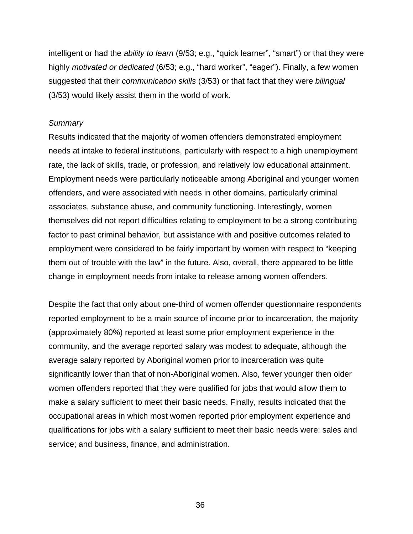intelligent or had the *ability to learn* (9/53; e.g., "quick learner", "smart") or that they were highly *motivated or dedicated* (6/53; e.g., "hard worker", "eager"). Finally, a few women suggested that their *communication skills* (3/53) or that fact that they were *bilingual* (3/53) would likely assist them in the world of work.

#### *Summary*

Results indicated that the majority of women offenders demonstrated employment needs at intake to federal institutions, particularly with respect to a high unemployment rate, the lack of skills, trade, or profession, and relatively low educational attainment. Employment needs were particularly noticeable among Aboriginal and younger women offenders, and were associated with needs in other domains, particularly criminal associates, substance abuse, and community functioning. Interestingly, women themselves did not report difficulties relating to employment to be a strong contributing factor to past criminal behavior, but assistance with and positive outcomes related to employment were considered to be fairly important by women with respect to "keeping them out of trouble with the law" in the future. Also, overall, there appeared to be little change in employment needs from intake to release among women offenders.

Despite the fact that only about one-third of women offender questionnaire respondents reported employment to be a main source of income prior to incarceration, the majority (approximately 80%) reported at least some prior employment experience in the community, and the average reported salary was modest to adequate, although the average salary reported by Aboriginal women prior to incarceration was quite significantly lower than that of non-Aboriginal women. Also, fewer younger then older women offenders reported that they were qualified for jobs that would allow them to make a salary sufficient to meet their basic needs. Finally, results indicated that the occupational areas in which most women reported prior employment experience and qualifications for jobs with a salary sufficient to meet their basic needs were: sales and service; and business, finance, and administration.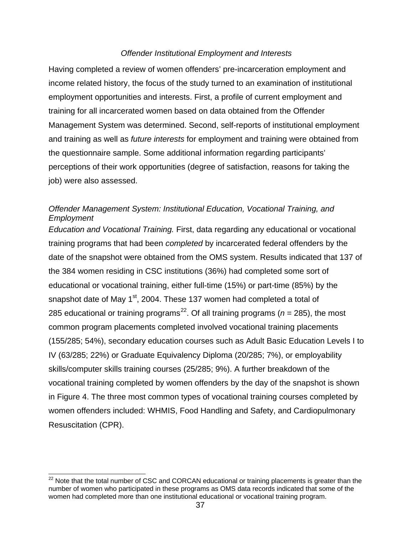## *Offender Institutional Employment and Interests*

Having completed a review of women offenders' pre-incarceration employment and income related history, the focus of the study turned to an examination of institutional employment opportunities and interests. First, a profile of current employment and training for all incarcerated women based on data obtained from the Offender Management System was determined. Second, self-reports of institutional employment and training as well as *future interests* for employment and training were obtained from the questionnaire sample. Some additional information regarding participants' perceptions of their work opportunities (degree of satisfaction, reasons for taking the job) were also assessed.

# *Offender Management System: Institutional Education, Vocational Training, and Employment*

*Education and Vocational Training.* First, data regarding any educational or vocational training programs that had been *completed* by incarcerated federal offenders by the date of the snapshot were obtained from the OMS system. Results indicated that 137 of the 384 women residing in CSC institutions (36%) had completed some sort of educational or vocational training, either full-time (15%) or part-time (85%) by the snapshot date of May  $1<sup>st</sup>$ , 2004. These 137 women had completed a total of 285 educational or training programs<sup>22</sup>. Of all training programs ( $n = 285$ ), the most common program placements completed involved vocational training placements (155/285; 54%), secondary education courses such as Adult Basic Education Levels I to IV (63/285; 22%) or Graduate Equivalency Diploma (20/285; 7%), or employability skills/computer skills training courses (25/285; 9%). A further breakdown of the vocational training completed by women offenders by the day of the snapshot is shown in Figure 4. The three most common types of vocational training courses completed by women offenders included: WHMIS, Food Handling and Safety, and Cardiopulmonary Resuscitation (CPR).

 $\overline{\phantom{a}}$ 

 $^{22}$  Note that the total number of CSC and CORCAN educational or training placements is greater than the number of women who participated in these programs as OMS data records indicated that some of the women had completed more than one institutional educational or vocational training program.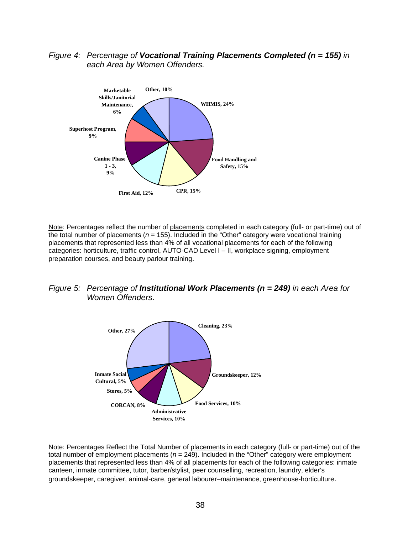*Figure 4: Percentage of Vocational Training Placements Completed (n = 155) in each Area by Women Offenders.* 



Note: Percentages reflect the number of placements completed in each category (full- or part-time) out of  $\overline{t}$  the total number of placements ( $n = 155$ ). Included in the "Other" category were vocational training placements that represented less than 4% of all vocational placements for each of the following categories: horticulture, traffic control, AUTO-CAD Level I – II, workplace signing, employment preparation courses, and beauty parlour training.





Note: Percentages Reflect the Total Number of placements in each category (full- or part-time) out of the total number of employment placements  $(n = 249)$ . Included in the "Other" category were employment placements that represented less than 4% of all placements for each of the following categories: inmate canteen, inmate committee, tutor, barber/stylist, peer counselling, recreation, laundry, elder's groundskeeper, caregiver, animal-care, general labourer–maintenance, greenhouse-horticulture.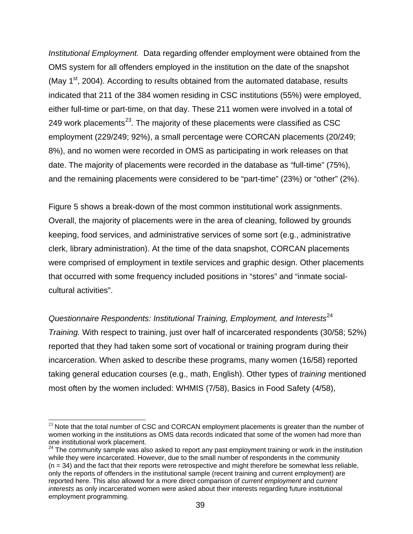*Institutional Employment.* Data regarding offender employment were obtained from the OMS system for all offenders employed in the institution on the date of the snapshot (May  $1<sup>st</sup>$ , 2004). According to results obtained from the automated database, results indicated that 211 of the 384 women residing in CSC institutions (55%) were employed, either full-time or part-time, on that day. These 211 women were involved in a total of 249 work placements $^{23}$ . The majority of these placements were classified as CSC employment (229/249; 92%), a small percentage were CORCAN placements (20/249; 8%), and no women were recorded in OMS as participating in work releases on that date. The majority of placements were recorded in the database as "full-time" (75%), and the remaining placements were considered to be "part-time" (23%) or "other" (2%).

Figure 5 shows a break-down of the most common institutional work assignments. Overall, the majority of placements were in the area of cleaning, followed by grounds keeping, food services, and administrative services of some sort (e.g., administrative clerk, library administration). At the time of the data snapshot, CORCAN placements were comprised of employment in textile services and graphic design. Other placements that occurred with some frequency included positions in "stores" and "inmate socialcultural activities".

*Questionnaire Respondents: Institutional Training, Employment, and Interests*<sup>24</sup> *Training.* With respect to training, just over half of incarcerated respondents (30/58; 52%) reported that they had taken some sort of vocational or training program during their incarceration. When asked to describe these programs, many women (16/58) reported taking general education courses (e.g., math, English). Other types of *training* mentioned most often by the women included: WHMIS (7/58), Basics in Food Safety (4/58),

 $\overline{\phantom{a}}$ 

 $23$  Note that the total number of CSC and CORCAN employment placements is greater than the number of women working in the institutions as OMS data records indicated that some of the women had more than one institutional work placement.

<sup>&</sup>lt;sup>24</sup> The community sample was also asked to report any past employment training or work in the institution while they were incarcerated. However, due to the small number of respondents in the community  $(n = 34)$  and the fact that their reports were retrospective and might therefore be somewhat less reliable, only the reports of offenders in the institutional sample (recent training and current employment) are reported here. This also allowed for a more direct comparison of *current employment* and *current interests* as only incarcerated women were asked about their interests regarding future institutional employment programming.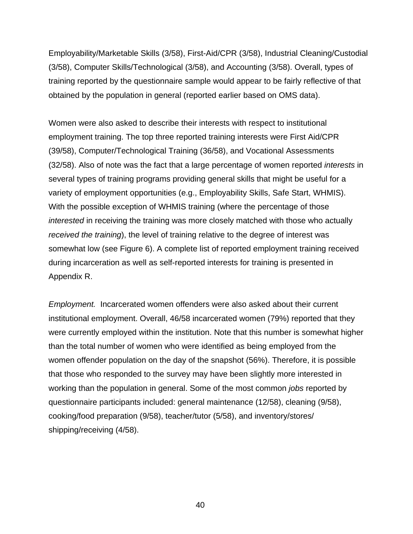Employability/Marketable Skills (3/58), First-Aid/CPR (3/58), Industrial Cleaning/Custodial (3/58), Computer Skills/Technological (3/58), and Accounting (3/58). Overall, types of training reported by the questionnaire sample would appear to be fairly reflective of that obtained by the population in general (reported earlier based on OMS data).

Women were also asked to describe their interests with respect to institutional employment training. The top three reported training interests were First Aid/CPR (39/58), Computer/Technological Training (36/58), and Vocational Assessments (32/58). Also of note was the fact that a large percentage of women reported *interests* in several types of training programs providing general skills that might be useful for a variety of employment opportunities (e.g., Employability Skills, Safe Start, WHMIS). With the possible exception of WHMIS training (where the percentage of those *interested* in receiving the training was more closely matched with those who actually *received the training*), the level of training relative to the degree of interest was somewhat low (see Figure 6). A complete list of reported employment training received during incarceration as well as self-reported interests for training is presented in Appendix R.

*Employment.* Incarcerated women offenders were also asked about their current institutional employment. Overall, 46/58 incarcerated women (79%) reported that they were currently employed within the institution. Note that this number is somewhat higher than the total number of women who were identified as being employed from the women offender population on the day of the snapshot (56%). Therefore, it is possible that those who responded to the survey may have been slightly more interested in working than the population in general. Some of the most common *jobs* reported by questionnaire participants included: general maintenance (12/58), cleaning (9/58), cooking/food preparation (9/58), teacher/tutor (5/58), and inventory/stores/ shipping/receiving (4/58).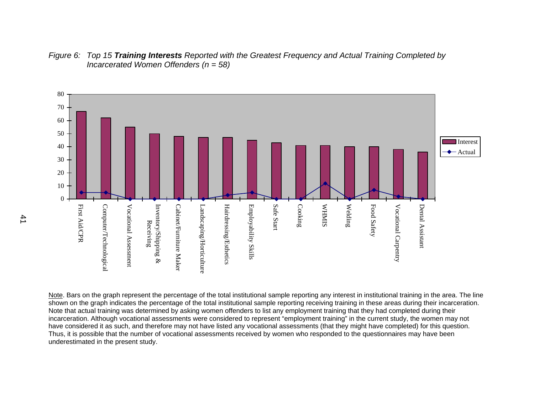

*Figure 6: Top 15 Training Interests Reported with the Greatest Frequency and Actual Training Completed by Incarcerated Women Offenders (n = 58)* 

Note. Bars on the graph represent the percentage of the total institutional sample reporting any interest in institutional training in the area. The line shown on the graph indicates the percentage of the total institutional sample reporting receiving training in these areas during their incarceration. Note that actual training was determined by asking women offenders to list any employment training that they had completed during their incarceration. Although vocational assessments were considered to represent "employment training" in the current study, the women may not have considered it as such, and therefore may not have listed any vocational assessments (that they might have completed) for this question. Thus, it is possible that the number of vocational assessments received by women who responded to the questionnaires may have been underestimated in the present study.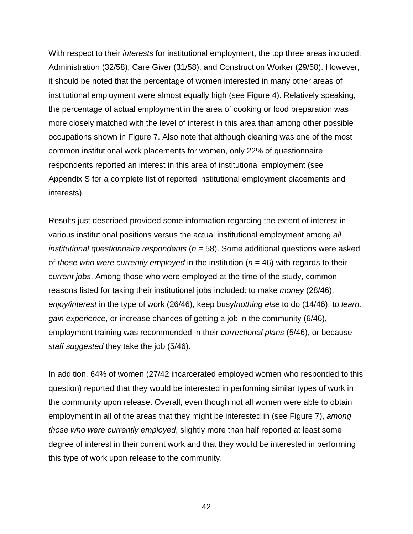With respect to their *interests* for institutional employment, the top three areas included: Administration (32/58), Care Giver (31/58), and Construction Worker (29/58). However, it should be noted that the percentage of women interested in many other areas of institutional employment were almost equally high (see Figure 4). Relatively speaking, the percentage of actual employment in the area of cooking or food preparation was more closely matched with the level of interest in this area than among other possible occupations shown in Figure 7. Also note that although cleaning was one of the most common institutional work placements for women, only 22% of questionnaire respondents reported an interest in this area of institutional employment (see Appendix S for a complete list of reported institutional employment placements and interests).

Results just described provided some information regarding the extent of interest in various institutional positions versus the actual institutional employment among *all institutional questionnaire respondents* (*n* = 58). Some additional questions were asked of *those who were currently employed* in the institution (*n* = 46) with regards to their *current jobs*. Among those who were employed at the time of the study, common reasons listed for taking their institutional jobs included: to make *money* (28/46), *enjoy/interest* in the type of work (26/46), keep busy/*nothing else* to do (14/46), to *learn, gain experience*, or increase chances of getting a job in the community (6/46), employment training was recommended in their *correctional plans* (5/46), or because *staff suggested* they take the job (5/46).

In addition, 64% of women (27/42 incarcerated employed women who responded to this question) reported that they would be interested in performing similar types of work in the community upon release. Overall, even though not all women were able to obtain employment in all of the areas that they might be interested in (see Figure 7), *among those who were currently employed*, slightly more than half reported at least some degree of interest in their current work and that they would be interested in performing this type of work upon release to the community.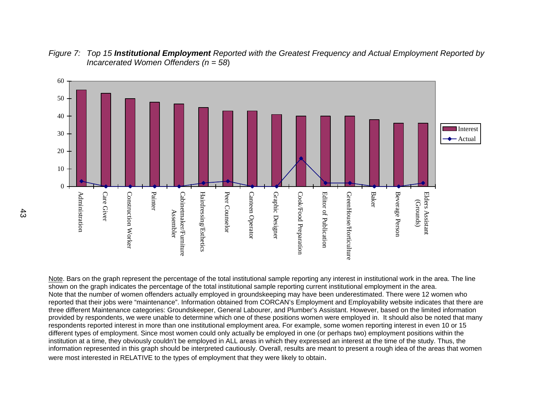

*Figure 7: Top 15 Institutional Employment Reported with the Greatest Frequency and Actual Employment Reported by Incarcerated Women Offenders (n = 58*)

Note. Bars on the graph represent the percentage of the total institutional sample reporting any interest in institutional work in the area. The line shown on the graph indicates the percentage of the total institutional sample reporting current institutional employment in the area. Note that the number of women offenders actually employed in groundskeeping may have been underestimated. There were 12 women who reported that their jobs were "maintenance". Information obtained from CORCAN's Employment and Employability website indicates that there are three different Maintenance categories: Groundskeeper, General Labourer, and Plumber's Assistant. However, based on the limited information provided by respondents, we were unable to determine which one of these positions women were employed in. It should also be noted that many respondents reported interest in more than one institutional employment area. For example, some women reporting interest in even 10 or 15 different types of employment. Since most women could only actually be employed in one (or perhaps two) employment positions within the institution at a time, they obviously couldn't be employed in ALL areas in which they expressed an interest at the time of the study. Thus, the information represented in this graph should be interpreted cautiously. Overall, results are meant to present a rough idea of the areas that women were most interested in RELATIVE to the types of employment that they were likely to obtain.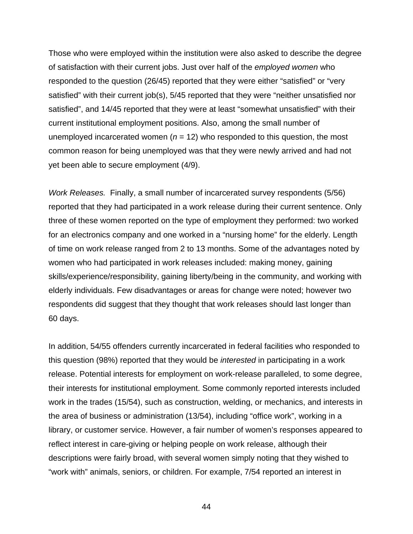Those who were employed within the institution were also asked to describe the degree of satisfaction with their current jobs. Just over half of the *employed women* who responded to the question (26/45) reported that they were either "satisfied" or "very satisfied" with their current job(s), 5/45 reported that they were "neither unsatisfied nor satisfied", and 14/45 reported that they were at least "somewhat unsatisfied" with their current institutional employment positions. Also, among the small number of unemployed incarcerated women  $(n = 12)$  who responded to this question, the most common reason for being unemployed was that they were newly arrived and had not yet been able to secure employment (4/9).

*Work Releases.* Finally, a small number of incarcerated survey respondents (5/56) reported that they had participated in a work release during their current sentence. Only three of these women reported on the type of employment they performed: two worked for an electronics company and one worked in a "nursing home" for the elderly. Length of time on work release ranged from 2 to 13 months. Some of the advantages noted by women who had participated in work releases included: making money, gaining skills/experience/responsibility, gaining liberty/being in the community, and working with elderly individuals. Few disadvantages or areas for change were noted; however two respondents did suggest that they thought that work releases should last longer than 60 days.

In addition, 54/55 offenders currently incarcerated in federal facilities who responded to this question (98%) reported that they would be *interested* in participating in a work release. Potential interests for employment on work-release paralleled, to some degree, their interests for institutional employment. Some commonly reported interests included work in the trades (15/54), such as construction, welding, or mechanics, and interests in the area of business or administration (13/54), including "office work", working in a library, or customer service. However, a fair number of women's responses appeared to reflect interest in care-giving or helping people on work release, although their descriptions were fairly broad, with several women simply noting that they wished to "work with" animals, seniors, or children. For example, 7/54 reported an interest in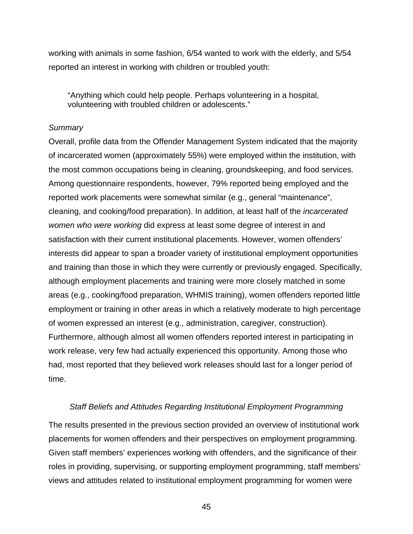working with animals in some fashion, 6/54 wanted to work with the elderly, and 5/54 reported an interest in working with children or troubled youth:

"Anything which could help people. Perhaps volunteering in a hospital, volunteering with troubled children or adolescents."

#### *Summary*

Overall, profile data from the Offender Management System indicated that the majority of incarcerated women (approximately 55%) were employed within the institution, with the most common occupations being in cleaning, groundskeeping, and food services. Among questionnaire respondents, however, 79% reported being employed and the reported work placements were somewhat similar (e.g., general "maintenance", cleaning, and cooking/food preparation). In addition, at least half of the *incarcerated women who were working* did express at least some degree of interest in and satisfaction with their current institutional placements. However, women offenders' interests did appear to span a broader variety of institutional employment opportunities and training than those in which they were currently or previously engaged. Specifically, although employment placements and training were more closely matched in some areas (e.g., cooking/food preparation, WHMIS training), women offenders reported little employment or training in other areas in which a relatively moderate to high percentage of women expressed an interest (e.g., administration, caregiver, construction). Furthermore, although almost all women offenders reported interest in participating in work release, very few had actually experienced this opportunity. Among those who had, most reported that they believed work releases should last for a longer period of time.

### *Staff Beliefs and Attitudes Regarding Institutional Employment Programming*

The results presented in the previous section provided an overview of institutional work placements for women offenders and their perspectives on employment programming. Given staff members' experiences working with offenders, and the significance of their roles in providing, supervising, or supporting employment programming, staff members' views and attitudes related to institutional employment programming for women were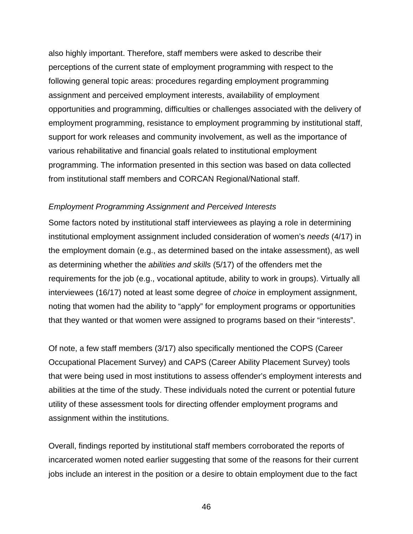also highly important. Therefore, staff members were asked to describe their perceptions of the current state of employment programming with respect to the following general topic areas: procedures regarding employment programming assignment and perceived employment interests, availability of employment opportunities and programming, difficulties or challenges associated with the delivery of employment programming, resistance to employment programming by institutional staff, support for work releases and community involvement, as well as the importance of various rehabilitative and financial goals related to institutional employment programming. The information presented in this section was based on data collected from institutional staff members and CORCAN Regional/National staff.

### *Employment Programming Assignment and Perceived Interests*

Some factors noted by institutional staff interviewees as playing a role in determining institutional employment assignment included consideration of women's *needs* (4/17) in the employment domain (e.g., as determined based on the intake assessment), as well as determining whether the *abilities and skills* (5/17) of the offenders met the requirements for the job (e.g., vocational aptitude, ability to work in groups). Virtually all interviewees (16/17) noted at least some degree of *choice* in employment assignment, noting that women had the ability to "apply" for employment programs or opportunities that they wanted or that women were assigned to programs based on their "interests".

Of note, a few staff members (3/17) also specifically mentioned the COPS (Career Occupational Placement Survey) and CAPS (Career Ability Placement Survey) tools that were being used in most institutions to assess offender's employment interests and abilities at the time of the study. These individuals noted the current or potential future utility of these assessment tools for directing offender employment programs and assignment within the institutions.

Overall, findings reported by institutional staff members corroborated the reports of incarcerated women noted earlier suggesting that some of the reasons for their current jobs include an interest in the position or a desire to obtain employment due to the fact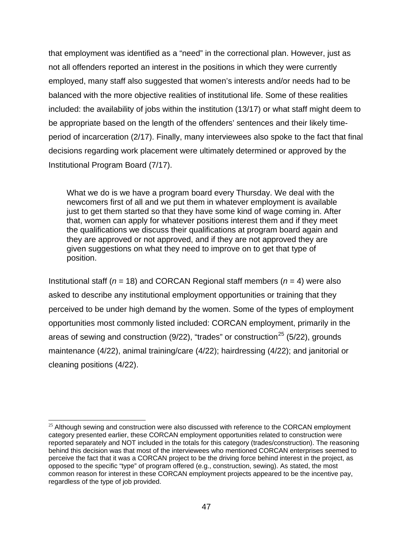that employment was identified as a "need" in the correctional plan. However, just as not all offenders reported an interest in the positions in which they were currently employed, many staff also suggested that women's interests and/or needs had to be balanced with the more objective realities of institutional life. Some of these realities included: the availability of jobs within the institution (13/17) or what staff might deem to be appropriate based on the length of the offenders' sentences and their likely timeperiod of incarceration (2/17). Finally, many interviewees also spoke to the fact that final decisions regarding work placement were ultimately determined or approved by the Institutional Program Board (7/17).

What we do is we have a program board every Thursday. We deal with the newcomers first of all and we put them in whatever employment is available just to get them started so that they have some kind of wage coming in. After that, women can apply for whatever positions interest them and if they meet the qualifications we discuss their qualifications at program board again and they are approved or not approved, and if they are not approved they are given suggestions on what they need to improve on to get that type of position.

Institutional staff (*n* = 18) and CORCAN Regional staff members (*n* = 4) were also asked to describe any institutional employment opportunities or training that they perceived to be under high demand by the women. Some of the types of employment opportunities most commonly listed included: CORCAN employment, primarily in the areas of sewing and construction (9/22), "trades" or construction<sup>25</sup> (5/22), grounds maintenance (4/22), animal training/care (4/22); hairdressing (4/22); and janitorial or cleaning positions (4/22).

 $\overline{\phantom{a}}$ 

 $25$  Although sewing and construction were also discussed with reference to the CORCAN employment category presented earlier, these CORCAN employment opportunities related to construction were reported separately and NOT included in the totals for this category (trades/construction). The reasoning behind this decision was that most of the interviewees who mentioned CORCAN enterprises seemed to perceive the fact that it was a CORCAN project to be the driving force behind interest in the project, as opposed to the specific "type" of program offered (e.g., construction, sewing). As stated, the most common reason for interest in these CORCAN employment projects appeared to be the incentive pay, regardless of the type of job provided.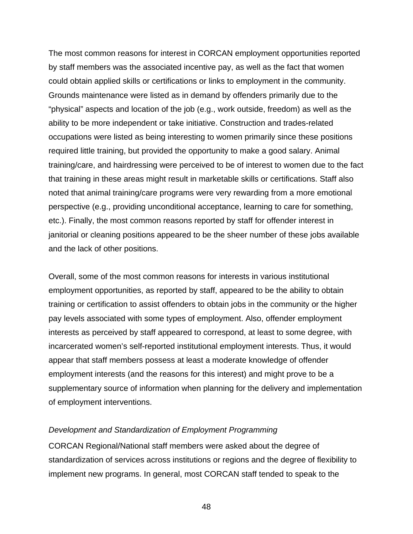The most common reasons for interest in CORCAN employment opportunities reported by staff members was the associated incentive pay, as well as the fact that women could obtain applied skills or certifications or links to employment in the community. Grounds maintenance were listed as in demand by offenders primarily due to the "physical" aspects and location of the job (e.g., work outside, freedom) as well as the ability to be more independent or take initiative. Construction and trades-related occupations were listed as being interesting to women primarily since these positions required little training, but provided the opportunity to make a good salary. Animal training/care, and hairdressing were perceived to be of interest to women due to the fact that training in these areas might result in marketable skills or certifications. Staff also noted that animal training/care programs were very rewarding from a more emotional perspective (e.g., providing unconditional acceptance, learning to care for something, etc.). Finally, the most common reasons reported by staff for offender interest in janitorial or cleaning positions appeared to be the sheer number of these jobs available and the lack of other positions.

Overall, some of the most common reasons for interests in various institutional employment opportunities, as reported by staff, appeared to be the ability to obtain training or certification to assist offenders to obtain jobs in the community or the higher pay levels associated with some types of employment. Also, offender employment interests as perceived by staff appeared to correspond, at least to some degree, with incarcerated women's self-reported institutional employment interests. Thus, it would appear that staff members possess at least a moderate knowledge of offender employment interests (and the reasons for this interest) and might prove to be a supplementary source of information when planning for the delivery and implementation of employment interventions.

### *Development and Standardization of Employment Programming*

CORCAN Regional/National staff members were asked about the degree of standardization of services across institutions or regions and the degree of flexibility to implement new programs. In general, most CORCAN staff tended to speak to the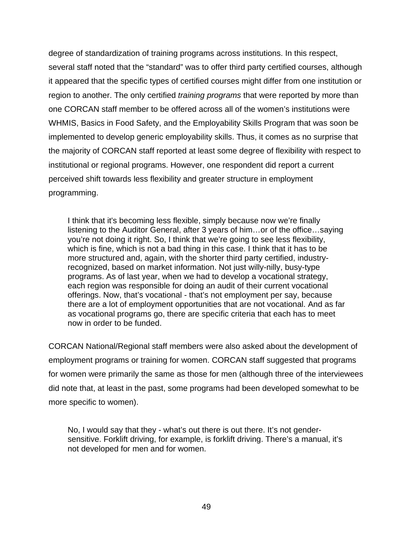degree of standardization of training programs across institutions. In this respect, several staff noted that the "standard" was to offer third party certified courses, although it appeared that the specific types of certified courses might differ from one institution or region to another. The only certified *training programs* that were reported by more than one CORCAN staff member to be offered across all of the women's institutions were WHMIS, Basics in Food Safety, and the Employability Skills Program that was soon be implemented to develop generic employability skills. Thus, it comes as no surprise that the majority of CORCAN staff reported at least some degree of flexibility with respect to institutional or regional programs. However, one respondent did report a current perceived shift towards less flexibility and greater structure in employment programming.

I think that it's becoming less flexible, simply because now we're finally listening to the Auditor General, after 3 years of him…or of the office…saying you're not doing it right. So, I think that we're going to see less flexibility, which is fine, which is not a bad thing in this case. I think that it has to be more structured and, again, with the shorter third party certified, industryrecognized, based on market information. Not just willy-nilly, busy-type programs. As of last year, when we had to develop a vocational strategy, each region was responsible for doing an audit of their current vocational offerings. Now, that's vocational - that's not employment per say, because there are a lot of employment opportunities that are not vocational. And as far as vocational programs go, there are specific criteria that each has to meet now in order to be funded.

CORCAN National/Regional staff members were also asked about the development of employment programs or training for women. CORCAN staff suggested that programs for women were primarily the same as those for men (although three of the interviewees did note that, at least in the past, some programs had been developed somewhat to be more specific to women).

No, I would say that they - what's out there is out there. It's not gendersensitive. Forklift driving, for example, is forklift driving. There's a manual, it's not developed for men and for women.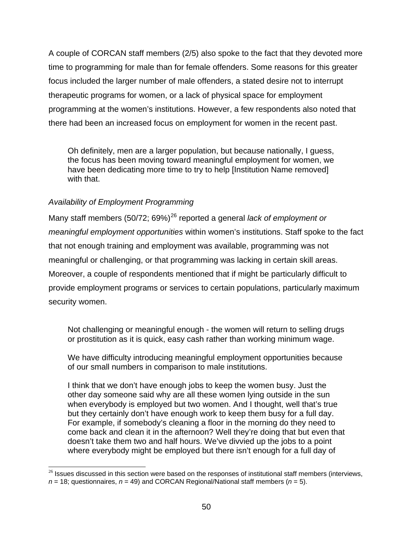A couple of CORCAN staff members (2/5) also spoke to the fact that they devoted more time to programming for male than for female offenders. Some reasons for this greater focus included the larger number of male offenders, a stated desire not to interrupt therapeutic programs for women, or a lack of physical space for employment programming at the women's institutions. However, a few respondents also noted that there had been an increased focus on employment for women in the recent past.

Oh definitely, men are a larger population, but because nationally, I guess, the focus has been moving toward meaningful employment for women, we have been dedicating more time to try to help [Institution Name removed] with that.

# *Availability of Employment Programming*

Many staff members (50/72; 69%)<sup>26</sup> reported a general *lack of employment or meaningful employment opportunities* within women's institutions. Staff spoke to the fact that not enough training and employment was available, programming was not meaningful or challenging, or that programming was lacking in certain skill areas. Moreover, a couple of respondents mentioned that if might be particularly difficult to provide employment programs or services to certain populations, particularly maximum security women.

Not challenging or meaningful enough - the women will return to selling drugs or prostitution as it is quick, easy cash rather than working minimum wage.

We have difficulty introducing meaningful employment opportunities because of our small numbers in comparison to male institutions.

I think that we don't have enough jobs to keep the women busy. Just the other day someone said why are all these women lying outside in the sun when everybody is employed but two women. And I thought, well that's true but they certainly don't have enough work to keep them busy for a full day. For example, if somebody's cleaning a floor in the morning do they need to come back and clean it in the afternoon? Well they're doing that but even that doesn't take them two and half hours. We've divvied up the jobs to a point where everybody might be employed but there isn't enough for a full day of

 $\overline{\phantom{a}}$  $26$  Issues discussed in this section were based on the responses of institutional staff members (interviews,  $n = 18$ ; questionnaires,  $n = 49$ ) and CORCAN Regional/National staff members ( $n = 5$ ).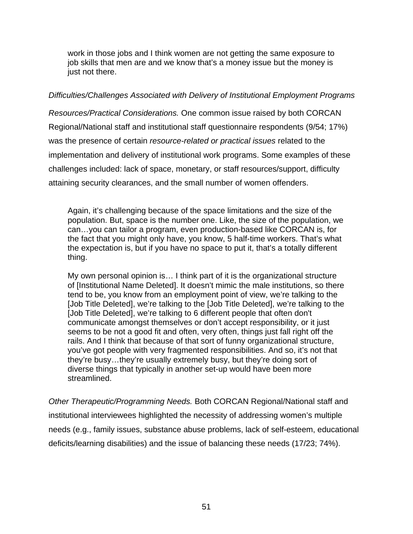work in those jobs and I think women are not getting the same exposure to job skills that men are and we know that's a money issue but the money is just not there.

## *Difficulties/Challenges Associated with Delivery of Institutional Employment Programs*

*Resources/Practical Considerations.* One common issue raised by both CORCAN Regional/National staff and institutional staff questionnaire respondents (9/54; 17%) was the presence of certain *resource-related or practical issues* related to the implementation and delivery of institutional work programs. Some examples of these challenges included: lack of space, monetary, or staff resources/support, difficulty attaining security clearances, and the small number of women offenders.

Again, it's challenging because of the space limitations and the size of the population. But, space is the number one. Like, the size of the population, we can…you can tailor a program, even production-based like CORCAN is, for the fact that you might only have, you know, 5 half-time workers. That's what the expectation is, but if you have no space to put it, that's a totally different thing.

My own personal opinion is… I think part of it is the organizational structure of [Institutional Name Deleted]. It doesn't mimic the male institutions, so there tend to be, you know from an employment point of view, we're talking to the [Job Title Deleted], we're talking to the [Job Title Deleted], we're talking to the [Job Title Deleted], we're talking to 6 different people that often don't communicate amongst themselves or don't accept responsibility, or it just seems to be not a good fit and often, very often, things just fall right off the rails. And I think that because of that sort of funny organizational structure, you've got people with very fragmented responsibilities. And so, it's not that they're busy…they're usually extremely busy, but they're doing sort of diverse things that typically in another set-up would have been more streamlined.

*Other Therapeutic/Programming Needs.* Both CORCAN Regional/National staff and institutional interviewees highlighted the necessity of addressing women's multiple needs (e.g., family issues, substance abuse problems, lack of self-esteem, educational deficits/learning disabilities) and the issue of balancing these needs (17/23; 74%).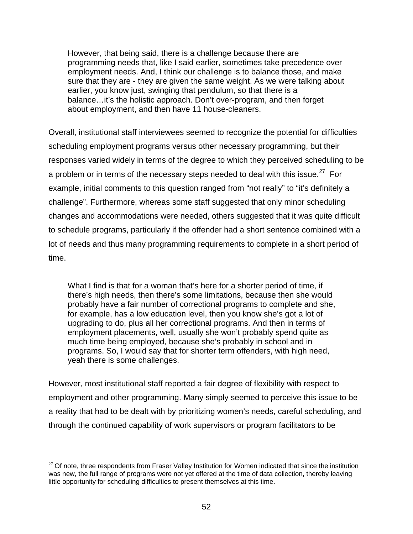However, that being said, there is a challenge because there are programming needs that, like I said earlier, sometimes take precedence over employment needs. And, I think our challenge is to balance those, and make sure that they are - they are given the same weight. As we were talking about earlier, you know just, swinging that pendulum, so that there is a balance…it's the holistic approach. Don't over-program, and then forget about employment, and then have 11 house-cleaners.

Overall, institutional staff interviewees seemed to recognize the potential for difficulties scheduling employment programs versus other necessary programming, but their responses varied widely in terms of the degree to which they perceived scheduling to be a problem or in terms of the necessary steps needed to deal with this issue.<sup>27</sup> For example, initial comments to this question ranged from "not really" to "it's definitely a challenge". Furthermore, whereas some staff suggested that only minor scheduling changes and accommodations were needed, others suggested that it was quite difficult to schedule programs, particularly if the offender had a short sentence combined with a lot of needs and thus many programming requirements to complete in a short period of time.

What I find is that for a woman that's here for a shorter period of time, if there's high needs, then there's some limitations, because then she would probably have a fair number of correctional programs to complete and she, for example, has a low education level, then you know she's got a lot of upgrading to do, plus all her correctional programs. And then in terms of employment placements, well, usually she won't probably spend quite as much time being employed, because she's probably in school and in programs. So, I would say that for shorter term offenders, with high need, yeah there is some challenges.

However, most institutional staff reported a fair degree of flexibility with respect to employment and other programming. Many simply seemed to perceive this issue to be a reality that had to be dealt with by prioritizing women's needs, careful scheduling, and through the continued capability of work supervisors or program facilitators to be

l  $27$  Of note, three respondents from Fraser Valley Institution for Women indicated that since the institution was new, the full range of programs were not yet offered at the time of data collection, thereby leaving little opportunity for scheduling difficulties to present themselves at this time.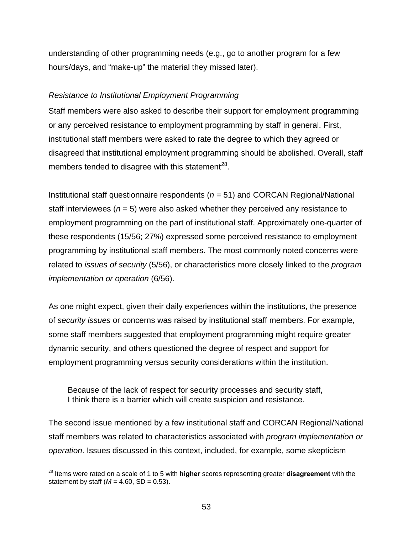understanding of other programming needs (e.g., go to another program for a few hours/days, and "make-up" the material they missed later).

## *Resistance to Institutional Employment Programming*

Staff members were also asked to describe their support for employment programming or any perceived resistance to employment programming by staff in general. First, institutional staff members were asked to rate the degree to which they agreed or disagreed that institutional employment programming should be abolished. Overall, staff members tended to disagree with this statement $^{28}$ .

Institutional staff questionnaire respondents (*n* = 51) and CORCAN Regional/National staff interviewees (*n* = 5) were also asked whether they perceived any resistance to employment programming on the part of institutional staff. Approximately one-quarter of these respondents (15/56; 27%) expressed some perceived resistance to employment programming by institutional staff members. The most commonly noted concerns were related to *issues of security* (5/56), or characteristics more closely linked to the *program implementation or operation* (6/56).

As one might expect, given their daily experiences within the institutions, the presence of *security issues* or concerns was raised by institutional staff members. For example, some staff members suggested that employment programming might require greater dynamic security, and others questioned the degree of respect and support for employment programming versus security considerations within the institution.

Because of the lack of respect for security processes and security staff, I think there is a barrier which will create suspicion and resistance.

The second issue mentioned by a few institutional staff and CORCAN Regional/National staff members was related to characteristics associated with *program implementation or operation*. Issues discussed in this context, included, for example, some skepticism

 $\overline{\phantom{a}}$ 

<sup>28</sup> Items were rated on a scale of 1 to 5 with **higher** scores representing greater **disagreement** with the statement by staff  $(M = 4.60, SD = 0.53)$ .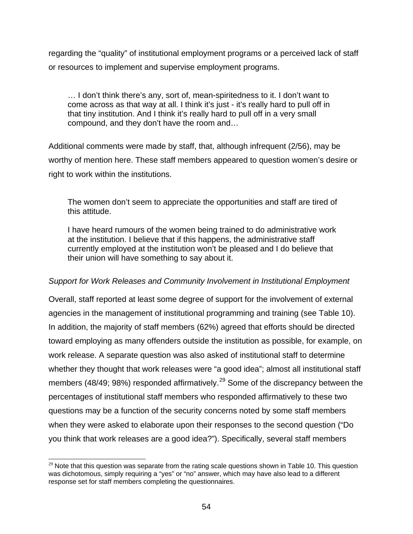regarding the "quality" of institutional employment programs or a perceived lack of staff or resources to implement and supervise employment programs.

… I don't think there's any, sort of, mean-spiritedness to it. I don't want to come across as that way at all. I think it's just - it's really hard to pull off in that tiny institution. And I think it's really hard to pull off in a very small compound, and they don't have the room and…

Additional comments were made by staff, that, although infrequent (2/56), may be worthy of mention here. These staff members appeared to question women's desire or right to work within the institutions.

The women don't seem to appreciate the opportunities and staff are tired of this attitude.

I have heard rumours of the women being trained to do administrative work at the institution. I believe that if this happens, the administrative staff currently employed at the institution won't be pleased and I do believe that their union will have something to say about it.

## *Support for Work Releases and Community Involvement in Institutional Employment*

Overall, staff reported at least some degree of support for the involvement of external agencies in the management of institutional programming and training (see Table 10). In addition, the majority of staff members (62%) agreed that efforts should be directed toward employing as many offenders outside the institution as possible, for example, on work release. A separate question was also asked of institutional staff to determine whether they thought that work releases were "a good idea"; almost all institutional staff members (48/49; 98%) responded affirmatively.<sup>29</sup> Some of the discrepancy between the percentages of institutional staff members who responded affirmatively to these two questions may be a function of the security concerns noted by some staff members when they were asked to elaborate upon their responses to the second question ("Do you think that work releases are a good idea?"). Specifically, several staff members

l  $29$  Note that this question was separate from the rating scale questions shown in Table 10. This question was dichotomous, simply requiring a "yes" or "no" answer, which may have also lead to a different response set for staff members completing the questionnaires.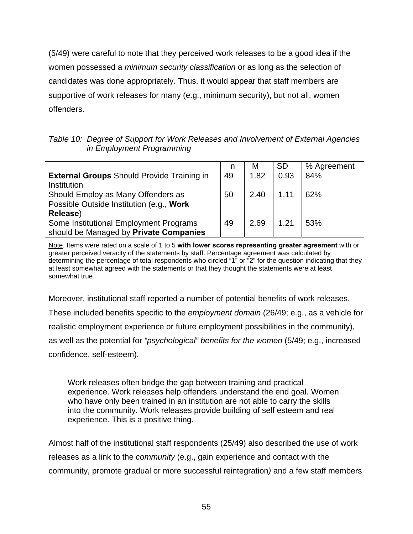(5/49) were careful to note that they perceived work releases to be a good idea if the women possessed a *minimum security classification* or as long as the selection of candidates was done appropriately. Thus, it would appear that staff members are supportive of work releases for many (e.g., minimum security), but not all, women offenders.

*Table 10: Degree of Support for Work Releases and Involvement of External Agencies in Employment Programming* 

|                                                   |    | М    | <b>SD</b> | % Agreement |
|---------------------------------------------------|----|------|-----------|-------------|
| <b>External Groups Should Provide Training in</b> | 49 | 1.82 | 0.93      | 84%         |
| Institution                                       |    |      |           |             |
| Should Employ as Many Offenders as                | 50 | 2.40 | 1.11      | 62%         |
| Possible Outside Institution (e.g., Work          |    |      |           |             |
| Release)                                          |    |      |           |             |
| Some Institutional Employment Programs            | 49 | 2.69 | 1.21      | 53%         |
| should be Managed by Private Companies            |    |      |           |             |

Note. Items were rated on a scale of 1 to 5 **with lower scores representing greater agreement** with or greater perceived veracity of the statements by staff. Percentage agreement was calculated by determining the percentage of total respondents who circled "1" or "2" for the question indicating that they at least somewhat agreed with the statements or that they thought the statements were at least somewhat true.

Moreover, institutional staff reported a number of potential benefits of work releases.

These included benefits specific to the *employment domain* (26/49; e.g., as a vehicle for

realistic employment experience or future employment possibilities in the community),

as well as the potential for *"psychological" benefits for the women* (5/49; e.g., increased

confidence, self-esteem).

Work releases often bridge the gap between training and practical experience. Work releases help offenders understand the end goal. Women who have only been trained in an institution are not able to carry the skills into the community. Work releases provide building of self esteem and real experience. This is a positive thing.

Almost half of the institutional staff respondents (25/49) also described the use of work releases as a link to the *community* (e.g., gain experience and contact with the community, promote gradual or more successful reintegration*)* and a few staff members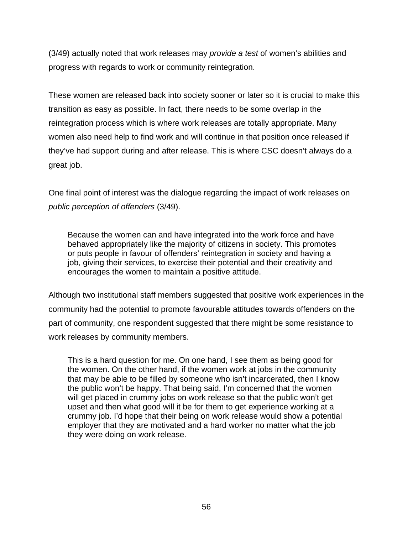(3/49) actually noted that work releases may *provide a test* of women's abilities and progress with regards to work or community reintegration.

These women are released back into society sooner or later so it is crucial to make this transition as easy as possible. In fact, there needs to be some overlap in the reintegration process which is where work releases are totally appropriate. Many women also need help to find work and will continue in that position once released if they've had support during and after release. This is where CSC doesn't always do a great job.

One final point of interest was the dialogue regarding the impact of work releases on *public perception of offenders* (3/49).

Because the women can and have integrated into the work force and have behaved appropriately like the majority of citizens in society. This promotes or puts people in favour of offenders' reintegration in society and having a job, giving their services, to exercise their potential and their creativity and encourages the women to maintain a positive attitude.

Although two institutional staff members suggested that positive work experiences in the community had the potential to promote favourable attitudes towards offenders on the part of community, one respondent suggested that there might be some resistance to work releases by community members.

This is a hard question for me. On one hand, I see them as being good for the women. On the other hand, if the women work at jobs in the community that may be able to be filled by someone who isn't incarcerated, then I know the public won't be happy. That being said, I'm concerned that the women will get placed in crummy jobs on work release so that the public won't get upset and then what good will it be for them to get experience working at a crummy job. I'd hope that their being on work release would show a potential employer that they are motivated and a hard worker no matter what the job they were doing on work release.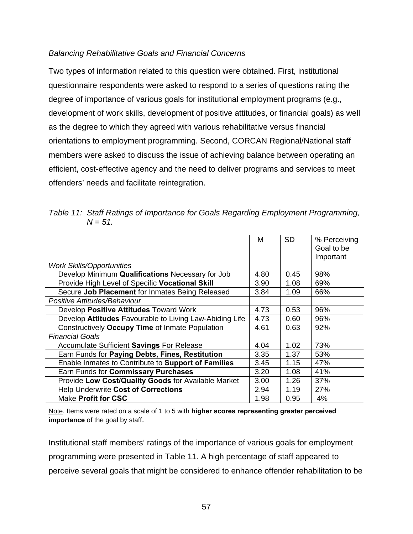## *Balancing Rehabilitative Goals and Financial Concerns*

Two types of information related to this question were obtained. First, institutional questionnaire respondents were asked to respond to a series of questions rating the degree of importance of various goals for institutional employment programs (e.g., development of work skills, development of positive attitudes, or financial goals) as well as the degree to which they agreed with various rehabilitative versus financial orientations to employment programming. Second, CORCAN Regional/National staff members were asked to discuss the issue of achieving balance between operating an efficient, cost-effective agency and the need to deliver programs and services to meet offenders' needs and facilitate reintegration.

*Table 11: Staff Ratings of Importance for Goals Regarding Employment Programming,*   $N = 51$ .

|                                                         | м    | SD.  | % Perceiving |
|---------------------------------------------------------|------|------|--------------|
|                                                         |      |      | Goal to be   |
|                                                         |      |      | Important    |
| <b>Work Skills/Opportunities</b>                        |      |      |              |
| Develop Minimum Qualifications Necessary for Job        | 4.80 | 0.45 | 98%          |
| Provide High Level of Specific Vocational Skill         | 3.90 | 1.08 | 69%          |
| Secure Job Placement for Inmates Being Released         | 3.84 | 1.09 | 66%          |
| Positive Attitudes/Behaviour                            |      |      |              |
| Develop Positive Attitudes Toward Work                  | 4.73 | 0.53 | 96%          |
| Develop Attitudes Favourable to Living Law-Abiding Life | 4.73 | 0.60 | 96%          |
| Constructively Occupy Time of Inmate Population         | 4.61 | 0.63 | 92%          |
| <b>Financial Goals</b>                                  |      |      |              |
| Accumulate Sufficient Savings For Release               | 4.04 | 1.02 | 73%          |
| Earn Funds for Paying Debts, Fines, Restitution         | 3.35 | 1.37 | 53%          |
| Enable Inmates to Contribute to Support of Families     | 3.45 | 1.15 | 47%          |
| Earn Funds for Commissary Purchases                     | 3.20 | 1.08 | 41%          |
| Provide Low Cost/Quality Goods for Available Market     | 3.00 | 1.26 | 37%          |
| <b>Help Underwrite Cost of Corrections</b>              | 2.94 | 1.19 | 27%          |
| <b>Make Profit for CSC</b>                              | 1.98 | 0.95 | 4%           |
|                                                         |      |      |              |

Note. Items were rated on a scale of 1 to 5 with **higher scores representing greater perceived importance** of the goal by staff.

Institutional staff members' ratings of the importance of various goals for employment programming were presented in Table 11. A high percentage of staff appeared to perceive several goals that might be considered to enhance offender rehabilitation to be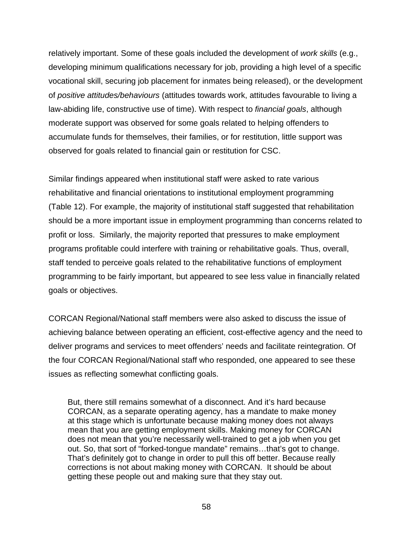relatively important. Some of these goals included the development of *work skills* (e.g., developing minimum qualifications necessary for job, providing a high level of a specific vocational skill, securing job placement for inmates being released), or the development of *positive attitudes/behaviours* (attitudes towards work, attitudes favourable to living a law-abiding life, constructive use of time). With respect to *financial goals*, although moderate support was observed for some goals related to helping offenders to accumulate funds for themselves, their families, or for restitution, little support was observed for goals related to financial gain or restitution for CSC.

Similar findings appeared when institutional staff were asked to rate various rehabilitative and financial orientations to institutional employment programming (Table 12). For example, the majority of institutional staff suggested that rehabilitation should be a more important issue in employment programming than concerns related to profit or loss. Similarly, the majority reported that pressures to make employment programs profitable could interfere with training or rehabilitative goals. Thus, overall, staff tended to perceive goals related to the rehabilitative functions of employment programming to be fairly important, but appeared to see less value in financially related goals or objectives.

CORCAN Regional/National staff members were also asked to discuss the issue of achieving balance between operating an efficient, cost-effective agency and the need to deliver programs and services to meet offenders' needs and facilitate reintegration. Of the four CORCAN Regional/National staff who responded, one appeared to see these issues as reflecting somewhat conflicting goals.

But, there still remains somewhat of a disconnect. And it's hard because CORCAN, as a separate operating agency, has a mandate to make money at this stage which is unfortunate because making money does not always mean that you are getting employment skills. Making money for CORCAN does not mean that you're necessarily well-trained to get a job when you get out. So, that sort of "forked-tongue mandate" remains…that's got to change. That's definitely got to change in order to pull this off better. Because really corrections is not about making money with CORCAN. It should be about getting these people out and making sure that they stay out.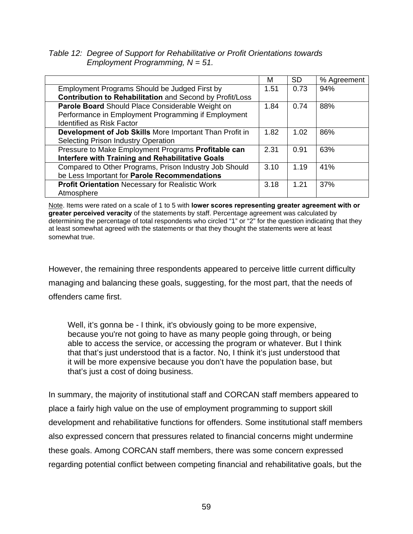*Table 12: Degree of Support for Rehabilitative or Profit Orientations towards Employment Programming, N = 51.* 

|                                                          | м    | <b>SD</b> | % Agreement |
|----------------------------------------------------------|------|-----------|-------------|
| Employment Programs Should be Judged First by            | 1.51 | 0.73      | 94%         |
| Contribution to Rehabilitation and Second by Profit/Loss |      |           |             |
| Parole Board Should Place Considerable Weight on         | 1.84 | 0.74      | 88%         |
| Performance in Employment Programming if Employment      |      |           |             |
| <b>Identified as Risk Factor</b>                         |      |           |             |
| Development of Job Skills More Important Than Profit in  | 1.82 | 1.02      | 86%         |
| <b>Selecting Prison Industry Operation</b>               |      |           |             |
| Pressure to Make Employment Programs Profitable can      | 2.31 | 0.91      | 63%         |
| Interfere with Training and Rehabilitative Goals         |      |           |             |
| Compared to Other Programs, Prison Industry Job Should   | 3.10 | 1.19      | 41%         |
| be Less Important for Parole Recommendations             |      |           |             |
| <b>Profit Orientation Necessary for Realistic Work</b>   | 3.18 | 1.21      | 37%         |
| Atmosphere                                               |      |           |             |

Note. Items were rated on a scale of 1 to 5 with **lower scores representing greater agreement with or greater perceived veracity** of the statements by staff. Percentage agreement was calculated by determining the percentage of total respondents who circled "1" or "2" for the question indicating that they at least somewhat agreed with the statements or that they thought the statements were at least somewhat true.

However, the remaining three respondents appeared to perceive little current difficulty managing and balancing these goals, suggesting, for the most part, that the needs of offenders came first.

Well, it's gonna be - I think, it's obviously going to be more expensive, because you're not going to have as many people going through, or being able to access the service, or accessing the program or whatever. But I think that that's just understood that is a factor. No, I think it's just understood that it will be more expensive because you don't have the population base, but that's just a cost of doing business.

In summary, the majority of institutional staff and CORCAN staff members appeared to place a fairly high value on the use of employment programming to support skill development and rehabilitative functions for offenders. Some institutional staff members also expressed concern that pressures related to financial concerns might undermine these goals. Among CORCAN staff members, there was some concern expressed regarding potential conflict between competing financial and rehabilitative goals, but the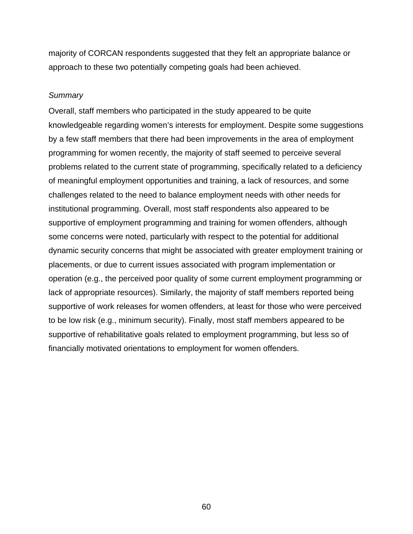majority of CORCAN respondents suggested that they felt an appropriate balance or approach to these two potentially competing goals had been achieved.

#### *Summary*

Overall, staff members who participated in the study appeared to be quite knowledgeable regarding women's interests for employment. Despite some suggestions by a few staff members that there had been improvements in the area of employment programming for women recently, the majority of staff seemed to perceive several problems related to the current state of programming, specifically related to a deficiency of meaningful employment opportunities and training, a lack of resources, and some challenges related to the need to balance employment needs with other needs for institutional programming. Overall, most staff respondents also appeared to be supportive of employment programming and training for women offenders, although some concerns were noted, particularly with respect to the potential for additional dynamic security concerns that might be associated with greater employment training or placements, or due to current issues associated with program implementation or operation (e.g., the perceived poor quality of some current employment programming or lack of appropriate resources). Similarly, the majority of staff members reported being supportive of work releases for women offenders, at least for those who were perceived to be low risk (e.g., minimum security). Finally, most staff members appeared to be supportive of rehabilitative goals related to employment programming, but less so of financially motivated orientations to employment for women offenders.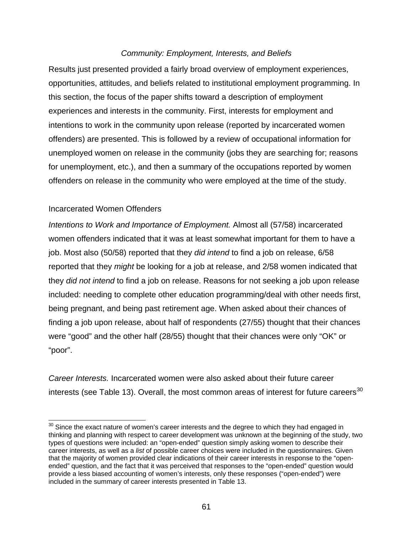## *Community: Employment, Interests, and Beliefs*

Results just presented provided a fairly broad overview of employment experiences, opportunities, attitudes, and beliefs related to institutional employment programming. In this section, the focus of the paper shifts toward a description of employment experiences and interests in the community. First, interests for employment and intentions to work in the community upon release (reported by incarcerated women offenders) are presented. This is followed by a review of occupational information for unemployed women on release in the community (jobs they are searching for; reasons for unemployment, etc.), and then a summary of the occupations reported by women offenders on release in the community who were employed at the time of the study.

## Incarcerated Women Offenders

 $\overline{a}$ 

*Intentions to Work and Importance of Employment.* Almost all (57/58) incarcerated women offenders indicated that it was at least somewhat important for them to have a job. Most also (50/58) reported that they *did intend* to find a job on release, 6/58 reported that they *might* be looking for a job at release, and 2/58 women indicated that they *did not intend* to find a job on release. Reasons for not seeking a job upon release included: needing to complete other education programming/deal with other needs first, being pregnant, and being past retirement age. When asked about their chances of finding a job upon release, about half of respondents (27/55) thought that their chances were "good" and the other half (28/55) thought that their chances were only "OK" or "poor".

*Career Interests.* Incarcerated women were also asked about their future career interests (see Table 13). Overall, the most common areas of interest for future careers<sup>30</sup>

 $30$  Since the exact nature of women's career interests and the degree to which they had engaged in thinking and planning with respect to career development was unknown at the beginning of the study, two types of questions were included: an "open-ended" question simply asking women to describe their career interests, as well as a *list* of possible career choices were included in the questionnaires. Given that the majority of women provided clear indications of their career interests in response to the "openended" question, and the fact that it was perceived that responses to the "open-ended" question would provide a less biased accounting of women's interests, only these responses ("open-ended") were included in the summary of career interests presented in Table 13.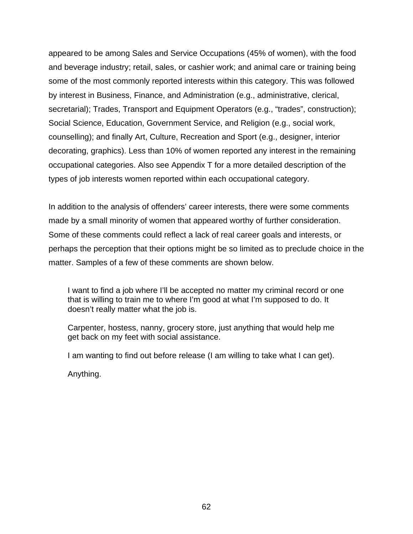appeared to be among Sales and Service Occupations (45% of women), with the food and beverage industry; retail, sales, or cashier work; and animal care or training being some of the most commonly reported interests within this category. This was followed by interest in Business, Finance, and Administration (e.g., administrative, clerical, secretarial); Trades, Transport and Equipment Operators (e.g., "trades", construction); Social Science, Education, Government Service, and Religion (e.g., social work, counselling); and finally Art, Culture, Recreation and Sport (e.g., designer, interior decorating, graphics). Less than 10% of women reported any interest in the remaining occupational categories. Also see Appendix T for a more detailed description of the types of job interests women reported within each occupational category.

In addition to the analysis of offenders' career interests, there were some comments made by a small minority of women that appeared worthy of further consideration. Some of these comments could reflect a lack of real career goals and interests, or perhaps the perception that their options might be so limited as to preclude choice in the matter. Samples of a few of these comments are shown below.

I want to find a job where I'll be accepted no matter my criminal record or one that is willing to train me to where I'm good at what I'm supposed to do. It doesn't really matter what the job is.

Carpenter, hostess, nanny, grocery store, just anything that would help me get back on my feet with social assistance.

I am wanting to find out before release (I am willing to take what I can get).

Anything.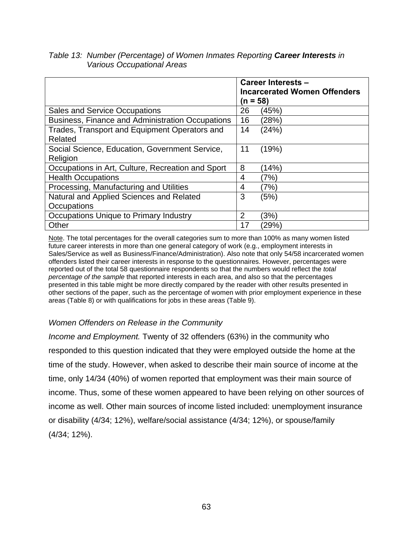|                                                   | Career Interests -<br><b>Incarcerated Women Offenders</b><br>$(n = 58)$ |        |  |
|---------------------------------------------------|-------------------------------------------------------------------------|--------|--|
| <b>Sales and Service Occupations</b>              | 26                                                                      | (45%)  |  |
| Business, Finance and Administration Occupations  | 16                                                                      | (28%)  |  |
| Trades, Transport and Equipment Operators and     | 14                                                                      | (24%)  |  |
| Related                                           |                                                                         |        |  |
| Social Science, Education, Government Service,    | 11                                                                      | (19%)  |  |
| Religion                                          |                                                                         |        |  |
| Occupations in Art, Culture, Recreation and Sport | 8                                                                       | (14%)  |  |
| <b>Health Occupations</b>                         | 4                                                                       | (7%)   |  |
| Processing, Manufacturing and Utilities           | 4                                                                       | (7%)   |  |
| Natural and Applied Sciences and Related          | 3                                                                       | (5%)   |  |
| Occupations                                       |                                                                         |        |  |
| Occupations Unique to Primary Industry            | 2                                                                       | $3\%)$ |  |
| Other                                             | 17                                                                      | (29%)  |  |

## *Table 13: Number (Percentage) of Women Inmates Reporting Career Interests in Various Occupational Areas*

Note. The total percentages for the overall categories sum to more than 100% as many women listed future career interests in more than one general category of work (e.g., employment interests in Sales/Service as well as Business/Finance/Administration). Also note that only 54/58 incarcerated women offenders listed their career interests in response to the questionnaires. However, percentages were reported out of the total 58 questionnaire respondents so that the numbers would reflect the *total percentage of the sample* that reported interests in each area, and also so that the percentages presented in this table might be more directly compared by the reader with other results presented in other sections of the paper, such as the percentage of women with prior employment experience in these areas (Table 8) or with qualifications for jobs in these areas (Table 9).

## *Women Offenders on Release in the Community*

*Income and Employment.* Twenty of 32 offenders (63%) in the community who responded to this question indicated that they were employed outside the home at the time of the study. However, when asked to describe their main source of income at the time, only 14/34 (40%) of women reported that employment was their main source of income. Thus, some of these women appeared to have been relying on other sources of income as well. Other main sources of income listed included: unemployment insurance or disability (4/34; 12%), welfare/social assistance (4/34; 12%), or spouse/family (4/34; 12%).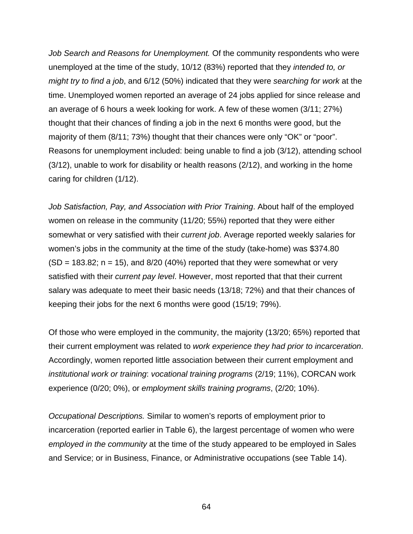*Job Search and Reasons for Unemployment.* Of the community respondents who were unemployed at the time of the study, 10/12 (83%) reported that they *intended to, or might try to find a job*, and 6/12 (50%) indicated that they were *searching for work* at the time. Unemployed women reported an average of 24 jobs applied for since release and an average of 6 hours a week looking for work. A few of these women (3/11; 27%) thought that their chances of finding a job in the next 6 months were good, but the majority of them (8/11; 73%) thought that their chances were only "OK" or "poor". Reasons for unemployment included: being unable to find a job (3/12), attending school (3/12), unable to work for disability or health reasons (2/12), and working in the home caring for children (1/12).

*Job Satisfaction, Pay, and Association with Prior Training*. About half of the employed women on release in the community (11/20; 55%) reported that they were either somewhat or very satisfied with their *current job*. Average reported weekly salaries for women's jobs in the community at the time of the study (take-home) was \$374.80  $(SD = 183.82; n = 15)$ , and  $8/20$  (40%) reported that they were somewhat or very satisfied with their *current pay level*. However, most reported that that their current salary was adequate to meet their basic needs (13/18; 72%) and that their chances of keeping their jobs for the next 6 months were good (15/19; 79%).

Of those who were employed in the community, the majority (13/20; 65%) reported that their current employment was related to *work experience they had prior to incarceration*. Accordingly, women reported little association between their current employment and *institutional work or training*: *vocational training programs* (2/19; 11%), CORCAN work experience (0/20; 0%), or *employment skills training programs*, (2/20; 10%).

*Occupational Descriptions.* Similar to women's reports of employment prior to incarceration (reported earlier in Table 6), the largest percentage of women who were *employed in the community* at the time of the study appeared to be employed in Sales and Service; or in Business, Finance, or Administrative occupations (see Table 14).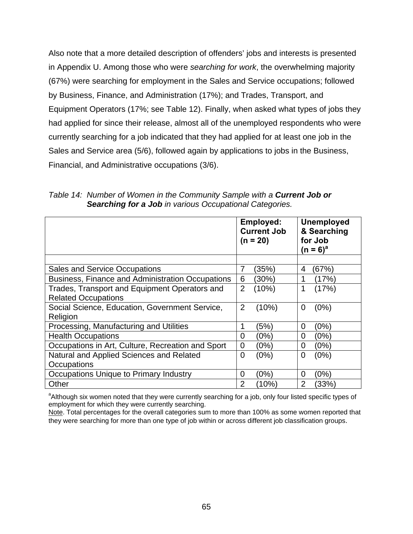Also note that a more detailed description of offenders' jobs and interests is presented in Appendix U. Among those who were *searching for work*, the overwhelming majority (67%) were searching for employment in the Sales and Service occupations; followed by Business, Finance, and Administration (17%); and Trades, Transport, and Equipment Operators (17%; see Table 12). Finally, when asked what types of jobs they had applied for since their release, almost all of the unemployed respondents who were currently searching for a job indicated that they had applied for at least one job in the Sales and Service area (5/6), followed again by applications to jobs in the Business, Financial, and Administrative occupations (3/6).

|                                                   | Employed:<br><b>Current Job</b><br>$(n = 20)$ | <b>Unemployed</b><br>& Searching<br>for Job<br>(n = 6) <sup>a</sup> |
|---------------------------------------------------|-----------------------------------------------|---------------------------------------------------------------------|
|                                                   |                                               |                                                                     |
| <b>Sales and Service Occupations</b>              | (35%)<br>7                                    | (67%)<br>4                                                          |
| Business, Finance and Administration Occupations  | 6<br>(30%)                                    | (17%)                                                               |
| Trades, Transport and Equipment Operators and     | $\overline{2}$<br>(10%)                       | (17%)                                                               |
| <b>Related Occupations</b>                        |                                               |                                                                     |
| Social Science, Education, Government Service,    | (10%)<br>$\overline{2}$                       | (0%)<br>0                                                           |
| Religion                                          |                                               |                                                                     |
| Processing, Manufacturing and Utilities           | (5%)                                          | (0%)<br>0                                                           |
| <b>Health Occupations</b>                         | (0%)<br>$\overline{0}$                        | (0%)<br>0                                                           |
| Occupations in Art, Culture, Recreation and Sport | $\mathbf 0$<br>(0%)                           | (0%)<br>$\overline{0}$                                              |
| Natural and Applied Sciences and Related          | $\overline{0}$<br>(0%)                        | (0%)<br>0                                                           |
| <b>Occupations</b>                                |                                               |                                                                     |
| Occupations Unique to Primary Industry            | (0%)<br>$\overline{0}$                        | (0%)<br>0                                                           |
| Other                                             | $\overline{2}$<br>(10%)                       | 2<br>(33%)                                                          |

*Table 14: Number of Women in the Community Sample with a Current Job or Searching for a Job in various Occupational Categories.* 

<sup>a</sup>Although six women noted that they were currently searching for a job, only four listed specific types of employment for which they were currently searching.

Note. Total percentages for the overall categories sum to more than 100% as some women reported that they were searching for more than one type of job within or across different job classification groups.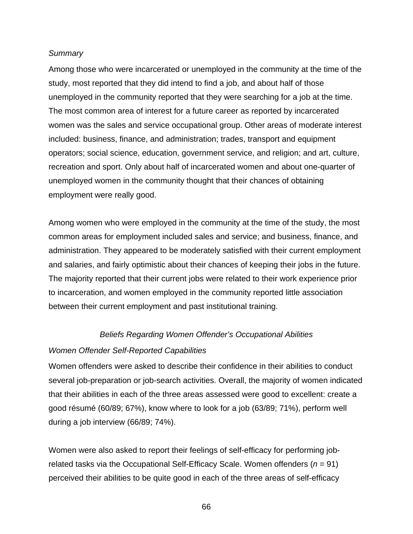#### *Summary*

Among those who were incarcerated or unemployed in the community at the time of the study, most reported that they did intend to find a job, and about half of those unemployed in the community reported that they were searching for a job at the time. The most common area of interest for a future career as reported by incarcerated women was the sales and service occupational group. Other areas of moderate interest included: business, finance, and administration; trades, transport and equipment operators; social science, education, government service, and religion; and art, culture, recreation and sport. Only about half of incarcerated women and about one-quarter of unemployed women in the community thought that their chances of obtaining employment were really good.

Among women who were employed in the community at the time of the study, the most common areas for employment included sales and service; and business, finance, and administration. They appeared to be moderately satisfied with their current employment and salaries, and fairly optimistic about their chances of keeping their jobs in the future. The majority reported that their current jobs were related to their work experience prior to incarceration, and women employed in the community reported little association between their current employment and past institutional training.

#### *Beliefs Regarding Women Offender's Occupational Abilities*

#### *Women Offender Self-Reported Capabilities*

Women offenders were asked to describe their confidence in their abilities to conduct several job-preparation or job-search activities. Overall, the majority of women indicated that their abilities in each of the three areas assessed were good to excellent: create a good résumé (60/89; 67%), know where to look for a job (63/89; 71%), perform well during a job interview (66/89; 74%).

Women were also asked to report their feelings of self-efficacy for performing jobrelated tasks via the Occupational Self-Efficacy Scale. Women offenders (*n* = 91) perceived their abilities to be quite good in each of the three areas of self-efficacy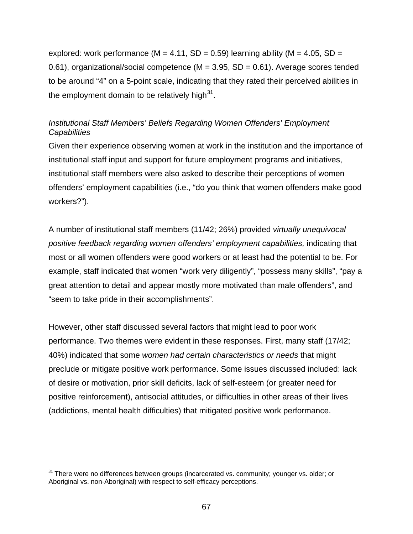explored: work performance ( $M = 4.11$ , SD = 0.59) learning ability ( $M = 4.05$ , SD = 0.61), organizational/social competence  $(M = 3.95, SD = 0.61)$ . Average scores tended to be around "4" on a 5-point scale, indicating that they rated their perceived abilities in the employment domain to be relatively high $3^1$ .

## *Institutional Staff Members' Beliefs Regarding Women Offenders' Employment Capabilities*

Given their experience observing women at work in the institution and the importance of institutional staff input and support for future employment programs and initiatives, institutional staff members were also asked to describe their perceptions of women offenders' employment capabilities (i.e., "do you think that women offenders make good workers?").

A number of institutional staff members (11/42; 26%) provided *virtually unequivocal positive feedback regarding women offenders' employment capabilities,* indicating that most or all women offenders were good workers or at least had the potential to be. For example, staff indicated that women "work very diligently", "possess many skills", "pay a great attention to detail and appear mostly more motivated than male offenders", and "seem to take pride in their accomplishments".

However, other staff discussed several factors that might lead to poor work performance. Two themes were evident in these responses. First, many staff (17/42; 40%) indicated that some *women had certain characteristics or needs* that might preclude or mitigate positive work performance. Some issues discussed included: lack of desire or motivation, prior skill deficits, lack of self-esteem (or greater need for positive reinforcement), antisocial attitudes, or difficulties in other areas of their lives (addictions, mental health difficulties) that mitigated positive work performance.

 $\overline{a}$ 

<sup>&</sup>lt;sup>31</sup> There were no differences between groups (incarcerated vs. community; younger vs. older; or Aboriginal vs. non-Aboriginal) with respect to self-efficacy perceptions.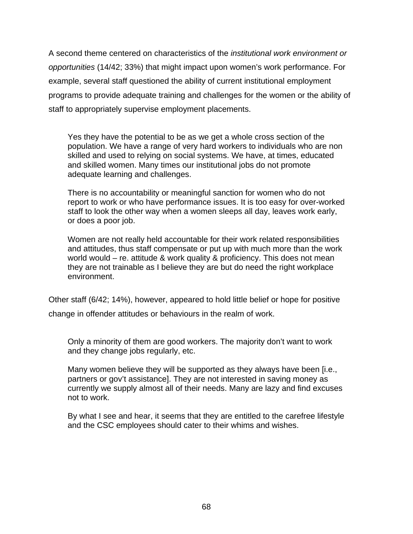A second theme centered on characteristics of the *institutional work environment or opportunities* (14/42; 33%) that might impact upon women's work performance. For example, several staff questioned the ability of current institutional employment programs to provide adequate training and challenges for the women or the ability of staff to appropriately supervise employment placements.

Yes they have the potential to be as we get a whole cross section of the population. We have a range of very hard workers to individuals who are non skilled and used to relying on social systems. We have, at times, educated and skilled women. Many times our institutional jobs do not promote adequate learning and challenges.

There is no accountability or meaningful sanction for women who do not report to work or who have performance issues. It is too easy for over-worked staff to look the other way when a women sleeps all day, leaves work early, or does a poor job.

Women are not really held accountable for their work related responsibilities and attitudes, thus staff compensate or put up with much more than the work world would – re. attitude & work quality & proficiency. This does not mean they are not trainable as I believe they are but do need the right workplace environment.

Other staff (6/42; 14%), however, appeared to hold little belief or hope for positive change in offender attitudes or behaviours in the realm of work.

Only a minority of them are good workers. The majority don't want to work and they change jobs regularly, etc.

Many women believe they will be supported as they always have been [i.e., partners or gov't assistance]. They are not interested in saving money as currently we supply almost all of their needs. Many are lazy and find excuses not to work.

By what I see and hear, it seems that they are entitled to the carefree lifestyle and the CSC employees should cater to their whims and wishes.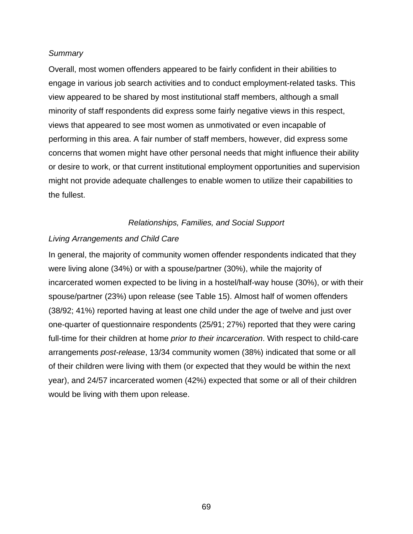#### *Summary*

Overall, most women offenders appeared to be fairly confident in their abilities to engage in various job search activities and to conduct employment-related tasks. This view appeared to be shared by most institutional staff members, although a small minority of staff respondents did express some fairly negative views in this respect, views that appeared to see most women as unmotivated or even incapable of performing in this area. A fair number of staff members, however, did express some concerns that women might have other personal needs that might influence their ability or desire to work, or that current institutional employment opportunities and supervision might not provide adequate challenges to enable women to utilize their capabilities to the fullest.

### *Relationships, Families, and Social Support*

### *Living Arrangements and Child Care*

In general, the majority of community women offender respondents indicated that they were living alone (34%) or with a spouse/partner (30%), while the majority of incarcerated women expected to be living in a hostel/half-way house (30%), or with their spouse/partner (23%) upon release (see Table 15). Almost half of women offenders (38/92; 41%) reported having at least one child under the age of twelve and just over one-quarter of questionnaire respondents (25/91; 27%) reported that they were caring full-time for their children at home *prior to their incarceration*. With respect to child-care arrangements *post-release*, 13/34 community women (38%) indicated that some or all of their children were living with them (or expected that they would be within the next year), and 24/57 incarcerated women (42%) expected that some or all of their children would be living with them upon release.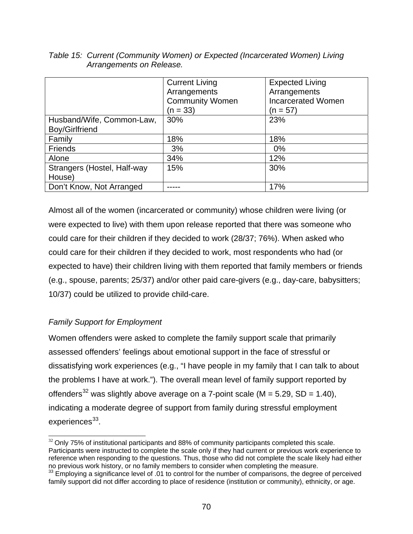|                                             | <b>Current Living</b><br>Arrangements | <b>Expected Living</b><br>Arrangements  |
|---------------------------------------------|---------------------------------------|-----------------------------------------|
|                                             | <b>Community Women</b><br>$(n = 33)$  | <b>Incarcerated Women</b><br>$(n = 57)$ |
| Husband/Wife, Common-Law,<br>Boy/Girlfriend | 30%                                   | 23%                                     |
| Family                                      | 18%                                   | 18%                                     |
| Friends                                     | 3%                                    | $0\%$                                   |
| Alone                                       | 34%                                   | 12%                                     |
| Strangers (Hostel, Half-way                 | 15%                                   | 30%                                     |
| House)                                      |                                       |                                         |
| Don't Know, Not Arranged                    |                                       | 17%                                     |

*Table 15: Current (Community Women) or Expected (Incarcerated Women) Living Arrangements on Release.* 

Almost all of the women (incarcerated or community) whose children were living (or were expected to live) with them upon release reported that there was someone who could care for their children if they decided to work (28/37; 76%). When asked who could care for their children if they decided to work, most respondents who had (or expected to have) their children living with them reported that family members or friends (e.g., spouse, parents; 25/37) and/or other paid care-givers (e.g., day-care, babysitters; 10/37) could be utilized to provide child-care.

# *Family Support for Employment*

Women offenders were asked to complete the family support scale that primarily assessed offenders' feelings about emotional support in the face of stressful or dissatisfying work experiences (e.g., "I have people in my family that I can talk to about the problems I have at work."). The overall mean level of family support reported by offenders<sup>32</sup> was slightly above average on a 7-point scale ( $M = 5.29$ , SD = 1.40), indicating a moderate degree of support from family during stressful employment experiences<sup>33</sup>.

l  $32$  Only 75% of institutional participants and 88% of community participants completed this scale. Participants were instructed to complete the scale only if they had current or previous work experience to reference when responding to the questions. Thus, those who did not complete the scale likely had either no previous work history, or no family members to consider when completing the measure.

 $33$  Employing a significance level of .01 to control for the number of comparisons, the degree of perceived family support did not differ according to place of residence (institution or community), ethnicity, or age.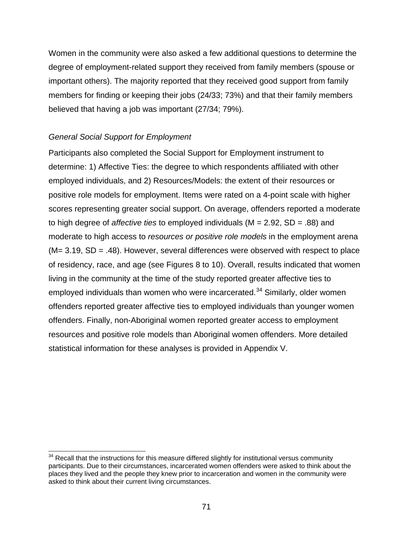Women in the community were also asked a few additional questions to determine the degree of employment-related support they received from family members (spouse or important others). The majority reported that they received good support from family members for finding or keeping their jobs (24/33; 73%) and that their family members believed that having a job was important (27/34; 79%).

## *General Social Support for Employment*

 $\overline{a}$ 

Participants also completed the Social Support for Employment instrument to determine: 1) Affective Ties: the degree to which respondents affiliated with other employed individuals, and 2) Resources/Models: the extent of their resources or positive role models for employment. Items were rated on a 4-point scale with higher scores representing greater social support. On average, offenders reported a moderate to high degree of *affective ties* to employed individuals (M = 2.92, SD = .88) and moderate to high access to *resources or positive role models* in the employment arena  $(M= 3.19, SD = .48)$ . However, several differences were observed with respect to place of residency, race, and age (see Figures 8 to 10). Overall, results indicated that women living in the community at the time of the study reported greater affective ties to employed individuals than women who were incarcerated.<sup>34</sup> Similarly, older women offenders reported greater affective ties to employed individuals than younger women offenders. Finally, non-Aboriginal women reported greater access to employment resources and positive role models than Aboriginal women offenders. More detailed statistical information for these analyses is provided in Appendix V.

 $34$  Recall that the instructions for this measure differed slightly for institutional versus community participants. Due to their circumstances, incarcerated women offenders were asked to think about the places they lived and the people they knew prior to incarceration and women in the community were asked to think about their current living circumstances.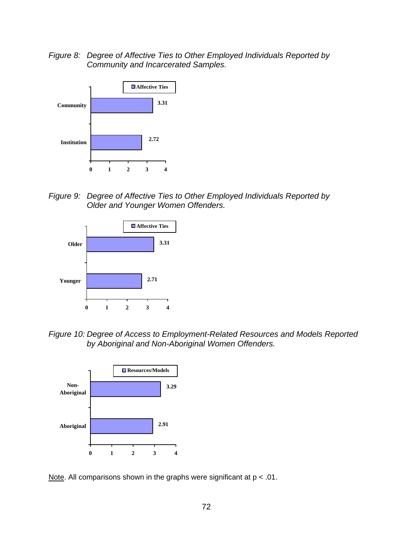*Figure 8: Degree of Affective Ties to Other Employed Individuals Reported by Community and Incarcerated Samples.* 



*Figure 9: Degree of Affective Ties to Other Employed Individuals Reported by Older and Younger Women Offenders.* 



*Figure 10: Degree of Access to Employment-Related Resources and Models Reported by Aboriginal and Non-Aboriginal Women Offenders.* 



Note. All comparisons shown in the graphs were significant at  $p < .01$ .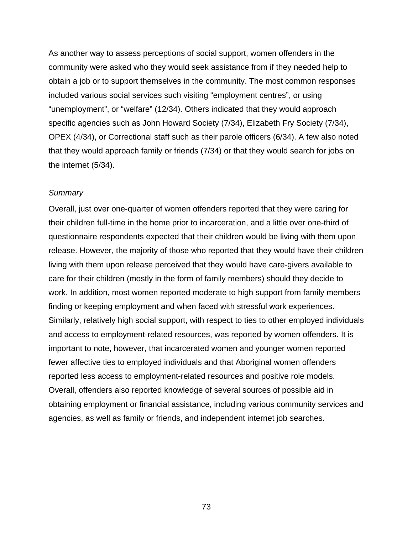As another way to assess perceptions of social support, women offenders in the community were asked who they would seek assistance from if they needed help to obtain a job or to support themselves in the community. The most common responses included various social services such visiting "employment centres", or using "unemployment", or "welfare" (12/34). Others indicated that they would approach specific agencies such as John Howard Society (7/34), Elizabeth Fry Society (7/34), OPEX (4/34), or Correctional staff such as their parole officers (6/34). A few also noted that they would approach family or friends (7/34) or that they would search for jobs on the internet (5/34).

#### *Summary*

Overall, just over one-quarter of women offenders reported that they were caring for their children full-time in the home prior to incarceration, and a little over one-third of questionnaire respondents expected that their children would be living with them upon release. However, the majority of those who reported that they would have their children living with them upon release perceived that they would have care-givers available to care for their children (mostly in the form of family members) should they decide to work. In addition, most women reported moderate to high support from family members finding or keeping employment and when faced with stressful work experiences. Similarly, relatively high social support, with respect to ties to other employed individuals and access to employment-related resources, was reported by women offenders. It is important to note, however, that incarcerated women and younger women reported fewer affective ties to employed individuals and that Aboriginal women offenders reported less access to employment-related resources and positive role models. Overall, offenders also reported knowledge of several sources of possible aid in obtaining employment or financial assistance, including various community services and agencies, as well as family or friends, and independent internet job searches.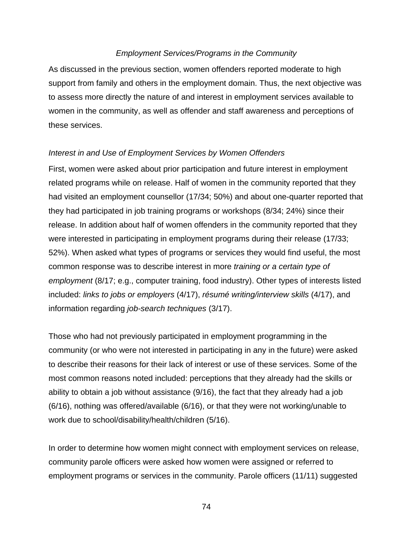### *Employment Services/Programs in the Community*

As discussed in the previous section, women offenders reported moderate to high support from family and others in the employment domain. Thus, the next objective was to assess more directly the nature of and interest in employment services available to women in the community, as well as offender and staff awareness and perceptions of these services.

### *Interest in and Use of Employment Services by Women Offenders*

First, women were asked about prior participation and future interest in employment related programs while on release. Half of women in the community reported that they had visited an employment counsellor (17/34; 50%) and about one-quarter reported that they had participated in job training programs or workshops (8/34; 24%) since their release. In addition about half of women offenders in the community reported that they were interested in participating in employment programs during their release (17/33; 52%). When asked what types of programs or services they would find useful, the most common response was to describe interest in more *training or a certain type of employment* (8/17; e.g., computer training, food industry). Other types of interests listed included: *links to jobs or employers* (4/17), *résumé writing/interview skills* (4/17), and information regarding *job-search techniques* (3/17).

Those who had not previously participated in employment programming in the community (or who were not interested in participating in any in the future) were asked to describe their reasons for their lack of interest or use of these services. Some of the most common reasons noted included: perceptions that they already had the skills or ability to obtain a job without assistance (9/16), the fact that they already had a job (6/16), nothing was offered/available (6/16), or that they were not working/unable to work due to school/disability/health/children (5/16).

In order to determine how women might connect with employment services on release, community parole officers were asked how women were assigned or referred to employment programs or services in the community. Parole officers (11/11) suggested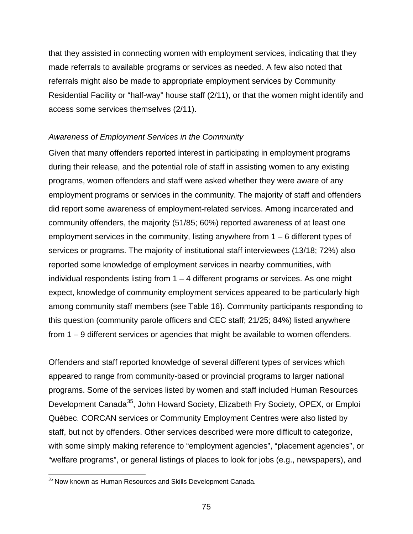that they assisted in connecting women with employment services, indicating that they made referrals to available programs or services as needed. A few also noted that referrals might also be made to appropriate employment services by Community Residential Facility or "half-way" house staff (2/11), or that the women might identify and access some services themselves (2/11).

### *Awareness of Employment Services in the Community*

Given that many offenders reported interest in participating in employment programs during their release, and the potential role of staff in assisting women to any existing programs, women offenders and staff were asked whether they were aware of any employment programs or services in the community. The majority of staff and offenders did report some awareness of employment-related services. Among incarcerated and community offenders, the majority (51/85; 60%) reported awareness of at least one employment services in the community, listing anywhere from  $1 - 6$  different types of services or programs. The majority of institutional staff interviewees (13/18; 72%) also reported some knowledge of employment services in nearby communities, with individual respondents listing from  $1 - 4$  different programs or services. As one might expect, knowledge of community employment services appeared to be particularly high among community staff members (see Table 16). Community participants responding to this question (community parole officers and CEC staff; 21/25; 84%) listed anywhere from 1 – 9 different services or agencies that might be available to women offenders.

Offenders and staff reported knowledge of several different types of services which appeared to range from community-based or provincial programs to larger national programs. Some of the services listed by women and staff included Human Resources Development Canada<sup>35</sup>, John Howard Society, Elizabeth Fry Society, OPEX, or Emploi Québec. CORCAN services or Community Employment Centres were also listed by staff, but not by offenders. Other services described were more difficult to categorize, with some simply making reference to "employment agencies", "placement agencies", or "welfare programs", or general listings of places to look for jobs (e.g., newspapers), and

 $\overline{a}$  $35$  Now known as Human Resources and Skills Development Canada.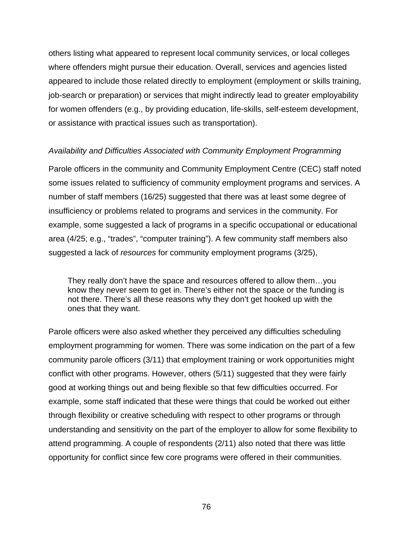others listing what appeared to represent local community services, or local colleges where offenders might pursue their education. Overall, services and agencies listed appeared to include those related directly to employment (employment or skills training, job-search or preparation) or services that might indirectly lead to greater employability for women offenders (e.g., by providing education, life-skills, self-esteem development, or assistance with practical issues such as transportation).

### *Availability and Difficulties Associated with Community Employment Programming*

Parole officers in the community and Community Employment Centre (CEC) staff noted some issues related to sufficiency of community employment programs and services. A number of staff members (16/25) suggested that there was at least some degree of insufficiency or problems related to programs and services in the community. For example, some suggested a lack of programs in a specific occupational or educational area (4/25; e.g., "trades", "computer training"). A few community staff members also suggested a lack of *resources* for community employment programs (3/25),

They really don't have the space and resources offered to allow them…you know they never seem to get in. There's either not the space or the funding is not there. There's all these reasons why they don't get hooked up with the ones that they want.

Parole officers were also asked whether they perceived any difficulties scheduling employment programming for women. There was some indication on the part of a few community parole officers (3/11) that employment training or work opportunities might conflict with other programs. However, others (5/11) suggested that they were fairly good at working things out and being flexible so that few difficulties occurred. For example, some staff indicated that these were things that could be worked out either through flexibility or creative scheduling with respect to other programs or through understanding and sensitivity on the part of the employer to allow for some flexibility to attend programming. A couple of respondents (2/11) also noted that there was little opportunity for conflict since few core programs were offered in their communities.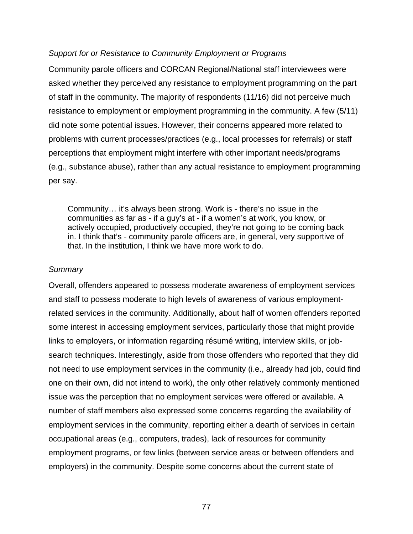#### *Support for or Resistance to Community Employment or Programs*

Community parole officers and CORCAN Regional/National staff interviewees were asked whether they perceived any resistance to employment programming on the part of staff in the community. The majority of respondents (11/16) did not perceive much resistance to employment or employment programming in the community. A few (5/11) did note some potential issues. However, their concerns appeared more related to problems with current processes/practices (e.g., local processes for referrals) or staff perceptions that employment might interfere with other important needs/programs (e.g., substance abuse), rather than any actual resistance to employment programming per say.

Community… it's always been strong. Work is - there's no issue in the communities as far as - if a guy's at - if a women's at work, you know, or actively occupied, productively occupied, they're not going to be coming back in. I think that's - community parole officers are, in general, very supportive of that. In the institution, I think we have more work to do.

#### *Summary*

Overall, offenders appeared to possess moderate awareness of employment services and staff to possess moderate to high levels of awareness of various employmentrelated services in the community. Additionally, about half of women offenders reported some interest in accessing employment services, particularly those that might provide links to employers, or information regarding résumé writing, interview skills, or jobsearch techniques. Interestingly, aside from those offenders who reported that they did not need to use employment services in the community (i.e., already had job, could find one on their own, did not intend to work), the only other relatively commonly mentioned issue was the perception that no employment services were offered or available. A number of staff members also expressed some concerns regarding the availability of employment services in the community, reporting either a dearth of services in certain occupational areas (e.g., computers, trades), lack of resources for community employment programs, or few links (between service areas or between offenders and employers) in the community. Despite some concerns about the current state of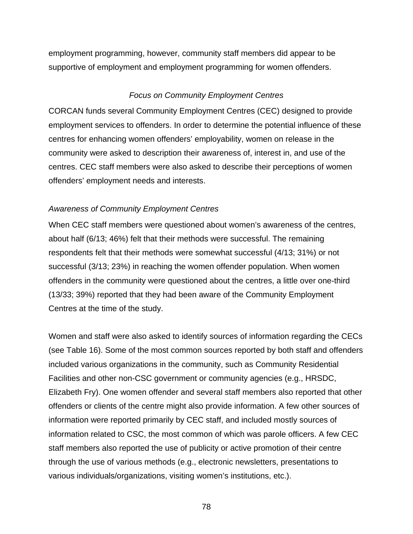employment programming, however, community staff members did appear to be supportive of employment and employment programming for women offenders.

### *Focus on Community Employment Centres*

CORCAN funds several Community Employment Centres (CEC) designed to provide employment services to offenders. In order to determine the potential influence of these centres for enhancing women offenders' employability, women on release in the community were asked to description their awareness of, interest in, and use of the centres. CEC staff members were also asked to describe their perceptions of women offenders' employment needs and interests.

### *Awareness of Community Employment Centres*

When CEC staff members were questioned about women's awareness of the centres, about half (6/13; 46%) felt that their methods were successful. The remaining respondents felt that their methods were somewhat successful (4/13; 31%) or not successful (3/13; 23%) in reaching the women offender population. When women offenders in the community were questioned about the centres, a little over one-third (13/33; 39%) reported that they had been aware of the Community Employment Centres at the time of the study.

Women and staff were also asked to identify sources of information regarding the CECs (see Table 16). Some of the most common sources reported by both staff and offenders included various organizations in the community, such as Community Residential Facilities and other non-CSC government or community agencies (e.g., HRSDC, Elizabeth Fry). One women offender and several staff members also reported that other offenders or clients of the centre might also provide information. A few other sources of information were reported primarily by CEC staff, and included mostly sources of information related to CSC, the most common of which was parole officers. A few CEC staff members also reported the use of publicity or active promotion of their centre through the use of various methods (e.g., electronic newsletters, presentations to various individuals/organizations, visiting women's institutions, etc.).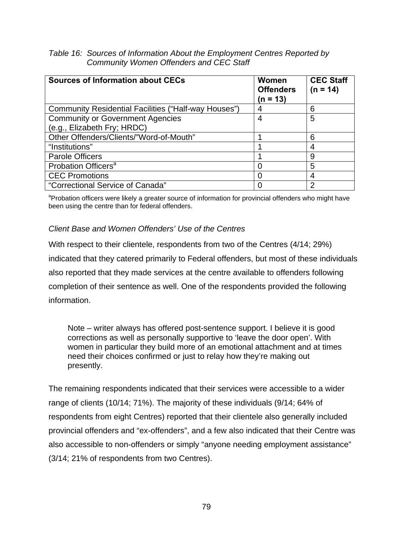| Table 16: Sources of Information About the Employment Centres Reported by |
|---------------------------------------------------------------------------|
| <b>Community Women Offenders and CEC Staff</b>                            |

| <b>Sources of Information about CECs</b>             | Women<br><b>Offenders</b><br>$(n = 13)$ | <b>CEC Staff</b><br>$(n = 14)$ |
|------------------------------------------------------|-----------------------------------------|--------------------------------|
| Community Residential Facilities ("Half-way Houses") |                                         | 6                              |
| <b>Community or Government Agencies</b>              | 4                                       | 5                              |
| (e.g., Elizabeth Fry; HRDC)                          |                                         |                                |
| Other Offenders/Clients/"Word-of-Mouth"              |                                         | 6                              |
| "Institutions"                                       |                                         | 4                              |
| <b>Parole Officers</b>                               |                                         | 9                              |
| Probation Officers <sup>a</sup>                      | O                                       | 5                              |
| <b>CEC Promotions</b>                                | 0                                       | 4                              |
| "Correctional Service of Canada"                     | $\mathbf{\Omega}$                       | 2                              |

<sup>a</sup>Probation officers were likely a greater source of information for provincial offenders who might have been using the centre than for federal offenders.

## *Client Base and Women Offenders' Use of the Centres*

With respect to their clientele, respondents from two of the Centres (4/14; 29%) indicated that they catered primarily to Federal offenders, but most of these individuals also reported that they made services at the centre available to offenders following completion of their sentence as well. One of the respondents provided the following information.

Note – writer always has offered post-sentence support. I believe it is good corrections as well as personally supportive to 'leave the door open'. With women in particular they build more of an emotional attachment and at times need their choices confirmed or just to relay how they're making out presently.

The remaining respondents indicated that their services were accessible to a wider range of clients (10/14; 71%). The majority of these individuals (9/14; 64% of respondents from eight Centres) reported that their clientele also generally included provincial offenders and "ex-offenders", and a few also indicated that their Centre was also accessible to non-offenders or simply "anyone needing employment assistance" (3/14; 21% of respondents from two Centres).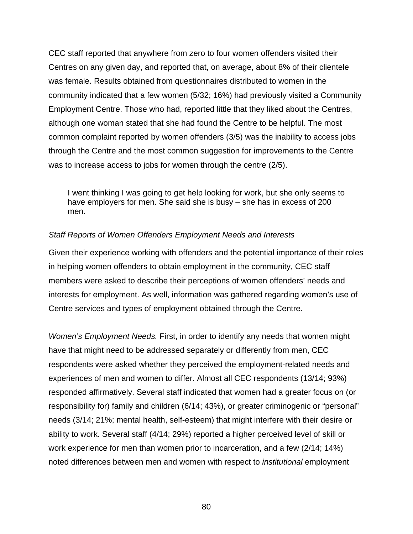CEC staff reported that anywhere from zero to four women offenders visited their Centres on any given day, and reported that, on average, about 8% of their clientele was female. Results obtained from questionnaires distributed to women in the community indicated that a few women (5/32; 16%) had previously visited a Community Employment Centre. Those who had, reported little that they liked about the Centres, although one woman stated that she had found the Centre to be helpful. The most common complaint reported by women offenders (3/5) was the inability to access jobs through the Centre and the most common suggestion for improvements to the Centre was to increase access to jobs for women through the centre (2/5).

I went thinking I was going to get help looking for work, but she only seems to have employers for men. She said she is busy – she has in excess of 200 men.

### *Staff Reports of Women Offenders Employment Needs and Interests*

Given their experience working with offenders and the potential importance of their roles in helping women offenders to obtain employment in the community, CEC staff members were asked to describe their perceptions of women offenders' needs and interests for employment. As well, information was gathered regarding women's use of Centre services and types of employment obtained through the Centre.

*Women's Employment Needs.* First, in order to identify any needs that women might have that might need to be addressed separately or differently from men, CEC respondents were asked whether they perceived the employment-related needs and experiences of men and women to differ. Almost all CEC respondents (13/14; 93%) responded affirmatively. Several staff indicated that women had a greater focus on (or responsibility for) family and children (6/14; 43%), or greater criminogenic or "personal" needs (3/14; 21%; mental health, self-esteem) that might interfere with their desire or ability to work. Several staff (4/14; 29%) reported a higher perceived level of skill or work experience for men than women prior to incarceration, and a few (2/14; 14%) noted differences between men and women with respect to *institutional* employment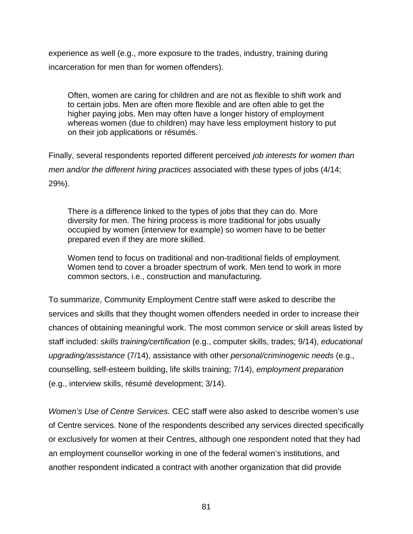experience as well (e.g., more exposure to the trades, industry, training during incarceration for men than for women offenders).

Often, women are caring for children and are not as flexible to shift work and to certain jobs. Men are often more flexible and are often able to get the higher paying jobs. Men may often have a longer history of employment whereas women (due to children) may have less employment history to put on their job applications or résumés.

Finally, several respondents reported different perceived *job interests for women than men and/or the different hiring practices* associated with these types of jobs (4/14; 29%).

There is a difference linked to the types of jobs that they can do. More diversity for men. The hiring process is more traditional for jobs usually occupied by women (interview for example) so women have to be better prepared even if they are more skilled.

Women tend to focus on traditional and non-traditional fields of employment. Women tend to cover a broader spectrum of work. Men tend to work in more common sectors, i.e., construction and manufacturing.

To summarize, Community Employment Centre staff were asked to describe the services and skills that they thought women offenders needed in order to increase their chances of obtaining meaningful work. The most common service or skill areas listed by staff included: *skills training/certification* (e.g., computer skills, trades; 9/14), *educational upgrading/assistance* (7/14), assistance with other *personal/criminogenic needs* (e.g., counselling, self-esteem building, life skills training; 7/14), *employment preparation* (e.g., interview skills, résumé development; 3/14).

*Women's Use of Centre Services.* CEC staff were also asked to describe women's use of Centre services. None of the respondents described any services directed specifically or exclusively for women at their Centres, although one respondent noted that they had an employment counsellor working in one of the federal women's institutions, and another respondent indicated a contract with another organization that did provide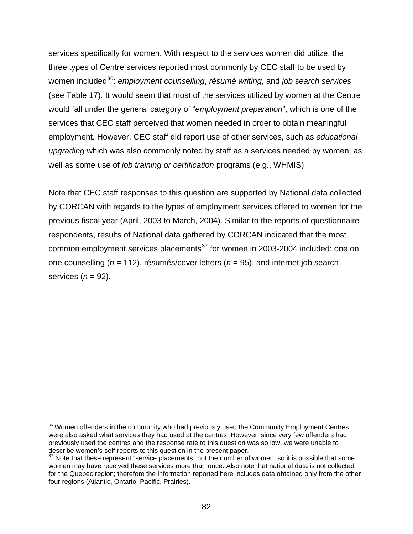services specifically for women. With respect to the services women did utilize, the three types of Centre services reported most commonly by CEC staff to be used by women included36: *employment counselling*, *résumé writing*, and *job search services* (see Table 17). It would seem that most of the services utilized by women at the Centre would fall under the general category of "*employment preparation*", which is one of the services that CEC staff perceived that women needed in order to obtain meaningful employment. However, CEC staff did report use of other services, such as *educational upgrading* which was also commonly noted by staff as a services needed by women, as well as some use of *job training or certification* programs (e.g., WHMIS)

Note that CEC staff responses to this question are supported by National data collected by CORCAN with regards to the types of employment services offered to women for the previous fiscal year (April, 2003 to March, 2004). Similar to the reports of questionnaire respondents, results of National data gathered by CORCAN indicated that the most common employment services placements $37$  for women in 2003-2004 included: one on one counselling (*n* = 112), résumés/cover letters (*n* = 95), and internet job search services (*n* = 92).

 $\overline{a}$ 

 $36$  Women offenders in the community who had previously used the Community Employment Centres were also asked what services they had used at the centres. However, since very few offenders had previously used the centres and the response rate to this question was so low, we were unable to describe women's self-reports to this question in the present paper.

Note that these represent "service placements" not the number of women, so it is possible that some women may have received these services more than once. Also note that national data is not collected for the Quebec region; therefore the information reported here includes data obtained only from the other four regions (Atlantic, Ontario, Pacific, Prairies).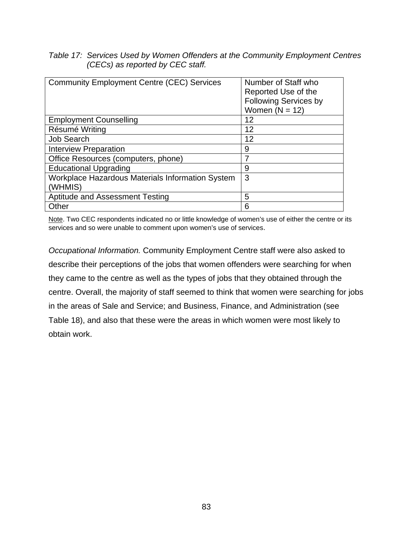## *Table 17: Services Used by Women Offenders at the Community Employment Centres (CECs) as reported by CEC staff.*

| <b>Community Employment Centre (CEC) Services</b> | Number of Staff who          |
|---------------------------------------------------|------------------------------|
|                                                   | Reported Use of the          |
|                                                   | <b>Following Services by</b> |
|                                                   | Women $(N = 12)$             |
| <b>Employment Counselling</b>                     | 12                           |
| Résumé Writing                                    | 12                           |
| <b>Job Search</b>                                 | 12                           |
| <b>Interview Preparation</b>                      | 9                            |
| Office Resources (computers, phone)               | 7                            |
| <b>Educational Upgrading</b>                      | 9                            |
| Workplace Hazardous Materials Information System  | 3                            |
| (WHMIS)                                           |                              |
| Aptitude and Assessment Testing                   | 5                            |
| Other                                             | 6                            |

Note. Two CEC respondents indicated no or little knowledge of women's use of either the centre or its services and so were unable to comment upon women's use of services.

*Occupational Information.* Community Employment Centre staff were also asked to describe their perceptions of the jobs that women offenders were searching for when they came to the centre as well as the types of jobs that they obtained through the centre. Overall, the majority of staff seemed to think that women were searching for jobs in the areas of Sale and Service; and Business, Finance, and Administration (see Table 18), and also that these were the areas in which women were most likely to obtain work.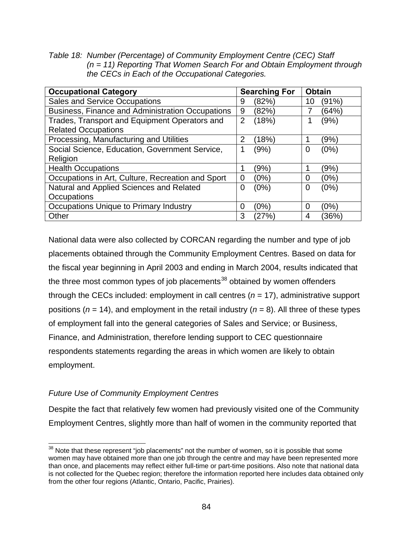*Table 18: Number (Percentage) of Community Employment Centre (CEC) Staff (n = 11) Reporting That Women Search For and Obtain Employment through the CECs in Each of the Occupational Categories.* 

| <b>Occupational Category</b>                      | <b>Searching For</b>    | <b>Obtain</b> |
|---------------------------------------------------|-------------------------|---------------|
| <b>Sales and Service Occupations</b>              | (82%)<br>9              | (91%)<br>10   |
| Business, Finance and Administration Occupations  | 9<br>(82%)              | (64%)         |
| Trades, Transport and Equipment Operators and     | $\overline{2}$<br>(18%) | (9%)          |
| <b>Related Occupations</b>                        |                         |               |
| Processing, Manufacturing and Utilities           | 2<br>(18%)              | (9%)          |
| Social Science, Education, Government Service,    | (9%)<br>1               | (0%)<br>0     |
| Religion                                          |                         |               |
| <b>Health Occupations</b>                         | (9%)                    | (9%)          |
| Occupations in Art, Culture, Recreation and Sport | (0%)<br>0               | (0%)<br>0     |
| Natural and Applied Sciences and Related          | (0%)<br>0               | (0%)<br>0     |
| Occupations                                       |                         |               |
| Occupations Unique to Primary Industry            | (0%)<br>0               | (0%)<br>0     |
| Other                                             | 3<br>(27%`              | (36%`<br>4    |

National data were also collected by CORCAN regarding the number and type of job placements obtained through the Community Employment Centres. Based on data for the fiscal year beginning in April 2003 and ending in March 2004, results indicated that the three most common types of job placements $38$  obtained by women offenders through the CECs included: employment in call centres  $(n = 17)$ , administrative support positions (*n* = 14), and employment in the retail industry (*n* = 8). All three of these types of employment fall into the general categories of Sales and Service; or Business, Finance, and Administration, therefore lending support to CEC questionnaire respondents statements regarding the areas in which women are likely to obtain employment.

## *Future Use of Community Employment Centres*

 $\overline{a}$ 

Despite the fact that relatively few women had previously visited one of the Community Employment Centres, slightly more than half of women in the community reported that

 $38$  Note that these represent "job placements" not the number of women, so it is possible that some women may have obtained more than one job through the centre and may have been represented more than once, and placements may reflect either full-time or part-time positions. Also note that national data is not collected for the Quebec region; therefore the information reported here includes data obtained only from the other four regions (Atlantic, Ontario, Pacific, Prairies).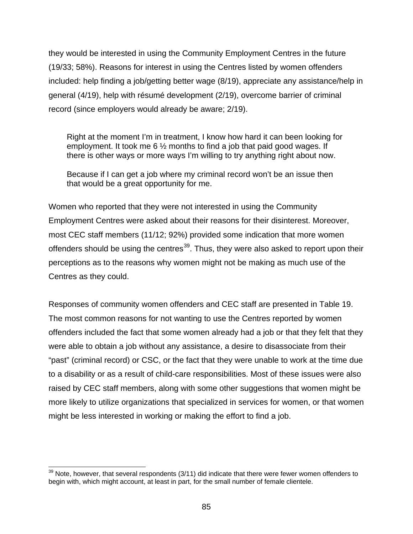they would be interested in using the Community Employment Centres in the future (19/33; 58%). Reasons for interest in using the Centres listed by women offenders included: help finding a job/getting better wage (8/19), appreciate any assistance/help in general (4/19), help with résumé development (2/19), overcome barrier of criminal record (since employers would already be aware; 2/19).

Right at the moment I'm in treatment, I know how hard it can been looking for employment. It took me 6 ½ months to find a job that paid good wages. If there is other ways or more ways I'm willing to try anything right about now.

Because if I can get a job where my criminal record won't be an issue then that would be a great opportunity for me.

Women who reported that they were not interested in using the Community Employment Centres were asked about their reasons for their disinterest. Moreover, most CEC staff members (11/12; 92%) provided some indication that more women offenders should be using the centres<sup>39</sup>. Thus, they were also asked to report upon their perceptions as to the reasons why women might not be making as much use of the Centres as they could.

Responses of community women offenders and CEC staff are presented in Table 19. The most common reasons for not wanting to use the Centres reported by women offenders included the fact that some women already had a job or that they felt that they were able to obtain a job without any assistance, a desire to disassociate from their "past" (criminal record) or CSC, or the fact that they were unable to work at the time due to a disability or as a result of child-care responsibilities. Most of these issues were also raised by CEC staff members, along with some other suggestions that women might be more likely to utilize organizations that specialized in services for women, or that women might be less interested in working or making the effort to find a job.

 $\overline{a}$ 

 $39$  Note, however, that several respondents (3/11) did indicate that there were fewer women offenders to begin with, which might account, at least in part, for the small number of female clientele.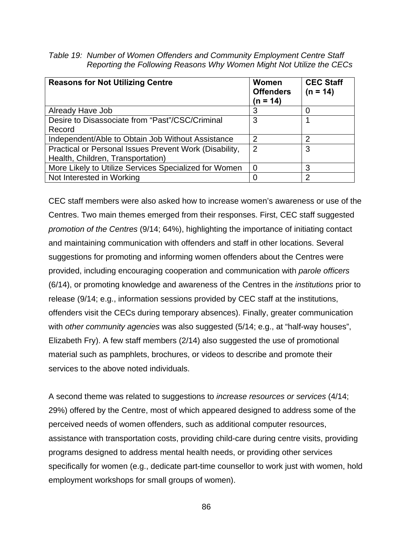*Table 19: Number of Women Offenders and Community Employment Centre Staff Reporting the Following Reasons Why Women Might Not Utilize the CECs* 

| <b>Reasons for Not Utilizing Centre</b>                                                     | <b>Women</b><br><b>Offenders</b><br>(n = 14) | <b>CEC Staff</b><br>$(n = 14)$ |
|---------------------------------------------------------------------------------------------|----------------------------------------------|--------------------------------|
| Already Have Job                                                                            | 3                                            | 0                              |
| Desire to Disassociate from "Past"/CSC/Criminal                                             | 3                                            |                                |
| Record                                                                                      |                                              |                                |
| Independent/Able to Obtain Job Without Assistance                                           | 2                                            | $\overline{2}$                 |
| Practical or Personal Issues Prevent Work (Disability,<br>Health, Children, Transportation) | $\overline{2}$                               | 3                              |
| More Likely to Utilize Services Specialized for Women                                       | $\Omega$                                     | 3                              |
| Not Interested in Working                                                                   | ∩                                            | $\overline{2}$                 |

CEC staff members were also asked how to increase women's awareness or use of the Centres. Two main themes emerged from their responses. First, CEC staff suggested *promotion of the Centres* (9/14; 64%), highlighting the importance of initiating contact and maintaining communication with offenders and staff in other locations. Several suggestions for promoting and informing women offenders about the Centres were provided, including encouraging cooperation and communication with *parole officers* (6/14), or promoting knowledge and awareness of the Centres in the *institutions* prior to release (9/14; e.g., information sessions provided by CEC staff at the institutions, offenders visit the CECs during temporary absences). Finally, greater communication with *other community agencies* was also suggested (5/14; e.g., at "half-way houses", Elizabeth Fry). A few staff members (2/14) also suggested the use of promotional material such as pamphlets, brochures, or videos to describe and promote their services to the above noted individuals.

A second theme was related to suggestions to *increase resources or services* (4/14; 29%) offered by the Centre, most of which appeared designed to address some of the perceived needs of women offenders, such as additional computer resources, assistance with transportation costs, providing child-care during centre visits, providing programs designed to address mental health needs, or providing other services specifically for women (e.g., dedicate part-time counsellor to work just with women, hold employment workshops for small groups of women).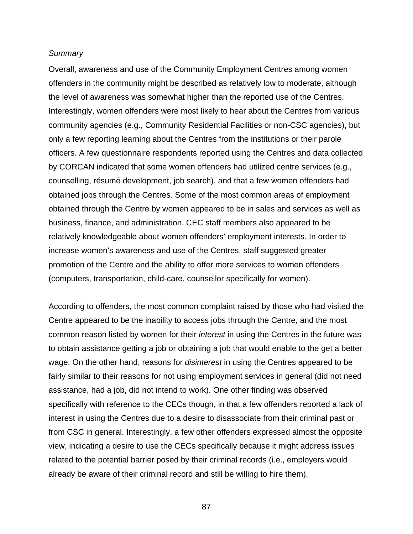#### *Summary*

Overall, awareness and use of the Community Employment Centres among women offenders in the community might be described as relatively low to moderate, although the level of awareness was somewhat higher than the reported use of the Centres. Interestingly, women offenders were most likely to hear about the Centres from various community agencies (e.g., Community Residential Facilities or non-CSC agencies), but only a few reporting learning about the Centres from the institutions or their parole officers. A few questionnaire respondents reported using the Centres and data collected by CORCAN indicated that some women offenders had utilized centre services (e.g., counselling, résumé development, job search), and that a few women offenders had obtained jobs through the Centres. Some of the most common areas of employment obtained through the Centre by women appeared to be in sales and services as well as business, finance, and administration. CEC staff members also appeared to be relatively knowledgeable about women offenders' employment interests. In order to increase women's awareness and use of the Centres, staff suggested greater promotion of the Centre and the ability to offer more services to women offenders (computers, transportation, child-care, counsellor specifically for women).

According to offenders, the most common complaint raised by those who had visited the Centre appeared to be the inability to access jobs through the Centre, and the most common reason listed by women for their *interest* in using the Centres in the future was to obtain assistance getting a job or obtaining a job that would enable to the get a better wage. On the other hand, reasons for *disinterest* in using the Centres appeared to be fairly similar to their reasons for not using employment services in general (did not need assistance, had a job, did not intend to work). One other finding was observed specifically with reference to the CECs though, in that a few offenders reported a lack of interest in using the Centres due to a desire to disassociate from their criminal past or from CSC in general. Interestingly, a few other offenders expressed almost the opposite view, indicating a desire to use the CECs specifically because it might address issues related to the potential barrier posed by their criminal records (i.e., employers would already be aware of their criminal record and still be willing to hire them).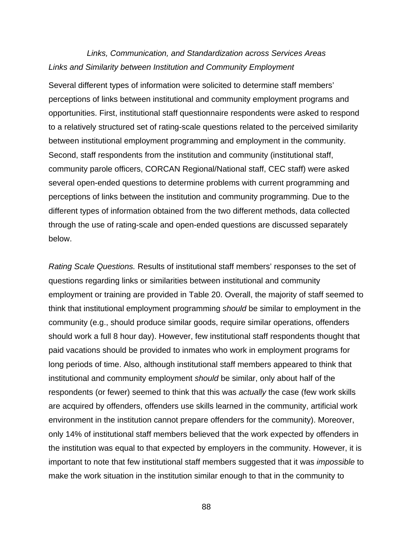# *Links, Communication, and Standardization across Services Areas Links and Similarity between Institution and Community Employment*

Several different types of information were solicited to determine staff members' perceptions of links between institutional and community employment programs and opportunities. First, institutional staff questionnaire respondents were asked to respond to a relatively structured set of rating-scale questions related to the perceived similarity between institutional employment programming and employment in the community. Second, staff respondents from the institution and community (institutional staff, community parole officers, CORCAN Regional/National staff, CEC staff) were asked several open-ended questions to determine problems with current programming and perceptions of links between the institution and community programming. Due to the different types of information obtained from the two different methods, data collected through the use of rating-scale and open-ended questions are discussed separately below.

*Rating Scale Questions.* Results of institutional staff members' responses to the set of questions regarding links or similarities between institutional and community employment or training are provided in Table 20. Overall, the majority of staff seemed to think that institutional employment programming *should* be similar to employment in the community (e.g., should produce similar goods, require similar operations, offenders should work a full 8 hour day). However, few institutional staff respondents thought that paid vacations should be provided to inmates who work in employment programs for long periods of time. Also, although institutional staff members appeared to think that institutional and community employment *should* be similar, only about half of the respondents (or fewer) seemed to think that this was *actually* the case (few work skills are acquired by offenders, offenders use skills learned in the community, artificial work environment in the institution cannot prepare offenders for the community). Moreover, only 14% of institutional staff members believed that the work expected by offenders in the institution was equal to that expected by employers in the community. However, it is important to note that few institutional staff members suggested that it was *impossible* to make the work situation in the institution similar enough to that in the community to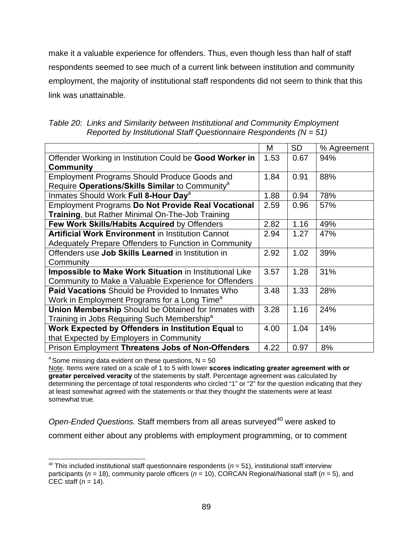make it a valuable experience for offenders. Thus, even though less than half of staff respondents seemed to see much of a current link between institution and community employment, the majority of institutional staff respondents did not seem to think that this link was unattainable.

| Table 20: Links and Similarity between Institutional and Community Employment |  |
|-------------------------------------------------------------------------------|--|
| Reported by Institutional Staff Questionnaire Respondents ( $N = 51$ )        |  |

|                                                                | М    | <b>SD</b> | % Agreement |
|----------------------------------------------------------------|------|-----------|-------------|
| Offender Working in Institution Could be Good Worker in        | 1.53 | 0.67      | 94%         |
| <b>Community</b>                                               |      |           |             |
| <b>Employment Programs Should Produce Goods and</b>            | 1.84 | 0.91      | 88%         |
| Require Operations/Skills Similar to Community <sup>a</sup>    |      |           |             |
| Inmates Should Work Full 8-Hour Day <sup>a</sup>               | 1.88 | 0.94      | 78%         |
| <b>Employment Programs Do Not Provide Real Vocational</b>      | 2.59 | 0.96      | 57%         |
| Training, but Rather Minimal On-The-Job Training               |      |           |             |
| Few Work Skills/Habits Acquired by Offenders                   | 2.82 | 1.16      | 49%         |
| <b>Artificial Work Environment in Institution Cannot</b>       | 2.94 | 1.27      | 47%         |
| Adequately Prepare Offenders to Function in Community          |      |           |             |
| Offenders use Job Skills Learned in Institution in             | 2.92 | 1.02      | 39%         |
| Community                                                      |      |           |             |
| <b>Impossible to Make Work Situation in Institutional Like</b> | 3.57 | 1.28      | 31%         |
| Community to Make a Valuable Experience for Offenders          |      |           |             |
| <b>Paid Vacations</b> Should be Provided to Inmates Who        | 3.48 | 1.33      | 28%         |
| Work in Employment Programs for a Long Time <sup>a</sup>       |      |           |             |
| <b>Union Membership Should be Obtained for Inmates with</b>    | 3.28 | 1.16      | 24%         |
| Training in Jobs Requiring Such Membership <sup>a</sup>        |      |           |             |
| Work Expected by Offenders in Institution Equal to             | 4.00 | 1.04      | 14%         |
| that Expected by Employers in Community                        |      |           |             |
| Prison Employment Threatens Jobs of Non-Offenders              | 4.22 | 0.97      | 8%          |

 $a^2$  Some missing data evident on these questions,  $N = 50$ 

Note. Items were rated on a scale of 1 to 5 with lower **scores indicating greater agreement with or greater perceived veracity** of the statements by staff. Percentage agreement was calculated by determining the percentage of total respondents who circled "1" or "2" for the question indicating that they at least somewhat agreed with the statements or that they thought the statements were at least somewhat true.

*Open-Ended Questions.* Staff members from all areas surveyed<sup>40</sup> were asked to comment either about any problems with employment programming, or to comment

l  $40$  This included institutional staff questionnaire respondents ( $n = 51$ ), institutional staff interview participants (*n* = 18), community parole officers (*n* = 10), CORCAN Regional/National staff (*n* = 5), and CEC staff (*n* = 14).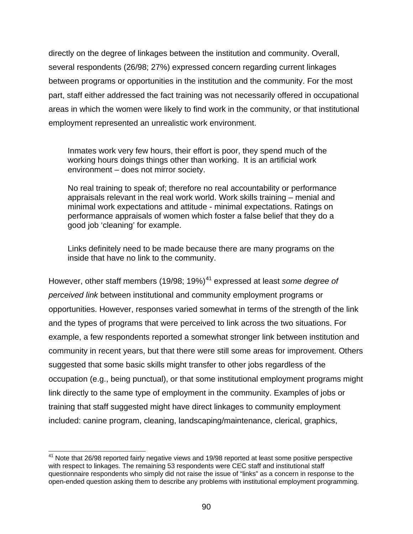directly on the degree of linkages between the institution and community. Overall, several respondents (26/98; 27%) expressed concern regarding current linkages between programs or opportunities in the institution and the community. For the most part, staff either addressed the fact training was not necessarily offered in occupational areas in which the women were likely to find work in the community, or that institutional employment represented an unrealistic work environment.

Inmates work very few hours, their effort is poor, they spend much of the working hours doings things other than working. It is an artificial work environment – does not mirror society.

No real training to speak of; therefore no real accountability or performance appraisals relevant in the real work world. Work skills training – menial and minimal work expectations and attitude - minimal expectations. Ratings on performance appraisals of women which foster a false belief that they do a good job 'cleaning' for example.

Links definitely need to be made because there are many programs on the inside that have no link to the community.

However, other staff members (19/98; 19%)<sup>41</sup> expressed at least *some degree of perceived link* between institutional and community employment programs or opportunities. However, responses varied somewhat in terms of the strength of the link and the types of programs that were perceived to link across the two situations. For example, a few respondents reported a somewhat stronger link between institution and community in recent years, but that there were still some areas for improvement. Others suggested that some basic skills might transfer to other jobs regardless of the occupation (e.g., being punctual), or that some institutional employment programs might link directly to the same type of employment in the community. Examples of jobs or training that staff suggested might have direct linkages to community employment included: canine program, cleaning, landscaping/maintenance, clerical, graphics,

 $\overline{a}$  $41$  Note that 26/98 reported fairly negative views and 19/98 reported at least some positive perspective with respect to linkages. The remaining 53 respondents were CEC staff and institutional staff questionnaire respondents who simply did not raise the issue of "links" as a concern in response to the open-ended question asking them to describe any problems with institutional employment programming.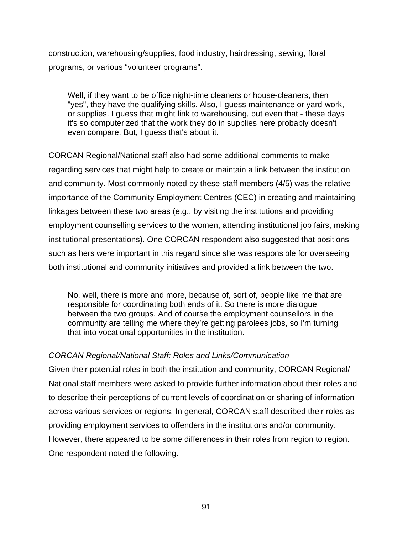construction, warehousing/supplies, food industry, hairdressing, sewing, floral programs, or various "volunteer programs".

Well, if they want to be office night-time cleaners or house-cleaners, then "yes", they have the qualifying skills. Also, I guess maintenance or yard-work, or supplies. I guess that might link to warehousing, but even that - these days it's so computerized that the work they do in supplies here probably doesn't even compare. But, I guess that's about it.

CORCAN Regional/National staff also had some additional comments to make regarding services that might help to create or maintain a link between the institution and community. Most commonly noted by these staff members (4/5) was the relative importance of the Community Employment Centres (CEC) in creating and maintaining linkages between these two areas (e.g., by visiting the institutions and providing employment counselling services to the women, attending institutional job fairs, making institutional presentations). One CORCAN respondent also suggested that positions such as hers were important in this regard since she was responsible for overseeing both institutional and community initiatives and provided a link between the two.

No, well, there is more and more, because of, sort of, people like me that are responsible for coordinating both ends of it. So there is more dialogue between the two groups. And of course the employment counsellors in the community are telling me where they're getting parolees jobs, so I'm turning that into vocational opportunities in the institution.

#### *CORCAN Regional/National Staff: Roles and Links/Communication*

Given their potential roles in both the institution and community, CORCAN Regional/ National staff members were asked to provide further information about their roles and to describe their perceptions of current levels of coordination or sharing of information across various services or regions. In general, CORCAN staff described their roles as providing employment services to offenders in the institutions and/or community. However, there appeared to be some differences in their roles from region to region. One respondent noted the following.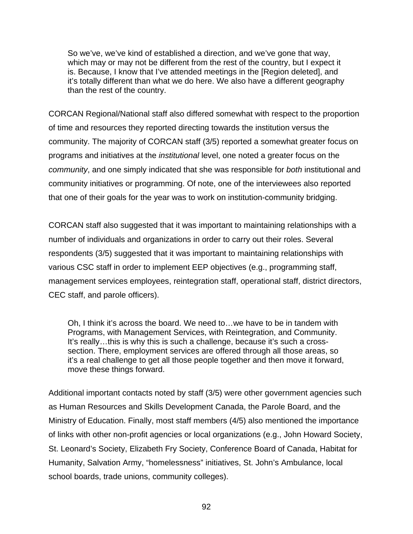So we've, we've kind of established a direction, and we've gone that way, which may or may not be different from the rest of the country, but I expect it is. Because, I know that I've attended meetings in the [Region deleted], and it's totally different than what we do here. We also have a different geography than the rest of the country.

CORCAN Regional/National staff also differed somewhat with respect to the proportion of time and resources they reported directing towards the institution versus the community. The majority of CORCAN staff (3/5) reported a somewhat greater focus on programs and initiatives at the *institutional* level, one noted a greater focus on the *community*, and one simply indicated that she was responsible for *both* institutional and community initiatives or programming. Of note, one of the interviewees also reported that one of their goals for the year was to work on institution-community bridging.

CORCAN staff also suggested that it was important to maintaining relationships with a number of individuals and organizations in order to carry out their roles. Several respondents (3/5) suggested that it was important to maintaining relationships with various CSC staff in order to implement EEP objectives (e.g., programming staff, management services employees, reintegration staff, operational staff, district directors, CEC staff, and parole officers).

Oh, I think it's across the board. We need to…we have to be in tandem with Programs, with Management Services, with Reintegration, and Community. It's really…this is why this is such a challenge, because it's such a crosssection. There, employment services are offered through all those areas, so it's a real challenge to get all those people together and then move it forward, move these things forward.

Additional important contacts noted by staff (3/5) were other government agencies such as Human Resources and Skills Development Canada, the Parole Board, and the Ministry of Education. Finally, most staff members (4/5) also mentioned the importance of links with other non-profit agencies or local organizations (e.g., John Howard Society, St. Leonard's Society, Elizabeth Fry Society, Conference Board of Canada, Habitat for Humanity, Salvation Army, "homelessness" initiatives, St. John's Ambulance, local school boards, trade unions, community colleges).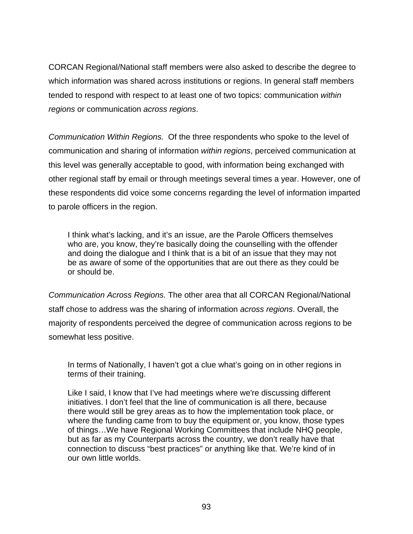CORCAN Regional/National staff members were also asked to describe the degree to which information was shared across institutions or regions. In general staff members tended to respond with respect to at least one of two topics: communication *within regions* or communication *across regions*.

*Communication Within Regions.* Of the three respondents who spoke to the level of communication and sharing of information *within regions*, perceived communication at this level was generally acceptable to good, with information being exchanged with other regional staff by email or through meetings several times a year. However, one of these respondents did voice some concerns regarding the level of information imparted to parole officers in the region.

I think what's lacking, and it's an issue, are the Parole Officers themselves who are, you know, they're basically doing the counselling with the offender and doing the dialogue and I think that is a bit of an issue that they may not be as aware of some of the opportunities that are out there as they could be or should be.

*Communication Across Regions.* The other area that all CORCAN Regional/National staff chose to address was the sharing of information *across regions*. Overall, the majority of respondents perceived the degree of communication across regions to be somewhat less positive.

In terms of Nationally, I haven't got a clue what's going on in other regions in terms of their training.

Like I said, I know that I've had meetings where we're discussing different initiatives. I don't feel that the line of communication is all there, because there would still be grey areas as to how the implementation took place, or where the funding came from to buy the equipment or, you know, those types of things…We have Regional Working Committees that include NHQ people, but as far as my Counterparts across the country, we don't really have that connection to discuss "best practices" or anything like that. We're kind of in our own little worlds.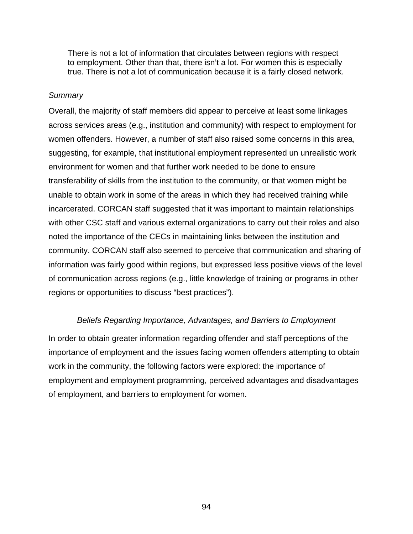There is not a lot of information that circulates between regions with respect to employment. Other than that, there isn't a lot. For women this is especially true. There is not a lot of communication because it is a fairly closed network.

### *Summary*

Overall, the majority of staff members did appear to perceive at least some linkages across services areas (e.g., institution and community) with respect to employment for women offenders. However, a number of staff also raised some concerns in this area, suggesting, for example, that institutional employment represented un unrealistic work environment for women and that further work needed to be done to ensure transferability of skills from the institution to the community, or that women might be unable to obtain work in some of the areas in which they had received training while incarcerated. CORCAN staff suggested that it was important to maintain relationships with other CSC staff and various external organizations to carry out their roles and also noted the importance of the CECs in maintaining links between the institution and community. CORCAN staff also seemed to perceive that communication and sharing of information was fairly good within regions, but expressed less positive views of the level of communication across regions (e.g., little knowledge of training or programs in other regions or opportunities to discuss "best practices").

### *Beliefs Regarding Importance, Advantages, and Barriers to Employment*

In order to obtain greater information regarding offender and staff perceptions of the importance of employment and the issues facing women offenders attempting to obtain work in the community, the following factors were explored: the importance of employment and employment programming, perceived advantages and disadvantages of employment, and barriers to employment for women.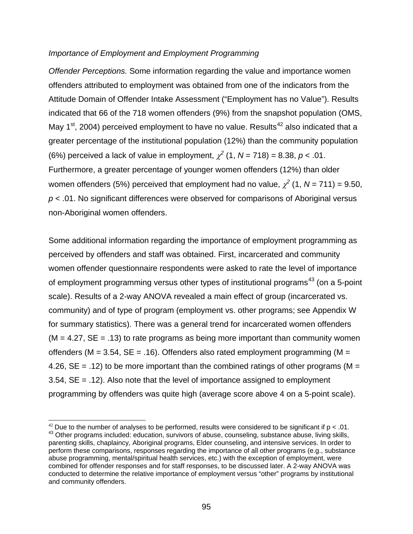#### *Importance of Employment and Employment Programming*

*Offender Perceptions.* Some information regarding the value and importance women offenders attributed to employment was obtained from one of the indicators from the Attitude Domain of Offender Intake Assessment ("Employment has no Value"). Results indicated that 66 of the 718 women offenders (9%) from the snapshot population (OMS, May  $1<sup>st</sup>$ , 2004) perceived employment to have no value. Results<sup>42</sup> also indicated that a greater percentage of the institutional population (12%) than the community population (6%) perceived a lack of value in employment,  $\chi^2$  (1, N = 718) = 8.38, p < .01. Furthermore, a greater percentage of younger women offenders (12%) than older women offenders (5%) perceived that employment had no value,  $\chi^2$  (1, N = 711) = 9.50, *p* < .01. No significant differences were observed for comparisons of Aboriginal versus non-Aboriginal women offenders.

Some additional information regarding the importance of employment programming as perceived by offenders and staff was obtained. First, incarcerated and community women offender questionnaire respondents were asked to rate the level of importance of employment programming versus other types of institutional programs<sup>43</sup> (on a 5-point scale). Results of a 2-way ANOVA revealed a main effect of group (incarcerated vs. community) and of type of program (employment vs. other programs; see Appendix W for summary statistics). There was a general trend for incarcerated women offenders  $(M = 4.27, SE = .13)$  to rate programs as being more important than community women offenders ( $M = 3.54$ ,  $SE = .16$ ). Offenders also rated employment programming ( $M =$ 4.26,  $SE = .12$ ) to be more important than the combined ratings of other programs (M = 3.54, SE = .12). Also note that the level of importance assigned to employment programming by offenders was quite high (average score above 4 on a 5-point scale).

<sup>&</sup>lt;sup>42</sup> Due to the number of analyses to be performed, results were considered to be significant if  $p < .01$ . 43 Other programs included: education, survivors of abuse, counseling, substance abuse, living skills, parenting skills, chaplaincy, Aboriginal programs, Elder counseling, and intensive services. In order to perform these comparisons, responses regarding the importance of all other programs (e.g., substance abuse programming, mental/spiritual health services, etc.) with the exception of employment, were combined for offender responses and for staff responses, to be discussed later. A 2-way ANOVA was conducted to determine the relative importance of employment versus "other" programs by institutional and community offenders.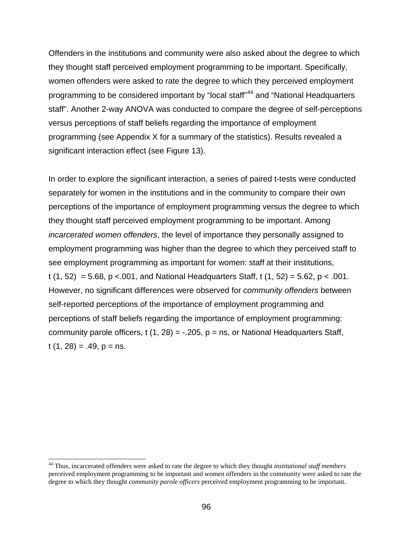Offenders in the institutions and community were also asked about the degree to which they thought staff perceived employment programming to be important. Specifically, women offenders were asked to rate the degree to which they perceived employment programming to be considered important by "local staff"44 and "National Headquarters staff". Another 2-way ANOVA was conducted to compare the degree of self-perceptions versus perceptions of staff beliefs regarding the importance of employment programming (see Appendix X for a summary of the statistics). Results revealed a significant interaction effect (see Figure 13).

In order to explore the significant interaction, a series of paired t-tests were conducted separately for women in the institutions and in the community to compare their own perceptions of the importance of employment programming versus the degree to which they thought staff perceived employment programming to be important. Among *incarcerated women offenders*, the level of importance they personally assigned to employment programming was higher than the degree to which they perceived staff to see employment programming as important for women: staff at their institutions, t  $(1, 52) = 5.68$ ,  $p < 0.001$ , and National Headquarters Staff, t  $(1, 52) = 5.62$ ,  $p < 0.001$ . However, no significant differences were observed for *community offenders* between self-reported perceptions of the importance of employment programming and perceptions of staff beliefs regarding the importance of employment programming: community parole officers, t  $(1, 28) = -0.205$ ,  $p = ns$ , or National Headquarters Staff,  $t(1, 28) = .49$ ,  $p = ns$ .

l

<sup>44</sup> Thus, incarcerated offenders were asked to rate the degree to which they thought *institutional staff members* perceived employment programming to be important and women offenders in the community were asked to rate the degree to which they thought *community parole officers* perceived employment programming to be important.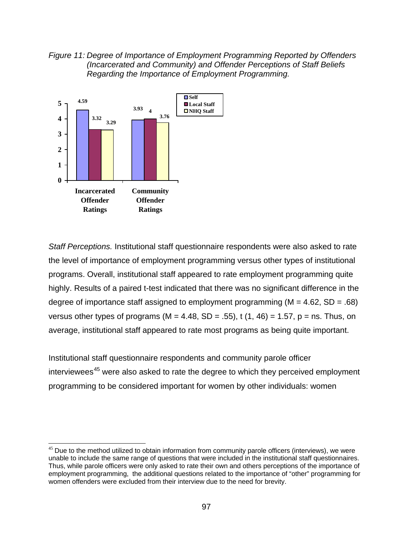*Figure 11: Degree of Importance of Employment Programming Reported by Offenders (Incarcerated and Community) and Offender Perceptions of Staff Beliefs Regarding the Importance of Employment Programming.* 



 $\overline{a}$ 

*Staff Perceptions.* Institutional staff questionnaire respondents were also asked to rate the level of importance of employment programming versus other types of institutional programs. Overall, institutional staff appeared to rate employment programming quite highly. Results of a paired t-test indicated that there was no significant difference in the degree of importance staff assigned to employment programming ( $M = 4.62$ , SD = .68) versus other types of programs (M = 4.48, SD = .55), t (1, 46) = 1.57, p = ns. Thus, on average, institutional staff appeared to rate most programs as being quite important.

Institutional staff questionnaire respondents and community parole officer interviewees<sup>45</sup> were also asked to rate the degree to which they perceived employment programming to be considered important for women by other individuals: women

 $45$  Due to the method utilized to obtain information from community parole officers (interviews), we were unable to include the same range of questions that were included in the institutional staff questionnaires. Thus, while parole officers were only asked to rate their own and others perceptions of the importance of employment programming, the additional questions related to the importance of "other" programming for women offenders were excluded from their interview due to the need for brevity.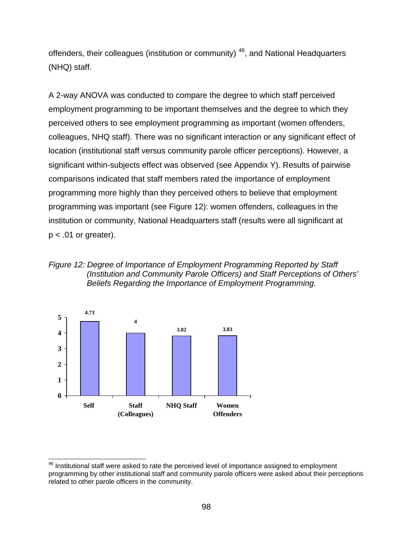offenders, their colleagues (institution or community) 46, and National Headquarters (NHQ) staff.

A 2-way ANOVA was conducted to compare the degree to which staff perceived employment programming to be important themselves and the degree to which they perceived others to see employment programming as important (women offenders, colleagues, NHQ staff). There was no significant interaction or any significant effect of location (institutional staff versus community parole officer perceptions). However, a significant within-subjects effect was observed (see Appendix Y). Results of pairwise comparisons indicated that staff members rated the importance of employment programming more highly than they perceived others to believe that employment programming was important (see Figure 12): women offenders, colleagues in the institution or community, National Headquarters staff (results were all significant at  $p < .01$  or greater).





l  $46$  Institutional staff were asked to rate the perceived level of importance assigned to employment programming by other institutional staff and community parole officers were asked about their perceptions related to other parole officers in the community.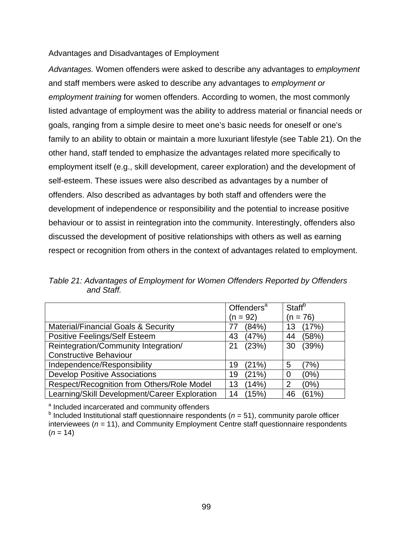### Advantages and Disadvantages of Employment

*Advantages.* Women offenders were asked to describe any advantages to *employment*  and staff members were asked to describe any advantages to *employment or employment training* for women offenders. According to women, the most commonly listed advantage of employment was the ability to address material or financial needs or goals, ranging from a simple desire to meet one's basic needs for oneself or one's family to an ability to obtain or maintain a more luxuriant lifestyle (see Table 21). On the other hand, staff tended to emphasize the advantages related more specifically to employment itself (e.g., skill development, career exploration) and the development of self-esteem. These issues were also described as advantages by a number of offenders. Also described as advantages by both staff and offenders were the development of independence or responsibility and the potential to increase positive behaviour or to assist in reintegration into the community. Interestingly, offenders also discussed the development of positive relationships with others as well as earning respect or recognition from others in the context of advantages related to employment.

*Table 21: Advantages of Employment for Women Offenders Reported by Offenders and Staff.* 

|                                                | Offenders <sup>a</sup> | Staff <sup>b</sup> |  |
|------------------------------------------------|------------------------|--------------------|--|
|                                                | $(n = 92)$             | $(n = 76)$         |  |
| <b>Material/Financial Goals &amp; Security</b> | (84%)                  | (17%)<br>13        |  |
| <b>Positive Feelings/Self Esteem</b>           | (47%)<br>43            | (58%)<br>44        |  |
| Reintegration/Community Integration/           | (23%)<br>21            | (39%)<br>30        |  |
| <b>Constructive Behaviour</b>                  |                        |                    |  |
| Independence/Responsibility                    | (21%)<br>19            | (7%)<br>5          |  |
| <b>Develop Positive Associations</b>           | (21%)<br>19            | (0%)<br>0          |  |
| Respect/Recognition from Others/Role Model     | (14%)<br>13            | (0%)<br>2          |  |
| Learning/Skill Development/Career Exploration  | (15%)<br>14            | (61%)<br>46        |  |

<sup>a</sup> Included incarcerated and community offenders

 $<sup>b</sup>$  Included Institutional staff questionnaire respondents ( $n = 51$ ), community parole officer</sup> interviewees (*n* = 11), and Community Employment Centre staff questionnaire respondents  $(n = 14)$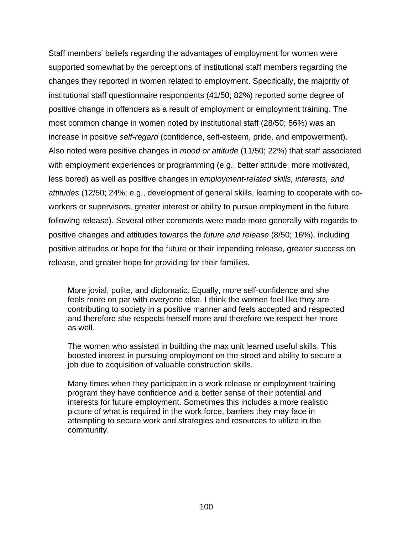Staff members' beliefs regarding the advantages of employment for women were supported somewhat by the perceptions of institutional staff members regarding the changes they reported in women related to employment. Specifically, the majority of institutional staff questionnaire respondents (41/50; 82%) reported some degree of positive change in offenders as a result of employment or employment training. The most common change in women noted by institutional staff (28/50; 56%) was an increase in positive *self-regard* (confidence, self-esteem, pride, and empowerment). Also noted were positive changes in *mood or attitude* (11/50; 22%) that staff associated with employment experiences or programming (e.g., better attitude, more motivated, less bored) as well as positive changes in *employment-related skills, interests, and attitudes* (12/50; 24%; e.g., development of general skills, learning to cooperate with coworkers or supervisors, greater interest or ability to pursue employment in the future following release). Several other comments were made more generally with regards to positive changes and attitudes towards the *future and release* (8/50; 16%), including positive attitudes or hope for the future or their impending release, greater success on release, and greater hope for providing for their families.

More jovial, polite, and diplomatic. Equally, more self-confidence and she feels more on par with everyone else. I think the women feel like they are contributing to society in a positive manner and feels accepted and respected and therefore she respects herself more and therefore we respect her more as well.

The women who assisted in building the max unit learned useful skills. This boosted interest in pursuing employment on the street and ability to secure a job due to acquisition of valuable construction skills.

Many times when they participate in a work release or employment training program they have confidence and a better sense of their potential and interests for future employment. Sometimes this includes a more realistic picture of what is required in the work force, barriers they may face in attempting to secure work and strategies and resources to utilize in the community.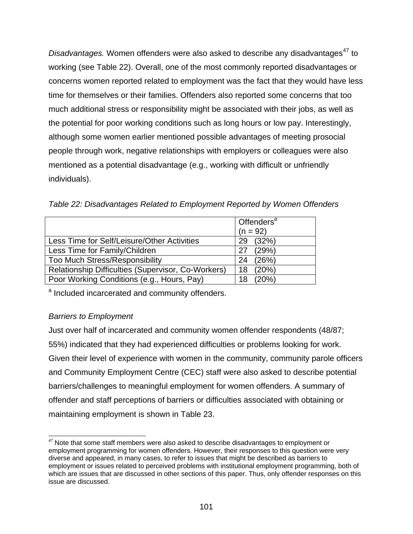*Disadvantages.* Women offenders were also asked to describe any disadvantages<sup>47</sup> to working (see Table 22). Overall, one of the most commonly reported disadvantages or concerns women reported related to employment was the fact that they would have less time for themselves or their families. Offenders also reported some concerns that too much additional stress or responsibility might be associated with their jobs, as well as the potential for poor working conditions such as long hours or low pay. Interestingly, although some women earlier mentioned possible advantages of meeting prosocial people through work, negative relationships with employers or colleagues were also mentioned as a potential disadvantage (e.g., working with difficult or unfriendly individuals).

*Table 22: Disadvantages Related to Employment Reported by Women Offenders* 

|                                                    | Offenders <sup>a</sup> |
|----------------------------------------------------|------------------------|
|                                                    | $(n = 92)$             |
| Less Time for Self/Leisure/Other Activities        | (32%)<br>29            |
| Less Time for Family/Children                      | (29%)<br>27            |
| <b>Too Much Stress/Responsibility</b>              | (26%)<br>24            |
| Relationship Difficulties (Supervisor, Co-Workers) | (20%)<br>18            |
| Poor Working Conditions (e.g., Hours, Pay)         | (20%)<br>18            |

<sup>a</sup> Included incarcerated and community offenders.

# *Barriers to Employment*

Just over half of incarcerated and community women offender respondents (48/87; 55%) indicated that they had experienced difficulties or problems looking for work. Given their level of experience with women in the community, community parole officers and Community Employment Centre (CEC) staff were also asked to describe potential barriers/challenges to meaningful employment for women offenders. A summary of offender and staff perceptions of barriers or difficulties associated with obtaining or maintaining employment is shown in Table 23.

l  $47$  Note that some staff members were also asked to describe disadvantages to employment or employment programming for women offenders. However, their responses to this question were very diverse and appeared, in many cases, to refer to issues that might be described as barriers to employment or issues related to perceived problems with institutional employment programming, both of which are issues that are discussed in other sections of this paper. Thus, only offender responses on this issue are discussed.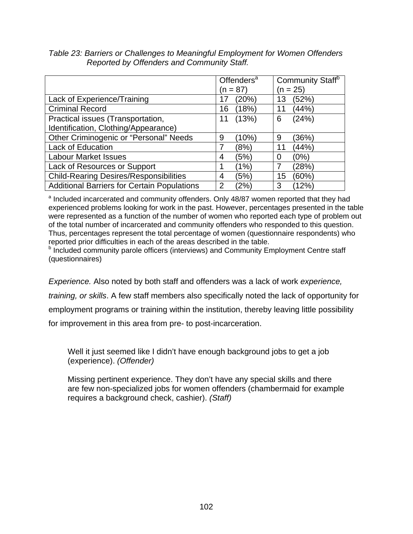|                                                    | Offenders <sup>a</sup> | Community Staff <sup>b</sup> |  |
|----------------------------------------------------|------------------------|------------------------------|--|
|                                                    | (n = 87)               | $(n = 25)$                   |  |
| Lack of Experience/Training                        | (20%)<br>17            | (52%)<br>13                  |  |
| <b>Criminal Record</b>                             | (18%)<br>16            | (44%)                        |  |
| Practical issues (Transportation,                  | (13%)<br>11            | (24%)<br>6                   |  |
| Identification, Clothing/Appearance)               |                        |                              |  |
| Other Criminogenic or "Personal" Needs             | (10%)<br>9             | (36%)<br>9                   |  |
| <b>Lack of Education</b>                           | (8%)                   | (44%)<br>11                  |  |
| <b>Labour Market Issues</b>                        | (5%)<br>4              | (0%)<br>0                    |  |
| Lack of Resources or Support                       | (1%)                   | (28%)                        |  |
| <b>Child-Rearing Desires/Responsibilities</b>      | (5%)<br>4              | (60%)<br>15                  |  |
| <b>Additional Barriers for Certain Populations</b> | (2%)<br>$\overline{2}$ | (12%)<br>3                   |  |

*Table 23: Barriers or Challenges to Meaningful Employment for Women Offenders Reported by Offenders and Community Staff.* 

<sup>a</sup> Included incarcerated and community offenders. Only 48/87 women reported that they had experienced problems looking for work in the past. However, percentages presented in the table were represented as a function of the number of women who reported each type of problem out of the total number of incarcerated and community offenders who responded to this question. Thus, percentages represent the total percentage of women (questionnaire respondents) who reported prior difficulties in each of the areas described in the table.

<sup>b</sup> Included community parole officers (interviews) and Community Employment Centre staff (questionnaires)

*Experience.* Also noted by both staff and offenders was a lack of work *experience, training, or skills*. A few staff members also specifically noted the lack of opportunity for employment programs or training within the institution, thereby leaving little possibility for improvement in this area from pre- to post-incarceration.

Well it just seemed like I didn't have enough background jobs to get a job (experience). *(Offender)*

Missing pertinent experience. They don't have any special skills and there are few non-specialized jobs for women offenders (chambermaid for example requires a background check, cashier). *(Staff)*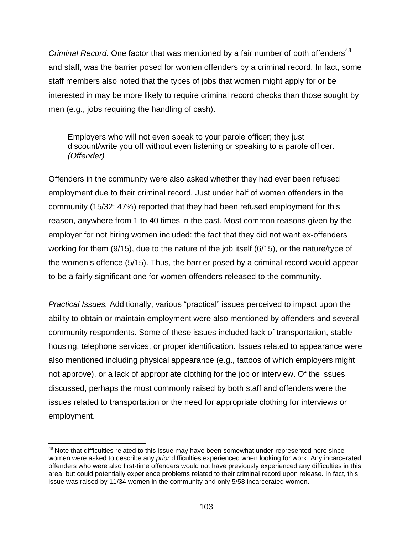*Criminal Record.* One factor that was mentioned by a fair number of both offenders<sup>48</sup> and staff, was the barrier posed for women offenders by a criminal record. In fact, some staff members also noted that the types of jobs that women might apply for or be interested in may be more likely to require criminal record checks than those sought by men (e.g., jobs requiring the handling of cash).

Employers who will not even speak to your parole officer; they just discount/write you off without even listening or speaking to a parole officer. *(Offender)*

Offenders in the community were also asked whether they had ever been refused employment due to their criminal record. Just under half of women offenders in the community (15/32; 47%) reported that they had been refused employment for this reason, anywhere from 1 to 40 times in the past. Most common reasons given by the employer for not hiring women included: the fact that they did not want ex-offenders working for them (9/15), due to the nature of the job itself (6/15), or the nature/type of the women's offence (5/15). Thus, the barrier posed by a criminal record would appear to be a fairly significant one for women offenders released to the community.

*Practical Issues.* Additionally, various "practical" issues perceived to impact upon the ability to obtain or maintain employment were also mentioned by offenders and several community respondents. Some of these issues included lack of transportation, stable housing, telephone services, or proper identification. Issues related to appearance were also mentioned including physical appearance (e.g., tattoos of which employers might not approve), or a lack of appropriate clothing for the job or interview. Of the issues discussed, perhaps the most commonly raised by both staff and offenders were the issues related to transportation or the need for appropriate clothing for interviews or employment.

 $\overline{a}$ 

 $48$  Note that difficulties related to this issue may have been somewhat under-represented here since women were asked to describe any *prior* difficulties experienced when looking for work. Any incarcerated offenders who were also first-time offenders would not have previously experienced any difficulties in this area, but could potentially experience problems related to their criminal record upon release. In fact, this issue was raised by 11/34 women in the community and only 5/58 incarcerated women.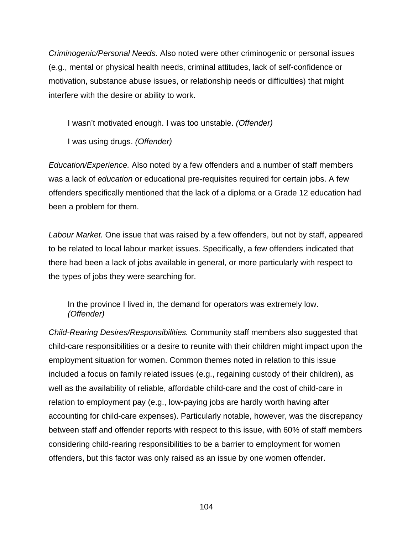*Criminogenic/Personal Needs.* Also noted were other criminogenic or personal issues (e.g., mental or physical health needs, criminal attitudes, lack of self-confidence or motivation, substance abuse issues, or relationship needs or difficulties) that might interfere with the desire or ability to work.

I wasn't motivated enough. I was too unstable. *(Offender)* 

I was using drugs. *(Offender)* 

*Education/Experience.* Also noted by a few offenders and a number of staff members was a lack of *education* or educational pre-requisites required for certain jobs. A few offenders specifically mentioned that the lack of a diploma or a Grade 12 education had been a problem for them.

*Labour Market.* One issue that was raised by a few offenders, but not by staff, appeared to be related to local labour market issues. Specifically, a few offenders indicated that there had been a lack of jobs available in general, or more particularly with respect to the types of jobs they were searching for.

In the province I lived in, the demand for operators was extremely low. *(Offender)* 

*Child-Rearing Desires/Responsibilities.* Community staff members also suggested that child-care responsibilities or a desire to reunite with their children might impact upon the employment situation for women. Common themes noted in relation to this issue included a focus on family related issues (e.g., regaining custody of their children), as well as the availability of reliable, affordable child-care and the cost of child-care in relation to employment pay (e.g., low-paying jobs are hardly worth having after accounting for child-care expenses). Particularly notable, however, was the discrepancy between staff and offender reports with respect to this issue, with 60% of staff members considering child-rearing responsibilities to be a barrier to employment for women offenders, but this factor was only raised as an issue by one women offender.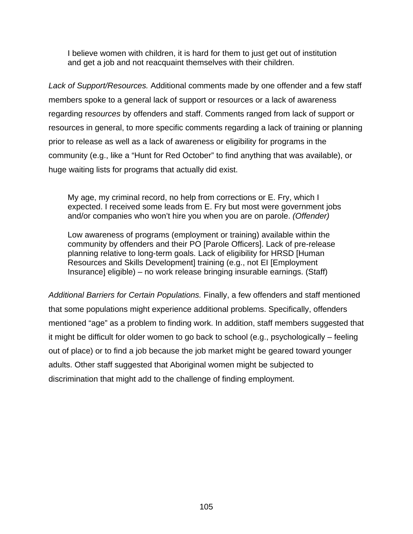I believe women with children, it is hard for them to just get out of institution and get a job and not reacquaint themselves with their children.

*Lack of Support/Resources.* Additional comments made by one offender and a few staff members spoke to a general lack of support or resources or a lack of awareness regarding re*sources* by offenders and staff. Comments ranged from lack of support or resources in general, to more specific comments regarding a lack of training or planning prior to release as well as a lack of awareness or eligibility for programs in the community (e.g., like a "Hunt for Red October" to find anything that was available), or huge waiting lists for programs that actually did exist.

My age, my criminal record, no help from corrections or E. Fry, which I expected. I received some leads from E. Fry but most were government jobs and/or companies who won't hire you when you are on parole. *(Offender)*

Low awareness of programs (employment or training) available within the community by offenders and their PO [Parole Officers]. Lack of pre-release planning relative to long-term goals. Lack of eligibility for HRSD [Human Resources and Skills Development] training (e.g., not EI [Employment Insurance] eligible) – no work release bringing insurable earnings. (Staff)

*Additional Barriers for Certain Populations.* Finally, a few offenders and staff mentioned that some populations might experience additional problems. Specifically, offenders mentioned "age" as a problem to finding work. In addition, staff members suggested that it might be difficult for older women to go back to school (e.g., psychologically – feeling out of place) or to find a job because the job market might be geared toward younger adults. Other staff suggested that Aboriginal women might be subjected to discrimination that might add to the challenge of finding employment.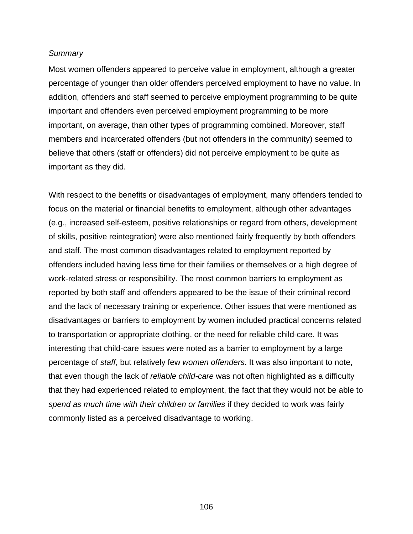#### *Summary*

Most women offenders appeared to perceive value in employment, although a greater percentage of younger than older offenders perceived employment to have no value. In addition, offenders and staff seemed to perceive employment programming to be quite important and offenders even perceived employment programming to be more important, on average, than other types of programming combined. Moreover, staff members and incarcerated offenders (but not offenders in the community) seemed to believe that others (staff or offenders) did not perceive employment to be quite as important as they did.

With respect to the benefits or disadvantages of employment, many offenders tended to focus on the material or financial benefits to employment, although other advantages (e.g., increased self-esteem, positive relationships or regard from others, development of skills, positive reintegration) were also mentioned fairly frequently by both offenders and staff. The most common disadvantages related to employment reported by offenders included having less time for their families or themselves or a high degree of work-related stress or responsibility. The most common barriers to employment as reported by both staff and offenders appeared to be the issue of their criminal record and the lack of necessary training or experience. Other issues that were mentioned as disadvantages or barriers to employment by women included practical concerns related to transportation or appropriate clothing, or the need for reliable child-care. It was interesting that child-care issues were noted as a barrier to employment by a large percentage of *staff*, but relatively few *women offenders*. It was also important to note, that even though the lack of *reliable child-care* was not often highlighted as a difficulty that they had experienced related to employment, the fact that they would not be able to *spend as much time with their children or families* if they decided to work was fairly commonly listed as a perceived disadvantage to working.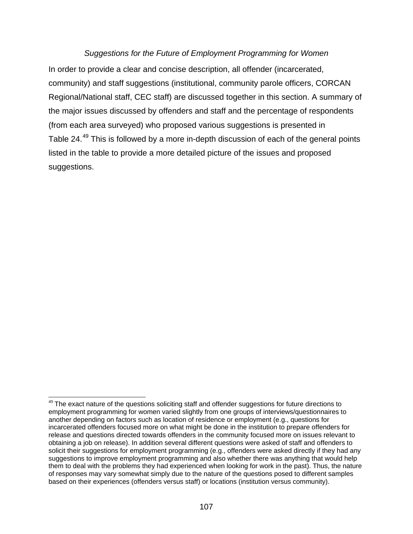## *Suggestions for the Future of Employment Programming for Women*

In order to provide a clear and concise description, all offender (incarcerated, community) and staff suggestions (institutional, community parole officers, CORCAN Regional/National staff, CEC staff) are discussed together in this section. A summary of the major issues discussed by offenders and staff and the percentage of respondents (from each area surveyed) who proposed various suggestions is presented in Table 24.<sup>49</sup> This is followed by a more in-depth discussion of each of the general points listed in the table to provide a more detailed picture of the issues and proposed suggestions.

 $\overline{a}$ 

 $49$  The exact nature of the questions soliciting staff and offender suggestions for future directions to employment programming for women varied slightly from one groups of interviews/questionnaires to another depending on factors such as location of residence or employment (e.g., questions for incarcerated offenders focused more on what might be done in the institution to prepare offenders for release and questions directed towards offenders in the community focused more on issues relevant to obtaining a job on release). In addition several different questions were asked of staff and offenders to solicit their suggestions for employment programming (e.g., offenders were asked directly if they had any suggestions to improve employment programming and also whether there was anything that would help them to deal with the problems they had experienced when looking for work in the past). Thus, the nature of responses may vary somewhat simply due to the nature of the questions posed to different samples based on their experiences (offenders versus staff) or locations (institution versus community).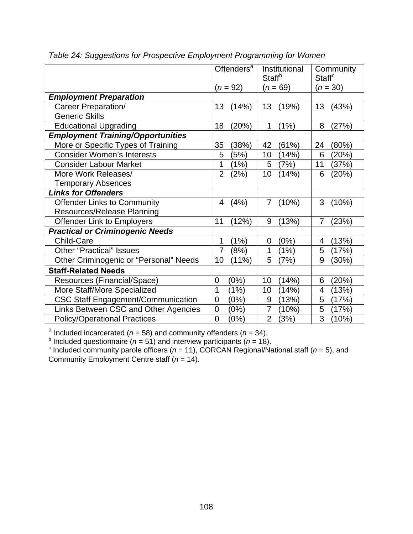|                                           | Offenders <sup>a</sup><br>$(n = 92)$ | Institutional<br><b>Staff</b> <sup>b</sup><br>$(n = 69)$ | Community<br><b>Staff<sup>c</sup></b><br>$(n = 30)$ |
|-------------------------------------------|--------------------------------------|----------------------------------------------------------|-----------------------------------------------------|
| <b>Employment Preparation</b>             |                                      |                                                          |                                                     |
| Career Preparation/                       | 13                                   | 13                                                       | (43%)                                               |
|                                           | (14%)                                | (19%)                                                    | 13                                                  |
| <b>Generic Skills</b>                     |                                      |                                                          |                                                     |
| <b>Educational Upgrading</b>              | (20%)                                | 1                                                        | (27%)                                               |
|                                           | 18                                   | (1%)                                                     | 8                                                   |
| <b>Employment Training/Opportunities</b>  |                                      |                                                          |                                                     |
| More or Specific Types of Training        | 35                                   | 42                                                       | (80%)                                               |
|                                           | (38%)                                | (61%)                                                    | 24                                                  |
| <b>Consider Women's Interests</b>         | (5%)                                 | 10                                                       | 6                                                   |
|                                           | 5                                    | (14%)                                                    | (20%)                                               |
| <b>Consider Labour Market</b>             | 1                                    | (7%)                                                     | 11                                                  |
|                                           | (1%)                                 | 5                                                        | (37%)                                               |
| More Work Releases/                       | $\overline{2}$                       | (14%)                                                    | 6                                                   |
|                                           | (2%)                                 | 10                                                       | (20%)                                               |
| <b>Temporary Absences</b>                 |                                      |                                                          |                                                     |
| <b>Links for Offenders</b>                |                                      |                                                          |                                                     |
| <b>Offender Links to Community</b>        | (4% )                                | (10%)                                                    | 3                                                   |
|                                           | 4                                    | $\overline{7}$                                           | (10%)                                               |
| Resources/Release Planning                |                                      |                                                          |                                                     |
| <b>Offender Link to Employers</b>         | 11                                   | 9                                                        | (23%)                                               |
|                                           | (12%)                                | (13%)                                                    | 7                                                   |
| <b>Practical or Criminogenic Needs</b>    |                                      |                                                          |                                                     |
| Child-Care                                | (1%)                                 | (0%)                                                     | (13%)                                               |
|                                           | 1                                    | $\overline{0}$                                           | 4                                                   |
| <b>Other "Practical" Issues</b>           | (8%)                                 | (1%)                                                     | 5                                                   |
|                                           | 7                                    | 1                                                        | (17%)                                               |
| Other Criminogenic or "Personal" Needs    | 10                                   | 5                                                        | 9                                                   |
|                                           | $(11\%)$                             | (7%)                                                     | (30%)                                               |
| <b>Staff-Related Needs</b>                |                                      |                                                          |                                                     |
| Resources (Financial/Space)               | (0%)                                 | 10                                                       | (20%)                                               |
|                                           | 0                                    | (14%)                                                    | 6                                                   |
| More Staff/More Specialized               | 1                                    | (14%)                                                    | (13%)                                               |
|                                           | (1%)                                 | 10                                                       | 4                                                   |
| <b>CSC Staff Engagement/Communication</b> | (0%)                                 | (13%)                                                    | 5                                                   |
|                                           | 0                                    | 9                                                        | (17%)                                               |
| Links Between CSC and Other Agencies      | $\overline{0}$                       | $\overline{7}$                                           | 5                                                   |
|                                           | (0%)                                 | (10%)                                                    | (17%)                                               |
| <b>Policy/Operational Practices</b>       | (0%)                                 | $\overline{2}$                                           | 3                                                   |
|                                           | $\overline{0}$                       | (3%)                                                     | (10%)                                               |

*Table 24: Suggestions for Prospective Employment Programming for Women* 

<sup>a</sup> Included incarcerated (*n* = 58) and community offenders (*n* = 34).<br><sup>b</sup> Included questionnaire (*n* = 51) and interview participants (*n* = 18).<br><sup>c</sup> Included community parole officers (*n* = 11), CORCAN Regional/Nati Community Employment Centre staff (*n* = 14).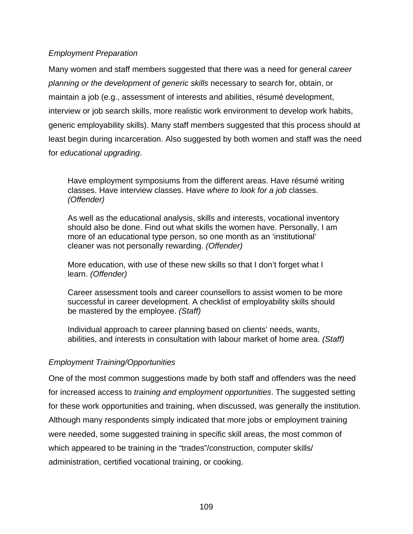# *Employment Preparation*

Many women and staff members suggested that there was a need for general *career planning or the development of generic skills* necessary to search for, obtain, or maintain a job (e.g., assessment of interests and abilities, résumé development, interview or job search skills, more realistic work environment to develop work habits, generic employability skills). Many staff members suggested that this process should at least begin during incarceration. Also suggested by both women and staff was the need for *educational upgrading*.

Have employment symposiums from the different areas. Have résumé writing classes. Have interview classes. Have *where to look for a job* classes. *(Offender)* 

As well as the educational analysis, skills and interests, vocational inventory should also be done. Find out what skills the women have. Personally, I am more of an educational type person, so one month as an 'institutional' cleaner was not personally rewarding. *(Offender)* 

More education, with use of these new skills so that I don't forget what I learn. *(Offender)* 

Career assessment tools and career counsellors to assist women to be more successful in career development. A checklist of employability skills should be mastered by the employee. *(Staff)* 

Individual approach to career planning based on clients' needs, wants, abilities, and interests in consultation with labour market of home area. *(Staff)* 

# *Employment Training/Opportunities*

One of the most common suggestions made by both staff and offenders was the need for increased access to *training and employment opportunities*. The suggested setting for these work opportunities and training, when discussed, was generally the institution. Although many respondents simply indicated that more jobs or employment training were needed, some suggested training in specific skill areas, the most common of which appeared to be training in the "trades"/construction, computer skills/ administration, certified vocational training, or cooking.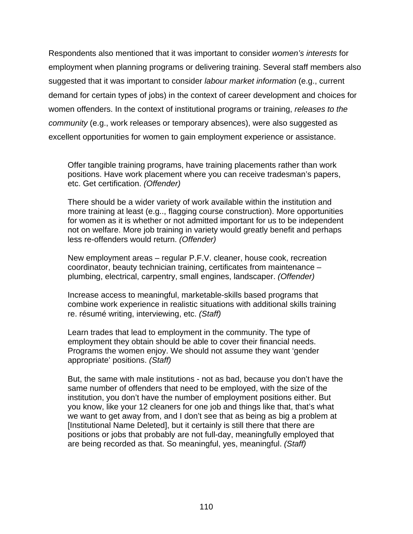Respondents also mentioned that it was important to consider *women's interests* for employment when planning programs or delivering training. Several staff members also suggested that it was important to consider *labour market information* (e.g., current demand for certain types of jobs) in the context of career development and choices for women offenders. In the context of institutional programs or training, *releases to the community* (e.g., work releases or temporary absences), were also suggested as excellent opportunities for women to gain employment experience or assistance.

Offer tangible training programs, have training placements rather than work positions. Have work placement where you can receive tradesman's papers, etc. Get certification. *(Offender)* 

There should be a wider variety of work available within the institution and more training at least (e.g.., flagging course construction). More opportunities for women as it is whether or not admitted important for us to be independent not on welfare. More job training in variety would greatly benefit and perhaps less re-offenders would return. *(Offender)* 

New employment areas – regular P.F.V. cleaner, house cook, recreation coordinator, beauty technician training, certificates from maintenance – plumbing, electrical, carpentry, small engines, landscaper. *(Offender)* 

Increase access to meaningful, marketable-skills based programs that combine work experience in realistic situations with additional skills training re. résumé writing, interviewing, etc. *(Staff)* 

Learn trades that lead to employment in the community. The type of employment they obtain should be able to cover their financial needs. Programs the women enjoy. We should not assume they want 'gender appropriate' positions. *(Staff)* 

But, the same with male institutions - not as bad, because you don't have the same number of offenders that need to be employed, with the size of the institution, you don't have the number of employment positions either. But you know, like your 12 cleaners for one job and things like that, that's what we want to get away from, and I don't see that as being as big a problem at [Institutional Name Deleted], but it certainly is still there that there are positions or jobs that probably are not full-day, meaningfully employed that are being recorded as that. So meaningful, yes, meaningful. *(Staff)*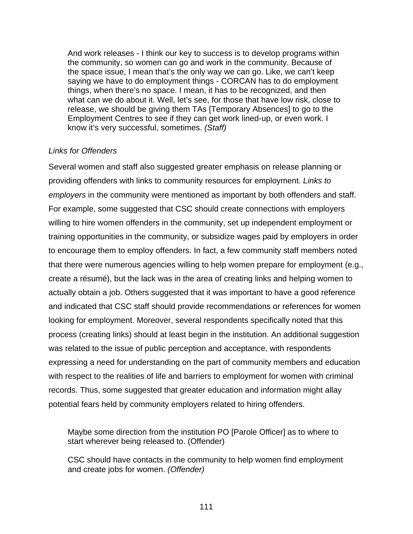And work releases - I think our key to success is to develop programs within the community, so women can go and work in the community. Because of the space issue, I mean that's the only way we can go. Like, we can't keep saying we have to do employment things - CORCAN has to do employment things, when there's no space. I mean, it has to be recognized, and then what can we do about it. Well, let's see, for those that have low risk, close to release, we should be giving them TAs [Temporary Absences] to go to the Employment Centres to see if they can get work lined-up, or even work. I know it's very successful, sometimes. *(Staff)* 

### *Links for Offenders*

Several women and staff also suggested greater emphasis on release planning or providing offenders with links to community resources for employment. *Links to employers* in the community were mentioned as important by both offenders and staff. For example, some suggested that CSC should create connections with employers willing to hire women offenders in the community, set up independent employment or training opportunities in the community, or subsidize wages paid by employers in order to encourage them to employ offenders. In fact, a few community staff members noted that there were numerous agencies willing to help women prepare for employment (e.g., create a résumé), but the lack was in the area of creating links and helping women to actually obtain a job. Others suggested that it was important to have a good reference and indicated that CSC staff should provide recommendations or references for women looking for employment. Moreover, several respondents specifically noted that this process (creating links) should at least begin in the institution. An additional suggestion was related to the issue of public perception and acceptance, with respondents expressing a need for understanding on the part of community members and education with respect to the realities of life and barriers to employment for women with criminal records. Thus, some suggested that greater education and information might allay potential fears held by community employers related to hiring offenders.

Maybe some direction from the institution PO [Parole Officer] as to where to start wherever being released to. (Offender)

CSC should have contacts in the community to help women find employment and create jobs for women. *(Offender)*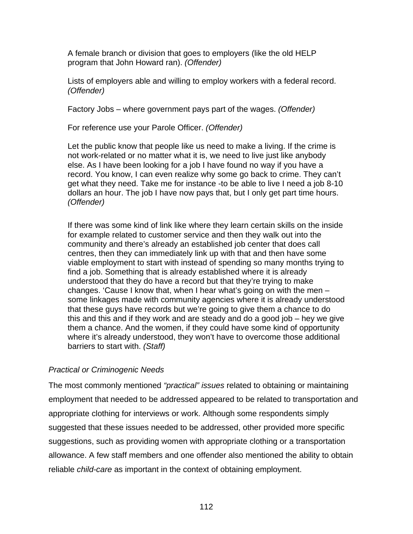A female branch or division that goes to employers (like the old HELP program that John Howard ran). *(Offender)*

Lists of employers able and willing to employ workers with a federal record. *(Offender)* 

Factory Jobs – where government pays part of the wages. *(Offender)* 

For reference use your Parole Officer. *(Offender)* 

Let the public know that people like us need to make a living. If the crime is not work-related or no matter what it is, we need to live just like anybody else. As I have been looking for a job I have found no way if you have a record. You know, I can even realize why some go back to crime. They can't get what they need. Take me for instance -to be able to live I need a job 8-10 dollars an hour. The job I have now pays that, but I only get part time hours. *(Offender)* 

If there was some kind of link like where they learn certain skills on the inside for example related to customer service and then they walk out into the community and there's already an established job center that does call centres, then they can immediately link up with that and then have some viable employment to start with instead of spending so many months trying to find a job. Something that is already established where it is already understood that they do have a record but that they're trying to make changes. 'Cause I know that, when I hear what's going on with the men – some linkages made with community agencies where it is already understood that these guys have records but we're going to give them a chance to do this and this and if they work and are steady and do a good job – hey we give them a chance. And the women, if they could have some kind of opportunity where it's already understood, they won't have to overcome those additional barriers to start with. *(Staff)* 

### *Practical or Criminogenic Needs*

The most commonly mentioned *"practical" issues* related to obtaining or maintaining employment that needed to be addressed appeared to be related to transportation and appropriate clothing for interviews or work. Although some respondents simply suggested that these issues needed to be addressed, other provided more specific suggestions, such as providing women with appropriate clothing or a transportation allowance. A few staff members and one offender also mentioned the ability to obtain reliable *child-care* as important in the context of obtaining employment.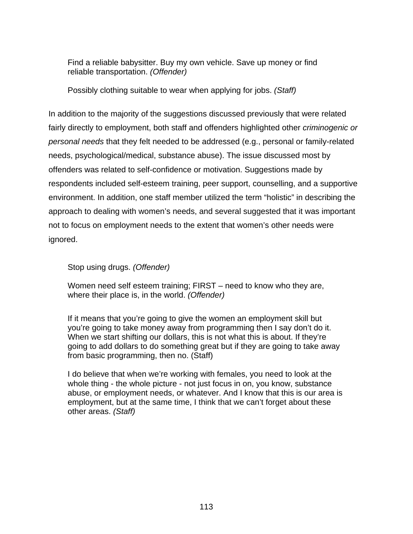Find a reliable babysitter. Buy my own vehicle. Save up money or find reliable transportation. *(Offender)*

Possibly clothing suitable to wear when applying for jobs. *(Staff)* 

In addition to the majority of the suggestions discussed previously that were related fairly directly to employment, both staff and offenders highlighted other *criminogenic or personal needs* that they felt needed to be addressed (e.g., personal or family-related needs, psychological/medical, substance abuse). The issue discussed most by offenders was related to self-confidence or motivation. Suggestions made by respondents included self-esteem training, peer support, counselling, and a supportive environment. In addition, one staff member utilized the term "holistic" in describing the approach to dealing with women's needs, and several suggested that it was important not to focus on employment needs to the extent that women's other needs were ignored.

Stop using drugs. *(Offender)*

Women need self esteem training; FIRST – need to know who they are, where their place is, in the world. *(Offender)* 

If it means that you're going to give the women an employment skill but you're going to take money away from programming then I say don't do it. When we start shifting our dollars, this is not what this is about. If they're going to add dollars to do something great but if they are going to take away from basic programming, then no. (Staff)

I do believe that when we're working with females, you need to look at the whole thing - the whole picture - not just focus in on, you know, substance abuse, or employment needs, or whatever. And I know that this is our area is employment, but at the same time, I think that we can't forget about these other areas. *(Staff)*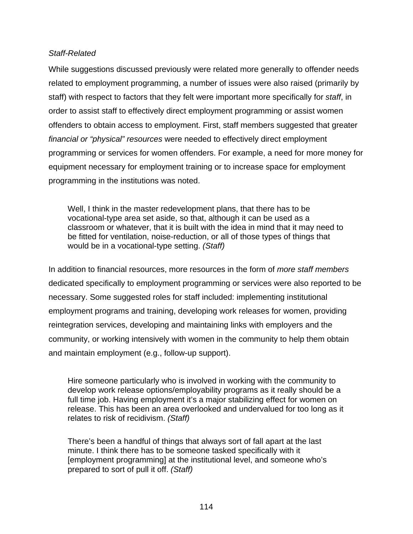### *Staff-Related*

While suggestions discussed previously were related more generally to offender needs related to employment programming, a number of issues were also raised (primarily by staff) with respect to factors that they felt were important more specifically for *staff*, in order to assist staff to effectively direct employment programming or assist women offenders to obtain access to employment. First, staff members suggested that greater *financial or "physical" resources* were needed to effectively direct employment programming or services for women offenders. For example, a need for more money for equipment necessary for employment training or to increase space for employment programming in the institutions was noted.

Well, I think in the master redevelopment plans, that there has to be vocational-type area set aside, so that, although it can be used as a classroom or whatever, that it is built with the idea in mind that it may need to be fitted for ventilation, noise-reduction, or all of those types of things that would be in a vocational-type setting. *(Staff)* 

In addition to financial resources, more resources in the form of *more staff members* dedicated specifically to employment programming or services were also reported to be necessary. Some suggested roles for staff included: implementing institutional employment programs and training, developing work releases for women, providing reintegration services, developing and maintaining links with employers and the community, or working intensively with women in the community to help them obtain and maintain employment (e.g., follow-up support).

Hire someone particularly who is involved in working with the community to develop work release options/employability programs as it really should be a full time job. Having employment it's a major stabilizing effect for women on release. This has been an area overlooked and undervalued for too long as it relates to risk of recidivism. *(Staff)* 

There's been a handful of things that always sort of fall apart at the last minute. I think there has to be someone tasked specifically with it [employment programming] at the institutional level, and someone who's prepared to sort of pull it off. *(Staff)*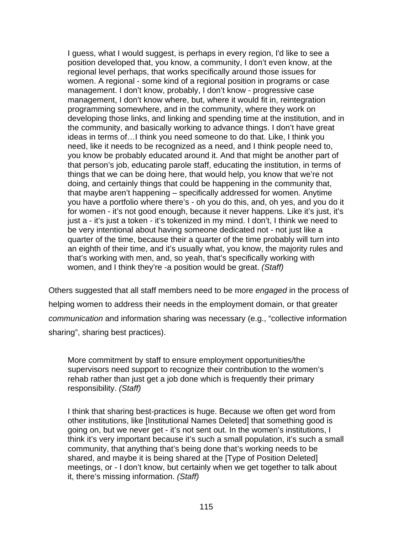I guess, what I would suggest, is perhaps in every region, I'd like to see a position developed that, you know, a community, I don't even know, at the regional level perhaps, that works specifically around those issues for women. A regional - some kind of a regional position in programs or case management. I don't know, probably, I don't know - progressive case management, I don't know where, but, where it would fit in, reintegration programming somewhere, and in the community, where they work on developing those links, and linking and spending time at the institution, and in the community, and basically working to advance things. I don't have great ideas in terms of…I think you need someone to do that. Like, I think you need, like it needs to be recognized as a need, and I think people need to, you know be probably educated around it. And that might be another part of that person's job, educating parole staff, educating the institution, in terms of things that we can be doing here, that would help, you know that we're not doing, and certainly things that could be happening in the community that, that maybe aren't happening – specifically addressed for women. Anytime you have a portfolio where there's - oh you do this, and, oh yes, and you do it for women - it's not good enough, because it never happens. Like it's just, it's just a - it's just a token - it's tokenized in my mind. I don't, I think we need to be very intentional about having someone dedicated not - not just like a quarter of the time, because their a quarter of the time probably will turn into an eighth of their time, and it's usually what, you know, the majority rules and that's working with men, and, so yeah, that's specifically working with women, and I think they're -a position would be great. *(Staff)* 

Others suggested that all staff members need to be more *engaged* in the process of helping women to address their needs in the employment domain, or that greater *communication* and information sharing was necessary (e.g., "collective information sharing", sharing best practices).

More commitment by staff to ensure employment opportunities/the supervisors need support to recognize their contribution to the women's rehab rather than just get a job done which is frequently their primary responsibility. *(Staff)* 

I think that sharing best-practices is huge. Because we often get word from other institutions, like [Institutional Names Deleted] that something good is going on, but we never get - it's not sent out. In the women's institutions, I think it's very important because it's such a small population, it's such a small community, that anything that's being done that's working needs to be shared, and maybe it is being shared at the [Type of Position Deleted] meetings, or - I don't know, but certainly when we get together to talk about it, there's missing information. *(Staff)*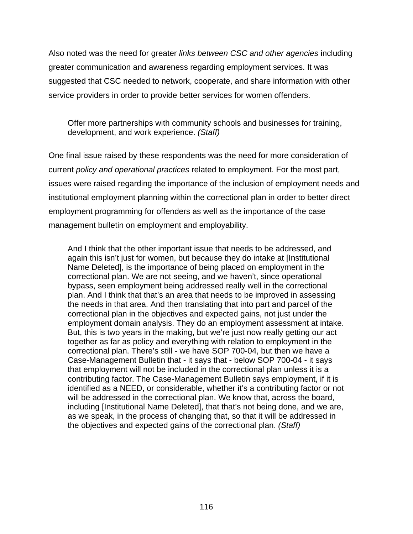Also noted was the need for greater *links between CSC and other agencies* including greater communication and awareness regarding employment services. It was suggested that CSC needed to network, cooperate, and share information with other service providers in order to provide better services for women offenders.

Offer more partnerships with community schools and businesses for training, development, and work experience. *(Staff)* 

One final issue raised by these respondents was the need for more consideration of current *policy and operational practices* related to employment. For the most part, issues were raised regarding the importance of the inclusion of employment needs and institutional employment planning within the correctional plan in order to better direct employment programming for offenders as well as the importance of the case management bulletin on employment and employability.

And I think that the other important issue that needs to be addressed, and again this isn't just for women, but because they do intake at [Institutional Name Deleted], is the importance of being placed on employment in the correctional plan. We are not seeing, and we haven't, since operational bypass, seen employment being addressed really well in the correctional plan. And I think that that's an area that needs to be improved in assessing the needs in that area. And then translating that into part and parcel of the correctional plan in the objectives and expected gains, not just under the employment domain analysis. They do an employment assessment at intake. But, this is two years in the making, but we're just now really getting our act together as far as policy and everything with relation to employment in the correctional plan. There's still - we have SOP 700-04, but then we have a Case-Management Bulletin that - it says that - below SOP 700-04 - it says that employment will not be included in the correctional plan unless it is a contributing factor. The Case-Management Bulletin says employment, if it is identified as a NEED, or considerable, whether it's a contributing factor or not will be addressed in the correctional plan. We know that, across the board, including [Institutional Name Deleted], that that's not being done, and we are, as we speak, in the process of changing that, so that it will be addressed in the objectives and expected gains of the correctional plan. *(Staff)*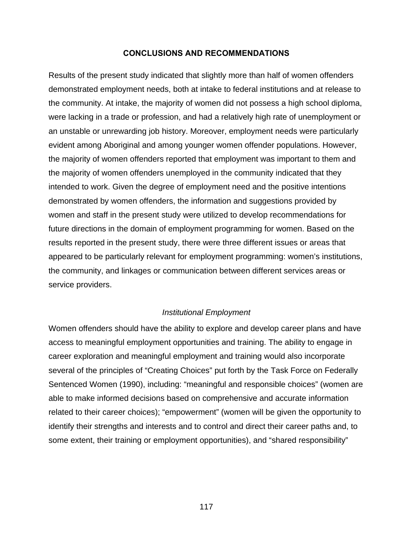### **CONCLUSIONS AND RECOMMENDATIONS**

Results of the present study indicated that slightly more than half of women offenders demonstrated employment needs, both at intake to federal institutions and at release to the community. At intake, the majority of women did not possess a high school diploma, were lacking in a trade or profession, and had a relatively high rate of unemployment or an unstable or unrewarding job history. Moreover, employment needs were particularly evident among Aboriginal and among younger women offender populations. However, the majority of women offenders reported that employment was important to them and the majority of women offenders unemployed in the community indicated that they intended to work. Given the degree of employment need and the positive intentions demonstrated by women offenders, the information and suggestions provided by women and staff in the present study were utilized to develop recommendations for future directions in the domain of employment programming for women. Based on the results reported in the present study, there were three different issues or areas that appeared to be particularly relevant for employment programming: women's institutions, the community, and linkages or communication between different services areas or service providers.

### *Institutional Employment*

Women offenders should have the ability to explore and develop career plans and have access to meaningful employment opportunities and training. The ability to engage in career exploration and meaningful employment and training would also incorporate several of the principles of "Creating Choices" put forth by the Task Force on Federally Sentenced Women (1990), including: "meaningful and responsible choices" (women are able to make informed decisions based on comprehensive and accurate information related to their career choices); "empowerment" (women will be given the opportunity to identify their strengths and interests and to control and direct their career paths and, to some extent, their training or employment opportunities), and "shared responsibility"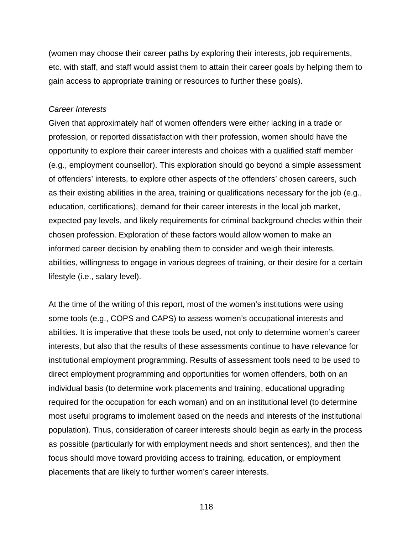(women may choose their career paths by exploring their interests, job requirements, etc. with staff, and staff would assist them to attain their career goals by helping them to gain access to appropriate training or resources to further these goals).

#### *Career Interests*

Given that approximately half of women offenders were either lacking in a trade or profession, or reported dissatisfaction with their profession, women should have the opportunity to explore their career interests and choices with a qualified staff member (e.g., employment counsellor). This exploration should go beyond a simple assessment of offenders' interests, to explore other aspects of the offenders' chosen careers, such as their existing abilities in the area, training or qualifications necessary for the job (e.g., education, certifications), demand for their career interests in the local job market, expected pay levels, and likely requirements for criminal background checks within their chosen profession. Exploration of these factors would allow women to make an informed career decision by enabling them to consider and weigh their interests, abilities, willingness to engage in various degrees of training, or their desire for a certain lifestyle (i.e., salary level).

At the time of the writing of this report, most of the women's institutions were using some tools (e.g., COPS and CAPS) to assess women's occupational interests and abilities. It is imperative that these tools be used, not only to determine women's career interests, but also that the results of these assessments continue to have relevance for institutional employment programming. Results of assessment tools need to be used to direct employment programming and opportunities for women offenders, both on an individual basis (to determine work placements and training, educational upgrading required for the occupation for each woman) and on an institutional level (to determine most useful programs to implement based on the needs and interests of the institutional population). Thus, consideration of career interests should begin as early in the process as possible (particularly for with employment needs and short sentences), and then the focus should move toward providing access to training, education, or employment placements that are likely to further women's career interests.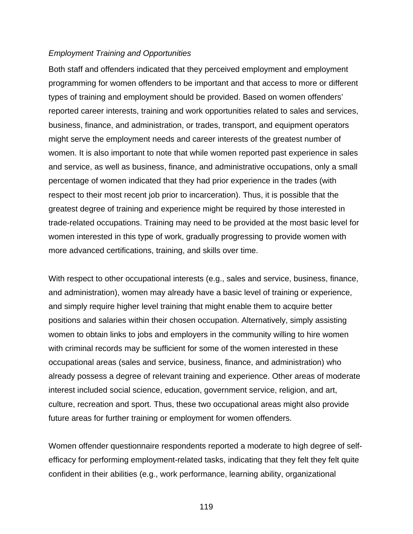### *Employment Training and Opportunities*

Both staff and offenders indicated that they perceived employment and employment programming for women offenders to be important and that access to more or different types of training and employment should be provided. Based on women offenders' reported career interests, training and work opportunities related to sales and services, business, finance, and administration, or trades, transport, and equipment operators might serve the employment needs and career interests of the greatest number of women. It is also important to note that while women reported past experience in sales and service, as well as business, finance, and administrative occupations, only a small percentage of women indicated that they had prior experience in the trades (with respect to their most recent job prior to incarceration). Thus, it is possible that the greatest degree of training and experience might be required by those interested in trade-related occupations. Training may need to be provided at the most basic level for women interested in this type of work, gradually progressing to provide women with more advanced certifications, training, and skills over time.

With respect to other occupational interests (e.g., sales and service, business, finance, and administration), women may already have a basic level of training or experience, and simply require higher level training that might enable them to acquire better positions and salaries within their chosen occupation. Alternatively, simply assisting women to obtain links to jobs and employers in the community willing to hire women with criminal records may be sufficient for some of the women interested in these occupational areas (sales and service, business, finance, and administration) who already possess a degree of relevant training and experience. Other areas of moderate interest included social science, education, government service, religion, and art, culture, recreation and sport. Thus, these two occupational areas might also provide future areas for further training or employment for women offenders.

Women offender questionnaire respondents reported a moderate to high degree of selfefficacy for performing employment-related tasks, indicating that they felt they felt quite confident in their abilities (e.g., work performance, learning ability, organizational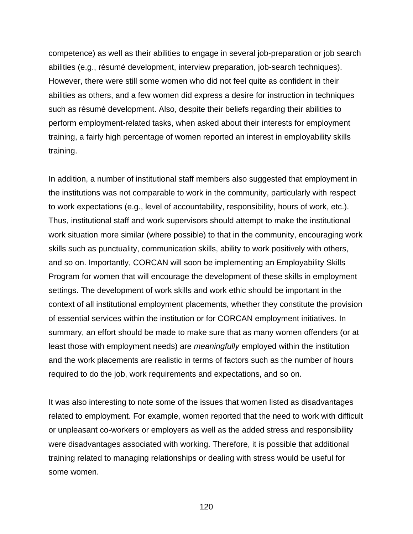competence) as well as their abilities to engage in several job-preparation or job search abilities (e.g., résumé development, interview preparation, job-search techniques). However, there were still some women who did not feel quite as confident in their abilities as others, and a few women did express a desire for instruction in techniques such as résumé development. Also, despite their beliefs regarding their abilities to perform employment-related tasks, when asked about their interests for employment training, a fairly high percentage of women reported an interest in employability skills training.

In addition, a number of institutional staff members also suggested that employment in the institutions was not comparable to work in the community, particularly with respect to work expectations (e.g., level of accountability, responsibility, hours of work, etc.). Thus, institutional staff and work supervisors should attempt to make the institutional work situation more similar (where possible) to that in the community, encouraging work skills such as punctuality, communication skills, ability to work positively with others, and so on. Importantly, CORCAN will soon be implementing an Employability Skills Program for women that will encourage the development of these skills in employment settings. The development of work skills and work ethic should be important in the context of all institutional employment placements, whether they constitute the provision of essential services within the institution or for CORCAN employment initiatives. In summary, an effort should be made to make sure that as many women offenders (or at least those with employment needs) are *meaningfully* employed within the institution and the work placements are realistic in terms of factors such as the number of hours required to do the job, work requirements and expectations, and so on.

It was also interesting to note some of the issues that women listed as disadvantages related to employment. For example, women reported that the need to work with difficult or unpleasant co-workers or employers as well as the added stress and responsibility were disadvantages associated with working. Therefore, it is possible that additional training related to managing relationships or dealing with stress would be useful for some women.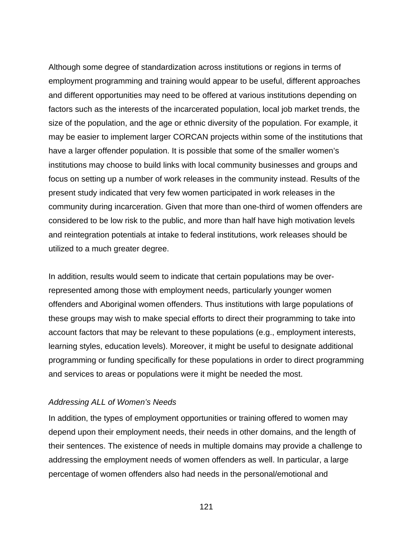Although some degree of standardization across institutions or regions in terms of employment programming and training would appear to be useful, different approaches and different opportunities may need to be offered at various institutions depending on factors such as the interests of the incarcerated population, local job market trends, the size of the population, and the age or ethnic diversity of the population. For example, it may be easier to implement larger CORCAN projects within some of the institutions that have a larger offender population. It is possible that some of the smaller women's institutions may choose to build links with local community businesses and groups and focus on setting up a number of work releases in the community instead. Results of the present study indicated that very few women participated in work releases in the community during incarceration. Given that more than one-third of women offenders are considered to be low risk to the public, and more than half have high motivation levels and reintegration potentials at intake to federal institutions, work releases should be utilized to a much greater degree.

In addition, results would seem to indicate that certain populations may be overrepresented among those with employment needs, particularly younger women offenders and Aboriginal women offenders. Thus institutions with large populations of these groups may wish to make special efforts to direct their programming to take into account factors that may be relevant to these populations (e.g., employment interests, learning styles, education levels). Moreover, it might be useful to designate additional programming or funding specifically for these populations in order to direct programming and services to areas or populations were it might be needed the most.

#### *Addressing ALL of Women's Needs*

In addition, the types of employment opportunities or training offered to women may depend upon their employment needs, their needs in other domains, and the length of their sentences. The existence of needs in multiple domains may provide a challenge to addressing the employment needs of women offenders as well. In particular, a large percentage of women offenders also had needs in the personal/emotional and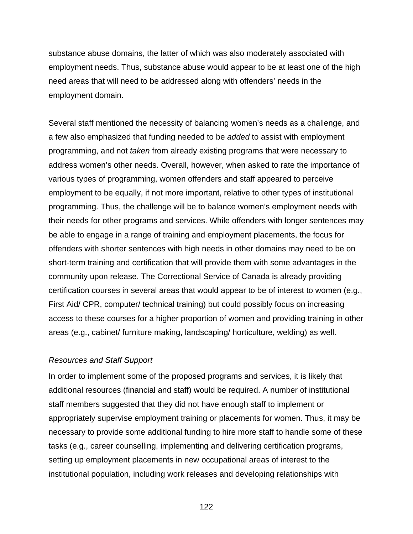substance abuse domains, the latter of which was also moderately associated with employment needs. Thus, substance abuse would appear to be at least one of the high need areas that will need to be addressed along with offenders' needs in the employment domain.

Several staff mentioned the necessity of balancing women's needs as a challenge, and a few also emphasized that funding needed to be *added* to assist with employment programming, and not *taken* from already existing programs that were necessary to address women's other needs. Overall, however, when asked to rate the importance of various types of programming, women offenders and staff appeared to perceive employment to be equally, if not more important, relative to other types of institutional programming. Thus, the challenge will be to balance women's employment needs with their needs for other programs and services. While offenders with longer sentences may be able to engage in a range of training and employment placements, the focus for offenders with shorter sentences with high needs in other domains may need to be on short-term training and certification that will provide them with some advantages in the community upon release. The Correctional Service of Canada is already providing certification courses in several areas that would appear to be of interest to women (e.g., First Aid/ CPR, computer/ technical training) but could possibly focus on increasing access to these courses for a higher proportion of women and providing training in other areas (e.g., cabinet/ furniture making, landscaping/ horticulture, welding) as well.

#### *Resources and Staff Support*

In order to implement some of the proposed programs and services, it is likely that additional resources (financial and staff) would be required. A number of institutional staff members suggested that they did not have enough staff to implement or appropriately supervise employment training or placements for women. Thus, it may be necessary to provide some additional funding to hire more staff to handle some of these tasks (e.g., career counselling, implementing and delivering certification programs, setting up employment placements in new occupational areas of interest to the institutional population, including work releases and developing relationships with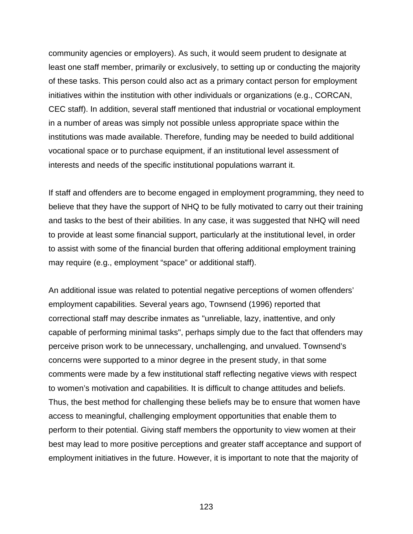community agencies or employers). As such, it would seem prudent to designate at least one staff member, primarily or exclusively, to setting up or conducting the majority of these tasks. This person could also act as a primary contact person for employment initiatives within the institution with other individuals or organizations (e.g., CORCAN, CEC staff). In addition, several staff mentioned that industrial or vocational employment in a number of areas was simply not possible unless appropriate space within the institutions was made available. Therefore, funding may be needed to build additional vocational space or to purchase equipment, if an institutional level assessment of interests and needs of the specific institutional populations warrant it.

If staff and offenders are to become engaged in employment programming, they need to believe that they have the support of NHQ to be fully motivated to carry out their training and tasks to the best of their abilities. In any case, it was suggested that NHQ will need to provide at least some financial support, particularly at the institutional level, in order to assist with some of the financial burden that offering additional employment training may require (e.g., employment "space" or additional staff).

An additional issue was related to potential negative perceptions of women offenders' employment capabilities. Several years ago, Townsend (1996) reported that correctional staff may describe inmates as "unreliable, lazy, inattentive, and only capable of performing minimal tasks", perhaps simply due to the fact that offenders may perceive prison work to be unnecessary, unchallenging, and unvalued. Townsend's concerns were supported to a minor degree in the present study, in that some comments were made by a few institutional staff reflecting negative views with respect to women's motivation and capabilities. It is difficult to change attitudes and beliefs. Thus, the best method for challenging these beliefs may be to ensure that women have access to meaningful, challenging employment opportunities that enable them to perform to their potential. Giving staff members the opportunity to view women at their best may lead to more positive perceptions and greater staff acceptance and support of employment initiatives in the future. However, it is important to note that the majority of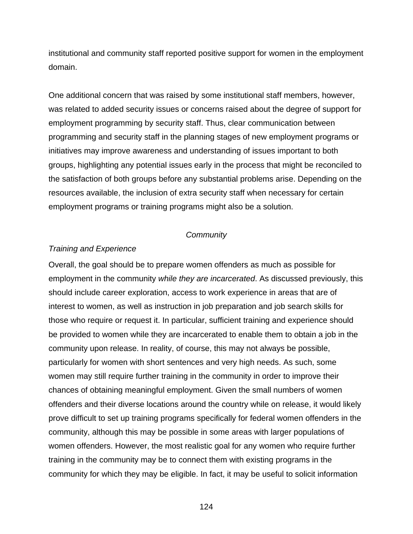institutional and community staff reported positive support for women in the employment domain.

One additional concern that was raised by some institutional staff members, however, was related to added security issues or concerns raised about the degree of support for employment programming by security staff. Thus, clear communication between programming and security staff in the planning stages of new employment programs or initiatives may improve awareness and understanding of issues important to both groups, highlighting any potential issues early in the process that might be reconciled to the satisfaction of both groups before any substantial problems arise. Depending on the resources available, the inclusion of extra security staff when necessary for certain employment programs or training programs might also be a solution.

#### *Community*

### *Training and Experience*

Overall, the goal should be to prepare women offenders as much as possible for employment in the community *while they are incarcerated*. As discussed previously, this should include career exploration, access to work experience in areas that are of interest to women, as well as instruction in job preparation and job search skills for those who require or request it. In particular, sufficient training and experience should be provided to women while they are incarcerated to enable them to obtain a job in the community upon release. In reality, of course, this may not always be possible, particularly for women with short sentences and very high needs. As such, some women may still require further training in the community in order to improve their chances of obtaining meaningful employment. Given the small numbers of women offenders and their diverse locations around the country while on release, it would likely prove difficult to set up training programs specifically for federal women offenders in the community, although this may be possible in some areas with larger populations of women offenders. However, the most realistic goal for any women who require further training in the community may be to connect them with existing programs in the community for which they may be eligible. In fact, it may be useful to solicit information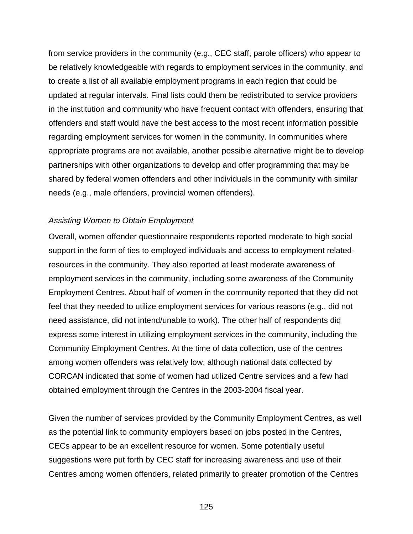from service providers in the community (e.g., CEC staff, parole officers) who appear to be relatively knowledgeable with regards to employment services in the community, and to create a list of all available employment programs in each region that could be updated at regular intervals. Final lists could them be redistributed to service providers in the institution and community who have frequent contact with offenders, ensuring that offenders and staff would have the best access to the most recent information possible regarding employment services for women in the community. In communities where appropriate programs are not available, another possible alternative might be to develop partnerships with other organizations to develop and offer programming that may be shared by federal women offenders and other individuals in the community with similar needs (e.g., male offenders, provincial women offenders).

### *Assisting Women to Obtain Employment*

Overall, women offender questionnaire respondents reported moderate to high social support in the form of ties to employed individuals and access to employment relatedresources in the community. They also reported at least moderate awareness of employment services in the community, including some awareness of the Community Employment Centres. About half of women in the community reported that they did not feel that they needed to utilize employment services for various reasons (e.g., did not need assistance, did not intend/unable to work). The other half of respondents did express some interest in utilizing employment services in the community, including the Community Employment Centres. At the time of data collection, use of the centres among women offenders was relatively low, although national data collected by CORCAN indicated that some of women had utilized Centre services and a few had obtained employment through the Centres in the 2003-2004 fiscal year.

Given the number of services provided by the Community Employment Centres, as well as the potential link to community employers based on jobs posted in the Centres, CECs appear to be an excellent resource for women. Some potentially useful suggestions were put forth by CEC staff for increasing awareness and use of their Centres among women offenders, related primarily to greater promotion of the Centres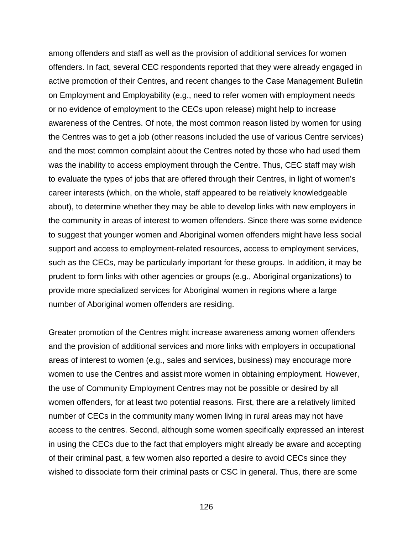among offenders and staff as well as the provision of additional services for women offenders. In fact, several CEC respondents reported that they were already engaged in active promotion of their Centres, and recent changes to the Case Management Bulletin on Employment and Employability (e.g., need to refer women with employment needs or no evidence of employment to the CECs upon release) might help to increase awareness of the Centres. Of note, the most common reason listed by women for using the Centres was to get a job (other reasons included the use of various Centre services) and the most common complaint about the Centres noted by those who had used them was the inability to access employment through the Centre. Thus, CEC staff may wish to evaluate the types of jobs that are offered through their Centres, in light of women's career interests (which, on the whole, staff appeared to be relatively knowledgeable about), to determine whether they may be able to develop links with new employers in the community in areas of interest to women offenders. Since there was some evidence to suggest that younger women and Aboriginal women offenders might have less social support and access to employment-related resources, access to employment services, such as the CECs, may be particularly important for these groups. In addition, it may be prudent to form links with other agencies or groups (e.g., Aboriginal organizations) to provide more specialized services for Aboriginal women in regions where a large number of Aboriginal women offenders are residing.

Greater promotion of the Centres might increase awareness among women offenders and the provision of additional services and more links with employers in occupational areas of interest to women (e.g., sales and services, business) may encourage more women to use the Centres and assist more women in obtaining employment. However, the use of Community Employment Centres may not be possible or desired by all women offenders, for at least two potential reasons. First, there are a relatively limited number of CECs in the community many women living in rural areas may not have access to the centres. Second, although some women specifically expressed an interest in using the CECs due to the fact that employers might already be aware and accepting of their criminal past, a few women also reported a desire to avoid CECs since they wished to dissociate form their criminal pasts or CSC in general. Thus, there are some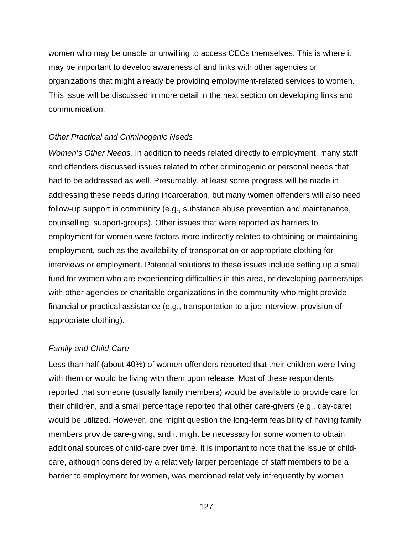women who may be unable or unwilling to access CECs themselves. This is where it may be important to develop awareness of and links with other agencies or organizations that might already be providing employment-related services to women. This issue will be discussed in more detail in the next section on developing links and communication.

### *Other Practical and Criminogenic Needs*

*Women's Other Needs.* In addition to needs related directly to employment, many staff and offenders discussed issues related to other criminogenic or personal needs that had to be addressed as well. Presumably, at least some progress will be made in addressing these needs during incarceration, but many women offenders will also need follow-up support in community (e.g., substance abuse prevention and maintenance, counselling, support-groups). Other issues that were reported as barriers to employment for women were factors more indirectly related to obtaining or maintaining employment, such as the availability of transportation or appropriate clothing for interviews or employment. Potential solutions to these issues include setting up a small fund for women who are experiencing difficulties in this area, or developing partnerships with other agencies or charitable organizations in the community who might provide financial or practical assistance (e.g., transportation to a job interview, provision of appropriate clothing).

#### *Family and Child-Care*

Less than half (about 40%) of women offenders reported that their children were living with them or would be living with them upon release. Most of these respondents reported that someone (usually family members) would be available to provide care for their children, and a small percentage reported that other care-givers (e.g., day-care) would be utilized. However, one might question the long-term feasibility of having family members provide care-giving, and it might be necessary for some women to obtain additional sources of child-care over time. It is important to note that the issue of childcare, although considered by a relatively larger percentage of staff members to be a barrier to employment for women, was mentioned relatively infrequently by women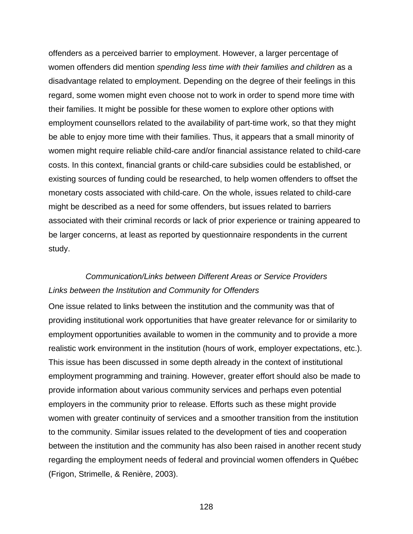offenders as a perceived barrier to employment. However, a larger percentage of women offenders did mention *spending less time with their families and children* as a disadvantage related to employment. Depending on the degree of their feelings in this regard, some women might even choose not to work in order to spend more time with their families. It might be possible for these women to explore other options with employment counsellors related to the availability of part-time work, so that they might be able to enjoy more time with their families. Thus, it appears that a small minority of women might require reliable child-care and/or financial assistance related to child-care costs. In this context, financial grants or child-care subsidies could be established, or existing sources of funding could be researched, to help women offenders to offset the monetary costs associated with child-care. On the whole, issues related to child-care might be described as a need for some offenders, but issues related to barriers associated with their criminal records or lack of prior experience or training appeared to be larger concerns, at least as reported by questionnaire respondents in the current study.

# *Communication/Links between Different Areas or Service Providers Links between the Institution and Community for Offenders*

One issue related to links between the institution and the community was that of providing institutional work opportunities that have greater relevance for or similarity to employment opportunities available to women in the community and to provide a more realistic work environment in the institution (hours of work, employer expectations, etc.). This issue has been discussed in some depth already in the context of institutional employment programming and training. However, greater effort should also be made to provide information about various community services and perhaps even potential employers in the community prior to release. Efforts such as these might provide women with greater continuity of services and a smoother transition from the institution to the community. Similar issues related to the development of ties and cooperation between the institution and the community has also been raised in another recent study regarding the employment needs of federal and provincial women offenders in Québec (Frigon, Strimelle, & Renière, 2003).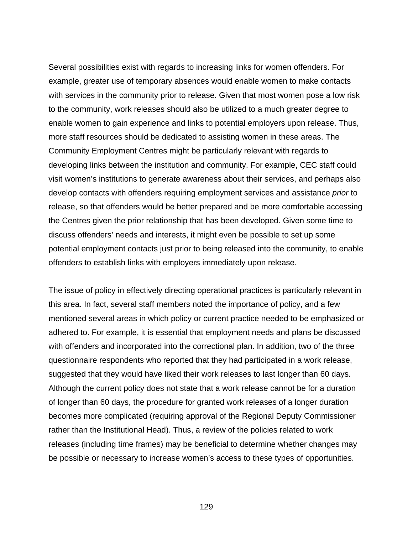Several possibilities exist with regards to increasing links for women offenders. For example, greater use of temporary absences would enable women to make contacts with services in the community prior to release. Given that most women pose a low risk to the community, work releases should also be utilized to a much greater degree to enable women to gain experience and links to potential employers upon release. Thus, more staff resources should be dedicated to assisting women in these areas. The Community Employment Centres might be particularly relevant with regards to developing links between the institution and community. For example, CEC staff could visit women's institutions to generate awareness about their services, and perhaps also develop contacts with offenders requiring employment services and assistance *prior* to release, so that offenders would be better prepared and be more comfortable accessing the Centres given the prior relationship that has been developed. Given some time to discuss offenders' needs and interests, it might even be possible to set up some potential employment contacts just prior to being released into the community, to enable offenders to establish links with employers immediately upon release.

The issue of policy in effectively directing operational practices is particularly relevant in this area. In fact, several staff members noted the importance of policy, and a few mentioned several areas in which policy or current practice needed to be emphasized or adhered to. For example, it is essential that employment needs and plans be discussed with offenders and incorporated into the correctional plan. In addition, two of the three questionnaire respondents who reported that they had participated in a work release, suggested that they would have liked their work releases to last longer than 60 days. Although the current policy does not state that a work release cannot be for a duration of longer than 60 days, the procedure for granted work releases of a longer duration becomes more complicated (requiring approval of the Regional Deputy Commissioner rather than the Institutional Head). Thus, a review of the policies related to work releases (including time frames) may be beneficial to determine whether changes may be possible or necessary to increase women's access to these types of opportunities.

129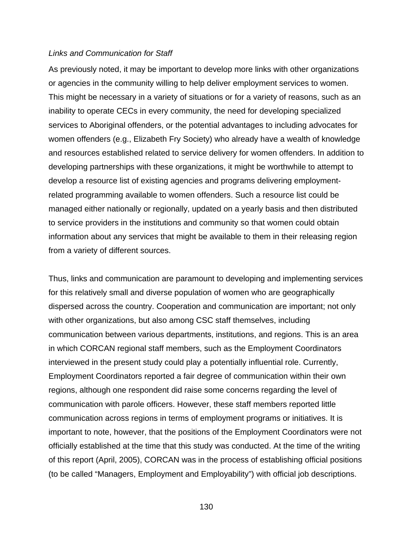### *Links and Communication for Staff*

As previously noted, it may be important to develop more links with other organizations or agencies in the community willing to help deliver employment services to women. This might be necessary in a variety of situations or for a variety of reasons, such as an inability to operate CECs in every community, the need for developing specialized services to Aboriginal offenders, or the potential advantages to including advocates for women offenders (e.g., Elizabeth Fry Society) who already have a wealth of knowledge and resources established related to service delivery for women offenders. In addition to developing partnerships with these organizations, it might be worthwhile to attempt to develop a resource list of existing agencies and programs delivering employmentrelated programming available to women offenders. Such a resource list could be managed either nationally or regionally, updated on a yearly basis and then distributed to service providers in the institutions and community so that women could obtain information about any services that might be available to them in their releasing region from a variety of different sources.

Thus, links and communication are paramount to developing and implementing services for this relatively small and diverse population of women who are geographically dispersed across the country. Cooperation and communication are important; not only with other organizations, but also among CSC staff themselves, including communication between various departments, institutions, and regions. This is an area in which CORCAN regional staff members, such as the Employment Coordinators interviewed in the present study could play a potentially influential role. Currently, Employment Coordinators reported a fair degree of communication within their own regions, although one respondent did raise some concerns regarding the level of communication with parole officers. However, these staff members reported little communication across regions in terms of employment programs or initiatives. It is important to note, however, that the positions of the Employment Coordinators were not officially established at the time that this study was conducted. At the time of the writing of this report (April, 2005), CORCAN was in the process of establishing official positions (to be called "Managers, Employment and Employability") with official job descriptions.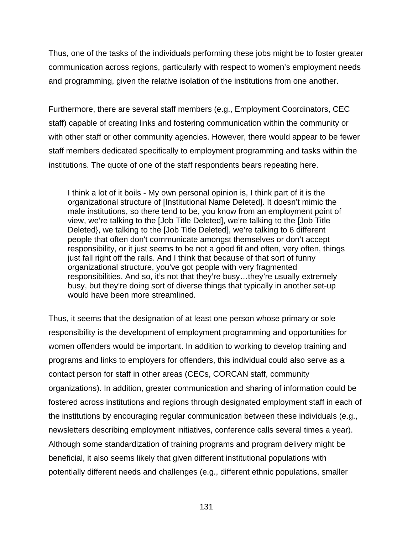Thus, one of the tasks of the individuals performing these jobs might be to foster greater communication across regions, particularly with respect to women's employment needs and programming, given the relative isolation of the institutions from one another.

Furthermore, there are several staff members (e.g., Employment Coordinators, CEC staff) capable of creating links and fostering communication within the community or with other staff or other community agencies. However, there would appear to be fewer staff members dedicated specifically to employment programming and tasks within the institutions. The quote of one of the staff respondents bears repeating here.

I think a lot of it boils - My own personal opinion is, I think part of it is the organizational structure of [Institutional Name Deleted]. It doesn't mimic the male institutions, so there tend to be, you know from an employment point of view, we're talking to the [Job Title Deleted], we're talking to the [Job Title Deleted}, we talking to the [Job Title Deleted], we're talking to 6 different people that often don't communicate amongst themselves or don't accept responsibility, or it just seems to be not a good fit and often, very often, things just fall right off the rails. And I think that because of that sort of funny organizational structure, you've got people with very fragmented responsibilities. And so, it's not that they're busy…they're usually extremely busy, but they're doing sort of diverse things that typically in another set-up would have been more streamlined.

Thus, it seems that the designation of at least one person whose primary or sole responsibility is the development of employment programming and opportunities for women offenders would be important. In addition to working to develop training and programs and links to employers for offenders, this individual could also serve as a contact person for staff in other areas (CECs, CORCAN staff, community organizations). In addition, greater communication and sharing of information could be fostered across institutions and regions through designated employment staff in each of the institutions by encouraging regular communication between these individuals (e.g., newsletters describing employment initiatives, conference calls several times a year). Although some standardization of training programs and program delivery might be beneficial, it also seems likely that given different institutional populations with potentially different needs and challenges (e.g., different ethnic populations, smaller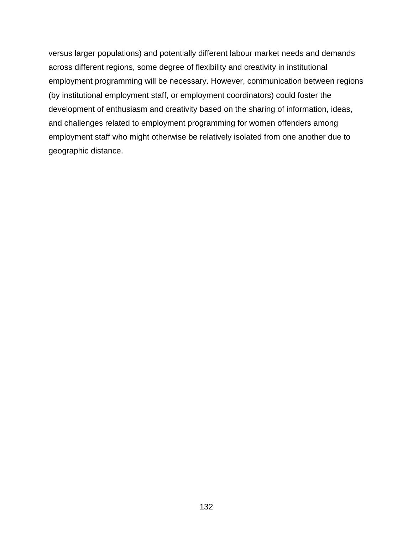versus larger populations) and potentially different labour market needs and demands across different regions, some degree of flexibility and creativity in institutional employment programming will be necessary. However, communication between regions (by institutional employment staff, or employment coordinators) could foster the development of enthusiasm and creativity based on the sharing of information, ideas, and challenges related to employment programming for women offenders among employment staff who might otherwise be relatively isolated from one another due to geographic distance.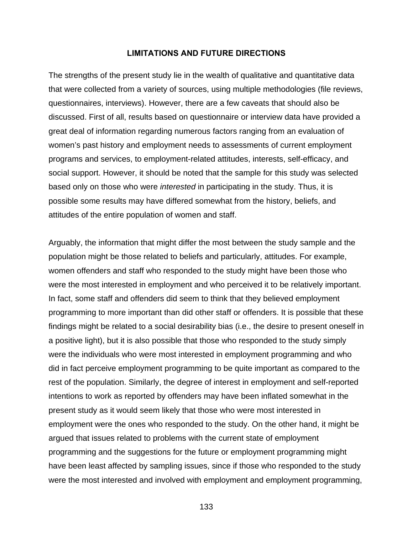### **LIMITATIONS AND FUTURE DIRECTIONS**

The strengths of the present study lie in the wealth of qualitative and quantitative data that were collected from a variety of sources, using multiple methodologies (file reviews, questionnaires, interviews). However, there are a few caveats that should also be discussed. First of all, results based on questionnaire or interview data have provided a great deal of information regarding numerous factors ranging from an evaluation of women's past history and employment needs to assessments of current employment programs and services, to employment-related attitudes, interests, self-efficacy, and social support. However, it should be noted that the sample for this study was selected based only on those who were *interested* in participating in the study. Thus, it is possible some results may have differed somewhat from the history, beliefs, and attitudes of the entire population of women and staff.

Arguably, the information that might differ the most between the study sample and the population might be those related to beliefs and particularly, attitudes. For example, women offenders and staff who responded to the study might have been those who were the most interested in employment and who perceived it to be relatively important. In fact, some staff and offenders did seem to think that they believed employment programming to more important than did other staff or offenders. It is possible that these findings might be related to a social desirability bias (i.e., the desire to present oneself in a positive light), but it is also possible that those who responded to the study simply were the individuals who were most interested in employment programming and who did in fact perceive employment programming to be quite important as compared to the rest of the population. Similarly, the degree of interest in employment and self-reported intentions to work as reported by offenders may have been inflated somewhat in the present study as it would seem likely that those who were most interested in employment were the ones who responded to the study. On the other hand, it might be argued that issues related to problems with the current state of employment programming and the suggestions for the future or employment programming might have been least affected by sampling issues, since if those who responded to the study were the most interested and involved with employment and employment programming,

133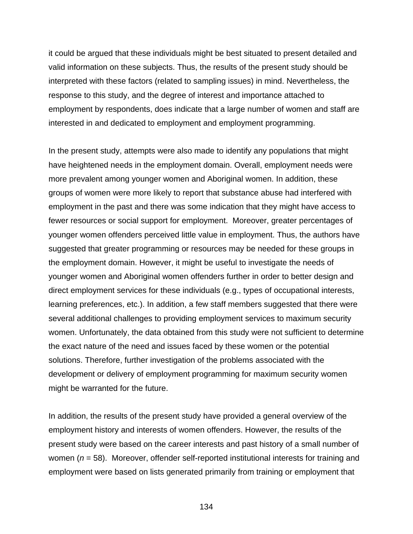it could be argued that these individuals might be best situated to present detailed and valid information on these subjects. Thus, the results of the present study should be interpreted with these factors (related to sampling issues) in mind. Nevertheless, the response to this study, and the degree of interest and importance attached to employment by respondents, does indicate that a large number of women and staff are interested in and dedicated to employment and employment programming.

In the present study, attempts were also made to identify any populations that might have heightened needs in the employment domain. Overall, employment needs were more prevalent among younger women and Aboriginal women. In addition, these groups of women were more likely to report that substance abuse had interfered with employment in the past and there was some indication that they might have access to fewer resources or social support for employment. Moreover, greater percentages of younger women offenders perceived little value in employment. Thus, the authors have suggested that greater programming or resources may be needed for these groups in the employment domain. However, it might be useful to investigate the needs of younger women and Aboriginal women offenders further in order to better design and direct employment services for these individuals (e.g., types of occupational interests, learning preferences, etc.). In addition, a few staff members suggested that there were several additional challenges to providing employment services to maximum security women. Unfortunately, the data obtained from this study were not sufficient to determine the exact nature of the need and issues faced by these women or the potential solutions. Therefore, further investigation of the problems associated with the development or delivery of employment programming for maximum security women might be warranted for the future.

In addition, the results of the present study have provided a general overview of the employment history and interests of women offenders. However, the results of the present study were based on the career interests and past history of a small number of women (*n* = 58). Moreover, offender self-reported institutional interests for training and employment were based on lists generated primarily from training or employment that

134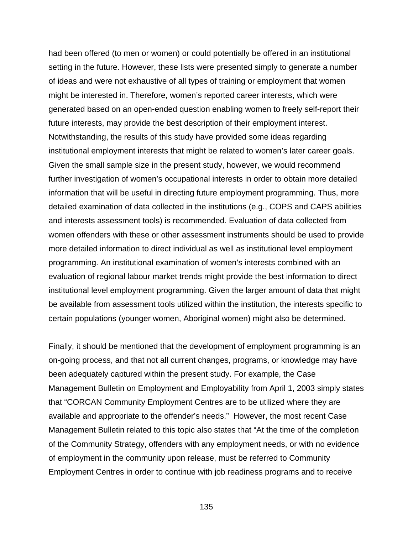had been offered (to men or women) or could potentially be offered in an institutional setting in the future. However, these lists were presented simply to generate a number of ideas and were not exhaustive of all types of training or employment that women might be interested in. Therefore, women's reported career interests, which were generated based on an open-ended question enabling women to freely self-report their future interests, may provide the best description of their employment interest. Notwithstanding, the results of this study have provided some ideas regarding institutional employment interests that might be related to women's later career goals. Given the small sample size in the present study, however, we would recommend further investigation of women's occupational interests in order to obtain more detailed information that will be useful in directing future employment programming. Thus, more detailed examination of data collected in the institutions (e.g., COPS and CAPS abilities and interests assessment tools) is recommended. Evaluation of data collected from women offenders with these or other assessment instruments should be used to provide more detailed information to direct individual as well as institutional level employment programming. An institutional examination of women's interests combined with an evaluation of regional labour market trends might provide the best information to direct institutional level employment programming. Given the larger amount of data that might be available from assessment tools utilized within the institution, the interests specific to certain populations (younger women, Aboriginal women) might also be determined.

Finally, it should be mentioned that the development of employment programming is an on-going process, and that not all current changes, programs, or knowledge may have been adequately captured within the present study. For example, the Case Management Bulletin on Employment and Employability from April 1, 2003 simply states that "CORCAN Community Employment Centres are to be utilized where they are available and appropriate to the offender's needs." However, the most recent Case Management Bulletin related to this topic also states that "At the time of the completion of the Community Strategy, offenders with any employment needs, or with no evidence of employment in the community upon release, must be referred to Community Employment Centres in order to continue with job readiness programs and to receive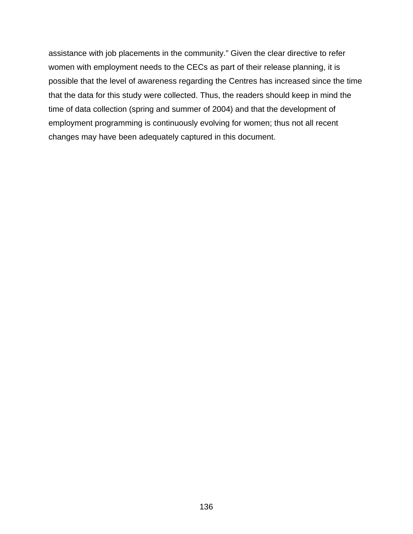assistance with job placements in the community." Given the clear directive to refer women with employment needs to the CECs as part of their release planning, it is possible that the level of awareness regarding the Centres has increased since the time that the data for this study were collected. Thus, the readers should keep in mind the time of data collection (spring and summer of 2004) and that the development of employment programming is continuously evolving for women; thus not all recent changes may have been adequately captured in this document.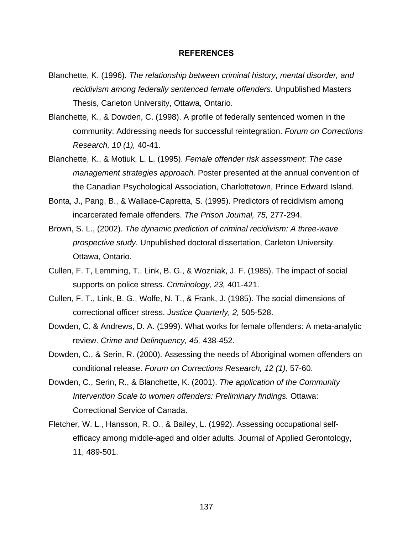#### **REFERENCES**

- Blanchette, K. (1996). *The relationship between criminal history, mental disorder, and recidivism among federally sentenced female offenders.* Unpublished Masters Thesis, Carleton University, Ottawa, Ontario.
- Blanchette, K., & Dowden, C. (1998). A profile of federally sentenced women in the community: Addressing needs for successful reintegration. *Forum on Corrections Research, 10 (1),* 40-41.
- Blanchette, K., & Motiuk, L. L. (1995). *Female offender risk assessment: The case management strategies approach.* Poster presented at the annual convention of the Canadian Psychological Association, Charlottetown, Prince Edward Island.
- Bonta, J., Pang, B., & Wallace-Capretta, S. (1995). Predictors of recidivism among incarcerated female offenders. *The Prison Journal, 75,* 277-294.
- Brown, S. L., (2002). *The dynamic prediction of criminal recidivism: A three-wave prospective study.* Unpublished doctoral dissertation, Carleton University, Ottawa, Ontario.
- Cullen, F. T, Lemming, T., Link, B. G., & Wozniak, J. F. (1985). The impact of social supports on police stress. *Criminology, 23,* 401-421.
- Cullen, F. T., Link, B. G., Wolfe, N. T., & Frank, J. (1985). The social dimensions of correctional officer stress. *Justice Quarterly, 2,* 505-528.
- Dowden, C. & Andrews, D. A. (1999). What works for female offenders: A meta-analytic review. *Crime and Delinquency, 45,* 438-452.
- Dowden, C., & Serin, R. (2000). Assessing the needs of Aboriginal women offenders on conditional release. *Forum on Corrections Research, 12 (1),* 57-60.
- Dowden, C., Serin, R., & Blanchette, K. (2001). *The application of the Community Intervention Scale to women offenders: Preliminary findings.* Ottawa: Correctional Service of Canada.
- Fletcher, W. L., Hansson, R. O., & Bailey, L. (1992). Assessing occupational selfefficacy among middle-aged and older adults. Journal of Applied Gerontology, 11, 489-501.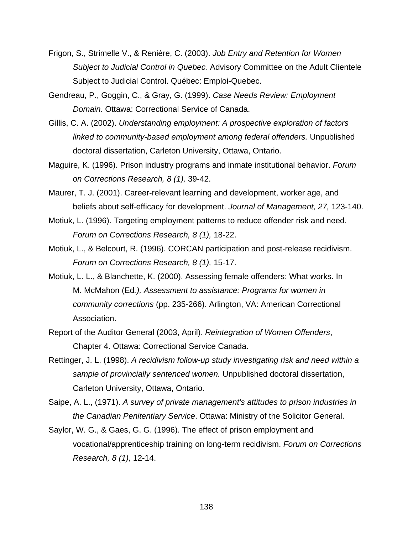- Frigon, S., Strimelle V., & Renière, C. (2003). *Job Entry and Retention for Women Subject to Judicial Control in Quebec.* Advisory Committee on the Adult Clientele Subject to Judicial Control. Québec: Emploi-Quebec.
- Gendreau, P., Goggin, C., & Gray, G. (1999). *Case Needs Review: Employment Domain.* Ottawa: Correctional Service of Canada.
- Gillis, C. A. (2002). *Understanding employment: A prospective exploration of factors linked to community-based employment among federal offenders.* Unpublished doctoral dissertation, Carleton University, Ottawa, Ontario.
- Maguire, K. (1996). Prison industry programs and inmate institutional behavior. *Forum on Corrections Research, 8 (1),* 39-42.

Maurer, T. J. (2001). Career-relevant learning and development, worker age, and beliefs about self-efficacy for development. *Journal of Management, 27,* 123-140.

- Motiuk, L. (1996). Targeting employment patterns to reduce offender risk and need. *Forum on Corrections Research, 8 (1),* 18-22.
- Motiuk, L., & Belcourt, R. (1996). CORCAN participation and post-release recidivism. *Forum on Corrections Research, 8 (1),* 15-17.
- Motiuk, L. L., & Blanchette, K. (2000). Assessing female offenders: What works. In M. McMahon (Ed*.), Assessment to assistance: Programs for women in community corrections* (pp. 235-266). Arlington, VA: American Correctional Association.
- Report of the Auditor General (2003, April). *Reintegration of Women Offenders*, Chapter 4. Ottawa: Correctional Service Canada.
- Rettinger, J. L. (1998). *A recidivism follow-up study investigating risk and need within a sample of provincially sentenced women.* Unpublished doctoral dissertation, Carleton University, Ottawa, Ontario.
- Saipe, A. L., (1971). *A survey of private management's attitudes to prison industries in the Canadian Penitentiary Service*. Ottawa: Ministry of the Solicitor General.
- Saylor, W. G., & Gaes, G. G. (1996). The effect of prison employment and vocational/apprenticeship training on long-term recidivism. *Forum on Corrections Research, 8 (1),* 12-14.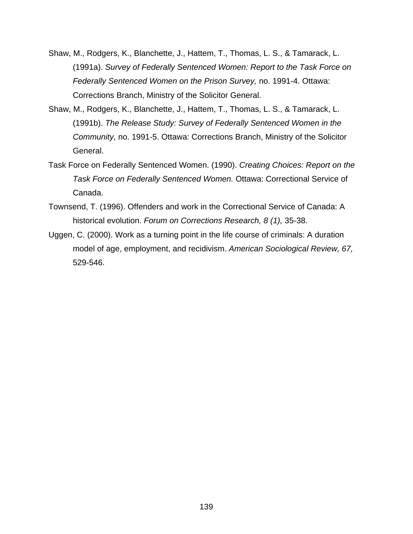- Shaw, M., Rodgers, K., Blanchette, J., Hattem, T., Thomas, L. S., & Tamarack, L. (1991a). *Survey of Federally Sentenced Women: Report to the Task Force on Federally Sentenced Women on the Prison Survey,* no. 1991-4. Ottawa: Corrections Branch, Ministry of the Solicitor General.
- Shaw, M., Rodgers, K., Blanchette, J., Hattem, T., Thomas, L. S., & Tamarack, L. (1991b). *The Release Study: Survey of Federally Sentenced Women in the Community,* no. 1991-5. Ottawa: Corrections Branch, Ministry of the Solicitor General.
- Task Force on Federally Sentenced Women. (1990). *Creating Choices: Report on the Task Force on Federally Sentenced Women.* Ottawa: Correctional Service of Canada.
- Townsend, T. (1996). Offenders and work in the Correctional Service of Canada: A historical evolution. *Forum on Corrections Research, 8 (1),* 35-38.
- Uggen, C. (2000). Work as a turning point in the life course of criminals: A duration model of age, employment, and recidivism. *American Sociological Review, 67,* 529-546.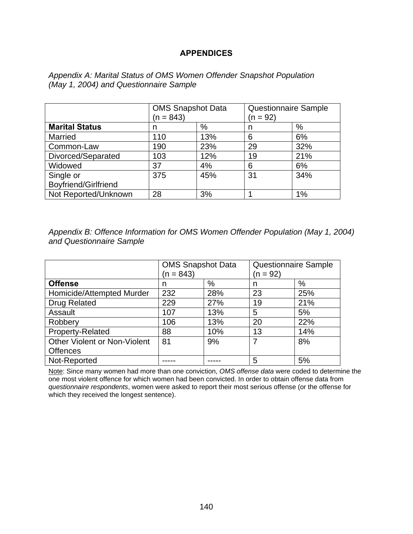# **APPENDICES**

|                       | <b>OMS Snapshot Data</b> |     | <b>Questionnaire Sample</b> |     |  |
|-----------------------|--------------------------|-----|-----------------------------|-----|--|
|                       | $(n = 843)$              |     | $(n = 92)$                  |     |  |
| <b>Marital Status</b> | n                        | %   | n                           | %   |  |
| <b>Married</b>        | 110                      | 13% | 6                           | 6%  |  |
| Common-Law            | 190                      | 23% | 29                          | 32% |  |
| Divorced/Separated    | 103                      | 12% | 19                          | 21% |  |
| Widowed               | 37                       | 4%  | 6                           | 6%  |  |
| Single or             | 375                      | 45% | 31                          | 34% |  |
| Boyfriend/Girlfriend  |                          |     |                             |     |  |
| Not Reported/Unknown  | 28                       | 3%  |                             | 1%  |  |

*Appendix A: Marital Status of OMS Women Offender Snapshot Population (May 1, 2004) and Questionnaire Sample* 

*Appendix B: Offence Information for OMS Women Offender Population (May 1, 2004) and Questionnaire Sample* 

|                                     | <b>OMS Snapshot Data</b><br>$(n = 843)$ |      | <b>Questionnaire Sample</b><br>(n = 92) |     |
|-------------------------------------|-----------------------------------------|------|-----------------------------------------|-----|
| <b>Offense</b>                      | n                                       | $\%$ | n                                       | %   |
| Homicide/Attempted Murder           | 232                                     | 28%  | 23                                      | 25% |
| <b>Drug Related</b>                 | 229                                     | 27%  | 19                                      | 21% |
| Assault                             | 107                                     | 13%  | 5                                       | 5%  |
| Robbery                             | 106                                     | 13%  | 20                                      | 22% |
| Property-Related                    | 88                                      | 10%  | 13                                      | 14% |
| <b>Other Violent or Non-Violent</b> | 81                                      | 9%   |                                         | 8%  |
| <b>Offences</b>                     |                                         |      |                                         |     |
| Not-Reported                        |                                         |      | 5                                       | 5%  |

Note: Since many women had more than one conviction, *OMS offense data* were coded to determine the one most violent offence for which women had been convicted. In order to obtain offense data from *questionnaire respondents*, women were asked to report their most serious offense (or the offense for which they received the longest sentence).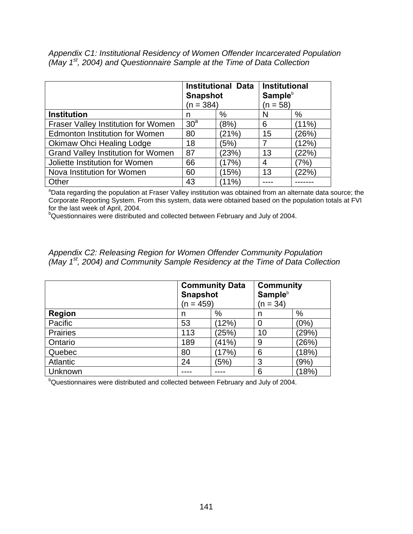*Appendix C1: Institutional Residency of Women Offender Incarcerated Population (May 1st, 2004) and Questionnaire Sample at the Time of Data Collection* 

|                                           | <b>Snapshot</b><br>$(n = 384)$ | <b>Institutional Data</b> | <b>Institutional</b><br>Sample <sup>b</sup><br>$(n = 58)$ |       |  |
|-------------------------------------------|--------------------------------|---------------------------|-----------------------------------------------------------|-------|--|
| <b>Institution</b>                        | n                              | %                         | N                                                         | %     |  |
| Fraser Valley Institution for Women       | 30 <sup>a</sup>                | (8%)                      | 6                                                         | (11%) |  |
| <b>Edmonton Institution for Women</b>     | 80                             | (21%)                     | 15                                                        | (26%) |  |
| <b>Okimaw Ohci Healing Lodge</b>          | 18                             | (5%)                      |                                                           | (12%) |  |
| <b>Grand Valley Institution for Women</b> | 87                             | (23%)                     | 13                                                        | (22%) |  |
| Joliette Institution for Women            | 66                             | (17%)                     | 4                                                         | $7\%$ |  |
| Nova Institution for Women                | 60                             | (15%)                     | 13                                                        | (22%) |  |
| Other                                     | 43                             | (11%)                     |                                                           |       |  |

<sup>a</sup>Data regarding the population at Fraser Valley institution was obtained from an alternate data source; the Corporate Reporting System. From this system, data were obtained based on the population totals at FVI for the last week of April, 2004.

<sup>b</sup>Questionnaires were distributed and collected between February and July of 2004.

*Appendix C2: Releasing Region for Women Offender Community Population (May 1st, 2004) and Community Sample Residency at the Time of Data Collection* 

|                 | <b>Snapshot</b><br>(n = 459) | <b>Community Data</b> | <b>Community</b><br>Sample <sup>b</sup><br>$(n = 34)$ |         |  |
|-----------------|------------------------------|-----------------------|-------------------------------------------------------|---------|--|
| <b>Region</b>   | n                            | %                     | n                                                     | %       |  |
| Pacific         | 53                           | (12%)                 | $\Omega$                                              | $(0\%)$ |  |
| <b>Prairies</b> | 113                          | (25%)                 | 10                                                    | (29%)   |  |
| Ontario         | 189                          | (41%)                 | 9                                                     | (26%)   |  |
| Quebec          | 80                           | (17%)                 | 6                                                     | (18%)   |  |
| <b>Atlantic</b> | 24                           | (5%)                  | 3                                                     | (9%)    |  |
| Unknown         |                              |                       | 6                                                     | (18%)   |  |

<sup>b</sup>Questionnaires were distributed and collected between February and July of 2004.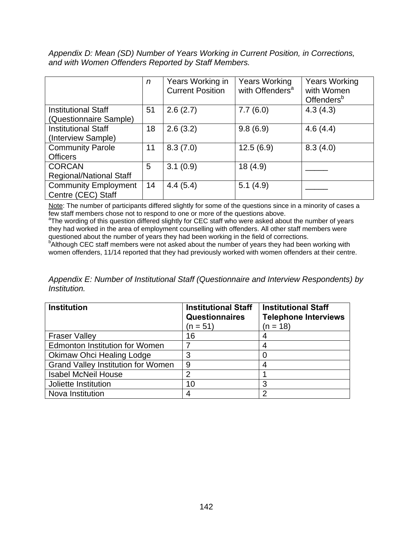*Appendix D: Mean (SD) Number of Years Working in Current Position, in Corrections, and with Women Offenders Reported by Staff Members.* 

|                                                   | n  | Years Working in<br><b>Current Position</b> | <b>Years Working</b><br>with Offenders <sup>a</sup> | <b>Years Working</b><br>with Women<br>Offenders <sup>b</sup> |
|---------------------------------------------------|----|---------------------------------------------|-----------------------------------------------------|--------------------------------------------------------------|
| <b>Institutional Staff</b>                        | 51 | 2.6(2.7)                                    | 7.7(6.0)                                            | 4.3(4.3)                                                     |
| (Questionnaire Sample)                            |    |                                             |                                                     |                                                              |
| <b>Institutional Staff</b>                        | 18 | 2.6(3.2)                                    | 9.8(6.9)                                            | 4.6(4.4)                                                     |
| (Interview Sample)                                |    |                                             |                                                     |                                                              |
| <b>Community Parole</b>                           | 11 | 8.3(7.0)                                    | 12.5(6.9)                                           | 8.3(4.0)                                                     |
| <b>Officers</b>                                   |    |                                             |                                                     |                                                              |
| <b>CORCAN</b>                                     | 5  | 3.1(0.9)                                    | 18(4.9)                                             |                                                              |
| <b>Regional/National Staff</b>                    |    |                                             |                                                     |                                                              |
| <b>Community Employment</b><br>Centre (CEC) Staff | 14 | 4.4(5.4)                                    | 5.1(4.9)                                            |                                                              |

Note: The number of participants differed slightly for some of the questions since in a minority of cases a  $f_{\text{ew}}$  staff members chose not to respond to one or more of the questions above.

<sup>a</sup>The wording of this question differed slightly for CEC staff who were asked about the number of years they had worked in the area of employment counselling with offenders. All other staff members were

questioned about the number of years they had been working in the field of corrections.<br><sup>b</sup>Although CEC staff members were not asked about the number of years they had been working with women offenders, 11/14 reported that they had previously worked with women offenders at their centre.

*Appendix E: Number of Institutional Staff (Questionnaire and Interview Respondents) by Institution.* 

| <b>Institution</b>                        | <b>Institutional Staff</b><br><b>Questionnaires</b> | <b>Institutional Staff</b><br><b>Telephone Interviews</b> |
|-------------------------------------------|-----------------------------------------------------|-----------------------------------------------------------|
|                                           | $(n = 51)$                                          | $(n = 18)$                                                |
| <b>Fraser Valley</b>                      | 16                                                  |                                                           |
| <b>Edmonton Institution for Women</b>     |                                                     | 4                                                         |
| <b>Okimaw Ohci Healing Lodge</b>          | 3                                                   |                                                           |
| <b>Grand Valley Institution for Women</b> | 9                                                   |                                                           |
| <b>Isabel McNeil House</b>                |                                                     |                                                           |
| Joliette Institution                      | 10                                                  | 3                                                         |
| Nova Institution                          |                                                     | ົ                                                         |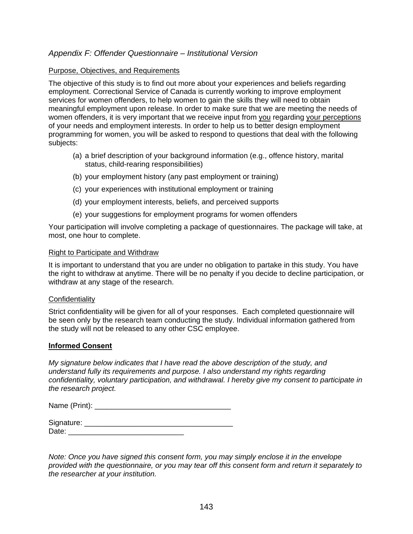## *Appendix F: Offender Questionnaire – Institutional Version*

### Purpose, Objectives, and Requirements

The objective of this study is to find out more about your experiences and beliefs regarding employment. Correctional Service of Canada is currently working to improve employment services for women offenders, to help women to gain the skills they will need to obtain meaningful employment upon release. In order to make sure that we are meeting the needs of women offenders, it is very important that we receive input from you regarding your perceptions of your needs and employment interests. In order to help us to better design employment programming for women, you will be asked to respond to questions that deal with the following subjects:

- (a) a brief description of your background information (e.g., offence history, marital status, child-rearing responsibilities)
- (b) your employment history (any past employment or training)
- (c) your experiences with institutional employment or training
- (d) your employment interests, beliefs, and perceived supports
- (e) your suggestions for employment programs for women offenders

Your participation will involve completing a package of questionnaires. The package will take, at most, one hour to complete.

### Right to Participate and Withdraw

It is important to understand that you are under no obligation to partake in this study. You have the right to withdraw at anytime. There will be no penalty if you decide to decline participation, or withdraw at any stage of the research.

### **Confidentiality**

Strict confidentiality will be given for all of your responses. Each completed questionnaire will be seen only by the research team conducting the study. Individual information gathered from the study will not be released to any other CSC employee.

### **Informed Consent**

*My signature below indicates that I have read the above description of the study, and understand fully its requirements and purpose. I also understand my rights regarding confidentiality, voluntary participation, and withdrawal. I hereby give my consent to participate in the research project.* 

Name (Print):  $\blacksquare$ 

| Signature: |  |
|------------|--|
| ∩ate:      |  |

*Note: Once you have signed this consent form, you may simply enclose it in the envelope provided with the questionnaire, or you may tear off this consent form and return it separately to the researcher at your institution.*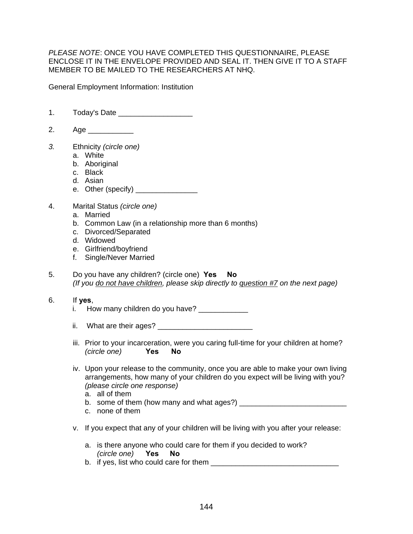*PLEASE NOTE*: ONCE YOU HAVE COMPLETED THIS QUESTIONNAIRE, PLEASE ENCLOSE IT IN THE ENVELOPE PROVIDED AND SEAL IT. THEN GIVE IT TO A STAFF MEMBER TO BE MAILED TO THE RESEARCHERS AT NHQ.

General Employment Information: Institution

- 1. Today's Date \_\_\_\_\_\_\_\_\_\_\_\_\_\_\_\_\_\_
- 2. Age
- *3.* Ethnicity *(circle one)* 
	- a. White
	- b. Aboriginal
	- c. Black
	- d. Asian
	- e. Other (specify) \_\_\_\_\_\_\_\_\_\_\_\_\_\_\_
- 4. Marital Status *(circle one)*
	- a. Married
	- b. Common Law (in a relationship more than 6 months)
	- c. Divorced/Separated
	- d. Widowed
	- e. Girlfriend/boyfriend
	- f. Single/Never Married
- 5. Do you have any children? (circle one) **Yes No** *(If you do not have children, please skip directly to question #7 on the next page)*

### 6. If **yes**,

i. How many children do you have?

ii. What are their ages?

- iii. Prior to your incarceration, were you caring full-time for your children at home? *(circle one)* **Yes No**
- iv. Upon your release to the community, once you are able to make your own living arrangements, how many of your children do you expect will be living with you? *(please circle one response)* 
	- a. all of them
	- b. some of them (how many and what ages?)  $\frac{1}{2}$
	- c. none of them
- v. If you expect that any of your children will be living with you after your release:
	- a. is there anyone who could care for them if you decided to work? *(circle one)* **Yes No**
	- b. if yes, list who could care for them  $\Box$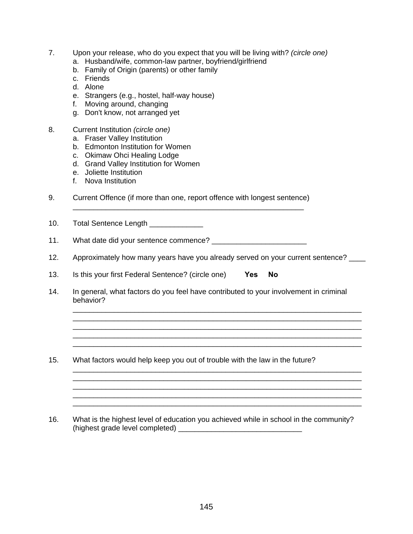- 7. Upon your release, who do you expect that you will be living with? *(circle one)*
	- a. Husband/wife, common-law partner, boyfriend/girlfriend
	- b. Family of Origin (parents) or other family
	- c. Friends
	- d. Alone
	- e. Strangers (e.g., hostel, half-way house)
	- f. Moving around, changing
	- g. Don't know, not arranged yet
- 8. Current Institution *(circle one)*
	- a. Fraser Valley Institution
	- b. Edmonton Institution for Women
	- c. Okimaw Ohci Healing Lodge
	- d. Grand Valley Institution for Women
	- e. Joliette Institution
	- f. Nova Institution
- 9. Current Offence (if more than one, report offence with longest sentence)

\_\_\_\_\_\_\_\_\_\_\_\_\_\_\_\_\_\_\_\_\_\_\_\_\_\_\_\_\_\_\_\_\_\_\_\_\_\_\_\_\_\_\_\_\_\_\_\_\_\_\_\_\_\_\_\_

- 10. Total Sentence Length
- 11. What date did your sentence commence? \_\_\_\_\_\_\_\_\_\_\_\_\_\_\_\_\_\_\_\_\_\_\_
- 12. Approximately how many years have you already served on your current sentence?

\_\_\_\_\_\_\_\_\_\_\_\_\_\_\_\_\_\_\_\_\_\_\_\_\_\_\_\_\_\_\_\_\_\_\_\_\_\_\_\_\_\_\_\_\_\_\_\_\_\_\_\_\_\_\_\_\_\_\_\_\_\_\_\_\_\_\_\_\_\_ \_\_\_\_\_\_\_\_\_\_\_\_\_\_\_\_\_\_\_\_\_\_\_\_\_\_\_\_\_\_\_\_\_\_\_\_\_\_\_\_\_\_\_\_\_\_\_\_\_\_\_\_\_\_\_\_\_\_\_\_\_\_\_\_\_\_\_\_\_\_

\_\_\_\_\_\_\_\_\_\_\_\_\_\_\_\_\_\_\_\_\_\_\_\_\_\_\_\_\_\_\_\_\_\_\_\_\_\_\_\_\_\_\_\_\_\_\_\_\_\_\_\_\_\_\_\_\_\_\_\_\_\_\_\_\_\_\_\_\_\_

\_\_\_\_\_\_\_\_\_\_\_\_\_\_\_\_\_\_\_\_\_\_\_\_\_\_\_\_\_\_\_\_\_\_\_\_\_\_\_\_\_\_\_\_\_\_\_\_\_\_\_\_\_\_\_\_\_\_\_\_\_\_\_\_\_\_\_\_\_\_

\_\_\_\_\_\_\_\_\_\_\_\_\_\_\_\_\_\_\_\_\_\_\_\_\_\_\_\_\_\_\_\_\_\_\_\_\_\_\_\_\_\_\_\_\_\_\_\_\_\_\_\_\_\_\_\_\_\_\_\_\_\_\_\_\_\_\_\_\_\_ \_\_\_\_\_\_\_\_\_\_\_\_\_\_\_\_\_\_\_\_\_\_\_\_\_\_\_\_\_\_\_\_\_\_\_\_\_\_\_\_\_\_\_\_\_\_\_\_\_\_\_\_\_\_\_\_\_\_\_\_\_\_\_\_\_\_\_\_\_\_

- 13. Is this your first Federal Sentence? (circle one) **Yes No**
- 14. In general, what factors do you feel have contributed to your involvement in criminal behavior?
- 15. What factors would help keep you out of trouble with the law in the future?
- 16. What is the highest level of education you achieved while in school in the community? (highest grade level completed) \_\_\_\_\_\_\_\_\_\_\_\_\_\_\_\_\_\_\_\_\_\_\_\_\_\_\_\_\_\_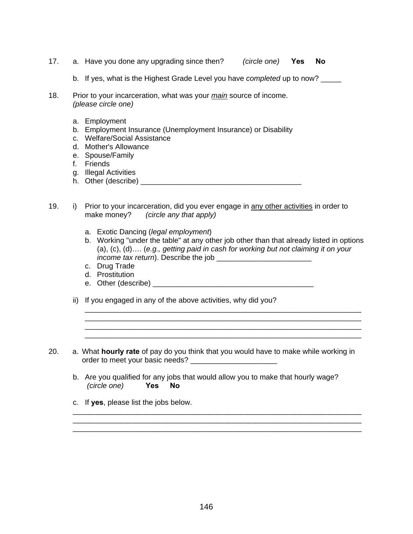- 17. a. Have you done any upgrading since then? *(circle one)* **Yes No**
	- b. If yes, what is the Highest Grade Level you have *completed* up to now? \_\_\_\_\_
- 18. Prior to your incarceration, what was your *main* source of income. *(please circle one)* 
	- a. Employment
	- b. Employment Insurance (Unemployment Insurance) or Disability
	- c. Welfare/Social Assistance
	- d. Mother's Allowance
	- e. Spouse/Family
	- f. Friends
	- g. Illegal Activities
	- h. Other (describe) \_\_\_\_\_\_\_\_\_\_\_\_\_\_\_\_\_\_\_\_\_\_\_\_\_\_\_\_\_\_\_\_\_\_\_\_\_\_\_
- 19. i) Prior to your incarceration, did you ever engage in any other activities in order to make money? *(circle any that apply)*
	- a. Exotic Dancing (*legal employment*)
	- b. Working "under the table" at any other job other than that already listed in options (a), (c), (d)…. (*e.g., getting paid in cash for working but not claiming it on your income tax return*). Describe the job
	- c. Drug Trade
	- d. Prostitution
	- e. Other (describe) example and the set of the set of the set of the set of the set of the set of the set of the set of the set of the set of the set of the set of the set of the set of the set of the set of the set of the
	- ii) If you engaged in any of the above activities, why did you?
- 20. a. What **hourly rate** of pay do you think that you would have to make while working in order to meet your basic needs? \_\_\_\_\_\_\_\_\_\_\_\_\_\_\_\_\_\_\_\_\_

 $\overline{\phantom{a}}$  , and the contribution of the contribution of the contribution of the contribution of the contribution of the contribution of the contribution of the contribution of the contribution of the contribution of the

 $\overline{\phantom{a}}$  , and the contribution of the contribution of the contribution of the contribution of the contribution of the contribution of the contribution of the contribution of the contribution of the contribution of the  $\overline{\phantom{a}}$  , and the contribution of the contribution of the contribution of the contribution of the contribution of the contribution of the contribution of the contribution of the contribution of the contribution of the

b. Are you qualified for any jobs that would allow you to make that hourly wage? *(circle one)* **Yes No**

\_\_\_\_\_\_\_\_\_\_\_\_\_\_\_\_\_\_\_\_\_\_\_\_\_\_\_\_\_\_\_\_\_\_\_\_\_\_\_\_\_\_\_\_\_\_\_\_\_\_\_\_\_\_\_\_\_\_\_\_\_\_\_\_\_\_\_\_\_\_ \_\_\_\_\_\_\_\_\_\_\_\_\_\_\_\_\_\_\_\_\_\_\_\_\_\_\_\_\_\_\_\_\_\_\_\_\_\_\_\_\_\_\_\_\_\_\_\_\_\_\_\_\_\_\_\_\_\_\_\_\_\_\_\_\_\_\_\_\_\_ \_\_\_\_\_\_\_\_\_\_\_\_\_\_\_\_\_\_\_\_\_\_\_\_\_\_\_\_\_\_\_\_\_\_\_\_\_\_\_\_\_\_\_\_\_\_\_\_\_\_\_\_\_\_\_\_\_\_\_\_\_\_\_\_\_\_\_\_\_\_

c. If **yes**, please list the jobs below.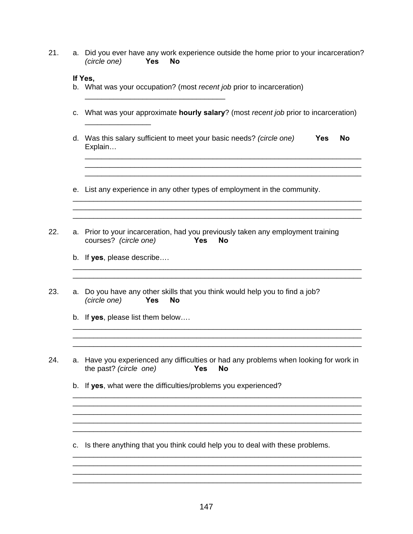- 21. a. Did you ever have any work experience outside the home prior to your incarceration? *(circle one)* **Yes No**
	- **If Yes,**
	- b. What was your occupation? (most *recent job* prior to incarceration)

\_\_\_\_\_\_\_\_\_\_\_\_\_\_\_\_\_\_\_\_\_\_\_\_\_\_\_\_\_\_\_\_\_\_

- c. What was your approximate **hourly salary**? (most *recent job* prior to incarceration)
- d. Was this salary sufficient to meet your basic needs? *(circle one)* **Yes No** Explain…

 $\overline{\phantom{a}}$  , and the contribution of the contribution of the contribution of the contribution of the contribution of the contribution of the contribution of the contribution of the contribution of the contribution of the

\_\_\_\_\_\_\_\_\_\_\_\_\_\_\_\_\_\_\_\_\_\_\_\_\_\_\_\_\_\_\_\_\_\_\_\_\_\_\_\_\_\_\_\_\_\_\_\_\_\_\_\_\_\_\_\_\_\_\_\_\_\_\_\_\_\_\_

\_\_\_\_\_\_\_\_\_\_\_\_\_\_\_\_\_\_\_\_\_\_\_\_\_\_\_\_\_\_\_\_\_\_\_\_\_\_\_\_\_\_\_\_\_\_\_\_\_\_\_\_\_\_\_\_\_\_\_\_\_\_\_\_\_\_\_\_\_\_ \_\_\_\_\_\_\_\_\_\_\_\_\_\_\_\_\_\_\_\_\_\_\_\_\_\_\_\_\_\_\_\_\_\_\_\_\_\_\_\_\_\_\_\_\_\_\_\_\_\_\_\_\_\_\_\_\_\_\_\_\_\_\_\_\_\_\_\_\_\_

\_\_\_\_\_\_\_\_\_\_\_\_\_\_\_\_\_\_\_\_\_\_\_\_\_\_\_\_\_\_\_\_\_\_\_\_\_\_\_\_\_\_\_\_\_\_\_\_\_\_\_\_\_\_\_\_\_\_\_\_\_\_\_\_\_\_\_\_\_\_ \_\_\_\_\_\_\_\_\_\_\_\_\_\_\_\_\_\_\_\_\_\_\_\_\_\_\_\_\_\_\_\_\_\_\_\_\_\_\_\_\_\_\_\_\_\_\_\_\_\_\_\_\_\_\_\_\_\_\_\_\_\_\_\_\_\_\_\_\_\_

\_\_\_\_\_\_\_\_\_\_\_\_\_\_\_\_\_\_\_\_\_\_\_\_\_\_\_\_\_\_\_\_\_\_\_\_\_\_\_\_\_\_\_\_\_\_\_\_\_\_\_\_\_\_\_\_\_\_\_\_\_\_\_\_\_\_\_\_\_\_

\_\_\_\_\_\_\_\_\_\_\_\_\_\_\_\_\_\_\_\_\_\_\_\_\_\_\_\_\_\_\_\_\_\_\_\_\_\_\_\_\_\_\_\_\_\_\_\_\_\_\_\_\_\_\_\_\_\_\_\_\_\_\_\_\_\_\_\_\_\_

\_\_\_\_\_\_\_\_\_\_\_\_\_\_\_\_\_\_\_\_\_\_\_\_\_\_\_\_\_\_\_\_\_\_\_\_\_\_\_\_\_\_\_\_\_\_\_\_\_\_\_\_\_\_\_\_\_\_\_\_\_\_\_\_\_\_\_\_\_\_

\_\_\_\_\_\_\_\_\_\_\_\_\_\_\_\_\_\_\_\_\_\_\_\_\_\_\_\_\_\_\_\_\_\_\_\_\_\_\_\_\_\_\_\_\_\_\_\_\_\_\_\_\_\_\_\_\_\_\_\_\_\_\_\_\_\_\_\_\_\_

\_\_\_\_\_\_\_\_\_\_\_\_\_\_\_\_\_\_\_\_\_\_\_\_\_\_\_\_\_\_\_\_\_\_\_\_\_\_\_\_\_\_\_\_\_\_\_\_\_\_\_\_\_\_\_\_\_\_\_\_\_\_\_\_\_\_\_\_\_\_

\_\_\_\_\_\_\_\_\_\_\_\_\_\_\_\_\_\_\_\_\_\_\_\_\_\_\_\_\_\_\_\_\_\_\_\_\_\_\_\_\_\_\_\_\_\_\_\_\_\_\_\_\_\_\_\_\_\_\_\_\_\_\_\_\_\_\_\_\_\_ \_\_\_\_\_\_\_\_\_\_\_\_\_\_\_\_\_\_\_\_\_\_\_\_\_\_\_\_\_\_\_\_\_\_\_\_\_\_\_\_\_\_\_\_\_\_\_\_\_\_\_\_\_\_\_\_\_\_\_\_\_\_\_\_\_\_\_\_\_\_

\_\_\_\_\_\_\_\_\_\_\_\_\_\_\_\_\_\_\_\_\_\_\_\_\_\_\_\_\_\_\_\_\_\_\_\_\_\_\_\_\_\_\_\_\_\_\_\_\_\_\_\_\_\_\_\_\_\_\_\_\_\_\_\_\_\_\_

- e. List any experience in any other types of employment in the community.
- 22. a. Prior to your incarceration, had you previously taken any employment training courses? *(circle one)* **Yes No**
	- b. If **yes**, please describe….

 $\frac{1}{\sqrt{2}}$  ,  $\frac{1}{\sqrt{2}}$  ,  $\frac{1}{\sqrt{2}}$  ,  $\frac{1}{\sqrt{2}}$  ,  $\frac{1}{\sqrt{2}}$  ,  $\frac{1}{\sqrt{2}}$  ,  $\frac{1}{\sqrt{2}}$  ,  $\frac{1}{\sqrt{2}}$  ,  $\frac{1}{\sqrt{2}}$  ,  $\frac{1}{\sqrt{2}}$  ,  $\frac{1}{\sqrt{2}}$  ,  $\frac{1}{\sqrt{2}}$  ,  $\frac{1}{\sqrt{2}}$  ,  $\frac{1}{\sqrt{2}}$  ,  $\frac{1}{\sqrt{2}}$ 

- 23. a. Do you have any other skills that you think would help you to find a job? *(circle one)* **Yes No**
	- b. If **yes**, please list them below….
- 24. a. Have you experienced any difficulties or had any problems when looking for work in the past? *(circle one)* **Yes No**
	- b. If **yes**, what were the difficulties/problems you experienced?
	- c. Is there anything that you think could help you to deal with these problems.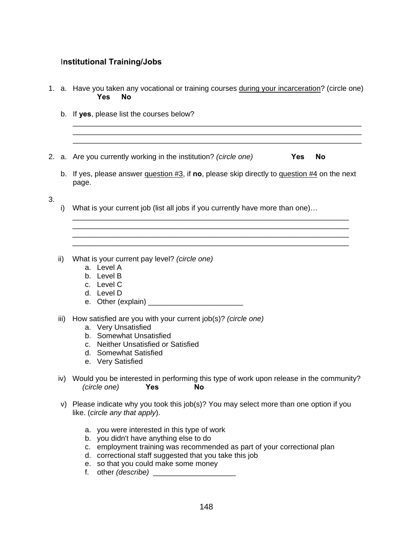# I**nstitutional Training/Jobs**

|    |      | 1. a. Have you taken any vocational or training courses during your incarceration? (circle one)<br><b>Yes</b><br>Nο                                                                                 |  |  |  |  |  |  |  |
|----|------|-----------------------------------------------------------------------------------------------------------------------------------------------------------------------------------------------------|--|--|--|--|--|--|--|
|    | b.   | If yes, please list the courses below?                                                                                                                                                              |  |  |  |  |  |  |  |
|    |      | 2. a. Are you currently working in the institution? (circle one)<br><b>No</b><br><b>Yes</b>                                                                                                         |  |  |  |  |  |  |  |
|    |      | b. If yes, please answer question $\#3$ , if no, please skip directly to question $\#4$ on the next<br>page.                                                                                        |  |  |  |  |  |  |  |
| 3. | i)   | What is your current job (list all jobs if you currently have more than one)                                                                                                                        |  |  |  |  |  |  |  |
|    |      |                                                                                                                                                                                                     |  |  |  |  |  |  |  |
|    | ii)  | What is your current pay level? (circle one)<br>a. Level A<br>b. Level B<br>c. Level C<br>d. Level D                                                                                                |  |  |  |  |  |  |  |
|    | iii) | How satisfied are you with your current job(s)? (circle one)<br>a. Very Unsatisfied<br>b. Somewhat Unsatisfied<br>c. Neither Unsatisfied or Satisfied<br>d. Somewhat Satisfied<br>e. Very Satisfied |  |  |  |  |  |  |  |
|    |      | iv) Would you be interested in performing this type of work upon release in the community?<br>(circle one)<br><b>Yes</b><br><b>No</b>                                                               |  |  |  |  |  |  |  |
|    | V)   | Please indicate why you took this job(s)? You may select more than one option if you<br>like. (circle any that apply).                                                                              |  |  |  |  |  |  |  |

- a. you were interested in this type of work
- b. you didn't have anything else to do
- c. employment training was recommended as part of your correctional plan
- d. correctional staff suggested that you take this job
- e. so that you could make some money
- f. other *(describe)* \_\_\_\_\_\_\_\_\_\_\_\_\_\_\_\_\_\_\_\_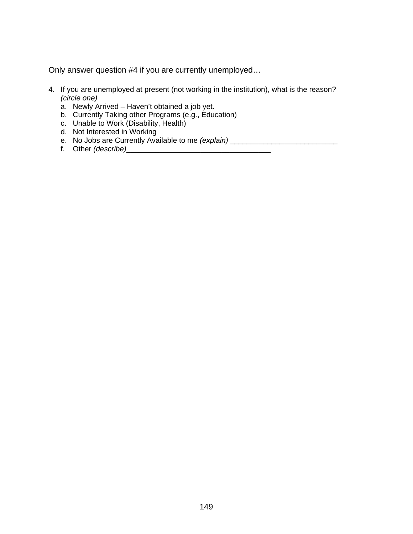Only answer question #4 if you are currently unemployed…

- 4. If you are unemployed at present (not working in the institution), what is the reason? *(circle one)*
	- a. Newly Arrived Haven't obtained a job yet.
	- b. Currently Taking other Programs (e.g., Education)
	- c. Unable to Work (Disability, Health)
	- d. Not Interested in Working
	- e. No Jobs are Currently Available to me *(explain)* \_\_\_\_\_\_\_\_\_\_\_\_\_\_\_\_\_\_\_\_\_\_\_\_\_\_\_\_\_
	- f. Other *(describe)*\_\_\_\_\_\_\_\_\_\_\_\_\_\_\_\_\_\_\_\_\_\_\_\_\_\_\_\_\_\_\_\_\_\_\_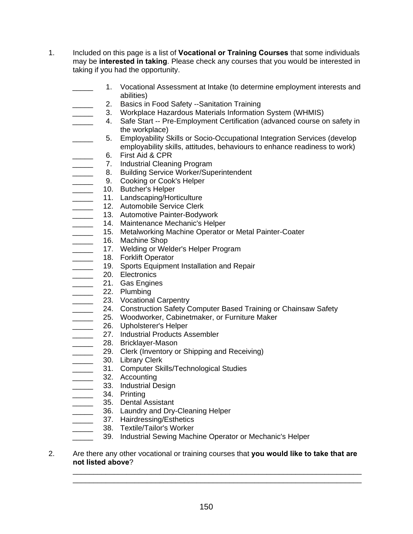- 1. Included on this page is a list of **Vocational or Training Courses** that some individuals may be **interested in taking**. Please check any courses that you would be interested in taking if you had the opportunity.
	- 1. Vocational Assessment at Intake (to determine employment interests and abilities)
	- 2. Basics in Food Safety --Sanitation Training
	- 3. Workplace Hazardous Materials Information System (WHMIS)
	- **\_\_\_\_ 4.** Safe Start -- Pre-Employment Certification (advanced course on safety in the workplace)
	- 5. Employability Skills or Socio-Occupational Integration Services (develop employability skills, attitudes, behaviours to enhance readiness to work)
	- \_\_\_\_\_ 6. First Aid & CPR
		- 7. Industrial Cleaning Program
	- **EXECUTE:** 8. Building Service Worker/Superintendent
	- **EXECOOLD SECOOLS** 9. Cooking or Cook's Helper
	- \_\_\_\_\_ 10. Butcher's Helper
	- 11. Landscaping/Horticulture
	- \_\_\_\_\_\_\_ 12. Automobile Service Clerk
	- \_\_\_\_\_\_ 13. Automotive Painter-Bodywork
	- **14. Maintenance Mechanic's Helper**
	- **\_\_\_\_\_ 15.** Metalworking Machine Operator or Metal Painter-Coater
	- \_\_\_\_\_\_\_\_ 16. Machine Shop
	- \_\_\_\_\_\_ 17. Welding or Welder's Helper Program
	- **\_\_\_\_\_\_** 18. Forklift Operator
	- **\_\_\_\_\_\_** 19. Sports Equipment Installation and Repair
	- **20.** Electronics
	- **\_\_\_\_\_\_\_** 21. Gas Engines
	- \_\_\_\_\_\_\_ 22. Plumbing
	-
	- \_\_\_\_\_\_ 23. Vocational Carpentry<br>24. Construction Safety C 24. Construction Safety Computer Based Training or Chainsaw Safety
	- \_\_\_\_\_ 25. Woodworker, Cabinetmaker, or Furniture Maker
	- \_\_\_\_\_\_\_\_\_ 26. Upholsterer's Helper
	- **27.** Industrial Products Assembler
	- Lessenger-Mason
	- **29.** Clerk (Inventory or Shipping and Receiving)
	- **20. Library Clerk**
	- **\_\_\_\_\_\_** 31. Computer Skills/Technological Studies
	- \_\_\_\_\_ 32. Accounting
	- **2008** 33. Industrial Design
	- \_\_\_\_\_ 34. Printing
	- \_\_\_\_\_ 35. Dental Assistant
	- **\_\_\_\_\_\_ 36.** Laundry and Dry-Cleaning Helper
	- \_\_\_\_\_\_ 37. Hairdressing/Esthetics
		- 38. Textile/Tailor's Worker
	- **\_\_\_\_\_ 39. Industrial Sewing Machine Operator or Mechanic's Helper**
- 2. Are there any other vocational or training courses that **you would like to take that are not listed above**?

\_\_\_\_\_\_\_\_\_\_\_\_\_\_\_\_\_\_\_\_\_\_\_\_\_\_\_\_\_\_\_\_\_\_\_\_\_\_\_\_\_\_\_\_\_\_\_\_\_\_\_\_\_\_\_\_\_\_\_\_\_\_\_\_\_\_\_\_\_\_ \_\_\_\_\_\_\_\_\_\_\_\_\_\_\_\_\_\_\_\_\_\_\_\_\_\_\_\_\_\_\_\_\_\_\_\_\_\_\_\_\_\_\_\_\_\_\_\_\_\_\_\_\_\_\_\_\_\_\_\_\_\_\_\_\_\_\_\_\_\_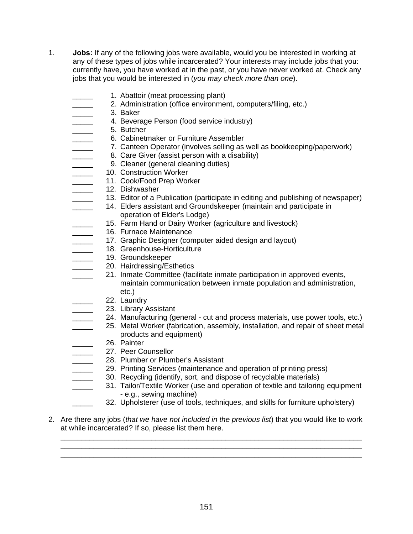- 1. **Jobs:** If any of the following jobs were available, would you be interested in working at any of these types of jobs while incarcerated? Your interests may include jobs that you: currently have, you have worked at in the past, or you have never worked at. Check any jobs that you would be interested in (*you may check more than one*).
	- 1. Abattoir (meat processing plant)
	- 2. Administration (office environment, computers/filing, etc.)
	- \_\_\_\_\_ 3. Baker
	- \_\_\_\_\_ 4. Beverage Person (food service industry)
	-
	- \_\_\_\_\_\_\_ 5. Butcher<br>6. Cabinetr \_\_\_\_\_ 6. Cabinetmaker or Furniture Assembler
	- 7. Canteen Operator (involves selling as well as bookkeeping/paperwork)
	- **EXECUTE:** 8. Care Giver (assist person with a disability)
	- 9. Cleaner (general cleaning duties)
	- **LETTE:** 10. Construction Worker
	- \_\_\_\_\_ 11. Cook/Food Prep Worker
	- \_\_\_\_\_ 12. Dishwasher
		- 13. Editor of a Publication (participate in editing and publishing of newspaper)
	- **\_\_\_\_\_ 14. Elders assistant and Groundskeeper (maintain and participate in** operation of Elder's Lodge)
		- 15. Farm Hand or Dairy Worker (agriculture and livestock)
	- 16. Furnace Maintenance
	- **The 17. Graphic Designer (computer aided design and layout)**
	- \_\_\_\_\_\_\_ 18. Greenhouse-Horticulture
	- **LETER** 19. Groundskeeper
	- **20. Hairdressing/Esthetics**
	- **21.** Inmate Committee (facilitate inmate participation in approved events, maintain communication between inmate population and administration, etc.)
	-
	- \_\_\_\_\_\_ 22. Laundry<br>23. Library A 23. Library Assistant
		- 24. Manufacturing (general cut and process materials, use power tools, etc.)
	- **25.** Metal Worker (fabrication, assembly, installation, and repair of sheet metal products and equipment)
	- \_\_\_\_\_ 26. Painter
	- 27. Peer Counsellor
	- 28. Plumber or Plumber's Assistant
	- 29. Printing Services (maintenance and operation of printing press)
	- 30. Recycling (identify, sort, and dispose of recyclable materials)
	- **\_\_\_\_\_** 31. Tailor/Textile Worker (use and operation of textile and tailoring equipment - e.g., sewing machine)
		- 32. Upholsterer (use of tools, techniques, and skills for furniture upholstery)
- 2. Are there any jobs (*that we have not included in the previous list*) that you would like to work at while incarcerated? If so, please list them here.

\_\_\_\_\_\_\_\_\_\_\_\_\_\_\_\_\_\_\_\_\_\_\_\_\_\_\_\_\_\_\_\_\_\_\_\_\_\_\_\_\_\_\_\_\_\_\_\_\_\_\_\_\_\_\_\_\_\_\_\_\_\_\_\_\_\_\_\_\_\_\_\_\_ \_\_\_\_\_\_\_\_\_\_\_\_\_\_\_\_\_\_\_\_\_\_\_\_\_\_\_\_\_\_\_\_\_\_\_\_\_\_\_\_\_\_\_\_\_\_\_\_\_\_\_\_\_\_\_\_\_\_\_\_\_\_\_\_\_\_\_\_\_\_\_\_\_ \_\_\_\_\_\_\_\_\_\_\_\_\_\_\_\_\_\_\_\_\_\_\_\_\_\_\_\_\_\_\_\_\_\_\_\_\_\_\_\_\_\_\_\_\_\_\_\_\_\_\_\_\_\_\_\_\_\_\_\_\_\_\_\_\_\_\_\_\_\_\_\_\_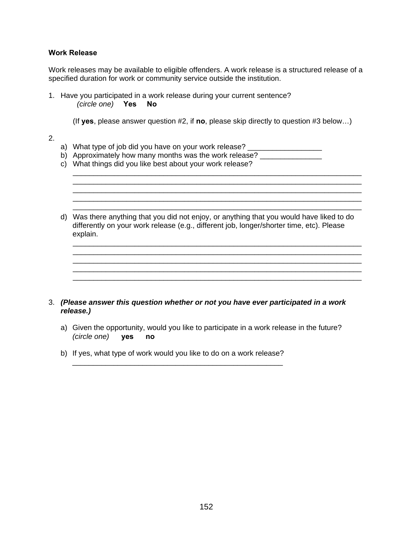### **Work Release**

Work releases may be available to eligible offenders. A work release is a structured release of a specified duration for work or community service outside the institution.

1. Have you participated in a work release during your current sentence? *(circle one)* **Yes No**

(If **yes**, please answer question #2, if **no**, please skip directly to question #3 below…)

\_\_\_\_\_\_\_\_\_\_\_\_\_\_\_\_\_\_\_\_\_\_\_\_\_\_\_\_\_\_\_\_\_\_\_\_\_\_\_\_\_\_\_\_\_\_\_\_\_\_\_\_\_\_\_\_\_\_\_\_\_\_\_\_\_\_\_\_\_\_

\_\_\_\_\_\_\_\_\_\_\_\_\_\_\_\_\_\_\_\_\_\_\_\_\_\_\_\_\_\_\_\_\_\_\_\_\_\_\_\_\_\_\_\_\_\_\_\_\_\_\_\_\_\_\_\_\_\_\_\_\_\_\_\_\_\_\_\_\_\_

\_\_\_\_\_\_\_\_\_\_\_\_\_\_\_\_\_\_\_\_\_\_\_\_\_\_\_\_\_\_\_\_\_\_\_\_\_\_\_\_\_\_\_\_\_\_\_\_\_\_\_\_\_\_\_\_\_\_\_\_\_\_\_\_\_\_\_\_\_\_

\_\_\_\_\_\_\_\_\_\_\_\_\_\_\_\_\_\_\_\_\_\_\_\_\_\_\_\_\_\_\_\_\_\_\_\_\_\_\_\_\_\_\_\_\_\_\_\_\_\_\_\_\_\_\_\_\_\_\_\_\_\_\_\_\_\_\_\_\_\_ \_\_\_\_\_\_\_\_\_\_\_\_\_\_\_\_\_\_\_\_\_\_\_\_\_\_\_\_\_\_\_\_\_\_\_\_\_\_\_\_\_\_\_\_\_\_\_\_\_\_\_\_\_\_\_\_\_\_\_\_\_\_\_\_\_\_\_\_\_\_ \_\_\_\_\_\_\_\_\_\_\_\_\_\_\_\_\_\_\_\_\_\_\_\_\_\_\_\_\_\_\_\_\_\_\_\_\_\_\_\_\_\_\_\_\_\_\_\_\_\_\_\_\_\_\_\_\_\_\_\_\_\_\_\_\_\_\_\_\_\_

\_\_\_\_\_\_\_\_\_\_\_\_\_\_\_\_\_\_\_\_\_\_\_\_\_\_\_\_\_\_\_\_\_\_\_\_\_\_\_\_\_\_\_\_\_\_\_\_\_\_\_\_\_\_\_\_\_\_\_\_\_\_\_\_\_\_\_\_\_\_

- 2.
- a) What type of job did you have on your work release? \_\_\_\_\_\_\_\_\_\_\_\_\_\_\_\_\_\_\_\_\_\_\_\_\_
- b) Approximately how many months was the work release? \_\_\_\_\_\_\_\_\_\_\_\_\_\_\_\_\_
- c) What things did you like best about your work release?
- d) Was there anything that you did not enjoy, or anything that you would have liked to do differently on your work release (e.g., different job, longer/shorter time, etc). Please explain.

### 3. *(Please answer this question whether or not you have ever participated in a work release.)*

- a) Given the opportunity, would you like to participate in a work release in the future? *(circle one)* **yes no**
- b) If yes, what type of work would you like to do on a work release?

\_\_\_\_\_\_\_\_\_\_\_\_\_\_\_\_\_\_\_\_\_\_\_\_\_\_\_\_\_\_\_\_\_\_\_\_\_\_\_\_\_\_\_\_\_\_\_\_\_\_\_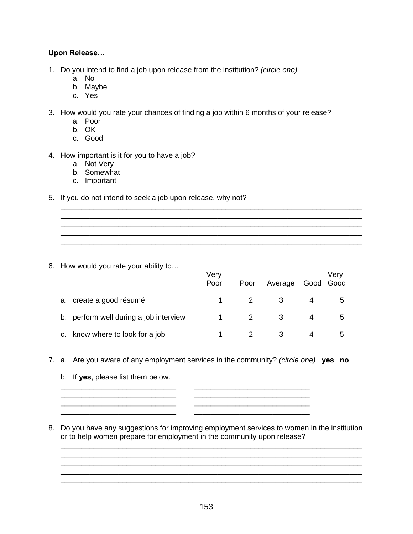### **Upon Release…**

- 1. Do you intend to find a job upon release from the institution? *(circle one)* 
	- a. No
	- b. Maybe
	- c. Yes
- 3. How would you rate your chances of finding a job within 6 months of your release?
	- a. Poor
	- b. OK
	- c. Good
- 4. How important is it for you to have a job?
	- a. Not Very
	- b. Somewhat
	- c. Important
- 5. If you do not intend to seek a job upon release, why not?

6. How would you rate your ability to…

|  |                                        | Very<br>Poor | Poor | Average | Verv<br>Good Good |
|--|----------------------------------------|--------------|------|---------|-------------------|
|  | a. create a good résumé                |              |      |         | $\mathbf{b}$      |
|  | b. perform well during a job interview |              |      |         | $\mathcal{D}$     |
|  | c. know where to look for a job        |              |      |         |                   |

\_\_\_\_\_\_\_\_\_\_\_\_\_\_\_\_\_\_\_\_\_\_\_\_\_\_\_\_\_\_\_\_\_\_\_\_\_\_\_\_\_\_\_\_\_\_\_\_\_\_\_\_\_\_\_\_\_\_\_\_\_\_\_\_\_\_\_\_\_\_\_\_\_

\_\_\_\_\_\_\_\_\_\_\_\_\_\_\_\_\_\_\_\_\_\_\_\_\_\_\_\_\_\_\_\_\_\_\_\_\_\_\_\_\_\_\_\_\_\_\_\_\_\_\_\_\_\_\_\_\_\_\_\_\_\_\_\_\_\_\_\_\_\_\_\_\_ \_\_\_\_\_\_\_\_\_\_\_\_\_\_\_\_\_\_\_\_\_\_\_\_\_\_\_\_\_\_\_\_\_\_\_\_\_\_\_\_\_\_\_\_\_\_\_\_\_\_\_\_\_\_\_\_\_\_\_\_\_\_\_\_\_\_\_\_\_\_\_\_\_

- 7. a. Are you aware of any employment services in the community? *(circle one)* **yes no**
	- b. If **yes**, please list them below.
	- \_\_\_\_\_\_\_\_\_\_\_\_\_\_\_\_\_\_\_\_\_\_\_\_\_\_\_\_ \_\_\_\_\_\_\_\_\_\_\_\_\_\_\_\_\_\_\_\_\_\_\_\_\_\_\_\_ \_\_\_\_\_\_\_\_\_\_\_\_\_\_\_\_\_\_\_\_\_\_\_\_\_\_\_\_ \_\_\_\_\_\_\_\_\_\_\_\_\_\_\_\_\_\_\_\_\_\_\_\_\_\_\_\_ \_\_\_\_\_\_\_\_\_\_\_\_\_\_\_\_\_\_\_\_\_\_\_\_\_\_\_\_ \_\_\_\_\_\_\_\_\_\_\_\_\_\_\_\_\_\_\_\_\_\_\_\_\_\_\_\_
- 8. Do you have any suggestions for improving employment services to women in the institution or to help women prepare for employment in the community upon release?

\_\_\_\_\_\_\_\_\_\_\_\_\_\_\_\_\_\_\_\_\_\_\_\_\_\_\_\_\_\_\_\_\_\_\_\_\_\_\_\_\_\_\_\_\_\_\_\_\_\_\_\_\_\_\_\_\_\_\_\_\_\_\_\_\_\_\_\_\_\_\_\_\_ \_\_\_\_\_\_\_\_\_\_\_\_\_\_\_\_\_\_\_\_\_\_\_\_\_\_\_\_\_\_\_\_\_\_\_\_\_\_\_\_\_\_\_\_\_\_\_\_\_\_\_\_\_\_\_\_\_\_\_\_\_\_\_\_\_\_\_\_\_\_\_\_\_

\_\_\_\_\_\_\_\_\_\_\_\_\_\_\_\_\_\_\_\_\_\_\_\_\_\_\_\_\_\_\_\_\_\_\_\_\_\_\_\_\_\_\_\_\_\_\_\_\_\_\_\_\_\_\_\_\_\_\_\_\_\_\_\_\_\_\_\_\_\_\_\_\_ \_\_\_\_\_\_\_\_\_\_\_\_\_\_\_\_\_\_\_\_\_\_\_\_\_\_\_\_\_\_\_\_\_\_\_\_\_\_\_\_\_\_\_\_\_\_\_\_\_\_\_\_\_\_\_\_\_\_\_\_\_\_\_\_\_\_\_\_\_\_\_\_\_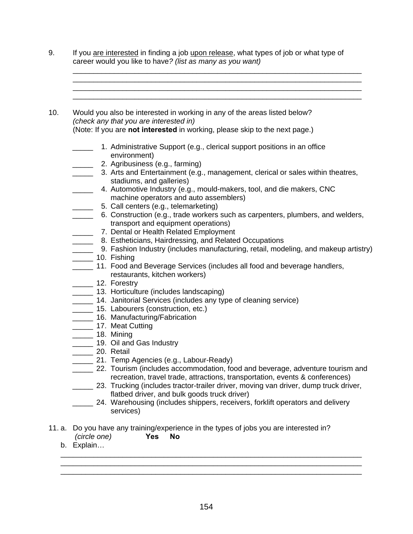- 9. If you are interested in finding a job upon release, what types of job or what type of career would you like to have*? (list as many as you want)*
- 10. Would you also be interested in working in any of the areas listed below? *(check any that you are interested in)*  (Note: If you are **not interested** in working, please skip to the next page.)
	- **1.** Administrative Support (e.g., clerical support positions in an office environment)
	- \_\_\_\_\_ 2. Agribusiness (e.g., farming)
	- **\_\_\_\_\_** 3. Arts and Entertainment (e.g., management, clerical or sales within theatres, stadiums, and galleries)

\_\_\_\_\_\_\_\_\_\_\_\_\_\_\_\_\_\_\_\_\_\_\_\_\_\_\_\_\_\_\_\_\_\_\_\_\_\_\_\_\_\_\_\_\_\_\_\_\_\_\_\_\_\_\_\_\_\_\_\_\_\_\_\_\_\_\_\_\_\_ \_\_\_\_\_\_\_\_\_\_\_\_\_\_\_\_\_\_\_\_\_\_\_\_\_\_\_\_\_\_\_\_\_\_\_\_\_\_\_\_\_\_\_\_\_\_\_\_\_\_\_\_\_\_\_\_\_\_\_\_\_\_\_\_\_\_\_\_\_\_ \_\_\_\_\_\_\_\_\_\_\_\_\_\_\_\_\_\_\_\_\_\_\_\_\_\_\_\_\_\_\_\_\_\_\_\_\_\_\_\_\_\_\_\_\_\_\_\_\_\_\_\_\_\_\_\_\_\_\_\_\_\_\_\_\_\_\_\_\_\_ \_\_\_\_\_\_\_\_\_\_\_\_\_\_\_\_\_\_\_\_\_\_\_\_\_\_\_\_\_\_\_\_\_\_\_\_\_\_\_\_\_\_\_\_\_\_\_\_\_\_\_\_\_\_\_\_\_\_\_\_\_\_\_\_\_\_\_\_\_\_

- \_\_\_\_\_ 4. Automotive Industry (e.g., mould-makers, tool, and die makers, CNC machine operators and auto assemblers)
- **\_\_\_\_\_\_ 5. Call centers (e.g., telemarketing)**
- \_\_\_\_\_ 6. Construction (e.g., trade workers such as carpenters, plumbers, and welders, transport and equipment operations)
- **\_\_\_\_\_ 7. Dental or Health Related Employment**
- **EXECTER 8. Estheticians, Hairdressing, and Related Occupations**
- \_\_\_\_\_ 9. Fashion Industry (includes manufacturing, retail, modeling, and makeup artistry)
- \_\_\_\_\_ 10. Fishing
- **\_\_\_\_\_ 11. Food and Beverage Services (includes all food and beverage handlers,** restaurants, kitchen workers)
- \_\_\_\_\_ 12. Forestry
- \_\_\_\_\_ 13. Horticulture (includes landscaping)
- **\_\_\_\_\_** 14. Janitorial Services (includes any type of cleaning service)
- **15. Labourers (construction, etc.)**
- **\_\_\_\_\_\_ 16. Manufacturing/Fabrication**
- **\_\_\_\_\_\_ 17. Meat Cutting**
- \_\_\_\_\_ 18. Mining
- **19. Oil and Gas Industry**
- \_\_\_\_\_\_\_ 20. Retail
- **\_\_\_\_\_ 21. Temp Agencies (e.g., Labour-Ready)**
- \_\_\_\_\_ 22. Tourism (includes accommodation, food and beverage, adventure tourism and recreation, travel trade, attractions, transportation, events & conferences)
- \_\_\_\_\_ 23. Trucking (includes tractor-trailer driver, moving van driver, dump truck driver, flatbed driver, and bulk goods truck driver)
- **\_\_\_\_\_ 24.** Warehousing (includes shippers, receivers, forklift operators and delivery services)

\_\_\_\_\_\_\_\_\_\_\_\_\_\_\_\_\_\_\_\_\_\_\_\_\_\_\_\_\_\_\_\_\_\_\_\_\_\_\_\_\_\_\_\_\_\_\_\_\_\_\_\_\_\_\_\_\_\_\_\_\_\_\_\_\_\_\_\_\_\_\_\_\_ \_\_\_\_\_\_\_\_\_\_\_\_\_\_\_\_\_\_\_\_\_\_\_\_\_\_\_\_\_\_\_\_\_\_\_\_\_\_\_\_\_\_\_\_\_\_\_\_\_\_\_\_\_\_\_\_\_\_\_\_\_\_\_\_\_\_\_\_\_\_\_\_\_ \_\_\_\_\_\_\_\_\_\_\_\_\_\_\_\_\_\_\_\_\_\_\_\_\_\_\_\_\_\_\_\_\_\_\_\_\_\_\_\_\_\_\_\_\_\_\_\_\_\_\_\_\_\_\_\_\_\_\_\_\_\_\_\_\_\_\_\_\_\_\_\_\_

- 11. a. Do you have any training/experience in the types of jobs you are interested in? *(circle one)* **Yes No**
	- b. Explain…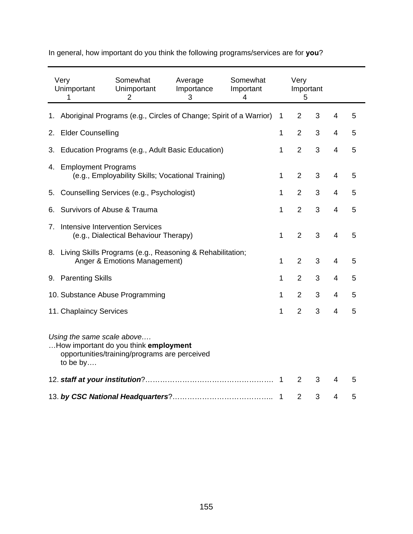|    | Very<br>Unimportant<br>1                                                                                                         | Somewhat<br>Unimportant<br>$\overline{2}$                                                    | Average<br>Importance<br>3 | Somewhat<br>Important<br>4 |              | Very<br>Important<br>5 |   |                          |   |
|----|----------------------------------------------------------------------------------------------------------------------------------|----------------------------------------------------------------------------------------------|----------------------------|----------------------------|--------------|------------------------|---|--------------------------|---|
|    |                                                                                                                                  | 1. Aboriginal Programs (e.g., Circles of Change; Spirit of a Warrior)                        |                            |                            | 1            | $\overline{2}$         | 3 | 4                        | 5 |
|    | 2. Elder Counselling                                                                                                             |                                                                                              |                            |                            | 1            | $\overline{2}$         | 3 | $\overline{4}$           | 5 |
|    |                                                                                                                                  | 3. Education Programs (e.g., Adult Basic Education)                                          |                            |                            | 1            | $\overline{2}$         | 3 | 4                        | 5 |
|    | 4. Employment Programs                                                                                                           | (e.g., Employability Skills; Vocational Training)                                            |                            |                            | $\mathbf{1}$ | $\overline{2}$         | 3 | $\overline{\mathcal{A}}$ | 5 |
| 5. |                                                                                                                                  | Counselling Services (e.g., Psychologist)                                                    |                            |                            | $\mathbf{1}$ | $\overline{2}$         | 3 | 4                        | 5 |
| 6. | Survivors of Abuse & Trauma                                                                                                      |                                                                                              |                            |                            | 1            | $\overline{2}$         | 3 | 4                        | 5 |
|    | 7. Intensive Intervention Services                                                                                               | (e.g., Dialectical Behaviour Therapy)                                                        |                            |                            | 1            | $\overline{2}$         | 3 | 4                        | 5 |
|    |                                                                                                                                  | 8. Living Skills Programs (e.g., Reasoning & Rehabilitation;<br>Anger & Emotions Management) |                            |                            | 1            | $\overline{2}$         | 3 | $\overline{4}$           | 5 |
|    | 9. Parenting Skills                                                                                                              |                                                                                              |                            |                            | 1            | $\overline{2}$         | 3 | 4                        | 5 |
|    |                                                                                                                                  | 10. Substance Abuse Programming                                                              |                            |                            | 1            | $\overline{2}$         | 3 | $\overline{4}$           | 5 |
|    | 11. Chaplaincy Services                                                                                                          |                                                                                              |                            |                            | 1            | $\overline{2}$         | 3 | 4                        | 5 |
|    | Using the same scale above<br>How important do you think employment<br>opportunities/training/programs are perceived<br>to be by |                                                                                              |                            |                            |              |                        |   |                          |   |
|    |                                                                                                                                  |                                                                                              |                            |                            | -1           | 2                      | 3 | 4                        | 5 |
|    |                                                                                                                                  |                                                                                              |                            |                            | 1            | $\overline{2}$         | 3 | 4                        | 5 |

In general, how important do you think the following programs/services are for **you**?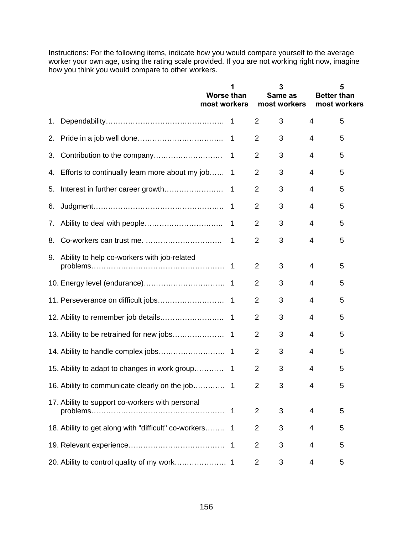Instructions: For the following items, indicate how you would compare yourself to the average worker your own age, using the rating scale provided. If you are not working right now, imagine how you think you would compare to other workers.

|    |                                                        | <b>Worse than</b><br>most workers |                |                | 3<br>Same as<br>most workers | <b>Better than</b> | 5<br>most workers |
|----|--------------------------------------------------------|-----------------------------------|----------------|----------------|------------------------------|--------------------|-------------------|
| 1. |                                                        |                                   |                | $\overline{2}$ | 3                            | 4                  | 5                 |
| 2. |                                                        |                                   | 1              | 2              | 3                            | 4                  | 5                 |
| 3. |                                                        |                                   | 1              | 2              | 3                            | 4                  | 5                 |
|    | 4. Efforts to continually learn more about my job      |                                   | 1              | 2              | 3                            | 4                  | 5                 |
| 5. | Interest in further career growth                      |                                   | 1              | $\overline{2}$ | 3                            | 4                  | 5                 |
| 6. |                                                        |                                   | $\mathbf 1$    | $\overline{2}$ | 3                            | 4                  | 5                 |
| 7. |                                                        |                                   | 1              | $\overline{2}$ | 3                            | 4                  | 5                 |
| 8. |                                                        |                                   | 1              | $\overline{2}$ | 3                            | 4                  | 5                 |
|    | 9. Ability to help co-workers with job-related         |                                   |                | $\overline{2}$ | 3                            | 4                  | 5                 |
|    |                                                        |                                   |                | $\overline{2}$ | 3                            | 4                  | 5                 |
|    |                                                        |                                   | $\overline{1}$ | $\overline{2}$ | 3                            | 4                  | 5                 |
|    |                                                        |                                   | $\overline{1}$ | 2              | 3                            | 4                  | 5                 |
|    | 13. Ability to be retrained for new jobs               |                                   | $\overline{1}$ | 2              | 3                            | 4                  | 5                 |
|    |                                                        |                                   |                | $\overline{2}$ | 3                            | 4                  | 5                 |
|    | 15. Ability to adapt to changes in work group          |                                   | $\mathbf 1$    | 2              | 3                            | 4                  | 5                 |
|    |                                                        |                                   |                | $\overline{2}$ | 3                            | $\mathbf{\Lambda}$ | 5                 |
|    | 17. Ability to support co-workers with personal        |                                   | $\overline{1}$ | $\overline{2}$ | 3                            | 4                  | 5                 |
|    | 18. Ability to get along with "difficult" co-workers 1 |                                   |                | 2              | 3                            | 4                  | 5                 |
|    |                                                        |                                   | -1             | $\overline{2}$ | 3                            | 4                  | 5                 |
|    |                                                        |                                   |                | $\overline{2}$ | 3                            | 4                  | 5                 |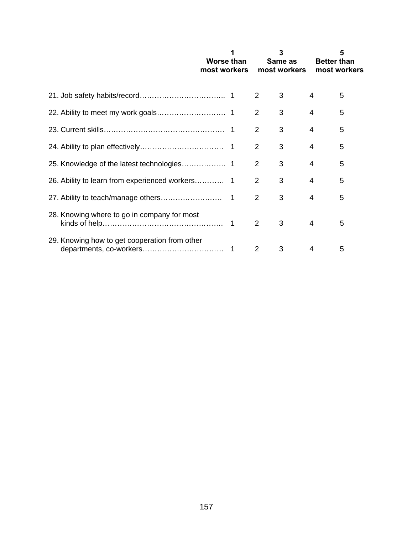|                                               | Worse than<br>most workers |                | 3<br>Same as<br>most workers | <b>Better than</b> | 5<br>most workers |
|-----------------------------------------------|----------------------------|----------------|------------------------------|--------------------|-------------------|
|                                               |                            | 2              | 3                            | 4                  | 5                 |
|                                               |                            | 2              | 3                            | 4                  | 5                 |
|                                               |                            | 2              | 3                            | 4                  | 5                 |
|                                               |                            | 2              | 3                            | 4                  | 5                 |
|                                               |                            | 2              | 3                            | 4                  | 5                 |
|                                               |                            | $\overline{2}$ | 3                            | 4                  | 5                 |
|                                               |                            | $\overline{2}$ | 3                            | 4                  | 5                 |
| 28. Knowing where to go in company for most   |                            | 2              | 3                            | 4                  | 5                 |
| 29. Knowing how to get cooperation from other |                            | 2              | 3                            | 4                  | 5                 |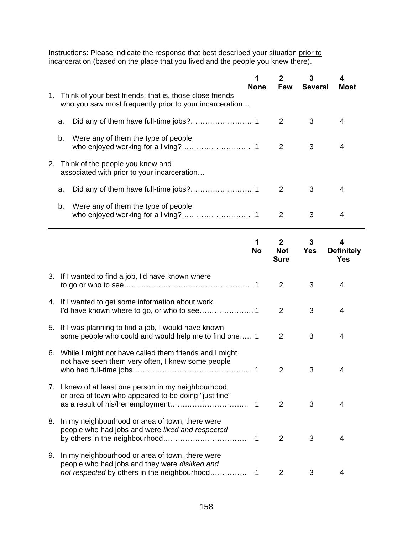Instructions: Please indicate the response that best described your situation prior to incarceration (based on the place that you lived and the people you knew there).

|    |    |                                                                                                                                                   | <b>None</b>    | 2<br><b>Few</b>                           | 3<br><b>Several</b> | 4<br>Most                            |
|----|----|---------------------------------------------------------------------------------------------------------------------------------------------------|----------------|-------------------------------------------|---------------------|--------------------------------------|
|    |    | 1. Think of your best friends: that is, those close friends<br>who you saw most frequently prior to your incarceration                            |                |                                           |                     |                                      |
|    | а. |                                                                                                                                                   |                | $\overline{2}$                            | 3                   | 4                                    |
|    | b. | Were any of them the type of people                                                                                                               |                | $\overline{2}$                            | 3                   | 4                                    |
|    |    | 2. Think of the people you knew and<br>associated with prior to your incarceration                                                                |                |                                           |                     |                                      |
|    | a. |                                                                                                                                                   |                | 2                                         | 3                   | 4                                    |
|    | b. | Were any of them the type of people                                                                                                               |                | $\overline{2}$                            | 3                   | 4                                    |
|    |    |                                                                                                                                                   | 1<br><b>No</b> | $\mathbf{2}$<br><b>Not</b><br><b>Sure</b> | 3<br><b>Yes</b>     | 4<br><b>Definitely</b><br><b>Yes</b> |
|    |    | 3. If I wanted to find a job, I'd have known where                                                                                                |                | 2                                         | 3                   | 4                                    |
|    |    | 4. If I wanted to get some information about work,                                                                                                |                | $\overline{2}$                            | 3                   | 4                                    |
| 5. |    | If I was planning to find a job, I would have known<br>some people who could and would help me to find one 1                                      |                | $\overline{2}$                            | 3                   | 4                                    |
|    |    | 6. While I might not have called them friends and I might<br>not have seen them very often, I knew some people                                    | $\mathbf 1$    | $\overline{2}$                            | 3                   | 4                                    |
|    |    | 7. I knew of at least one person in my neighbourhood<br>or area of town who appeared to be doing "just fine"                                      |                | $\overline{2}$                            | 3                   | 4                                    |
| 8. |    | In my neighbourhood or area of town, there were<br>people who had jobs and were liked and respected                                               | 1              | 2                                         | 3                   | 4                                    |
| 9. |    | In my neighbourhood or area of town, there were<br>people who had jobs and they were disliked and<br>not respected by others in the neighbourhood | 1              | $\overline{2}$                            | 3                   | 4                                    |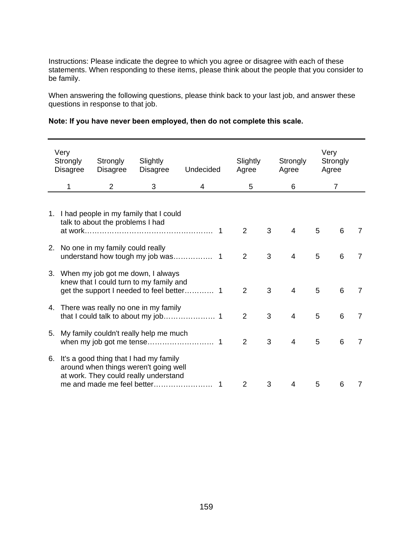Instructions: Please indicate the degree to which you agree or disagree with each of these statements. When responding to these items, please think about the people that you consider to be family.

When answering the following questions, please think back to your last job, and answer these questions in response to that job.

| Very<br>Strongly<br><b>Disagree</b> | Strongly<br><b>Disagree</b>         | Slightly<br><b>Disagree</b>                                                                                                                               | Undecided | Slightly<br>Agree |   | Strongly<br>Agree |   | Very<br>Strongly<br>Agree |                |
|-------------------------------------|-------------------------------------|-----------------------------------------------------------------------------------------------------------------------------------------------------------|-----------|-------------------|---|-------------------|---|---------------------------|----------------|
| 1                                   | $\overline{2}$                      | 3                                                                                                                                                         | 4         | 5                 |   | 6                 |   | $\overline{7}$            |                |
|                                     | talk to about the problems I had    | 1. I had people in my family that I could                                                                                                                 |           | 2                 | 3 | 4                 | 5 | 6                         | 7              |
|                                     | 2. No one in my family could really |                                                                                                                                                           |           | 2                 | 3 | 4                 | 5 | 6                         | 7              |
|                                     |                                     | 3. When my job got me down, I always<br>knew that I could turn to my family and                                                                           |           | $\overline{2}$    | 3 | 4                 | 5 | 6                         | 7              |
|                                     |                                     | 4. There was really no one in my family                                                                                                                   |           | $\overline{2}$    | 3 | 4                 | 5 | 6                         | $\overline{7}$ |
|                                     |                                     | 5. My family couldn't really help me much                                                                                                                 |           | 2                 | 3 | 4                 | 5 | 6                         | 7              |
|                                     |                                     | 6. It's a good thing that I had my family<br>around when things weren't going well<br>at work. They could really understand<br>me and made me feel better |           | 2                 | 3 | 4                 | 5 | 6                         | 7              |

| Note: If you have never been employed, then do not complete this scale. |  |
|-------------------------------------------------------------------------|--|
|-------------------------------------------------------------------------|--|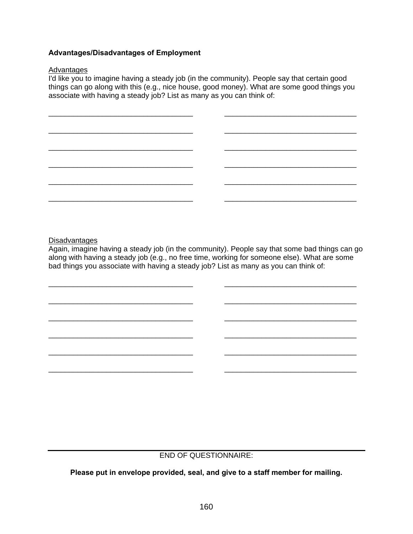### **Advantages/Disadvantages of Employment**

### **Advantages**

I'd like you to imagine having a steady job (in the community). People say that certain good things can go along with this (e.g., nice house, good money). What are some good things you associate with having a steady job? List as many as you can think of:



### **Disadvantages**

Again, imagine having a steady job (in the community). People say that some bad things can go along with having a steady job (e.g., no free time, working for someone else). What are some bad things you associate with having a steady job? List as many as you can think of:

\_\_\_\_\_\_\_\_\_\_\_\_\_\_\_\_\_\_\_\_\_\_\_\_\_\_\_\_\_\_\_\_\_\_\_ \_\_\_\_\_\_\_\_\_\_\_\_\_\_\_\_\_\_\_\_\_\_\_\_\_\_\_\_\_\_\_\_

\_\_\_\_\_\_\_\_\_\_\_\_\_\_\_\_\_\_\_\_\_\_\_\_\_\_\_\_\_\_\_\_\_\_\_ \_\_\_\_\_\_\_\_\_\_\_\_\_\_\_\_\_\_\_\_\_\_\_\_\_\_\_\_\_\_\_\_

\_\_\_\_\_\_\_\_\_\_\_\_\_\_\_\_\_\_\_\_\_\_\_\_\_\_\_\_\_\_\_\_\_\_\_ \_\_\_\_\_\_\_\_\_\_\_\_\_\_\_\_\_\_\_\_\_\_\_\_\_\_\_\_\_\_\_\_

\_\_\_\_\_\_\_\_\_\_\_\_\_\_\_\_\_\_\_\_\_\_\_\_\_\_\_\_\_\_\_\_\_\_\_ \_\_\_\_\_\_\_\_\_\_\_\_\_\_\_\_\_\_\_\_\_\_\_\_\_\_\_\_\_\_\_\_

\_\_\_\_\_\_\_\_\_\_\_\_\_\_\_\_\_\_\_\_\_\_\_\_\_\_\_\_\_\_\_\_\_\_\_ \_\_\_\_\_\_\_\_\_\_\_\_\_\_\_\_\_\_\_\_\_\_\_\_\_\_\_\_\_\_\_\_

\_\_\_\_\_\_\_\_\_\_\_\_\_\_\_\_\_\_\_\_\_\_\_\_\_\_\_\_\_\_\_\_\_\_\_ \_\_\_\_\_\_\_\_\_\_\_\_\_\_\_\_\_\_\_\_\_\_\_\_\_\_\_\_\_\_\_\_

### END OF QUESTIONNAIRE:

**Please put in envelope provided, seal, and give to a staff member for mailing.**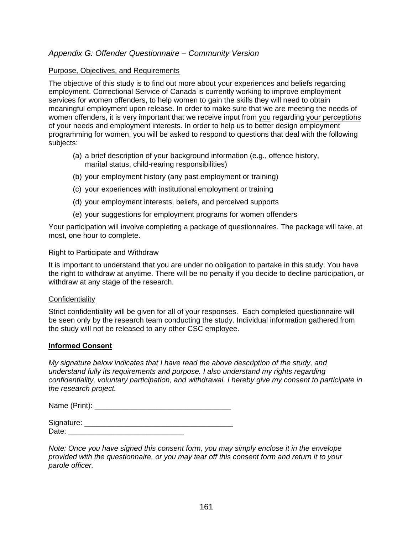# *Appendix G: Offender Questionnaire – Community Version*

### Purpose, Objectives, and Requirements

The objective of this study is to find out more about your experiences and beliefs regarding employment. Correctional Service of Canada is currently working to improve employment services for women offenders, to help women to gain the skills they will need to obtain meaningful employment upon release. In order to make sure that we are meeting the needs of women offenders, it is very important that we receive input from you regarding your perceptions of your needs and employment interests. In order to help us to better design employment programming for women, you will be asked to respond to questions that deal with the following subjects:

- (a) a brief description of your background information (e.g., offence history, marital status, child-rearing responsibilities)
- (b) your employment history (any past employment or training)
- (c) your experiences with institutional employment or training
- (d) your employment interests, beliefs, and perceived supports
- (e) your suggestions for employment programs for women offenders

Your participation will involve completing a package of questionnaires. The package will take, at most, one hour to complete.

### Right to Participate and Withdraw

It is important to understand that you are under no obligation to partake in this study. You have the right to withdraw at anytime. There will be no penalty if you decide to decline participation, or withdraw at any stage of the research.

### **Confidentiality**

Strict confidentiality will be given for all of your responses. Each completed questionnaire will be seen only by the research team conducting the study. Individual information gathered from the study will not be released to any other CSC employee.

### **Informed Consent**

*My signature below indicates that I have read the above description of the study, and understand fully its requirements and purpose. I also understand my rights regarding confidentiality, voluntary participation, and withdrawal. I hereby give my consent to participate in the research project.* 

Name (Print):  $\blacksquare$ 

| Signature: |  |
|------------|--|
| ∩ate:      |  |

*Note: Once you have signed this consent form, you may simply enclose it in the envelope provided with the questionnaire, or you may tear off this consent form and return it to your parole officer.*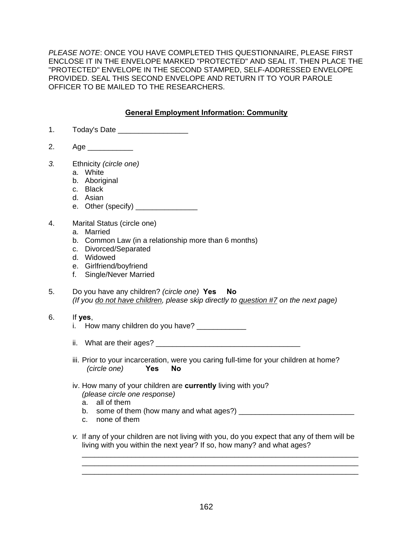*PLEASE NOTE*: ONCE YOU HAVE COMPLETED THIS QUESTIONNAIRE, PLEASE FIRST ENCLOSE IT IN THE ENVELOPE MARKED "PROTECTED" AND SEAL IT. THEN PLACE THE "PROTECTED" ENVELOPE IN THE SECOND STAMPED, SELF-ADDRESSED ENVELOPE PROVIDED. SEAL THIS SECOND ENVELOPE AND RETURN IT TO YOUR PAROLE OFFICER TO BE MAILED TO THE RESEARCHERS.

# **General Employment Information: Community**

- 1. Today's Date \_\_\_\_\_\_\_\_\_\_\_\_\_\_\_\_\_
- 2. Age
- *3.* Ethnicity *(circle one)* 
	- a. White
	- b. Aboriginal
	- c. Black
	- d. Asian
	- e. Other (specify) \_\_\_\_\_\_\_\_\_\_\_\_\_\_\_
- 4. Marital Status (circle one)
	- a. Married
	- b. Common Law (in a relationship more than 6 months)
	- c. Divorced/Separated
	- d. Widowed
	- e. Girlfriend/boyfriend
	- f. Single/Never Married
- 5. Do you have any children? *(circle one)* **Yes No**  *(If you do not have children, please skip directly to question #7 on the next page)*
- 6. If **yes**,
	- i. How many children do you have? \_\_\_\_\_\_\_\_\_\_\_
	- ii. What are their ages?
	- iii. Prior to your incarceration, were you caring full-time for your children at home? *(circle one)* **Yes No**
	- iv. How many of your children are **currently** living with you? *(please circle one response)* 
		- a. all of them
		- b. some of them (how many and what ages?) \_\_\_\_\_\_\_\_\_\_\_\_\_\_\_\_\_\_\_\_\_\_\_\_\_\_\_\_
		- c. none of them
	- *v.* If any of your children are not living with you, do you expect that any of them will be living with you within the next year? If so, how many? and what ages?

\_\_\_\_\_\_\_\_\_\_\_\_\_\_\_\_\_\_\_\_\_\_\_\_\_\_\_\_\_\_\_\_\_\_\_\_\_\_\_\_\_\_\_\_\_\_\_\_\_\_\_\_\_\_\_\_\_\_\_\_\_\_\_\_\_\_\_

\_\_\_\_\_\_\_\_\_\_\_\_\_\_\_\_\_\_\_\_\_\_\_\_\_\_\_\_\_\_\_\_\_\_\_\_\_\_\_\_\_\_\_\_\_\_\_\_\_\_\_\_\_\_\_\_\_\_\_\_\_\_\_\_\_\_\_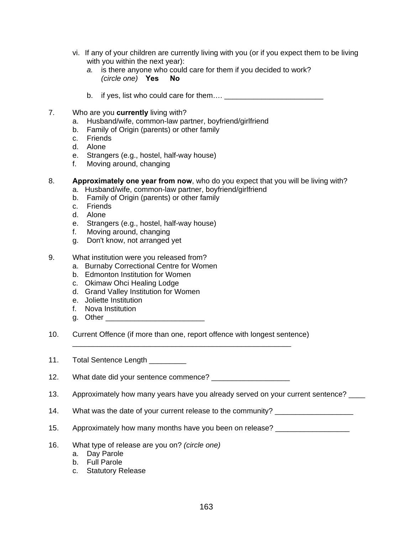- vi. If any of your children are currently living with you (or if you expect them to be living with you within the next year):
	- *a.* is there anyone who could care for them if you decided to work?  *(circle one)* **Yes No**
	- b. if yes, list who could care for them…. \_\_\_\_\_\_\_\_\_\_\_\_\_\_\_\_\_\_\_\_\_\_\_\_
- 7. Who are you **currently** living with?
	- a. Husband/wife, common-law partner, boyfriend/girlfriend
	- b. Family of Origin (parents) or other family
	- c. Friends
	- d. Alone
	- e. Strangers (e.g., hostel, half-way house)
	- f. Moving around, changing
- 8. **Approximately one year from now**, who do you expect that you will be living with?
	- a. Husband/wife, common-law partner, boyfriend/girlfriend
		- b. Family of Origin (parents) or other family
		- c. Friends
		- d. Alone
		- e. Strangers (e.g., hostel, half-way house)
		- f. Moving around, changing
		- g. Don't know, not arranged yet
- 9. What institution were you released from?
	- a. Burnaby Correctional Centre for Women
	- b. Edmonton Institution for Women
	- c. Okimaw Ohci Healing Lodge
	- d. Grand Valley Institution for Women
	- e. Joliette Institution
	- f. Nova Institution
	- g. Other \_\_\_\_\_\_\_\_\_\_\_\_\_\_\_\_\_\_\_\_\_\_\_\_
- 10. Current Offence (if more than one, report offence with longest sentence) \_\_\_\_\_\_\_\_\_\_\_\_\_\_\_\_\_\_\_\_\_\_\_\_\_\_\_\_\_\_\_\_\_\_\_\_\_\_\_\_\_\_\_\_\_\_\_\_\_\_\_\_\_
- 11. Total Sentence Length

12. What date did your sentence commence? \_\_\_\_\_\_\_\_\_\_\_\_\_\_\_\_\_\_\_

- 13. Approximately how many years have you already served on your current sentence? \_\_\_\_
- 14. What was the date of your current release to the community? \_\_\_\_\_\_\_\_\_\_\_\_\_\_\_\_
- 15. Approximately how many months have you been on release?
- 16. What type of release are you on? *(circle one)*
	- a. Day Parole
	- b. Full Parole
	- c. Statutory Release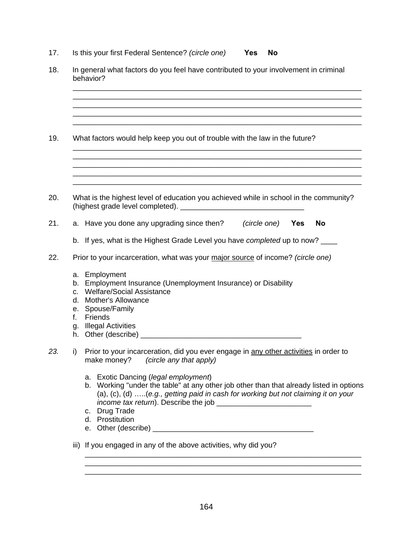17. Is this your first Federal Sentence? *(circle one)* **Yes No**

|                                  | In general what factors do you feel have contributed to your involvement in criminal<br>behavior?                                                                                                                                                                                                                                                                                          |  |  |  |  |  |  |
|----------------------------------|--------------------------------------------------------------------------------------------------------------------------------------------------------------------------------------------------------------------------------------------------------------------------------------------------------------------------------------------------------------------------------------------|--|--|--|--|--|--|
|                                  | What factors would help keep you out of trouble with the law in the future?                                                                                                                                                                                                                                                                                                                |  |  |  |  |  |  |
|                                  | What is the highest level of education you achieved while in school in the community?                                                                                                                                                                                                                                                                                                      |  |  |  |  |  |  |
|                                  | a. Have you done any upgrading since then? (circle one) Yes<br><b>No</b>                                                                                                                                                                                                                                                                                                                   |  |  |  |  |  |  |
|                                  | b. If yes, what is the Highest Grade Level you have completed up to now?                                                                                                                                                                                                                                                                                                                   |  |  |  |  |  |  |
|                                  | Prior to your incarceration, what was your major source of income? (circle one)                                                                                                                                                                                                                                                                                                            |  |  |  |  |  |  |
| b.<br>C.<br>d.<br>е.<br>f.<br>g. | a. Employment<br>Employment Insurance (Unemployment Insurance) or Disability<br><b>Welfare/Social Assistance</b><br><b>Mother's Allowance</b><br>Spouse/Family<br>Friends<br><b>Illegal Activities</b>                                                                                                                                                                                     |  |  |  |  |  |  |
| i)                               | Prior to your incarceration, did you ever engage in any other activities in order to<br>make money?<br>(circle any that apply)<br>a. Exotic Dancing (legal employment)<br>b. Working "under the table" at any other job other than that already listed in options<br>(a), (c), (d) (e.g., getting paid in cash for working but not claiming it on your<br>c. Drug Trade<br>d. Prostitution |  |  |  |  |  |  |
|                                  | iii) If you engaged in any of the above activities, why did you?                                                                                                                                                                                                                                                                                                                           |  |  |  |  |  |  |

 $\overline{\phantom{a}}$  , and the contribution of the contribution of the contribution of the contribution of the contribution of the contribution of the contribution of the contribution of the contribution of the contribution of the  $\overline{\phantom{a}}$  , and the contribution of the contribution of the contribution of the contribution of the contribution of the contribution of the contribution of the contribution of the contribution of the contribution of the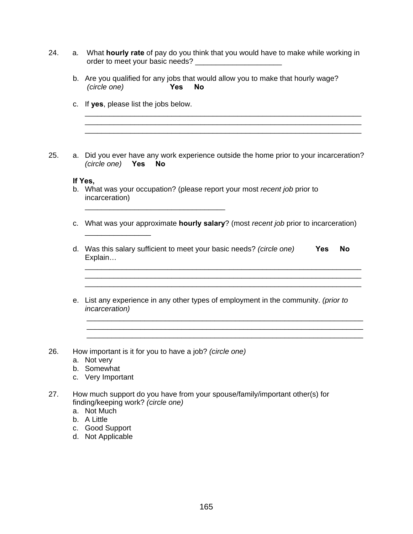| 24. | а. | What hourly rate of pay do you think that you would have to make while working in<br>order to meet your basic needs? ________________________   |
|-----|----|-------------------------------------------------------------------------------------------------------------------------------------------------|
|     |    | b. Are you qualified for any jobs that would allow you to make that hourly wage?<br>(circle one)<br><b>No</b><br><b>Yes</b>                     |
|     |    | c. If yes, please list the jobs below.                                                                                                          |
| 25. |    | a. Did you ever have any work experience outside the home prior to your incarceration?<br>(circle one)<br>Yes<br><b>No</b>                      |
|     |    | If Yes,<br>b. What was your occupation? (please report your most recent job prior to<br>incarceration)                                          |
|     | C. | What was your approximate <b>hourly salary</b> ? (most <i>recent job</i> prior to incarceration)                                                |
|     |    | d. Was this salary sufficient to meet your basic needs? (circle one)<br><b>Yes</b><br><b>No</b><br>Explain                                      |
|     |    | e. List any experience in any other types of employment in the community. (prior to<br><i>incarceration</i> )                                   |
| 26. | а. | How important is it for you to have a job? (circle one)<br>Not very<br>b. Somewhat<br>c. Very Important                                         |
| 27. |    | How much support do you have from your spouse/family/important other(s) for<br>finding/keeping work? (circle one)<br>a. Not Much<br>b. A Little |

- c. Good Support
- d. Not Applicable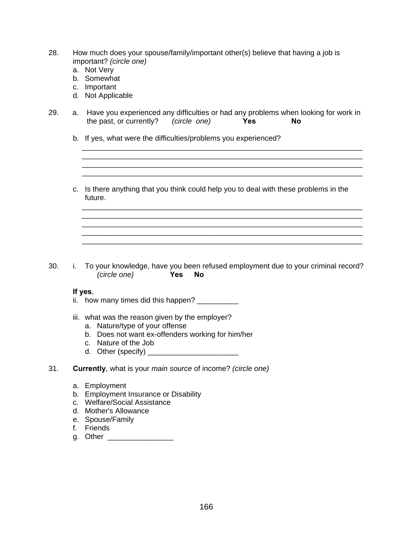- 28. How much does your spouse/family/important other(s) believe that having a job is important? *(circle one)*
	- a. Not Very
	- b. Somewhat
	- c. Important
	- d. Not Applicable
- 29. a. Have you experienced any difficulties or had any problems when looking for work in the past, or currently? *(circle one)* **Yes No**
	- b. If yes, what were the difficulties/problems you experienced?
	- c. Is there anything that you think could help you to deal with these problems in the future.

\_\_\_\_\_\_\_\_\_\_\_\_\_\_\_\_\_\_\_\_\_\_\_\_\_\_\_\_\_\_\_\_\_\_\_\_\_\_\_\_\_\_\_\_\_\_\_\_\_\_\_\_\_\_\_\_\_\_\_\_\_\_\_\_\_\_\_\_

\_\_\_\_\_\_\_\_\_\_\_\_\_\_\_\_\_\_\_\_\_\_\_\_\_\_\_\_\_\_\_\_\_\_\_\_\_\_\_\_\_\_\_\_\_\_\_\_\_\_\_\_\_\_\_\_\_\_\_\_\_\_\_\_\_\_\_\_ \_\_\_\_\_\_\_\_\_\_\_\_\_\_\_\_\_\_\_\_\_\_\_\_\_\_\_\_\_\_\_\_\_\_\_\_\_\_\_\_\_\_\_\_\_\_\_\_\_\_\_\_\_\_\_\_\_\_\_\_\_\_\_\_\_\_\_\_

\_\_\_\_\_\_\_\_\_\_\_\_\_\_\_\_\_\_\_\_\_\_\_\_\_\_\_\_\_\_\_\_\_\_\_\_\_\_\_\_\_\_\_\_\_\_\_\_\_\_\_\_\_\_\_\_\_\_\_\_\_\_\_\_\_\_\_\_ \_\_\_\_\_\_\_\_\_\_\_\_\_\_\_\_\_\_\_\_\_\_\_\_\_\_\_\_\_\_\_\_\_\_\_\_\_\_\_\_\_\_\_\_\_\_\_\_\_\_\_\_\_\_\_\_\_\_\_\_\_\_\_\_\_\_\_\_

\_\_\_\_\_\_\_\_\_\_\_\_\_\_\_\_\_\_\_\_\_\_\_\_\_\_\_\_\_\_\_\_\_\_\_\_\_\_\_\_\_\_\_\_\_\_\_\_\_\_\_\_\_\_\_\_\_\_\_\_\_\_\_\_\_\_\_\_

\_\_\_\_\_\_\_\_\_\_\_\_\_\_\_\_\_\_\_\_\_\_\_\_\_\_\_\_\_\_\_\_\_\_\_\_\_\_\_\_\_\_\_\_\_\_\_\_\_\_\_\_\_\_\_\_\_\_\_\_\_\_\_\_\_\_\_\_

30. i. To your knowledge, have you been refused employment due to your criminal record? *(circle one)* **Yes No**

#### **If yes**,

- ii. how many times did this happen? \_\_\_\_\_\_\_\_\_\_\_
- iii. what was the reason given by the employer?
	- a. Nature/type of your offense
	- b. Does not want ex-offenders working for him/her
	- c. Nature of the Job
	- d. Other (specify) \_\_\_\_\_\_\_\_\_\_\_\_\_\_\_\_\_\_\_\_\_\_
- 31. **Currently**, what is your *main source* of income? *(circle one)* 
	- a. Employment
	- b. Employment Insurance or Disability
	- c. Welfare/Social Assistance
	- d. Mother's Allowance
	- e. Spouse/Family
	- f. Friends
	- g. Other \_\_\_\_\_\_\_\_\_\_\_\_\_\_\_\_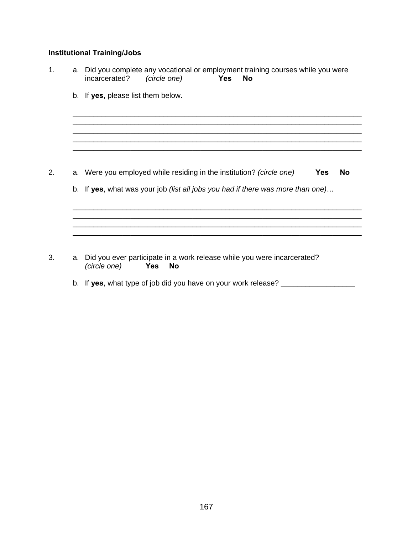### **Institutional Training/Jobs**

- 1. a. Did you complete any vocational or employment training courses while you were<br>incarcerated? (circle one) **Yes No**  $rac{1}{2}$ incarcerated? b. If **yes**, please list them below. \_\_\_\_\_\_\_\_\_\_\_\_\_\_\_\_\_\_\_\_\_\_\_\_\_\_\_\_\_\_\_\_\_\_\_\_\_\_\_\_\_\_\_\_\_\_\_\_\_\_\_\_\_\_\_\_\_\_\_\_\_\_\_\_\_\_\_\_\_\_ \_\_\_\_\_\_\_\_\_\_\_\_\_\_\_\_\_\_\_\_\_\_\_\_\_\_\_\_\_\_\_\_\_\_\_\_\_\_\_\_\_\_\_\_\_\_\_\_\_\_\_\_\_\_\_\_\_\_\_\_\_\_\_\_\_\_\_\_\_\_ 2. a. Were you employed while residing in the institution? *(circle one)* **Yes No** b. If **yes**, what was your job *(list all jobs you had if there was more than one)*… \_\_\_\_\_\_\_\_\_\_\_\_\_\_\_\_\_\_\_\_\_\_\_\_\_\_\_\_\_\_\_\_\_\_\_\_\_\_\_\_\_\_\_\_\_\_\_\_\_\_\_\_\_\_\_\_\_\_\_\_\_\_\_\_\_\_\_\_\_\_ \_\_\_\_\_\_\_\_\_\_\_\_\_\_\_\_\_\_\_\_\_\_\_\_\_\_\_\_\_\_\_\_\_\_\_\_\_\_\_\_\_\_\_\_\_\_\_\_\_\_\_\_\_\_\_\_\_\_\_\_\_\_\_\_\_\_\_\_\_\_ \_\_\_\_\_\_\_\_\_\_\_\_\_\_\_\_\_\_\_\_\_\_\_\_\_\_\_\_\_\_\_\_\_\_\_\_\_\_\_\_\_\_\_\_\_\_\_\_\_\_\_\_\_\_\_\_\_\_\_\_\_\_\_\_\_\_\_\_\_\_
- 3. a. Did you ever participate in a work release while you were incarcerated? *(circle one)* **Yes No**
	- b. If **yes**, what type of job did you have on your work release? \_\_\_\_\_\_\_\_\_\_\_\_\_\_\_\_\_\_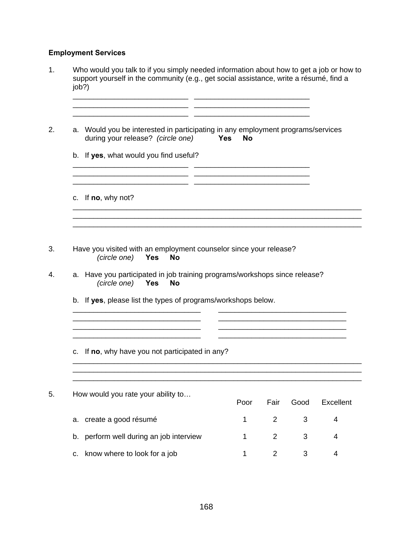# **Employment Services**

|    | Who would you talk to if you simply needed information about how to get a job or how to<br>support yourself in the community (e.g., get social assistance, write a résumé, find a<br>job?)                                            |                  |                |      |           |
|----|---------------------------------------------------------------------------------------------------------------------------------------------------------------------------------------------------------------------------------------|------------------|----------------|------|-----------|
|    | a. Would you be interested in participating in any employment programs/services<br>during your release? (circle one)                                                                                                                  | Yes<br><b>No</b> |                |      |           |
|    | b. If yes, what would you find useful?                                                                                                                                                                                                |                  |                |      |           |
|    | c. If no, why not?                                                                                                                                                                                                                    |                  |                |      |           |
|    | Have you visited with an employment counselor since your release?<br>(circle one)<br><b>Yes</b><br><b>No</b><br>a. Have you participated in job training programs/workshops since release?<br>(circle one)<br><b>Yes</b><br><b>No</b> |                  |                |      |           |
|    | b. If yes, please list the types of programs/workshops below.                                                                                                                                                                         |                  |                |      |           |
|    | c. If no, why have you not participated in any?                                                                                                                                                                                       |                  |                |      |           |
|    | How would you rate your ability to                                                                                                                                                                                                    | Poor             | Fair           | Good | Excellent |
| a. | create a good résumé                                                                                                                                                                                                                  | 1                | $\overline{2}$ | 3    | 4         |
|    | b. perform well during an job interview                                                                                                                                                                                               | 1                | $\overline{2}$ | 3    | 4         |
|    | c. know where to look for a job                                                                                                                                                                                                       | 1                | $\overline{2}$ | 3    | 4         |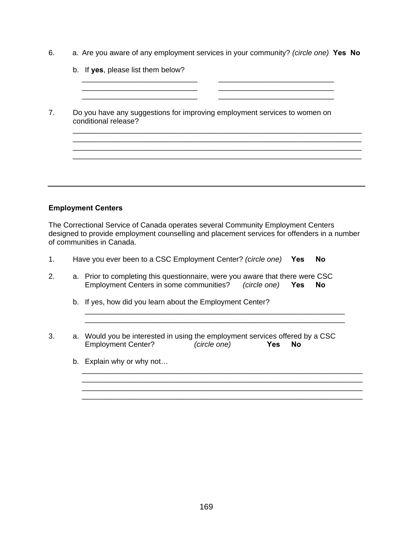6. a. Are you aware of any employment services in your community? *(circle one)* **Yes No**

| Do you have any suggestions for improving employment services to women on |
|---------------------------------------------------------------------------|
|                                                                           |
|                                                                           |
|                                                                           |
|                                                                           |

## **Employment Centers**

The Correctional Service of Canada operates several Community Employment Centers designed to provide employment counselling and placement services for offenders in a number of communities in Canada.

- 1. Have you ever been to a CSC Employment Center? *(circle one)* **Yes No**
- 2. a. Prior to completing this questionnaire, were you aware that there were CSC Employment Centers in some communities? *(circle one)* **Yes No** 
	- b. If yes, how did you learn about the Employment Center?
- 3. a. Would you be interested in using the employment services offered by a CSC Employment Center? *(circle one)* **Yes No**

\_\_\_\_\_\_\_\_\_\_\_\_\_\_\_\_\_\_\_\_\_\_\_\_\_\_\_\_\_\_\_\_\_\_\_\_\_\_\_\_\_\_\_\_\_\_\_\_\_\_\_\_\_\_\_\_\_\_\_\_\_\_\_\_\_\_\_\_

\_\_\_\_\_\_\_\_\_\_\_\_\_\_\_\_\_\_\_\_\_\_\_\_\_\_\_\_\_\_\_\_\_\_\_\_\_\_\_\_\_\_\_\_\_\_\_\_\_\_\_\_\_\_\_\_\_\_\_\_\_\_\_\_\_\_\_\_

 \_\_\_\_\_\_\_\_\_\_\_\_\_\_\_\_\_\_\_\_\_\_\_\_\_\_\_\_\_\_\_\_\_\_\_\_\_\_\_\_\_\_\_\_\_\_\_\_\_\_\_\_\_\_\_\_\_\_\_\_\_\_\_ \_\_\_\_\_\_\_\_\_\_\_\_\_\_\_\_\_\_\_\_\_\_\_\_\_\_\_\_\_\_\_\_\_\_\_\_\_\_\_\_\_\_\_\_\_\_\_\_\_\_\_\_\_\_\_\_\_\_\_\_\_\_\_

b. Explain why or why not…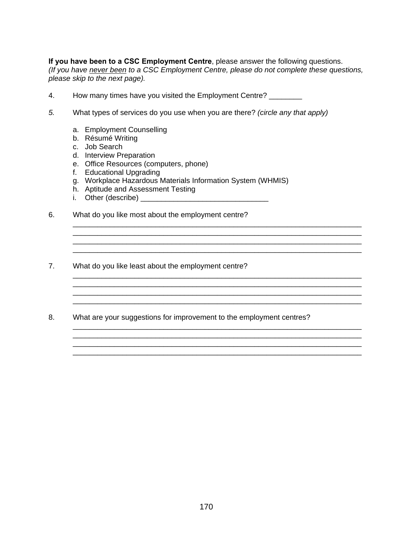**If you have been to a CSC Employment Centre**, please answer the following questions. *(If you have never been to a CSC Employment Centre, please do not complete these questions, please skip to the next page).* 

\_\_\_\_\_\_\_\_\_\_\_\_\_\_\_\_\_\_\_\_\_\_\_\_\_\_\_\_\_\_\_\_\_\_\_\_\_\_\_\_\_\_\_\_\_\_\_\_\_\_\_\_\_\_\_\_\_\_\_\_\_\_\_\_\_\_\_\_\_\_

\_\_\_\_\_\_\_\_\_\_\_\_\_\_\_\_\_\_\_\_\_\_\_\_\_\_\_\_\_\_\_\_\_\_\_\_\_\_\_\_\_\_\_\_\_\_\_\_\_\_\_\_\_\_\_\_\_\_\_\_\_\_\_\_\_\_\_\_\_\_ \_\_\_\_\_\_\_\_\_\_\_\_\_\_\_\_\_\_\_\_\_\_\_\_\_\_\_\_\_\_\_\_\_\_\_\_\_\_\_\_\_\_\_\_\_\_\_\_\_\_\_\_\_\_\_\_\_\_\_\_\_\_\_\_\_\_\_\_\_\_

\_\_\_\_\_\_\_\_\_\_\_\_\_\_\_\_\_\_\_\_\_\_\_\_\_\_\_\_\_\_\_\_\_\_\_\_\_\_\_\_\_\_\_\_\_\_\_\_\_\_\_\_\_\_\_\_\_\_\_\_\_\_\_\_\_\_\_\_\_\_

\_\_\_\_\_\_\_\_\_\_\_\_\_\_\_\_\_\_\_\_\_\_\_\_\_\_\_\_\_\_\_\_\_\_\_\_\_\_\_\_\_\_\_\_\_\_\_\_\_\_\_\_\_\_\_\_\_\_\_\_\_\_\_\_\_\_\_\_\_\_ \_\_\_\_\_\_\_\_\_\_\_\_\_\_\_\_\_\_\_\_\_\_\_\_\_\_\_\_\_\_\_\_\_\_\_\_\_\_\_\_\_\_\_\_\_\_\_\_\_\_\_\_\_\_\_\_\_\_\_\_\_\_\_\_\_\_\_\_\_\_

\_\_\_\_\_\_\_\_\_\_\_\_\_\_\_\_\_\_\_\_\_\_\_\_\_\_\_\_\_\_\_\_\_\_\_\_\_\_\_\_\_\_\_\_\_\_\_\_\_\_\_\_\_\_\_\_\_\_\_\_\_\_\_\_\_\_\_\_\_\_

- 4. How many times have you visited the Employment Centre? \_\_\_\_\_\_\_
- *5.* What types of services do you use when you are there? *(circle any that apply)* 
	- a. Employment Counselling
	- b. Résumé Writing
	- c. Job Search
	- d. Interview Preparation
	- e. Office Resources (computers, phone)
	- f. Educational Upgrading
	- g. Workplace Hazardous Materials Information System (WHMIS)
	- h. Aptitude and Assessment Testing
	- i. Other (describe) \_\_\_\_\_\_\_\_\_\_\_\_\_\_\_\_\_\_\_\_\_\_\_\_\_\_\_\_\_\_\_
- 6. What do you like most about the employment centre?
- 7. What do you like least about the employment centre?
- 8. What are your suggestions for improvement to the employment centres?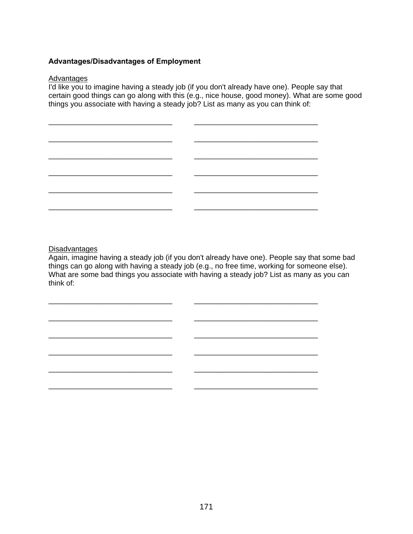#### **Advantages/Disadvantages of Employment**

#### Advantages

I'd like you to imagine having a steady job (if you don't already have one). People say that certain good things can go along with this (e.g., nice house, good money). What are some good things you associate with having a steady job? List as many as you can think of:



**Disadvantages** 

Again, imagine having a steady job (if you don't already have one). People say that some bad things can go along with having a steady job (e.g., no free time, working for someone else). What are some bad things you associate with having a steady job? List as many as you can think of:

\_\_\_\_\_\_\_\_\_\_\_\_\_\_\_\_\_\_\_\_\_\_\_\_\_\_\_\_\_\_ \_\_\_\_\_\_\_\_\_\_\_\_\_\_\_\_\_\_\_\_\_\_\_\_\_\_\_\_\_\_

\_\_\_\_\_\_\_\_\_\_\_\_\_\_\_\_\_\_\_\_\_\_\_\_\_\_\_\_\_\_ \_\_\_\_\_\_\_\_\_\_\_\_\_\_\_\_\_\_\_\_\_\_\_\_\_\_\_\_\_\_

\_\_\_\_\_\_\_\_\_\_\_\_\_\_\_\_\_\_\_\_\_\_\_\_\_\_\_\_\_\_ \_\_\_\_\_\_\_\_\_\_\_\_\_\_\_\_\_\_\_\_\_\_\_\_\_\_\_\_\_\_

\_\_\_\_\_\_\_\_\_\_\_\_\_\_\_\_\_\_\_\_\_\_\_\_\_\_\_\_\_\_ \_\_\_\_\_\_\_\_\_\_\_\_\_\_\_\_\_\_\_\_\_\_\_\_\_\_\_\_\_\_

\_\_\_\_\_\_\_\_\_\_\_\_\_\_\_\_\_\_\_\_\_\_\_\_\_\_\_\_\_\_ \_\_\_\_\_\_\_\_\_\_\_\_\_\_\_\_\_\_\_\_\_\_\_\_\_\_\_\_\_\_

\_\_\_\_\_\_\_\_\_\_\_\_\_\_\_\_\_\_\_\_\_\_\_\_\_\_\_\_\_\_ \_\_\_\_\_\_\_\_\_\_\_\_\_\_\_\_\_\_\_\_\_\_\_\_\_\_\_\_\_\_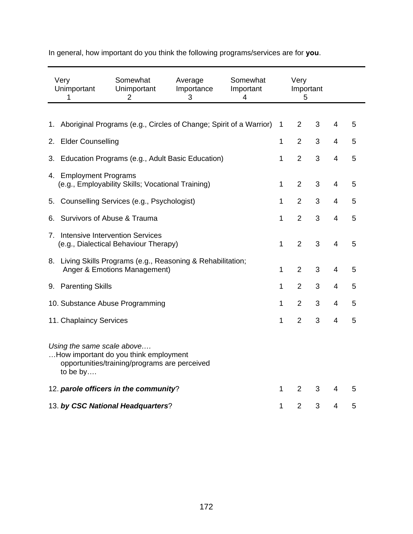| Very<br>1                                                                   | Somewhat<br>Somewhat<br>Average<br>Unimportant<br>Unimportant<br>Importance<br>Important<br>$\overline{2}$<br>3<br>4 |  |  |              |                |   |                |   |
|-----------------------------------------------------------------------------|----------------------------------------------------------------------------------------------------------------------|--|--|--------------|----------------|---|----------------|---|
|                                                                             |                                                                                                                      |  |  |              |                |   |                |   |
| 1.                                                                          | Aboriginal Programs (e.g., Circles of Change; Spirit of a Warrior)                                                   |  |  | 1            | $\overline{2}$ | 3 | 4              | 5 |
| <b>Elder Counselling</b><br>2.                                              |                                                                                                                      |  |  | 1            | $\overline{2}$ | 3 | 4              | 5 |
| 3.                                                                          | Education Programs (e.g., Adult Basic Education)                                                                     |  |  | $\mathbf{1}$ | $\overline{2}$ | 3 | $\overline{4}$ | 5 |
| 4. Employment Programs<br>(e.g., Employability Skills; Vocational Training) |                                                                                                                      |  |  |              |                | 3 | $\overline{4}$ | 5 |
| Counselling Services (e.g., Psychologist)<br>5.                             |                                                                                                                      |  |  |              |                | 3 | 4              | 5 |
| Survivors of Abuse & Trauma<br>6.                                           |                                                                                                                      |  |  |              | $\overline{2}$ | 3 | 4              | 5 |
| 7. Intensive Intervention Services<br>(e.g., Dialectical Behaviour Therapy) |                                                                                                                      |  |  |              | $\overline{2}$ | 3 | $\overline{4}$ | 5 |
|                                                                             | 8. Living Skills Programs (e.g., Reasoning & Rehabilitation;<br>Anger & Emotions Management)                         |  |  | $\mathbf{1}$ | $\overline{2}$ | 3 | 4              | 5 |
| <b>Parenting Skills</b><br>9.                                               |                                                                                                                      |  |  | 1            | $\overline{2}$ | 3 | 4              | 5 |
|                                                                             | 10. Substance Abuse Programming                                                                                      |  |  | 1            | $\overline{2}$ | 3 | 4              | 5 |
| 11. Chaplaincy Services                                                     |                                                                                                                      |  |  | 1            | $\overline{2}$ | 3 | $\overline{4}$ | 5 |
| to be by                                                                    | Using the same scale above<br>How important do you think employment<br>opportunities/training/programs are perceived |  |  |              |                |   |                |   |
|                                                                             | 12. parole officers in the community?                                                                                |  |  | 1            | $\overline{2}$ | 3 | 4              | 5 |
|                                                                             | 13. by CSC National Headquarters?                                                                                    |  |  | 1            | $\overline{2}$ | 3 | 4              | 5 |

In general, how important do you think the following programs/services are for **you**.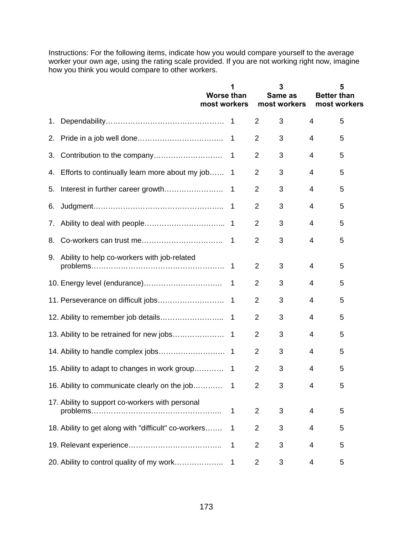Instructions: For the following items, indicate how you would compare yourself to the average worker your own age, using the rating scale provided. If you are not working right now, imagine how you think you would compare to other workers.

|    |                                                      | <b>Worse than</b><br>most workers | 1              |                | 3<br>Same as<br>most workers | <b>Better than</b> | 5<br>most workers |
|----|------------------------------------------------------|-----------------------------------|----------------|----------------|------------------------------|--------------------|-------------------|
| 1. |                                                      |                                   |                | $\overline{2}$ | 3                            | 4                  | 5                 |
| 2. |                                                      |                                   | 1              | $\overline{2}$ | 3                            | 4                  | 5                 |
| 3. |                                                      |                                   | 1              | 2              | 3                            | 4                  | 5                 |
|    | 4. Efforts to continually learn more about my job    |                                   | 1              | $\overline{2}$ | 3                            | 4                  | 5                 |
| 5. | Interest in further career growth                    |                                   | $\mathbf 1$    | $\overline{2}$ | 3                            | 4                  | 5                 |
| 6. |                                                      |                                   | $\mathbf{1}$   | $\overline{2}$ | 3                            | 4                  | 5                 |
| 7. |                                                      |                                   | $\mathbf 1$    | $\overline{2}$ | 3                            | 4                  | 5                 |
| 8. |                                                      |                                   | 1              | $\overline{2}$ | 3                            | 4                  | 5                 |
|    | 9. Ability to help co-workers with job-related       |                                   | $\overline{1}$ | $\overline{2}$ | 3                            | 4                  | 5                 |
|    |                                                      |                                   | -1             | 2              | 3                            | 4                  | 5                 |
|    | 11. Perseverance on difficult jobs                   |                                   | -1             | $\overline{2}$ | 3                            | 4                  | 5                 |
|    |                                                      |                                   | $\overline{1}$ | 2              | 3                            | 4                  | 5                 |
|    | 13. Ability to be retrained for new jobs             |                                   | $\mathbf 1$    | 2              | 3                            | 4                  | 5                 |
|    |                                                      |                                   |                | $\overline{2}$ | 3                            | 4                  | 5                 |
|    | 15. Ability to adapt to changes in work group        |                                   | $\overline{1}$ | $\overline{2}$ | 3                            | 4                  | 5                 |
|    |                                                      |                                   |                | 2              | 3                            | 4                  | 5                 |
|    | 17. Ability to support co-workers with personal      |                                   | 1              | 2              | 3                            | 4                  | 5                 |
|    | 18. Ability to get along with "difficult" co-workers |                                   | 1              | $\overline{2}$ | 3                            | 4                  | 5                 |
|    |                                                      |                                   | 1              | $\overline{2}$ | 3                            | 4                  | 5                 |
|    | 20. Ability to control quality of my work            |                                   | 1              | $\overline{2}$ | 3                            | 4                  | 5                 |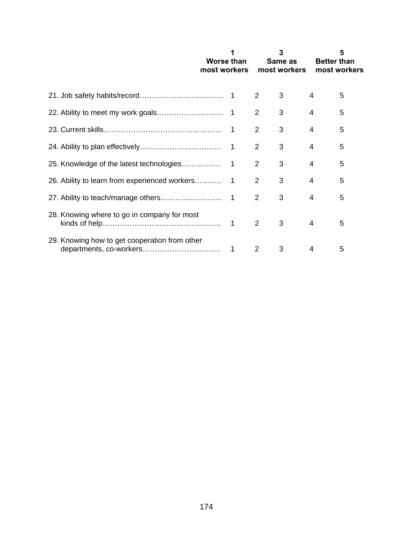|                                               | Worse than<br>most workers |    |                | 3<br>Same as<br>most workers | <b>Better than</b> | 5<br>most workers |
|-----------------------------------------------|----------------------------|----|----------------|------------------------------|--------------------|-------------------|
|                                               |                            |    | 2              | 3                            | 4                  | 5                 |
|                                               |                            |    | 2              | 3                            | 4                  | 5                 |
|                                               |                            |    | 2              | 3                            | 4                  | 5                 |
|                                               |                            |    | $\overline{2}$ | 3                            | 4                  | 5                 |
|                                               |                            |    | 2              | 3                            | 4                  | 5                 |
|                                               |                            |    | 2              | 3                            | 4                  | 5                 |
|                                               |                            |    | $\overline{2}$ | 3                            | 4                  | 5                 |
| 28. Knowing where to go in company for most   |                            |    | 2              | 3                            | 4                  | 5                 |
| 29. Knowing how to get cooperation from other |                            | -1 | 2              | 3                            | 4                  | 5                 |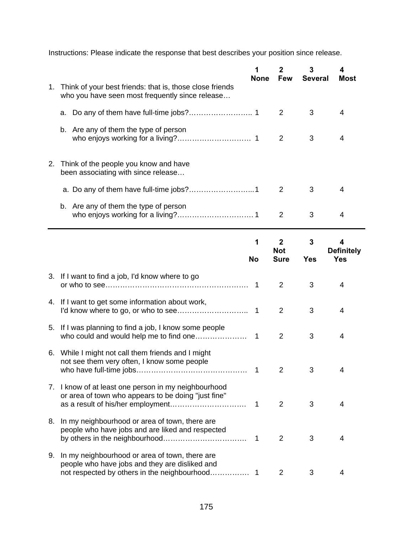Instructions: Please indicate the response that best describes your position since release.

|  |                                                                                                                | <b>None</b>    | 2<br><b>Few</b>                             | 3<br><b>Several</b> | 4<br>Most                            |  |
|--|----------------------------------------------------------------------------------------------------------------|----------------|---------------------------------------------|---------------------|--------------------------------------|--|
|  | 1. Think of your best friends: that is, those close friends<br>who you have seen most frequently since release |                |                                             |                     |                                      |  |
|  |                                                                                                                |                | 2                                           | 3                   | 4                                    |  |
|  | b. Are any of them the type of person                                                                          |                | 2                                           | 3                   | 4                                    |  |
|  | 2. Think of the people you know and have<br>been associating with since release                                |                |                                             |                     |                                      |  |
|  |                                                                                                                |                | 2                                           | 3                   | 4                                    |  |
|  | b. Are any of them the type of person                                                                          |                | 2                                           | 3                   | 4                                    |  |
|  |                                                                                                                | 1<br><b>No</b> | $\overline{2}$<br><b>Not</b><br><b>Sure</b> | 3<br><b>Yes</b>     | 4<br><b>Definitely</b><br><b>Yes</b> |  |
|  | 3. If I want to find a job, I'd know where to go                                                               |                | 2                                           | 3                   | 4                                    |  |
|  | 4. If I want to get some information about work,                                                               | 1              | $\overline{2}$                              | 3                   | 4                                    |  |
|  |                                                                                                                |                |                                             |                     |                                      |  |

| 5. If I was planning to find a job, I know some people                                                      | 2 | 3 |  |
|-------------------------------------------------------------------------------------------------------------|---|---|--|
| 6. While I might not call them friends and I might<br>not see them very often, I know some people           | 2 | 3 |  |
| 7. I know of at least one person in my neighbourhood<br>or area of town who appears to be doing "just fine" | 2 | 3 |  |
| 8. In my neighbourhood or area of town, there are<br>people who have jobs and are liked and respected       | 2 | 3 |  |
| 9. In my neighbourhood or area of town, there are<br>people who have jobs and they are disliked and         |   | 3 |  |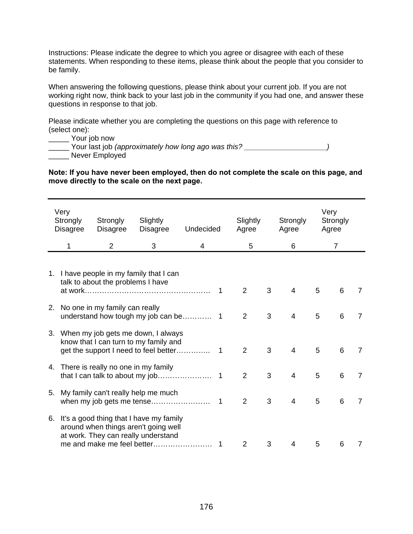Instructions: Please indicate the degree to which you agree or disagree with each of these statements. When responding to these items, please think about the people that you consider to be family.

When answering the following questions, please think about your current job. If you are not working right now, think back to your last job in the community if you had one, and answer these questions in response to that job.

Please indicate whether you are completing the questions on this page with reference to (select one):

\_\_\_\_\_ Your job now

\_\_\_\_\_ Your last job *(approximately how long ago was this? \_\_\_\_\_\_\_\_\_\_\_\_\_\_\_\_\_\_\_\_)* \_\_\_\_\_ Never Employed

**Note: If you have never been employed, then do not complete the scale on this page, and move directly to the scale on the next page.** 

| Very<br>Strongly<br><b>Disagree</b> | Strongly<br><b>Disagree</b>            | Slightly<br><b>Disagree</b>                                                                                                                             | Undecided |   | Slightly<br>Agree |   | Strongly<br>Agree |   | Very<br>Strongly<br>Agree |                |
|-------------------------------------|----------------------------------------|---------------------------------------------------------------------------------------------------------------------------------------------------------|-----------|---|-------------------|---|-------------------|---|---------------------------|----------------|
|                                     | $\overline{2}$                         | 3                                                                                                                                                       | 4         |   | 5                 |   | 6                 |   | 7                         |                |
|                                     | talk to about the problems I have      | 1. I have people in my family that I can                                                                                                                |           | 1 | 2                 | 3 | $\overline{4}$    | 5 | 6                         | 7              |
|                                     | 2. No one in my family can really      |                                                                                                                                                         |           |   | $\overline{2}$    | 3 | $\overline{4}$    | 5 | 6                         | $\overline{7}$ |
|                                     |                                        | 3. When my job gets me down, I always<br>know that I can turn to my family and                                                                          |           |   | $\overline{2}$    | 3 | $\overline{4}$    | 5 | 6                         | 7              |
|                                     | 4. There is really no one in my family |                                                                                                                                                         |           |   | $\overline{2}$    | 3 | 4                 | 5 | 6                         | $\overline{7}$ |
|                                     |                                        | 5. My family can't really help me much                                                                                                                  |           |   | $\overline{2}$    | 3 | 4                 | 5 | 6                         | $\overline{7}$ |
|                                     |                                        | 6. It's a good thing that I have my family<br>around when things aren't going well<br>at work. They can really understand<br>me and make me feel better |           | 1 | $\overline{2}$    | 3 | 4                 | 5 | 6                         | 7              |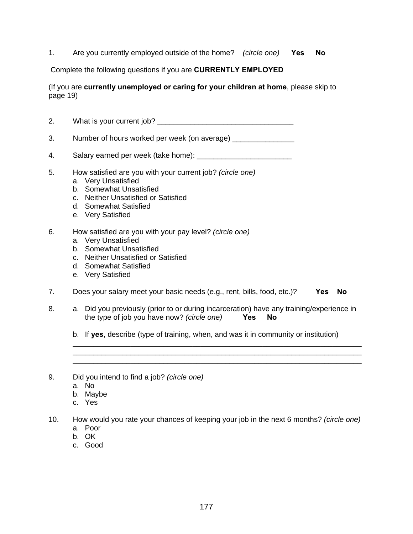1. Are you currently employed outside of the home? *(circle one)* **Yes No**

Complete the following questions if you are **CURRENTLY EMPLOYED**

(If you are **currently unemployed or caring for your children at home**, please skip to page 19)

2. What is your current job? \_\_\_\_\_\_\_\_\_\_\_\_\_\_\_\_\_\_\_\_\_\_\_\_\_\_\_\_\_\_\_\_\_

3. Number of hours worked per week (on average)

- 4. Salary earned per week (take home): \_\_\_\_\_\_\_\_\_\_\_\_\_\_\_\_\_\_\_\_\_\_\_
- 5. How satisfied are you with your current job? *(circle one)* 
	- a. Very Unsatisfied
	- b. Somewhat Unsatisfied
	- c. Neither Unsatisfied or Satisfied
	- d. Somewhat Satisfied
	- e. Very Satisfied
- 6. How satisfied are you with your pay level? *(circle one)*
	- a. Very Unsatisfied
	- b. Somewhat Unsatisfied
	- c. Neither Unsatisfied or Satisfied
	- d. Somewhat Satisfied
	- e. Very Satisfied
- 7. Does your salary meet your basic needs (e.g., rent, bills, food, etc.)? **Yes No**
- 8. a. Did you previously (prior to or during incarceration) have any training/experience in the type of job you have now? *(circle one)* **Yes No**
	- b. If **yes**, describe (type of training, when, and was it in community or institution)

\_\_\_\_\_\_\_\_\_\_\_\_\_\_\_\_\_\_\_\_\_\_\_\_\_\_\_\_\_\_\_\_\_\_\_\_\_\_\_\_\_\_\_\_\_\_\_\_\_\_\_\_\_\_\_\_\_\_\_\_\_\_\_\_\_\_\_\_\_\_ \_\_\_\_\_\_\_\_\_\_\_\_\_\_\_\_\_\_\_\_\_\_\_\_\_\_\_\_\_\_\_\_\_\_\_\_\_\_\_\_\_\_\_\_\_\_\_\_\_\_\_\_\_\_\_\_\_\_\_\_\_\_\_\_\_\_\_\_\_\_ \_\_\_\_\_\_\_\_\_\_\_\_\_\_\_\_\_\_\_\_\_\_\_\_\_\_\_\_\_\_\_\_\_\_\_\_\_\_\_\_\_\_\_\_\_\_\_\_\_\_\_\_\_\_\_\_\_\_\_\_\_\_\_\_\_\_\_\_\_\_

- 9. Did you intend to find a job? *(circle one)* 
	- a. No
	- b. Maybe
	- c. Yes
- 10. How would you rate your chances of keeping your job in the next 6 months? *(circle one)* 
	- a. Poor
	- b. OK
	- c. Good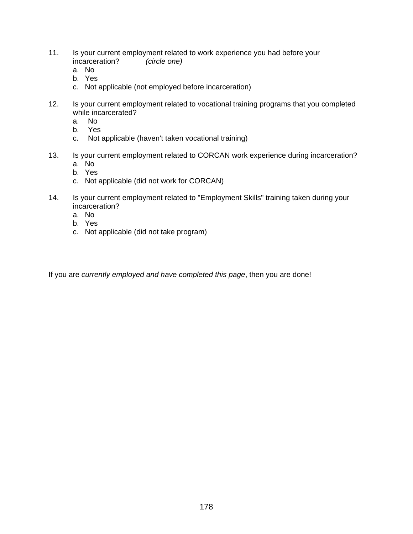- 11. Is your current employment related to work experience you had before your incarceration? *(circle one)* 
	- a. No
	- b. Yes
	- c. Not applicable (not employed before incarceration)
- 12. Is your current employment related to vocational training programs that you completed while incarcerated?
	- a. No
	- b. Yes
	- c. Not applicable (haven't taken vocational training)
- 13. Is your current employment related to CORCAN work experience during incarceration? a. No
	- b. Yes
	- c. Not applicable (did not work for CORCAN)
- 14. Is your current employment related to "Employment Skills" training taken during your incarceration?
	- a. No
	- b. Yes
	- c. Not applicable (did not take program)

If you are *currently employed and have completed this page*, then you are done!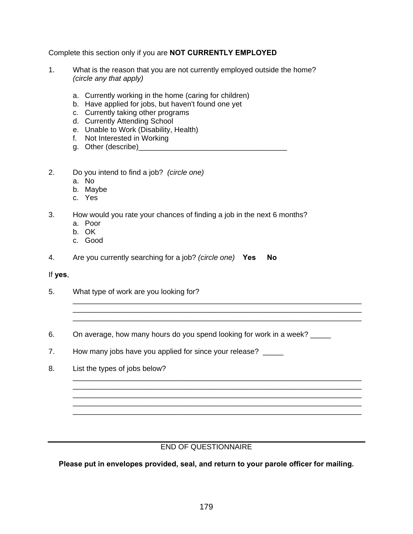Complete this section only if you are **NOT CURRENTLY EMPLOYED**

- 1. What is the reason that you are not currently employed outside the home?  *(circle any that apply)* 
	- a. Currently working in the home (caring for children)
	- b. Have applied for jobs, but haven't found one yet
	- c. Currently taking other programs
	- d. Currently Attending School
	- e. Unable to Work (Disability, Health)
	- f. Not Interested in Working
	- g. Other (describe)\_\_\_\_\_\_\_\_\_\_\_\_\_\_\_\_\_\_\_\_\_\_\_\_\_\_\_\_\_\_\_\_\_\_\_\_
- 2. Do you intend to find a job? *(circle one)* 
	- a. No
	- b. Maybe
	- c. Yes
- 3. How would you rate your chances of finding a job in the next 6 months?
	- a. Poor
	- b. OK
	- c. Good
- 4. Are you currently searching for a job? *(circle one)* **Yes No**

#### If **yes**,

- 5. What type of work are you looking for?
- 6. On average, how many hours do you spend looking for work in a week?

\_\_\_\_\_\_\_\_\_\_\_\_\_\_\_\_\_\_\_\_\_\_\_\_\_\_\_\_\_\_\_\_\_\_\_\_\_\_\_\_\_\_\_\_\_\_\_\_\_\_\_\_\_\_\_\_\_\_\_\_\_\_\_\_\_\_\_\_\_\_

\_\_\_\_\_\_\_\_\_\_\_\_\_\_\_\_\_\_\_\_\_\_\_\_\_\_\_\_\_\_\_\_\_\_\_\_\_\_\_\_\_\_\_\_\_\_\_\_\_\_\_\_\_\_\_\_\_\_\_\_\_\_\_\_\_\_\_\_\_\_ \_\_\_\_\_\_\_\_\_\_\_\_\_\_\_\_\_\_\_\_\_\_\_\_\_\_\_\_\_\_\_\_\_\_\_\_\_\_\_\_\_\_\_\_\_\_\_\_\_\_\_\_\_\_\_\_\_\_\_\_\_\_\_\_\_\_\_\_\_\_ \_\_\_\_\_\_\_\_\_\_\_\_\_\_\_\_\_\_\_\_\_\_\_\_\_\_\_\_\_\_\_\_\_\_\_\_\_\_\_\_\_\_\_\_\_\_\_\_\_\_\_\_\_\_\_\_\_\_\_\_\_\_\_\_\_\_\_\_\_\_

- 7. How many jobs have you applied for since your release? \_\_\_\_\_
- 8. List the types of jobs below?

### END OF QUESTIONNAIRE

\_\_\_\_\_\_\_\_\_\_\_\_\_\_\_\_\_\_\_\_\_\_\_\_\_\_\_\_\_\_\_\_\_\_\_\_\_\_\_\_\_\_\_\_\_\_\_\_\_\_\_\_\_\_\_\_\_\_\_\_\_\_\_\_\_\_\_\_\_\_

**Please put in envelopes provided, seal, and return to your parole officer for mailing.**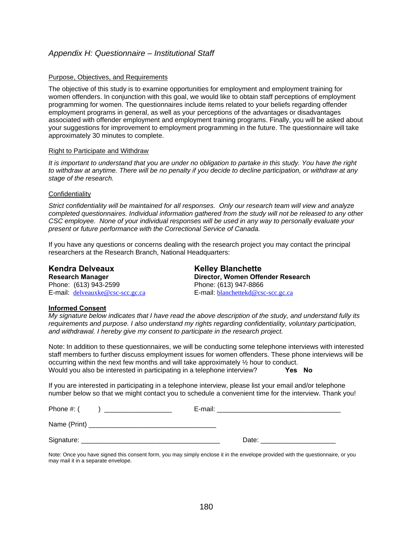### *Appendix H: Questionnaire – Institutional Staff*

#### Purpose, Objectives, and Requirements

The objective of this study is to examine opportunities for employment and employment training for women offenders. In conjunction with this goal, we would like to obtain staff perceptions of employment programming for women. The questionnaires include items related to your beliefs regarding offender employment programs in general, as well as your perceptions of the advantages or disadvantages associated with offender employment and employment training programs. Finally, you will be asked about your suggestions for improvement to employment programming in the future. The questionnaire will take approximately 30 minutes to complete.

#### Right to Participate and Withdraw

*It is important to understand that you are under no obligation to partake in this study. You have the right to withdraw at anytime. There will be no penalty if you decide to decline participation, or withdraw at any stage of the research.* 

#### **Confidentiality**

*Strict confidentiality will be maintained for all responses. Only our research team will view and analyze completed questionnaires. Individual information gathered from the study will not be released to any other CSC employee. None of your individual responses will be used in any way to personally evaluate your present or future performance with the Correctional Service of Canada.* 

If you have any questions or concerns dealing with the research project you may contact the principal researchers at the Research Branch, National Headquarters:

Phone: (613) 943-2599 Phone: (613) 947-8866

# Kendra Delveaux **Kelley Blanchette Research Manager**  2008 **Director, Women Offender Research** E-mail: delveauxke@csc-scc.gc.ca E-mail: blanchettekd@csc-scc.gc.ca

#### **Informed Consent**

*My signature below indicates that I have read the above description of the study, and understand fully its requirements and purpose. I also understand my rights regarding confidentiality, voluntary participation, and withdrawal. I hereby give my consent to participate in the research project.* 

Note: In addition to these questionnaires, we will be conducting some telephone interviews with interested staff members to further discuss employment issues for women offenders. These phone interviews will be occurring within the next few months and will take approximately  $\frac{1}{2}$  hour to conduct. Would you also be interested in participating in a telephone interview? **Yes No**

If you are interested in participating in a telephone interview, please list your email and/or telephone number below so that we might contact you to schedule a convenient time for the interview. Thank you!

| Phone #: ( | E-mail: |
|------------|---------|
|            |         |
|            | Date:   |

Note: Once you have signed this consent form, you may simply enclose it in the envelope provided with the questionnaire, or you may mail it in a separate envelope.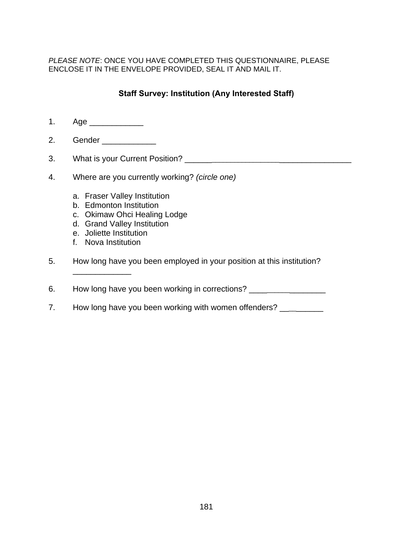*PLEASE NOTE*: ONCE YOU HAVE COMPLETED THIS QUESTIONNAIRE, PLEASE ENCLOSE IT IN THE ENVELOPE PROVIDED, SEAL IT AND MAIL IT.

# **Staff Survey: Institution (Any Interested Staff)**

- 1. Age \_\_\_\_\_\_\_\_\_\_\_\_
- 2. Gender
- 3. What is your Current Position? \_\_\_\_\_\_\_\_\_\_\_\_\_\_\_\_\_\_\_\_\_\_\_\_\_\_\_\_\_\_\_\_\_\_\_\_\_\_\_\_
- 4. Where are you currently working? *(circle one)* 
	- a. Fraser Valley Institution
	- b. Edmonton Institution
	- c. Okimaw Ohci Healing Lodge
	- d. Grand Valley Institution
	- e. Joliette Institution
	- f. Nova Institution

\_\_\_\_\_\_\_\_\_\_\_\_\_

- 5. How long have you been employed in your position at this institution?
- 6. How long have you been working in corrections? \_\_\_\_\_\_\_\_\_\_\_\_\_\_\_\_\_\_\_\_\_\_\_\_\_\_\_\_\_\_
- 7. How long have you been working with women offenders? \_\_\_\_\_\_\_\_\_\_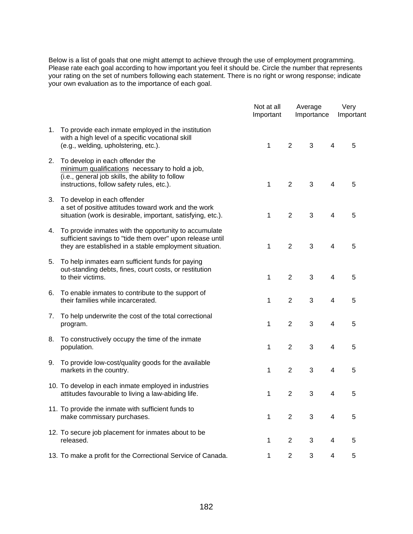Below is a list of goals that one might attempt to achieve through the use of employment programming. Please rate each goal according to how important you feel it should be. Circle the number that represents your rating on the set of numbers following each statement. There is no right or wrong response; indicate your own evaluation as to the importance of each goal.

|    |                                                                                                                                                                                     | Not at all<br>Important |                | Average<br>Importance |                | Very<br>Important |
|----|-------------------------------------------------------------------------------------------------------------------------------------------------------------------------------------|-------------------------|----------------|-----------------------|----------------|-------------------|
| 1. | To provide each inmate employed in the institution<br>with a high level of a specific vocational skill<br>(e.g., welding, upholstering, etc.).                                      | 1                       | $\overline{2}$ | 3                     | 4              | 5                 |
| 2. | To develop in each offender the<br>minimum qualifications necessary to hold a job,<br>(i.e., general job skills, the ability to follow<br>instructions, follow safety rules, etc.). | 1                       | $\overline{2}$ | 3                     | 4              | 5                 |
| 3. | To develop in each offender<br>a set of positive attitudes toward work and the work<br>situation (work is desirable, important, satisfying, etc.).                                  | 1                       | $\overline{2}$ | 3                     | 4              | 5                 |
| 4. | To provide inmates with the opportunity to accumulate<br>sufficient savings to "tide them over" upon release until<br>they are established in a stable employment situation.        | 1                       | $\overline{2}$ | 3                     | $\overline{4}$ | 5                 |
| 5. | To help inmates earn sufficient funds for paying<br>out-standing debts, fines, court costs, or restitution<br>to their victims.                                                     | 1                       | $\overline{2}$ | 3                     | 4              | 5                 |
| 6. | To enable inmates to contribute to the support of<br>their families while incarcerated.                                                                                             | 1                       | $\overline{2}$ | 3                     | 4              | 5                 |
| 7. | To help underwrite the cost of the total correctional<br>program.                                                                                                                   | 1                       | $\overline{2}$ | 3                     | 4              | 5                 |
| 8. | To constructively occupy the time of the inmate<br>population.                                                                                                                      | 1                       | $\overline{2}$ | 3                     | 4              | 5                 |
| 9. | To provide low-cost/quality goods for the available<br>markets in the country.                                                                                                      | 1                       | $\overline{2}$ | 3                     | 4              | 5                 |
|    | 10. To develop in each inmate employed in industries<br>attitudes favourable to living a law-abiding life.                                                                          | 1                       | $\overline{2}$ | 3                     | 4              | 5                 |
|    | 11. To provide the inmate with sufficient funds to<br>make commissary purchases.                                                                                                    | 1                       | 2              | 3                     | 4              | 5                 |
|    | 12. To secure job placement for inmates about to be<br>released.                                                                                                                    | 1                       | $\overline{2}$ | 3                     | 4              | 5                 |
|    | 13. To make a profit for the Correctional Service of Canada.                                                                                                                        | 1                       | $\mathbf{2}$   | 3                     | 4              | 5                 |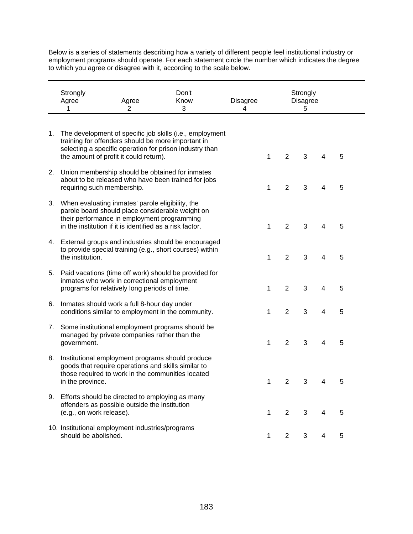Below is a series of statements describing how a variety of different people feel institutional industry or employment programs should operate. For each statement circle the number which indicates the degree to which you agree or disagree with it, according to the scale below.

|    | Strongly<br>Agree<br>1                                                                                                                                                                                             | Agree<br>2 | Don't<br>Know<br>3                                                                                                  | Disagree<br>4 |   |                | Strongly<br><b>Disagree</b><br>5 |   |   |
|----|--------------------------------------------------------------------------------------------------------------------------------------------------------------------------------------------------------------------|------------|---------------------------------------------------------------------------------------------------------------------|---------------|---|----------------|----------------------------------|---|---|
|    |                                                                                                                                                                                                                    |            |                                                                                                                     |               |   |                |                                  |   |   |
| 1. | training for offenders should be more important in<br>the amount of profit it could return).                                                                                                                       |            | The development of specific job skills (i.e., employment<br>selecting a specific operation for prison industry than |               | 1 | $\overline{2}$ | 3                                | 4 | 5 |
| 2. | Union membership should be obtained for inmates<br>requiring such membership.                                                                                                                                      |            | about to be released who have been trained for jobs                                                                 |               | 1 | $\overline{2}$ | 3                                | 4 | 5 |
|    | 3. When evaluating inmates' parole eligibility, the<br>parole board should place considerable weight on<br>their performance in employment programming<br>in the institution if it is identified as a risk factor. |            |                                                                                                                     |               | 1 | $\overline{2}$ | 3                                | 4 | 5 |
|    | the institution.                                                                                                                                                                                                   |            | 4. External groups and industries should be encouraged<br>to provide special training (e.g., short courses) within  |               | 1 | $\overline{2}$ | 3                                | 4 | 5 |
| 5. | inmates who work in correctional employment<br>programs for relatively long periods of time.                                                                                                                       |            | Paid vacations (time off work) should be provided for                                                               |               | 1 | $\overline{2}$ | 3                                | 4 | 5 |
| 6. | Inmates should work a full 8-hour day under<br>conditions similar to employment in the community.                                                                                                                  |            |                                                                                                                     |               | 1 | $\overline{2}$ | 3                                | 4 | 5 |
| 7. | managed by private companies rather than the<br>government.                                                                                                                                                        |            | Some institutional employment programs should be                                                                    |               | 1 | $\overline{2}$ | $\mathbf{3}$                     | 4 | 5 |
| 8. | Institutional employment programs should produce<br>goods that require operations and skills similar to<br>those required to work in the communities located<br>in the province.                                   |            |                                                                                                                     |               | 1 | $\overline{2}$ | 3                                | 4 | 5 |
|    | 9. Efforts should be directed to employing as many<br>offenders as possible outside the institution<br>(e.g., on work release).                                                                                    |            |                                                                                                                     |               | 1 | $\overline{2}$ | 3                                | 4 | 5 |
|    | 10. Institutional employment industries/programs<br>should be abolished.                                                                                                                                           |            |                                                                                                                     |               | 1 | $\overline{2}$ | 3                                | 4 | 5 |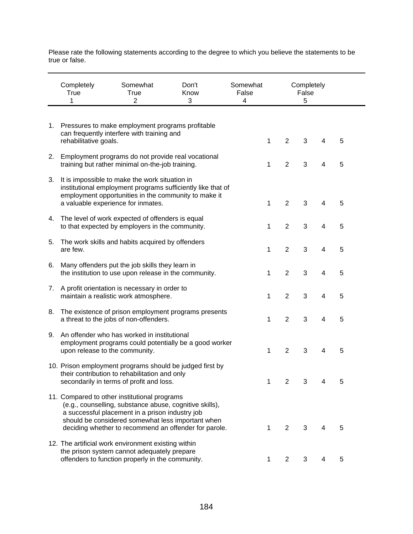Please rate the following statements according to the degree to which you believe the statements to be true or false.

|    | Completely<br><b>True</b><br>1 | Somewhat<br><b>True</b><br>2                                                                                                                                                                                                                                             | Don't<br>Know<br>3 | Somewhat<br>False<br>4 |                | Completely<br>False<br>5 |   |   |  |
|----|--------------------------------|--------------------------------------------------------------------------------------------------------------------------------------------------------------------------------------------------------------------------------------------------------------------------|--------------------|------------------------|----------------|--------------------------|---|---|--|
| 1. | rehabilitative goals.          | Pressures to make employment programs profitable<br>can frequently interfere with training and                                                                                                                                                                           |                    | 1                      | $\overline{2}$ | 3                        | 4 | 5 |  |
| 2. |                                | Employment programs do not provide real vocational<br>training but rather minimal on-the-job training.                                                                                                                                                                   |                    | 1                      | $\overline{2}$ | 3                        | 4 | 5 |  |
| 3. |                                | It is impossible to make the work situation in<br>institutional employment programs sufficiently like that of<br>employment opportunities in the community to make it<br>a valuable experience for inmates.                                                              |                    | 1                      | $\overline{2}$ | 3                        | 4 | 5 |  |
| 4. |                                | The level of work expected of offenders is equal<br>to that expected by employers in the community.                                                                                                                                                                      |                    | 1                      | $\overline{2}$ | 3                        | 4 | 5 |  |
| 5. | are few.                       | The work skills and habits acquired by offenders                                                                                                                                                                                                                         |                    | 1                      | $\overline{2}$ | 3                        | 4 | 5 |  |
| 6. |                                | Many offenders put the job skills they learn in<br>the institution to use upon release in the community.                                                                                                                                                                 |                    | 1                      | $\overline{2}$ | 3                        | 4 | 5 |  |
| 7. |                                | A profit orientation is necessary in order to<br>maintain a realistic work atmosphere.                                                                                                                                                                                   |                    | 1                      | $\overline{2}$ | 3                        | 4 | 5 |  |
| 8. |                                | The existence of prison employment programs presents<br>a threat to the jobs of non-offenders.                                                                                                                                                                           |                    | 1                      | $\overline{2}$ | 3                        | 4 | 5 |  |
| 9. | upon release to the community. | An offender who has worked in institutional<br>employment programs could potentially be a good worker                                                                                                                                                                    |                    | 1                      | $\overline{2}$ | 3                        | 4 | 5 |  |
|    |                                | 10. Prison employment programs should be judged first by<br>their contribution to rehabilitation and only<br>secondarily in terms of profit and loss.                                                                                                                    |                    | 1                      | $\overline{2}$ | 3                        | 4 | 5 |  |
|    |                                | 11. Compared to other institutional programs<br>(e.g., counselling, substance abuse, cognitive skills),<br>a successful placement in a prison industry job<br>should be considered somewhat less important when<br>deciding whether to recommend an offender for parole. |                    | 1                      | 2              | 3                        | 4 | 5 |  |
|    |                                | 12. The artificial work environment existing within<br>the prison system cannot adequately prepare<br>offenders to function properly in the community.                                                                                                                   |                    |                        | 2              | 3                        |   | 5 |  |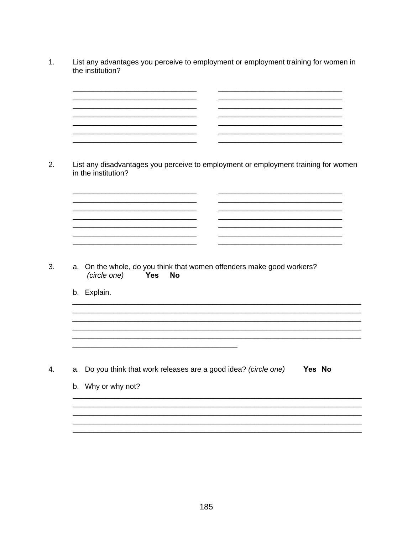- $1.$ List any advantages you perceive to employment or employment training for women in the institution?
	- <u> 1980 - John Stein, Amerikaansk politiker (</u> <u> 1980 - Johann Johann Stone (d. 1980)</u>
- $2.$ List any disadvantages you perceive to employment or employment training for women in the institution?

 $3.$ a. On the whole, do you think that women offenders make good workers? (circle one) Yes **No** 

<u> 1980 - Jan Barat, martin da shekara 1980 - An tsa a tsa a tsa a tsa a tsa a tsa a tsa a tsa a tsa a tsa a tsa</u> 

<u> 1986 - Jan Barbarat, martin da shekara 1986 - A</u> 

b. Explain.

4. a. Do you think that work releases are a good idea? (circle one) Yes No

b. Why or why not?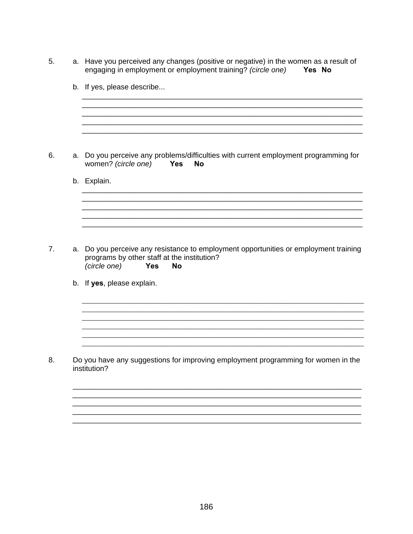| 5.             |    | a. Have you perceived any changes (positive or negative) in the women as a result of<br>engaging in employment or employment training? (circle one)<br>Yes No                  |
|----------------|----|--------------------------------------------------------------------------------------------------------------------------------------------------------------------------------|
|                |    | b. If yes, please describe                                                                                                                                                     |
|                |    |                                                                                                                                                                                |
| 6.             | a. | Do you perceive any problems/difficulties with current employment programming for<br>women? (circle one)<br><b>Yes</b><br><b>No</b>                                            |
|                |    | b. Explain.                                                                                                                                                                    |
|                |    |                                                                                                                                                                                |
|                |    |                                                                                                                                                                                |
| 7 <sub>1</sub> |    | a. Do you perceive any resistance to employment opportunities or employment training<br>programs by other staff at the institution?<br>(circle one)<br><b>Yes</b><br><b>No</b> |
|                |    | b. If yes, please explain.                                                                                                                                                     |
|                |    |                                                                                                                                                                                |
|                |    |                                                                                                                                                                                |
| 8.             |    | Do you have any suggestions for improving employment programming for women in the<br>institution?                                                                              |
|                |    |                                                                                                                                                                                |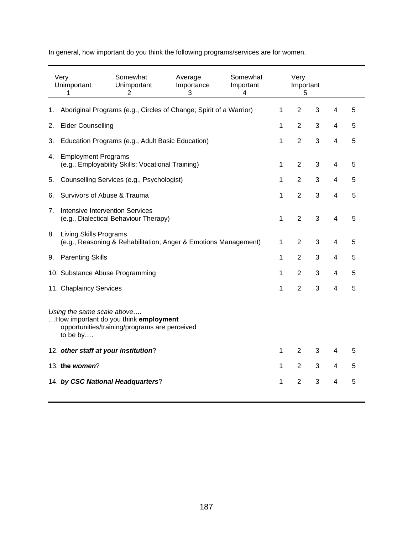In general, how important do you think the following programs/services are for women.

|    | Very<br>Unimportant<br>1                                                                                                         | Somewhat<br>Unimportant<br>2                                       | Average<br>Importance<br>3 | Somewhat<br>Important<br>4 |              | Very<br>Important<br>5 |   |                |   |
|----|----------------------------------------------------------------------------------------------------------------------------------|--------------------------------------------------------------------|----------------------------|----------------------------|--------------|------------------------|---|----------------|---|
| 1. |                                                                                                                                  | Aboriginal Programs (e.g., Circles of Change; Spirit of a Warrior) |                            |                            | 1            | $\overline{2}$         | 3 | 4              | 5 |
| 2. | <b>Elder Counselling</b>                                                                                                         |                                                                    |                            |                            | 1            | $\overline{2}$         | 3 | 4              | 5 |
| 3. |                                                                                                                                  | Education Programs (e.g., Adult Basic Education)                   |                            |                            | 1            | $\overline{2}$         | 3 | 4              | 5 |
| 4. | <b>Employment Programs</b>                                                                                                       | (e.g., Employability Skills; Vocational Training)                  |                            |                            | 1            | $\overline{2}$         | 3 | 4              | 5 |
| 5. |                                                                                                                                  | Counselling Services (e.g., Psychologist)                          |                            |                            | 1            | 2                      | 3 | 4              | 5 |
| 6. | Survivors of Abuse & Trauma                                                                                                      |                                                                    |                            |                            | 1            | 2                      | 3 | $\overline{4}$ | 5 |
| 7. | Intensive Intervention Services<br>(e.g., Dialectical Behaviour Therapy)                                                         |                                                                    |                            |                            | $\mathbf{1}$ | $\overline{2}$         | 3 | $\overline{4}$ | 5 |
|    | 8. Living Skills Programs<br>(e.g., Reasoning & Rehabilitation; Anger & Emotions Management)                                     |                                                                    |                            |                            | 1            | 2                      | 3 | $\overline{4}$ | 5 |
| 9. | <b>Parenting Skills</b>                                                                                                          |                                                                    |                            |                            |              | $\overline{2}$         | 3 | 4              | 5 |
|    | 10. Substance Abuse Programming                                                                                                  |                                                                    |                            |                            |              | $\overline{2}$         | 3 | 4              | 5 |
|    | 11. Chaplaincy Services                                                                                                          |                                                                    |                            |                            |              | $\overline{2}$         | 3 | 4              | 5 |
|    | Using the same scale above<br>How important do you think employment<br>opportunities/training/programs are perceived<br>to be by |                                                                    |                            |                            |              |                        |   |                |   |
|    | 12. other staff at your institution?                                                                                             |                                                                    |                            |                            | 1            | $\overline{2}$         | 3 | 4              | 5 |
|    | 13. the women?                                                                                                                   |                                                                    |                            |                            |              |                        | 3 | 4              | 5 |
|    | 14. by CSC National Headquarters?                                                                                                |                                                                    |                            |                            | 1            | $\overline{2}$         | 3 | 4              | 5 |
|    |                                                                                                                                  |                                                                    |                            |                            |              |                        |   |                |   |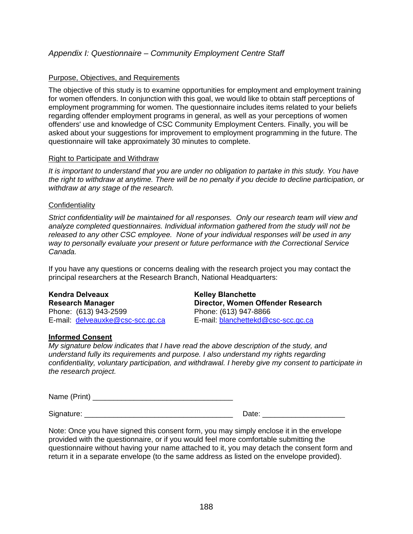# *Appendix I: Questionnaire – Community Employment Centre Staff*

#### Purpose, Objectives, and Requirements

The objective of this study is to examine opportunities for employment and employment training for women offenders. In conjunction with this goal, we would like to obtain staff perceptions of employment programming for women. The questionnaire includes items related to your beliefs regarding offender employment programs in general, as well as your perceptions of women offenders' use and knowledge of CSC Community Employment Centers. Finally, you will be asked about your suggestions for improvement to employment programming in the future. The questionnaire will take approximately 30 minutes to complete.

#### Right to Participate and Withdraw

*It is important to understand that you are under no obligation to partake in this study. You have the right to withdraw at anytime. There will be no penalty if you decide to decline participation, or withdraw at any stage of the research.* 

#### **Confidentiality**

*Strict confidentiality will be maintained for all responses. Only our research team will view and analyze completed questionnaires. Individual information gathered from the study will not be released to any other CSC employee. None of your individual responses will be used in any way to personally evaluate your present or future performance with the Correctional Service Canada.* 

If you have any questions or concerns dealing with the research project you may contact the principal researchers at the Research Branch, National Headquarters:

# Kendra Delveaux **Kelley Blanchette**

E-mail: delveauxke@csc-scc.gc.ca

### **Informed Consent**

**Research Manager Director, Women Offender Research**  Phone: (613) 943-2599<br>
E-mail: **delveauxke@csc-scc.gc.ca** E-mail: blanchettekd@csc-scc.gc.ca

*My signature below indicates that I have read the above description of the study, and understand fully its requirements and purpose. I also understand my rights regarding confidentiality, voluntary participation, and withdrawal. I hereby give my consent to participate in the research project.* 

Name (Print) \_\_\_\_\_\_\_\_\_\_\_\_\_\_\_\_\_\_\_\_\_\_\_\_\_\_\_\_\_\_\_\_\_\_

Signature: \_\_\_\_\_\_\_\_\_\_\_\_\_\_\_\_\_\_\_\_\_\_\_\_\_\_\_\_\_\_\_\_\_\_\_\_ Date: \_\_\_\_\_\_\_\_\_\_\_\_\_\_\_\_\_\_\_\_

Note: Once you have signed this consent form, you may simply enclose it in the envelope provided with the questionnaire, or if you would feel more comfortable submitting the questionnaire without having your name attached to it, you may detach the consent form and return it in a separate envelope (to the same address as listed on the envelope provided).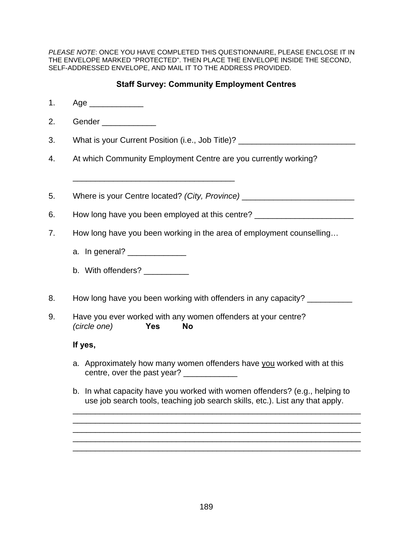*PLEASE NOTE*: ONCE YOU HAVE COMPLETED THIS QUESTIONNAIRE, PLEASE ENCLOSE IT IN THE ENVELOPE MARKED "PROTECTED". THEN PLACE THE ENVELOPE INSIDE THE SECOND, SELF-ADDRESSED ENVELOPE, AND MAIL IT TO THE ADDRESS PROVIDED.

# **Staff Survey: Community Employment Centres**

1. Age \_\_\_\_\_\_\_\_\_\_\_\_ 2. Gender \_\_\_\_\_\_\_\_\_\_\_\_ 3. What is your Current Position (i.e., Job Title)? 4. At which Community Employment Centre are you currently working? \_\_\_\_\_\_\_\_\_\_\_\_\_\_\_\_\_\_\_\_\_\_\_\_\_\_\_\_\_\_\_\_\_\_\_\_ 5. Where is your Centre located? (City, Province) \_\_\_\_\_\_\_\_\_\_\_\_\_\_\_\_\_\_\_\_\_\_\_\_\_\_\_\_\_\_ 6. How long have you been employed at this centre? \_\_\_\_\_\_\_\_\_\_\_\_\_\_\_\_\_\_\_\_\_\_\_\_\_\_\_\_\_ 7. How long have you been working in the area of employment counselling… a. In general? b. With offenders? 8. How long have you been working with offenders in any capacity? 9. Have you ever worked with any women offenders at your centre? *(circle one)* **Yes No If yes,**  a. Approximately how many women offenders have you worked with at this centre, over the past year? b. In what capacity have you worked with women offenders? (e.g., helping to use job search tools, teaching job search skills, etc.). List any that apply. \_\_\_\_\_\_\_\_\_\_\_\_\_\_\_\_\_\_\_\_\_\_\_\_\_\_\_\_\_\_\_\_\_\_\_\_\_\_\_\_\_\_\_\_\_\_\_\_\_\_\_\_\_\_\_\_\_\_\_\_\_\_\_\_ \_\_\_\_\_\_\_\_\_\_\_\_\_\_\_\_\_\_\_\_\_\_\_\_\_\_\_\_\_\_\_\_\_\_\_\_\_\_\_\_\_\_\_\_\_\_\_\_\_\_\_\_\_\_\_\_\_\_\_\_\_\_\_\_ \_\_\_\_\_\_\_\_\_\_\_\_\_\_\_\_\_\_\_\_\_\_\_\_\_\_\_\_\_\_\_\_\_\_\_\_\_\_\_\_\_\_\_\_\_\_\_\_\_\_\_\_\_\_\_\_\_\_\_\_\_\_\_\_ \_\_\_\_\_\_\_\_\_\_\_\_\_\_\_\_\_\_\_\_\_\_\_\_\_\_\_\_\_\_\_\_\_\_\_\_\_\_\_\_\_\_\_\_\_\_\_\_\_\_\_\_\_\_\_\_\_\_\_\_\_\_\_\_

\_\_\_\_\_\_\_\_\_\_\_\_\_\_\_\_\_\_\_\_\_\_\_\_\_\_\_\_\_\_\_\_\_\_\_\_\_\_\_\_\_\_\_\_\_\_\_\_\_\_\_\_\_\_\_\_\_\_\_\_\_\_\_\_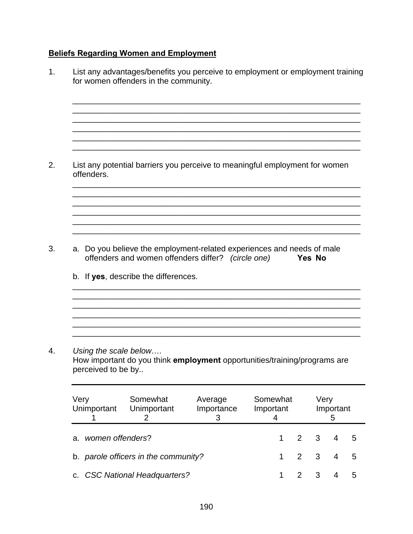# **Beliefs Regarding Women and Employment**

| 1. | List any advantages/benefits you perceive to employment or employment training<br>for women offenders in the community. |                                                                                           |                                      |                                                                                                                              |                |                                  |        |                |        |  |  |  |  |
|----|-------------------------------------------------------------------------------------------------------------------------|-------------------------------------------------------------------------------------------|--------------------------------------|------------------------------------------------------------------------------------------------------------------------------|----------------|----------------------------------|--------|----------------|--------|--|--|--|--|
| 2. |                                                                                                                         | List any potential barriers you perceive to meaningful employment for women<br>offenders. |                                      |                                                                                                                              |                |                                  |        |                |        |  |  |  |  |
| 3. |                                                                                                                         |                                                                                           | b. If yes, describe the differences. | a. Do you believe the employment-related experiences and needs of male<br>offenders and women offenders differ? (circle one) |                |                                  | Yes No |                |        |  |  |  |  |
| 4. | Very                                                                                                                    | perceived to be by                                                                        | Using the scale below<br>Somewhat    | How important do you think employment opportunities/training/programs are                                                    | Somewhat       |                                  | Very   |                |        |  |  |  |  |
|    | Unimportant                                                                                                             |                                                                                           | Unimportant<br>2                     | Average<br>Importance<br>3                                                                                                   | Important<br>4 |                                  |        | Important<br>5 |        |  |  |  |  |
|    | а.                                                                                                                      | women offenders?                                                                          | b. parole officers in the community? |                                                                                                                              | 1<br>1         | $\overline{2}$<br>$\overline{2}$ | 3<br>3 | 4<br>4         | 5<br>5 |  |  |  |  |
|    | C.                                                                                                                      |                                                                                           | <b>CSC National Headquarters?</b>    |                                                                                                                              | 1              | $\overline{2}$                   | 3      | 4              | 5      |  |  |  |  |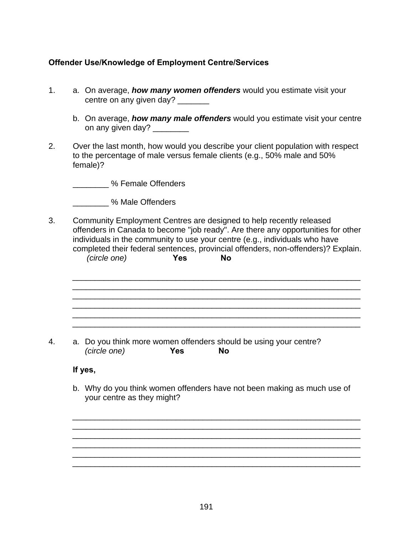# **Offender Use/Knowledge of Employment Centre/Services**

- 1. a. On average, *how many women offenders* would you estimate visit your centre on any given day? \_\_\_\_\_\_\_
	- b. On average, *how many male offenders* would you estimate visit your centre on any given day? \_\_\_\_\_\_\_\_\_
- 2. Over the last month, how would you describe your client population with respect to the percentage of male versus female clients (e.g., 50% male and 50% female)?

\_\_\_\_\_\_\_\_ % Female Offenders

\_\_\_\_\_\_\_\_ % Male Offenders

3. Community Employment Centres are designed to help recently released offenders in Canada to become "job ready". Are there any opportunities for other individuals in the community to use your centre (e.g., individuals who have completed their federal sentences, provincial offenders, non-offenders)? Explain. *(circle one)* **Yes No** 

\_\_\_\_\_\_\_\_\_\_\_\_\_\_\_\_\_\_\_\_\_\_\_\_\_\_\_\_\_\_\_\_\_\_\_\_\_\_\_\_\_\_\_\_\_\_\_\_\_\_\_\_\_\_\_\_\_\_\_\_\_\_\_\_ \_\_\_\_\_\_\_\_\_\_\_\_\_\_\_\_\_\_\_\_\_\_\_\_\_\_\_\_\_\_\_\_\_\_\_\_\_\_\_\_\_\_\_\_\_\_\_\_\_\_\_\_\_\_\_\_\_\_\_\_\_\_\_\_

\_\_\_\_\_\_\_\_\_\_\_\_\_\_\_\_\_\_\_\_\_\_\_\_\_\_\_\_\_\_\_\_\_\_\_\_\_\_\_\_\_\_\_\_\_\_\_\_\_\_\_\_\_\_\_\_\_\_\_\_\_\_\_\_ \_\_\_\_\_\_\_\_\_\_\_\_\_\_\_\_\_\_\_\_\_\_\_\_\_\_\_\_\_\_\_\_\_\_\_\_\_\_\_\_\_\_\_\_\_\_\_\_\_\_\_\_\_\_\_\_\_\_\_\_\_\_\_\_ \_\_\_\_\_\_\_\_\_\_\_\_\_\_\_\_\_\_\_\_\_\_\_\_\_\_\_\_\_\_\_\_\_\_\_\_\_\_\_\_\_\_\_\_\_\_\_\_\_\_\_\_\_\_\_\_\_\_\_\_\_\_\_\_

4. a. Do you think more women offenders should be using your centre? *(circle one)* **Yes No**

**If yes,** 

b. Why do you think women offenders have not been making as much use of your centre as they might?

\_\_\_\_\_\_\_\_\_\_\_\_\_\_\_\_\_\_\_\_\_\_\_\_\_\_\_\_\_\_\_\_\_\_\_\_\_\_\_\_\_\_\_\_\_\_\_\_\_\_\_\_\_\_\_\_\_\_\_\_\_\_\_\_ \_\_\_\_\_\_\_\_\_\_\_\_\_\_\_\_\_\_\_\_\_\_\_\_\_\_\_\_\_\_\_\_\_\_\_\_\_\_\_\_\_\_\_\_\_\_\_\_\_\_\_\_\_\_\_\_\_\_\_\_\_\_\_\_ \_\_\_\_\_\_\_\_\_\_\_\_\_\_\_\_\_\_\_\_\_\_\_\_\_\_\_\_\_\_\_\_\_\_\_\_\_\_\_\_\_\_\_\_\_\_\_\_\_\_\_\_\_\_\_\_\_\_\_\_\_\_\_\_

\_\_\_\_\_\_\_\_\_\_\_\_\_\_\_\_\_\_\_\_\_\_\_\_\_\_\_\_\_\_\_\_\_\_\_\_\_\_\_\_\_\_\_\_\_\_\_\_\_\_\_\_\_\_\_\_\_\_\_\_\_\_\_\_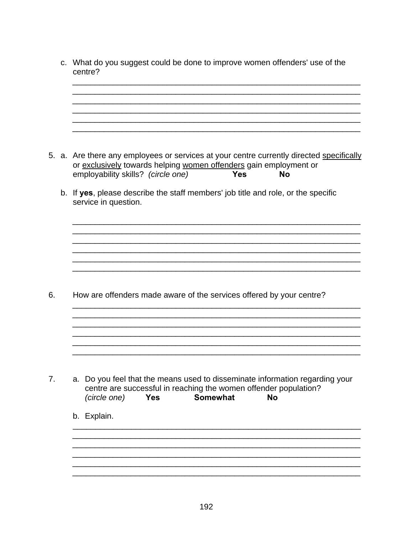c. What do you suggest could be done to improve women offenders' use of the centre? 5. a. Are there any employees or services at your centre currently directed specifically or exclusively towards helping women offenders gain employment or employability skills? (circle one) Yes **No** b. If yes, please describe the staff members' job title and role, or the specific service in question. 6. How are offenders made aware of the services offered by your centre?  $7<sub>1</sub>$ a. Do you feel that the means used to disseminate information regarding your centre are successful in reaching the women offender population? (circle one) Yes Somewhat No b. Explain.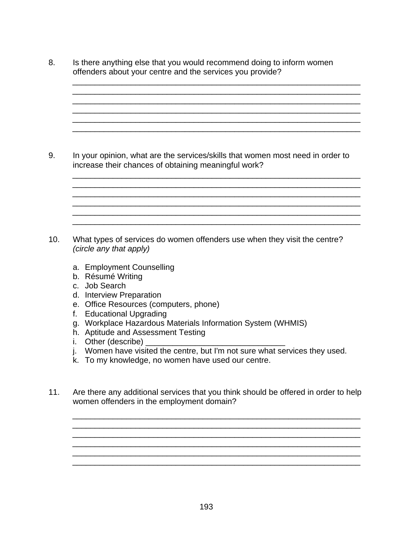8. Is there anything else that you would recommend doing to inform women offenders about your centre and the services you provide?

\_\_\_\_\_\_\_\_\_\_\_\_\_\_\_\_\_\_\_\_\_\_\_\_\_\_\_\_\_\_\_\_\_\_\_\_\_\_\_\_\_\_\_\_\_\_\_\_\_\_\_\_\_\_\_\_\_\_\_\_\_\_\_\_ \_\_\_\_\_\_\_\_\_\_\_\_\_\_\_\_\_\_\_\_\_\_\_\_\_\_\_\_\_\_\_\_\_\_\_\_\_\_\_\_\_\_\_\_\_\_\_\_\_\_\_\_\_\_\_\_\_\_\_\_\_\_\_\_ \_\_\_\_\_\_\_\_\_\_\_\_\_\_\_\_\_\_\_\_\_\_\_\_\_\_\_\_\_\_\_\_\_\_\_\_\_\_\_\_\_\_\_\_\_\_\_\_\_\_\_\_\_\_\_\_\_\_\_\_\_\_\_\_ \_\_\_\_\_\_\_\_\_\_\_\_\_\_\_\_\_\_\_\_\_\_\_\_\_\_\_\_\_\_\_\_\_\_\_\_\_\_\_\_\_\_\_\_\_\_\_\_\_\_\_\_\_\_\_\_\_\_\_\_\_\_\_\_ \_\_\_\_\_\_\_\_\_\_\_\_\_\_\_\_\_\_\_\_\_\_\_\_\_\_\_\_\_\_\_\_\_\_\_\_\_\_\_\_\_\_\_\_\_\_\_\_\_\_\_\_\_\_\_\_\_\_\_\_\_\_\_\_ \_\_\_\_\_\_\_\_\_\_\_\_\_\_\_\_\_\_\_\_\_\_\_\_\_\_\_\_\_\_\_\_\_\_\_\_\_\_\_\_\_\_\_\_\_\_\_\_\_\_\_\_\_\_\_\_\_\_\_\_\_\_\_\_

\_\_\_\_\_\_\_\_\_\_\_\_\_\_\_\_\_\_\_\_\_\_\_\_\_\_\_\_\_\_\_\_\_\_\_\_\_\_\_\_\_\_\_\_\_\_\_\_\_\_\_\_\_\_\_\_\_\_\_\_\_\_\_\_

\_\_\_\_\_\_\_\_\_\_\_\_\_\_\_\_\_\_\_\_\_\_\_\_\_\_\_\_\_\_\_\_\_\_\_\_\_\_\_\_\_\_\_\_\_\_\_\_\_\_\_\_\_\_\_\_\_\_\_\_\_\_\_\_

\_\_\_\_\_\_\_\_\_\_\_\_\_\_\_\_\_\_\_\_\_\_\_\_\_\_\_\_\_\_\_\_\_\_\_\_\_\_\_\_\_\_\_\_\_\_\_\_\_\_\_\_\_\_\_\_\_\_\_\_\_\_\_\_

9. In your opinion, what are the services/skills that women most need in order to increase their chances of obtaining meaningful work?

- 10. What types of services do women offenders use when they visit the centre? *(circle any that apply)*
	- a. Employment Counselling
	- b. Résumé Writing
	- c. Job Search
	- d. Interview Preparation
	- e. Office Resources (computers, phone)
	- f. Educational Upgrading
	- g. Workplace Hazardous Materials Information System (WHMIS)
	- h. Aptitude and Assessment Testing
	- i. Other (describe)
	- j. Women have visited the centre, but I'm not sure what services they used.
	- k. To my knowledge, no women have used our centre.
- 11. Are there any additional services that you think should be offered in order to help women offenders in the employment domain?

\_\_\_\_\_\_\_\_\_\_\_\_\_\_\_\_\_\_\_\_\_\_\_\_\_\_\_\_\_\_\_\_\_\_\_\_\_\_\_\_\_\_\_\_\_\_\_\_\_\_\_\_\_\_\_\_\_\_\_\_\_\_\_\_ \_\_\_\_\_\_\_\_\_\_\_\_\_\_\_\_\_\_\_\_\_\_\_\_\_\_\_\_\_\_\_\_\_\_\_\_\_\_\_\_\_\_\_\_\_\_\_\_\_\_\_\_\_\_\_\_\_\_\_\_\_\_\_\_

\_\_\_\_\_\_\_\_\_\_\_\_\_\_\_\_\_\_\_\_\_\_\_\_\_\_\_\_\_\_\_\_\_\_\_\_\_\_\_\_\_\_\_\_\_\_\_\_\_\_\_\_\_\_\_\_\_\_\_\_\_\_\_\_ \_\_\_\_\_\_\_\_\_\_\_\_\_\_\_\_\_\_\_\_\_\_\_\_\_\_\_\_\_\_\_\_\_\_\_\_\_\_\_\_\_\_\_\_\_\_\_\_\_\_\_\_\_\_\_\_\_\_\_\_\_\_\_\_ \_\_\_\_\_\_\_\_\_\_\_\_\_\_\_\_\_\_\_\_\_\_\_\_\_\_\_\_\_\_\_\_\_\_\_\_\_\_\_\_\_\_\_\_\_\_\_\_\_\_\_\_\_\_\_\_\_\_\_\_\_\_\_\_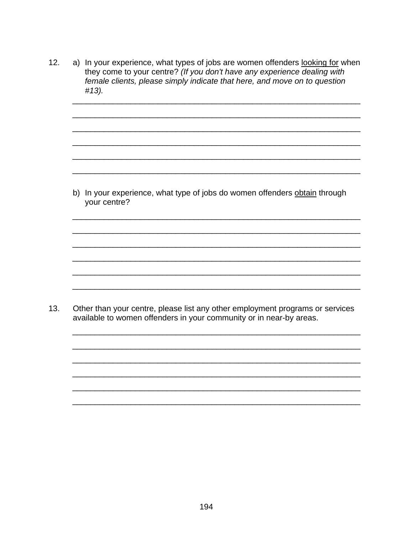a) In your experience, what types of jobs are women offenders looking for when  $12.$ they come to your centre? (If you don't have any experience dealing with female clients, please simply indicate that here, and move on to question #13).

b) In your experience, what type of jobs do women offenders obtain through your centre?

 $13.$ Other than your centre, please list any other employment programs or services available to women offenders in your community or in near-by areas.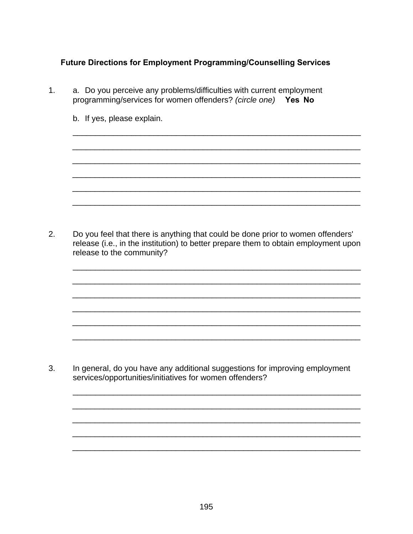# Future Directions for Employment Programming/Counselling Services

- a. Do you perceive any problems/difficulties with current employment  $1<sub>1</sub>$ programming/services for women offenders? (circle one) Yes No
	- b. If yes, please explain.

 $2.$ Do you feel that there is anything that could be done prior to women offenders' release (i.e., in the institution) to better prepare them to obtain employment upon release to the community?

 $3<sub>1</sub>$ In general, do you have any additional suggestions for improving employment services/opportunities/initiatives for women offenders?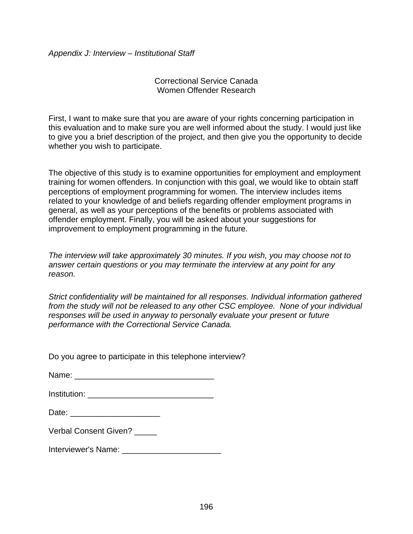*Appendix J: Interview – Institutional Staff* 

Correctional Service Canada Women Offender Research

First, I want to make sure that you are aware of your rights concerning participation in this evaluation and to make sure you are well informed about the study. I would just like to give you a brief description of the project, and then give you the opportunity to decide whether you wish to participate.

The objective of this study is to examine opportunities for employment and employment training for women offenders. In conjunction with this goal, we would like to obtain staff perceptions of employment programming for women. The interview includes items related to your knowledge of and beliefs regarding offender employment programs in general, as well as your perceptions of the benefits or problems associated with offender employment. Finally, you will be asked about your suggestions for improvement to employment programming in the future.

*The interview will take approximately 30 minutes. If you wish, you may choose not to answer certain questions or you may terminate the interview at any point for any reason.* 

*Strict confidentiality will be maintained for all responses. Individual information gathered from the study will not be released to any other CSC employee. None of your individual responses will be used in anyway to personally evaluate your present or future performance with the Correctional Service Canada.* 

Do you agree to participate in this telephone interview?

| Name: |  |  |  |
|-------|--|--|--|
|       |  |  |  |

| Institution: |
|--------------|
|--------------|

Verbal Consent Given?

Interviewer's Name: \_\_\_\_\_\_\_\_\_\_\_\_\_\_\_\_\_\_\_\_\_\_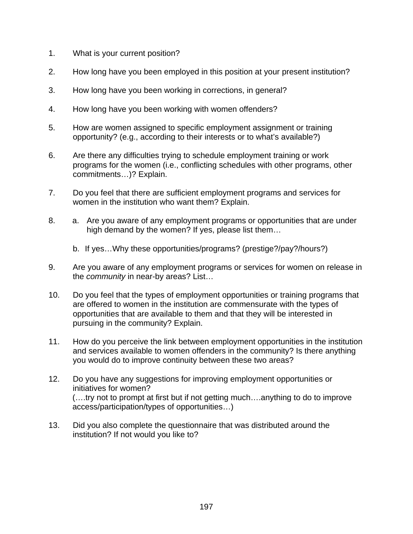- 1. What is your current position?
- 2. How long have you been employed in this position at your present institution?
- 3. How long have you been working in corrections, in general?
- 4. How long have you been working with women offenders?
- 5. How are women assigned to specific employment assignment or training opportunity? (e.g., according to their interests or to what's available?)
- 6. Are there any difficulties trying to schedule employment training or work programs for the women (i.e., conflicting schedules with other programs, other commitments…)? Explain.
- 7. Do you feel that there are sufficient employment programs and services for women in the institution who want them? Explain.
- 8. a. Are you aware of any employment programs or opportunities that are under high demand by the women? If yes, please list them…
	- b. If yes…Why these opportunities/programs? (prestige?/pay?/hours?)
- 9. Are you aware of any employment programs or services for women on release in the *community* in near-by areas? List…
- 10. Do you feel that the types of employment opportunities or training programs that are offered to women in the institution are commensurate with the types of opportunities that are available to them and that they will be interested in pursuing in the community? Explain.
- 11. How do you perceive the link between employment opportunities in the institution and services available to women offenders in the community? Is there anything you would do to improve continuity between these two areas?
- 12. Do you have any suggestions for improving employment opportunities or initiatives for women? (….try not to prompt at first but if not getting much….anything to do to improve access/participation/types of opportunities…)
- 13. Did you also complete the questionnaire that was distributed around the institution? If not would you like to?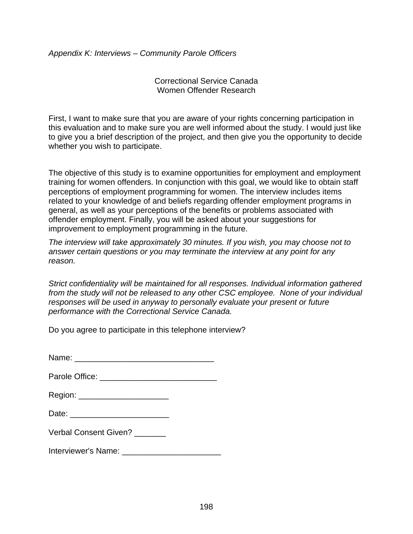*Appendix K: Interviews – Community Parole Officers* 

Correctional Service Canada Women Offender Research

First, I want to make sure that you are aware of your rights concerning participation in this evaluation and to make sure you are well informed about the study. I would just like to give you a brief description of the project, and then give you the opportunity to decide whether you wish to participate.

The objective of this study is to examine opportunities for employment and employment training for women offenders. In conjunction with this goal, we would like to obtain staff perceptions of employment programming for women. The interview includes items related to your knowledge of and beliefs regarding offender employment programs in general, as well as your perceptions of the benefits or problems associated with offender employment. Finally, you will be asked about your suggestions for improvement to employment programming in the future.

*The interview will take approximately 30 minutes. If you wish, you may choose not to answer certain questions or you may terminate the interview at any point for any reason.* 

*Strict confidentiality will be maintained for all responses. Individual information gathered from the study will not be released to any other CSC employee. None of your individual responses will be used in anyway to personally evaluate your present or future performance with the Correctional Service Canada.* 

Do you agree to participate in this telephone interview?

| Name: |  |  |  |
|-------|--|--|--|
|       |  |  |  |

| Parole Office: |  |
|----------------|--|
|----------------|--|

| <b>Verbal Consent Given?</b> |  |
|------------------------------|--|
|------------------------------|--|

Interviewer's Name: \_\_\_\_\_\_\_\_\_\_\_\_\_\_\_\_\_\_\_\_\_\_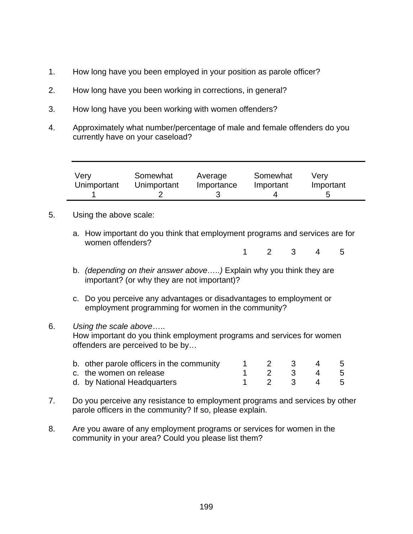- 1. How long have you been employed in your position as parole officer?
- 2. How long have you been working in corrections, in general?
- 3. How long have you been working with women offenders?
- 4. Approximately what number/percentage of male and female offenders do you currently have on your caseload?

| Very<br>Unimportant | Somewhat<br>Unimportant | Average<br>Importance | Somewhat<br>Important | Verv<br>Important |  |
|---------------------|-------------------------|-----------------------|-----------------------|-------------------|--|
|                     |                         |                       |                       | b                 |  |

- 5. Using the above scale:
	- a. How important do you think that employment programs and services are for women offenders?

1 2 3 4 5

- b. *(depending on their answer above…..)* Explain why you think they are important? (or why they are not important)?
- c. Do you perceive any advantages or disadvantages to employment or employment programming for women in the community?

# 6. *Using the scale above*….. How important do you think employment programs and services for women offenders are perceived to be by…

| b. other parole officers in the community |  | $\sim$ 3  | 45 |  |
|-------------------------------------------|--|-----------|----|--|
| c. the women on release                   |  | 1 2 3 4 5 |    |  |
| d. by National Headquarters               |  | 1 2 3 4 5 |    |  |

- 7. Do you perceive any resistance to employment programs and services by other parole officers in the community? If so, please explain.
- 8. Are you aware of any employment programs or services for women in the community in your area? Could you please list them?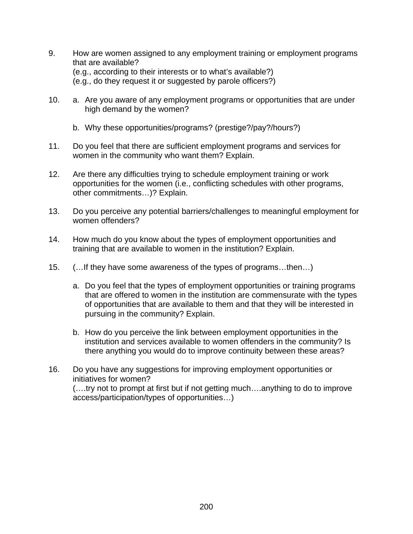- 9. How are women assigned to any employment training or employment programs that are available? (e.g., according to their interests or to what's available?) (e.g., do they request it or suggested by parole officers?)
- 10. a. Are you aware of any employment programs or opportunities that are under high demand by the women?
	- b. Why these opportunities/programs? (prestige?/pay?/hours?)
- 11. Do you feel that there are sufficient employment programs and services for women in the community who want them? Explain.
- 12. Are there any difficulties trying to schedule employment training or work opportunities for the women (i.e., conflicting schedules with other programs, other commitments…)? Explain.
- 13. Do you perceive any potential barriers/challenges to meaningful employment for women offenders?
- 14. How much do you know about the types of employment opportunities and training that are available to women in the institution? Explain.
- 15. (…If they have some awareness of the types of programs…then…)
	- a. Do you feel that the types of employment opportunities or training programs that are offered to women in the institution are commensurate with the types of opportunities that are available to them and that they will be interested in pursuing in the community? Explain.
	- b. How do you perceive the link between employment opportunities in the institution and services available to women offenders in the community? Is there anything you would do to improve continuity between these areas?
- 16. Do you have any suggestions for improving employment opportunities or initiatives for women? (….try not to prompt at first but if not getting much….anything to do to improve access/participation/types of opportunities…)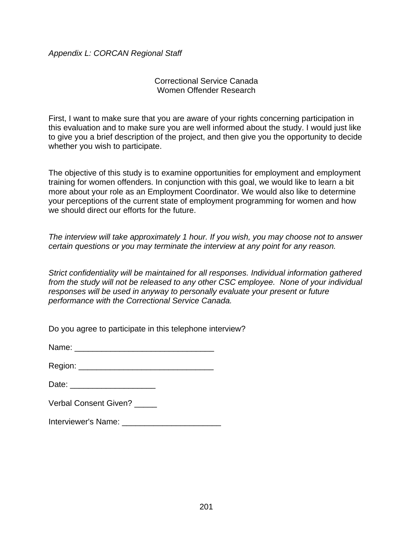# *Appendix L: CORCAN Regional Staff*

### Correctional Service Canada Women Offender Research

First, I want to make sure that you are aware of your rights concerning participation in this evaluation and to make sure you are well informed about the study. I would just like to give you a brief description of the project, and then give you the opportunity to decide whether you wish to participate.

The objective of this study is to examine opportunities for employment and employment training for women offenders. In conjunction with this goal, we would like to learn a bit more about your role as an Employment Coordinator. We would also like to determine your perceptions of the current state of employment programming for women and how we should direct our efforts for the future.

*The interview will take approximately 1 hour. If you wish, you may choose not to answer certain questions or you may terminate the interview at any point for any reason.* 

*Strict confidentiality will be maintained for all responses. Individual information gathered from the study will not be released to any other CSC employee. None of your individual responses will be used in anyway to personally evaluate your present or future performance with the Correctional Service Canada.* 

Do you agree to participate in this telephone interview?

Name:  $\blacksquare$ 

Region: \_\_\_\_\_\_\_\_\_\_\_\_\_\_\_\_\_\_\_\_\_\_\_\_\_\_\_\_\_\_

Date:  $\Box$ 

| Verbal Consent Given? |  |
|-----------------------|--|
|-----------------------|--|

Interviewer's Name: \_\_\_\_\_\_\_\_\_\_\_\_\_\_\_\_\_\_\_\_\_\_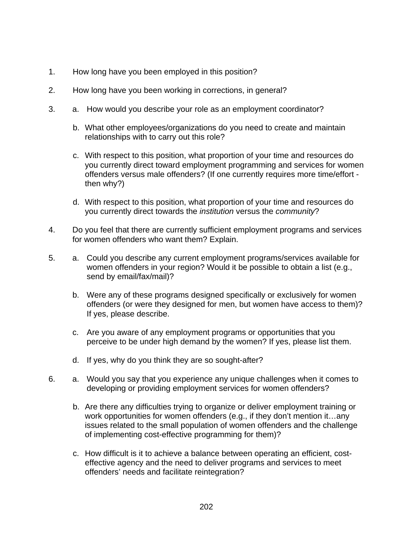- 1. How long have you been employed in this position?
- 2. How long have you been working in corrections, in general?
- 3. a. How would you describe your role as an employment coordinator?
	- b. What other employees/organizations do you need to create and maintain relationships with to carry out this role?
	- c. With respect to this position, what proportion of your time and resources do you currently direct toward employment programming and services for women offenders versus male offenders? (If one currently requires more time/effort then why?)
	- d. With respect to this position, what proportion of your time and resources do you currently direct towards the *institution* versus the *community*?
- 4. Do you feel that there are currently sufficient employment programs and services for women offenders who want them? Explain.
- 5. a. Could you describe any current employment programs/services available for women offenders in your region? Would it be possible to obtain a list (e.g., send by email/fax/mail)?
	- b. Were any of these programs designed specifically or exclusively for women offenders (or were they designed for men, but women have access to them)? If yes, please describe.
	- c. Are you aware of any employment programs or opportunities that you perceive to be under high demand by the women? If yes, please list them.
	- d. If yes, why do you think they are so sought-after?
- 6. a. Would you say that you experience any unique challenges when it comes to developing or providing employment services for women offenders?
	- b. Are there any difficulties trying to organize or deliver employment training or work opportunities for women offenders (e.g., if they don't mention it…any issues related to the small population of women offenders and the challenge of implementing cost-effective programming for them)?
	- c. How difficult is it to achieve a balance between operating an efficient, costeffective agency and the need to deliver programs and services to meet offenders' needs and facilitate reintegration?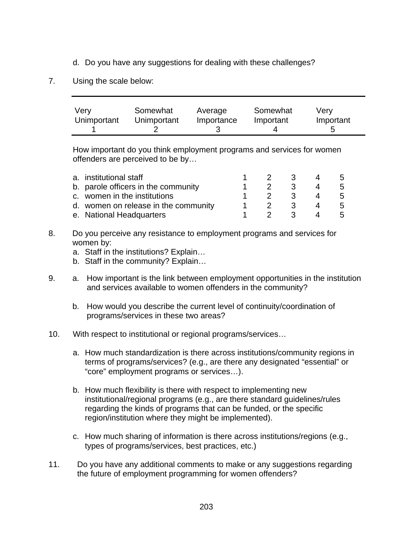- d. Do you have any suggestions for dealing with these challenges?
- 7. Using the scale below:

| Very        | Somewhat    | Average    | Somewhat  | Verv      |
|-------------|-------------|------------|-----------|-----------|
| Unimportant | Unimportant | Importance | Important | Important |
|             |             |            |           |           |

How important do you think employment programs and services for women offenders are perceived to be by…

| a. institutional staff               | $\overline{2}$ | - 3 | $\mathbf{b}$  |
|--------------------------------------|----------------|-----|---------------|
| b. parole officers in the community  | -2.            | 3   | $\mathcal{L}$ |
| c. women in the institutions         | - 2 -          | -3  | $\mathbf{b}$  |
| d. women on release in the community |                |     |               |
| e. National Headquarters             |                | 3   |               |

- 8. Do you perceive any resistance to employment programs and services for women by:
	- a. Staff in the institutions? Explain…
	- b. Staff in the community? Explain…
- 9. a. How important is the link between employment opportunities in the institution and services available to women offenders in the community?
	- b. How would you describe the current level of continuity/coordination of programs/services in these two areas?
- 10. With respect to institutional or regional programs/services…
	- a. How much standardization is there across institutions/community regions in terms of programs/services? (e.g., are there any designated "essential" or "core" employment programs or services…).
	- b. How much flexibility is there with respect to implementing new institutional/regional programs (e.g., are there standard guidelines/rules regarding the kinds of programs that can be funded, or the specific region/institution where they might be implemented).
	- c. How much sharing of information is there across institutions/regions (e.g., types of programs/services, best practices, etc.)
- 11. Do you have any additional comments to make or any suggestions regarding the future of employment programming for women offenders?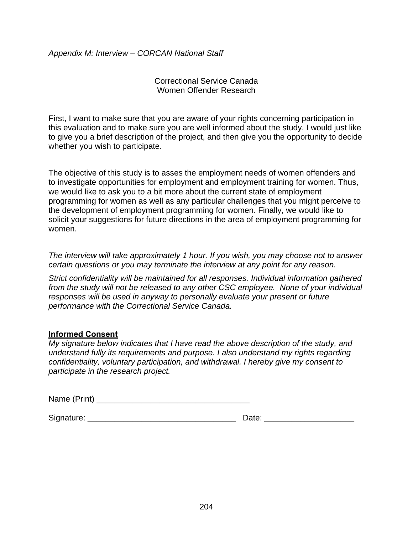*Appendix M: Interview – CORCAN National Staff* 

Correctional Service Canada Women Offender Research

First, I want to make sure that you are aware of your rights concerning participation in this evaluation and to make sure you are well informed about the study. I would just like to give you a brief description of the project, and then give you the opportunity to decide whether you wish to participate.

The objective of this study is to asses the employment needs of women offenders and to investigate opportunities for employment and employment training for women. Thus, we would like to ask you to a bit more about the current state of employment programming for women as well as any particular challenges that you might perceive to the development of employment programming for women. Finally, we would like to solicit your suggestions for future directions in the area of employment programming for women.

*The interview will take approximately 1 hour. If you wish, you may choose not to answer certain questions or you may terminate the interview at any point for any reason.* 

*Strict confidentiality will be maintained for all responses. Individual information gathered from the study will not be released to any other CSC employee. None of your individual responses will be used in anyway to personally evaluate your present or future performance with the Correctional Service Canada.* 

# **Informed Consent**

*My signature below indicates that I have read the above description of the study, and understand fully its requirements and purpose. I also understand my rights regarding confidentiality, voluntary participation, and withdrawal. I hereby give my consent to participate in the research project.* 

| Name (Print) |  |
|--------------|--|
|--------------|--|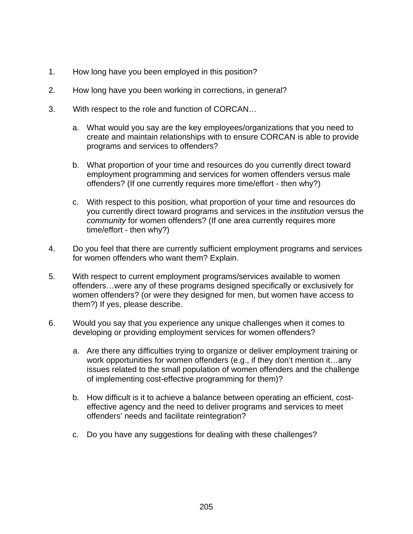- 1. How long have you been employed in this position?
- 2. How long have you been working in corrections, in general?
- 3. With respect to the role and function of CORCAN…
	- a. What would you say are the key employees/organizations that you need to create and maintain relationships with to ensure CORCAN is able to provide programs and services to offenders?
	- b. What proportion of your time and resources do you currently direct toward employment programming and services for women offenders versus male offenders? (If one currently requires more time/effort - then why?)
	- c. With respect to this position, what proportion of your time and resources do you currently direct toward programs and services in the *institution* versus the *community* for women offenders? (If one area currently requires more time/effort - then why?)
- 4. Do you feel that there are currently sufficient employment programs and services for women offenders who want them? Explain.
- 5. With respect to current employment programs/services available to women offenders…were any of these programs designed specifically or exclusively for women offenders? (or were they designed for men, but women have access to them?) If yes, please describe.
- 6. Would you say that you experience any unique challenges when it comes to developing or providing employment services for women offenders?
	- a. Are there any difficulties trying to organize or deliver employment training or work opportunities for women offenders (e.g., if they don't mention it…any issues related to the small population of women offenders and the challenge of implementing cost-effective programming for them)?
	- b. How difficult is it to achieve a balance between operating an efficient, costeffective agency and the need to deliver programs and services to meet offenders' needs and facilitate reintegration?
	- c. Do you have any suggestions for dealing with these challenges?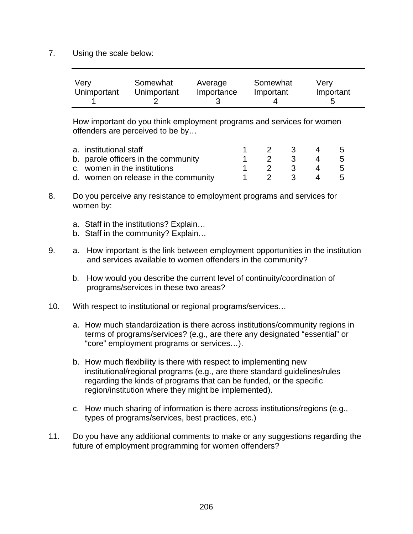7. Using the scale below:

| Very        | Somewhat    | Average    | Somewhat  | Verv      |
|-------------|-------------|------------|-----------|-----------|
| Unimportant | Unimportant | Importance | Important | Important |
|             |             |            |           |           |

How important do you think employment programs and services for women offenders are perceived to be by…

| a. institutional staff               | $1 \quad 2 \quad$ | $\overline{\mathbf{3}}$ | 4 5   |     |
|--------------------------------------|-------------------|-------------------------|-------|-----|
| b. parole officers in the community  | $1 \quad 2 \quad$ |                         | 3 4 5 |     |
| c. women in the institutions         | $\overline{2}$    | $\mathbf{B}$            | 4 5   |     |
| d. women on release in the community |                   | $\sim$ 3                |       | - 5 |

- 8. Do you perceive any resistance to employment programs and services for women by:
	- a. Staff in the institutions? Explain…
	- b. Staff in the community? Explain…
- 9. a. How important is the link between employment opportunities in the institution and services available to women offenders in the community?
	- b. How would you describe the current level of continuity/coordination of programs/services in these two areas?
- 10. With respect to institutional or regional programs/services…
	- a. How much standardization is there across institutions/community regions in terms of programs/services? (e.g., are there any designated "essential" or "core" employment programs or services…).
	- b. How much flexibility is there with respect to implementing new institutional/regional programs (e.g., are there standard guidelines/rules regarding the kinds of programs that can be funded, or the specific region/institution where they might be implemented).
	- c. How much sharing of information is there across institutions/regions (e.g., types of programs/services, best practices, etc.)
- 11. Do you have any additional comments to make or any suggestions regarding the future of employment programming for women offenders?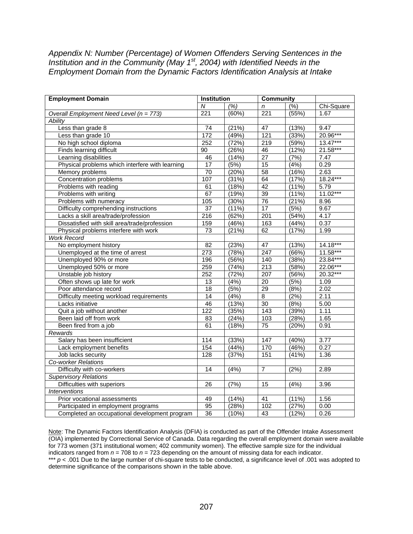#### *Appendix N: Number (Percentage) of Women Offenders Serving Sentences in the Institution and in the Community (May 1<sup>st</sup>, 2004) with Identified Needs in the Employment Domain from the Dynamic Factors Identification Analysis at Intake*

| <b>Employment Domain</b>                        | <b>Institution</b> |       | <b>Community</b> |               |            |
|-------------------------------------------------|--------------------|-------|------------------|---------------|------------|
|                                                 | N                  | (%)   | n                | $\sqrt{(26)}$ | Chi-Square |
| Overall Employment Need Level (n = 773)         | 221                | (60%) | 221              | (55%)         | 1.67       |
| <b>Ability</b>                                  |                    |       |                  |               |            |
| Less than grade 8                               | $\overline{74}$    | (21%) | 47               | (13%)         | 9.47       |
| Less than grade 10                              | 172                | (49%) | 121              | (33%)         | 20.96***   |
| No high school diploma                          | 252                | (72%) | $\overline{219}$ | (59%)         | $13.47***$ |
| Finds learning difficult                        | 90                 | (26%) | 46               | (12%)         | 21.58***   |
| Learning disabilities                           | 46                 | (14%) | $\overline{27}$  | (7%)          | 7.47       |
| Physical problems which interfere with learning | $\overline{17}$    | (5%)  | 15               | (4%)          | 0.29       |
| Memory problems                                 | 70                 | (20%) | 58               | (16%)         | 2.63       |
| <b>Concentration problems</b>                   | 107                | (31%) | 64               | (17%)         | 18.24***   |
| Problems with reading                           | 61                 | (18%) | 42               | (11%)         | 5.79       |
| Problems with writing                           | 67                 | (19%) | 39               | (11%)         | $11.02***$ |
| Problems with numeracy                          | 105                | (30%) | 76               | (21%)         | 8.96       |
| Difficulty comprehending instructions           | $\overline{37}$    | (11%) | 17               | (5%)          | 9.67       |
| Lacks a skill area/trade/profession             | 216                | (62%) | 201              | (54%)         | 4.17       |
| Dissatisfied with skill area/trade/profession   | 159                | (46%) | 163              | (44%)         | 0.37       |
| Physical problems interfere with work           | $\overline{73}$    | (21%) | 62               | (17%)         | 1.99       |
| <b>Work Record</b>                              |                    |       |                  |               |            |
| No employment history                           | $\overline{82}$    | (23%) | $\overline{47}$  | (13%)         | 14.18***   |
| Unemployed at the time of arrest                | 273                | (78%) | 247              | (66%)         | $11.58***$ |
| Unemployed 90% or more                          | 196                | (56%) | 140              | (38%)         | 23.84***   |
| Unemployed 50% or more                          | 259                | (74%) | 213              | (58%)         | 22.06***   |
| Unstable job history                            | 252                | (72%) | 207              | (56%)         | 20.32***   |
| Often shows up late for work                    | 13                 | (4%)  | $\overline{20}$  | (5%)          | 1.09       |
| Poor attendance record                          | 18                 | (5%)  | $\overline{29}$  | (8%)          | 2.02       |
| Difficulty meeting workload requirements        | 14                 | (4% ) | $\overline{8}$   | (2%)          | 2.11       |
| Lacks initiative                                | 46                 | (13%) | $\overline{30}$  | (8%)          | 5.00       |
| Quit a job without another                      | $\overline{122}$   | (35%) | 143              | (39%)         | 1.11       |
| Been laid off from work                         | 83                 | (24%) | 103              | (28%)         | 1.65       |
| Been fired from a job                           | 61                 | (18%) | $\overline{75}$  | (20%)         | 0.91       |
| Rewards                                         |                    |       |                  |               |            |
| Salary has been insufficient                    | 114                | (33%) | 147              | (40%)         | 3.77       |
| Lack employment benefits                        | 154                | (44%) | 170              | (46%)         | 0.27       |
| Job lacks security                              | 128                | (37%) | 151              | (41%)         | 1.36       |
| <b>Co-worker Relations</b>                      |                    |       |                  |               |            |
| Difficulty with co-workers                      | $\overline{14}$    | (4%)  | $\overline{7}$   | (2%)          | 2.89       |
| <b>Supervisory Relations</b>                    |                    |       |                  |               |            |
| Difficulties with superiors                     | $\overline{26}$    | (7%)  | 15               | (4%)          | 3.96       |
| <b>Interventions</b>                            |                    |       |                  |               |            |
| Prior vocational assessments                    | 49                 | (14%) | $\overline{41}$  | (11%)         | 1.56       |
| Participated in employment programs             | 95                 | (28%) | 102              | (27%)         | 0.00       |
| Completed an occupational development program   | 36                 | (10%) | 43               | (12%)         | 0.26       |

Note: The Dynamic Factors Identification Analysis (DFIA) is conducted as part of the Offender Intake Assessment (OIA) implemented by Correctional Service of Canada. Data regarding the overall employment domain were available for 773 women (371 institutional women; 402 community women). The effective sample size for the individual indicators ranged from *n* = 708 to *n* = 723 depending on the amount of missing data for each indicator. \*\*\* *p* < .001 Due to the large number of chi-square tests to be conducted, a significance level of .001 was adopted to determine significance of the comparisons shown in the table above.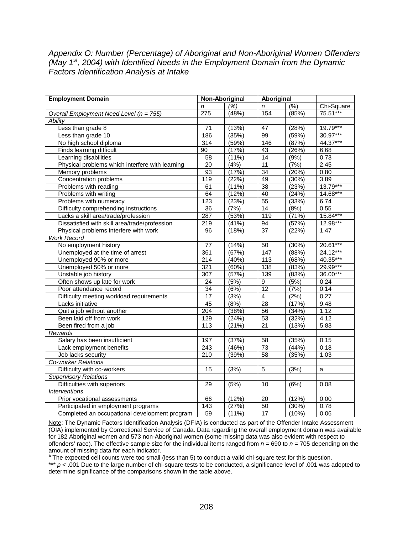# *Appendix O: Number (Percentage) of Aboriginal and Non-Aboriginal Women Offenders (May 1st, 2004) with Identified Needs in the Employment Domain from the Dynamic Factors Identification Analysis at Intake*

| <b>Employment Domain</b>                        | Non-Aboriginal   |       | Aboriginal      |       |            |
|-------------------------------------------------|------------------|-------|-----------------|-------|------------|
|                                                 | n                | (%)   | n               | (%)   | Chi-Square |
| Overall Employment Need Level (n = 755)         | 275              | (48%) | 154             | (85%) | 75.51***   |
| <b>Ability</b>                                  |                  |       |                 |       |            |
| Less than grade 8                               | $\overline{71}$  | (13%) | 47              | (28%) | $19.79***$ |
| Less than grade 10                              | 186              | (35%) | 99              | (59%) | 30.97***   |
| No high school diploma                          | 314              | (59%) | 146             | (87%) | 44.37***   |
| Finds learning difficult                        | 90               | (17%) | 43              | (26%) | 6.68       |
| Learning disabilities                           | 58               | (11%) | 14              | (9%)  | 0.73       |
| Physical problems which interfere with learning | $\overline{20}$  | (4%)  | $\overline{11}$ | (7%)  | 2.45       |
| Memory problems                                 | 93               | (17%) | 34              | (20%) | 0.80       |
| Concentration problems                          | 119              | (22%) | 49              | (30%) | 3.89       |
| Problems with reading                           | 61               | (11%) | 38              | (23%) | 13.79***   |
| Problems with writing                           | 64               | (12%) | 40              | (24%) | 14.68***   |
| Problems with numeracy                          | 123              | (23%) | 55              | (33%) | 6.74       |
| Difficulty comprehending instructions           | 36               | (7%)  | 14              | (8%)  | 0.55       |
| Lacks a skill area/trade/profession             | 287              | (53%) | 119             | (71%) | 15.84***   |
| Dissatisfied with skill area/trade/profession   | $\overline{219}$ | (41%) | 94              | (57%) | 12.98***   |
| Physical problems interfere with work           | $\overline{96}$  | (18%) | $\overline{37}$ | (22%) | 1.47       |
| <b>Work Record</b>                              |                  |       |                 |       |            |
| No employment history                           | 77               | (14%) | 50              | (30%) | $20.61***$ |
| Unemployed at the time of arrest                | 361              | (67%) | 147             | (88%) | 24.12***   |
| Unemployed 90% or more                          | 214              | (40%) | 113             | (68%) | 40.35***   |
| Unemployed 50% or more                          | 321              | (60%) | 138             | (83%) | 29.99***   |
| Unstable job history                            | 307              | (57%) | 139             | (83%) | 36.00***   |
| Often shows up late for work                    | 24               | (5%)  | 9               | (5%)  | 0.24       |
| Poor attendance record                          | 34               | (6%)  | 12              | (7%)  | 0.14       |
| Difficulty meeting workload requirements        | 17               | (3%)  | $\overline{4}$  | (2%)  | 0.27       |
| Lacks initiative                                | 45               | (8%)  | 28              | (17%) | 9.48       |
| Quit a job without another                      | $\overline{204}$ | (38%) | $\overline{56}$ | (34%) | 1.12       |
| Been laid off from work                         | 129              | (24%) | $\overline{53}$ | (32%) | 4.12       |
| Been fired from a job                           | $\overline{113}$ | (21%) | $\overline{21}$ | (13%) | 5.83       |
| Rewards                                         |                  |       |                 |       |            |
| Salary has been insufficient                    | 197              | (37%) | $\overline{58}$ | (35%) | 0.15       |
| Lack employment benefits                        | 243              | (46%) | 73              | (44%) | 0.18       |
| Job lacks security                              | 210              | (39%) | $\overline{58}$ | (35%) | 1.03       |
| Co-worker Relations                             |                  |       |                 |       |            |
| Difficulty with co-workers                      | $\overline{15}$  | (3%)  | $\overline{5}$  | (3%)  | a          |
| <b>Supervisory Relations</b>                    |                  |       |                 |       |            |
| Difficulties with superiors                     | 29               | (5%)  | 10              | (6%)  | 0.08       |
| <b>Interventions</b>                            |                  |       |                 |       |            |
| Prior vocational assessments                    | 66               | (12%) | $\overline{20}$ | (12%) | 0.00       |
| Participated in employment programs             | $\overline{143}$ | (27%) | 50              | (30%) | 0.78       |
| Completed an occupational development program   | $\overline{59}$  | (11%) | 17              | (10%) | 0.06       |

Note: The Dynamic Factors Identification Analysis (DFIA) is conducted as part of the Offender Intake Assessment (OIA) implemented by Correctional Service of Canada. Data regarding the overall employment domain was available for 182 Aboriginal women and 573 non-Aboriginal women (some missing data was also evident with respect to offenders' race). The effective sample size for the individual items ranged from *n* = 690 to *n* = 705 depending on the amount of missing data for each indicator.

<sup>a</sup> The expected cell counts were too small (less than 5) to conduct a valid chi-square test for this question.

\*\*\* *p* < .001 Due to the large number of chi-square tests to be conducted, a significance level of .001 was adopted to determine significance of the comparisons shown in the table above.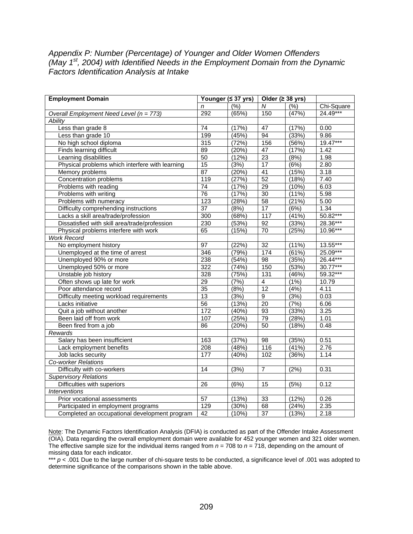# *Appendix P: Number (Percentage) of Younger and Older Women Offenders (May 1st, 2004) with Identified Needs in the Employment Domain from the Dynamic Factors Identification Analysis at Intake*

| <b>Employment Domain</b>                        | Younger (≤ 37 yrs) |       | Older ( $\geq$ 38 yrs) |       |            |
|-------------------------------------------------|--------------------|-------|------------------------|-------|------------|
|                                                 | n                  | (%)   | $\overline{M}$         | (%)   | Chi-Square |
| Overall Employment Need Level (n = 773)         | 292                | (65%) | 150                    | (47%) | 24.49***   |
| Ability                                         |                    |       |                        |       |            |
| Less than grade 8                               | 74                 | (17%) | 47                     | (17%) | 0.00       |
| Less than grade 10                              | 199                | (45%) | 94                     | (33%) | 9.86       |
| No high school diploma                          | 315                | (72%) | 156                    | (56%) | 19.47***   |
| Finds learning difficult                        | 89                 | (20%) | 47                     | (17%) | 1.42       |
| Learning disabilities                           | 50                 | (12%) | $\overline{23}$        | (8%)  | 1.98       |
| Physical problems which interfere with learning | 15                 | (3%)  | $\overline{17}$        | (6%)  | 2.80       |
| Memory problems                                 | 87                 | (20%) | $\overline{41}$        | (15%) | 3.18       |
| Concentration problems                          | 119                | (27%) | 52                     | (18%) | 7.40       |
| Problems with reading                           | $\overline{74}$    | (17%) | 29                     | (10%) | 6.03       |
| Problems with writing                           | 76                 | (17%) | $\overline{30}$        | (11%) | 5.98       |
| Problems with numeracy                          | 123                | (28%) | 58                     | (21%) | 5.00       |
| Difficulty comprehending instructions           | $\overline{37}$    | (8%)  | 17                     | (6%)  | 1.34       |
| Lacks a skill area/trade/profession             | 300                | (68%) | 117                    | (41%) | 50.82***   |
| Dissatisfied with skill area/trade/profession   | 230                | (53%) | 92                     | (33%) | 28.36***   |
| Physical problems interfere with work           | 65                 | (15%) | $\overline{70}$        | (25%) | 10.96***   |
| <b>Work Record</b>                              |                    |       |                        |       |            |
| No employment history                           | $\overline{97}$    | (22%) | 32                     | (11%) | 13.55***   |
| Unemployed at the time of arrest                | 346                | (79%) | 174                    | (61%) | 25.09***   |
| Unemployed 90% or more                          | 238                | (54%) | $\overline{98}$        | (35%) | 26.44***   |
| Unemployed 50% or more                          | 322                | (74%) | 150                    | (53%) | 30.77***   |
| Unstable job history                            | 328                | (75%) | 131                    | (46%) | 59.32***   |
| Often shows up late for work                    | $\overline{29}$    | (7%)  | $\overline{4}$         | (1%)  | 10.79      |
| Poor attendance record                          | $\overline{35}$    | (8%)  | $\overline{12}$        | (4%)  | 4.11       |
| Difficulty meeting workload requirements        | 13                 | (3%)  | $\overline{9}$         | (3%)  | 0.03       |
| Lacks initiative                                | 56                 | (13%) | $\overline{20}$        | (7%)  | 6.06       |
| Quit a job without another                      | 172                | (40%) | $\overline{93}$        | (33%) | 3.25       |
| Been laid off from work                         | 107                | (25%) | 79                     | (28%) | 1.01       |
| Been fired from a job                           | 86                 | (20%) | 50                     | (18%) | 0.48       |
| Rewards                                         |                    |       |                        |       |            |
| Salary has been insufficient                    | 163                | (37%) | 98                     | (35%) | 0.51       |
| Lack employment benefits                        | 208                | (48%) | 116                    | (41%) | 2.76       |
| Job lacks security                              | 177                | (40%) | 102                    | (36%) | 1.14       |
| <b>Co-worker Relations</b>                      |                    |       |                        |       |            |
| Difficulty with co-workers                      | $\overline{14}$    | (3%)  | $\overline{7}$         | (2%)  | 0.31       |
| <b>Supervisory Relations</b>                    |                    |       |                        |       |            |
| Difficulties with superiors                     | $\overline{26}$    | (6%)  | 15                     | (5%)  | 0.12       |
| <b>Interventions</b>                            |                    |       |                        |       |            |
| Prior vocational assessments                    | 57                 | (13%) | 33                     | (12%) | 0.26       |
| Participated in employment programs             | 129                | (30%) | 68                     | (24%) | 2.35       |
| Completed an occupational development program   | 42                 | (10%) | $\overline{37}$        | (13%) | 2.18       |

Note: The Dynamic Factors Identification Analysis (DFIA) is conducted as part of the Offender Intake Assessment (OIA). Data regarding the overall employment domain were available for 452 younger women and 321 older women. The effective sample size for the individual items ranged from  $n = 708$  to  $n = 718$ , depending on the amount of missing data for each indicator.

\*\*\*  $p < 0.001$  Due to the large number of chi-square tests to be conducted, a significance level of .001 was adopted to determine significance of the comparisons shown in the table above.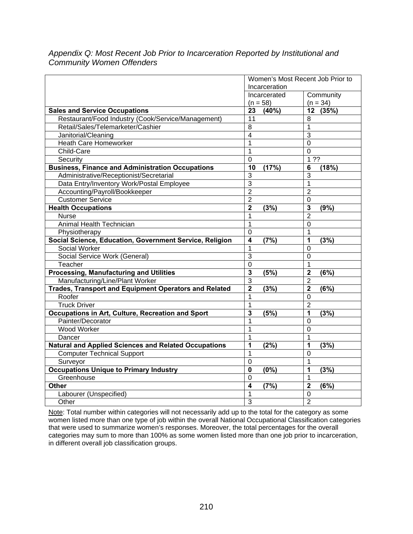|                                                              |                                 | Women's Most Recent Job Prior to |
|--------------------------------------------------------------|---------------------------------|----------------------------------|
|                                                              | Incarceration                   |                                  |
|                                                              | Incarcerated                    | Community                        |
|                                                              | $(n = 58)$                      | $(n = 34)$                       |
| <b>Sales and Service Occupations</b>                         | 23<br>(40%)                     | 12 (35%)                         |
| Restaurant/Food Industry (Cook/Service/Management)           | 11                              | 8                                |
| Retail/Sales/Telemarketer/Cashier                            | 8                               | $\mathbf{1}$                     |
| Janitorial/Cleaning                                          | $\overline{\mathbf{4}}$         | 3                                |
| <b>Heath Care Homeworker</b>                                 | $\overline{1}$                  | $\Omega$                         |
| Child-Care                                                   | $\mathbf{1}$                    | $\overline{0}$                   |
| Security                                                     | 0                               | 1.32                             |
| <b>Business, Finance and Administration Occupations</b>      | 10<br>(17%)                     | (18%)<br>6                       |
| Administrative/Receptionist/Secretarial                      | 3                               | 3                                |
| Data Entry/Inventory Work/Postal Employee                    | 3                               | 1                                |
| Accounting/Payroll/Bookkeeper                                | $\overline{2}$                  | $\overline{2}$                   |
| <b>Customer Service</b>                                      | $\overline{2}$                  | $\mathbf 0$                      |
| <b>Health Occupations</b>                                    | $\mathbf{2}$<br>(3%)            | 3<br>(9% )                       |
| Nurse                                                        | 1                               | $\overline{2}$                   |
| Animal Health Technician                                     | $\mathbf{1}$                    | $\overline{0}$                   |
| Physiotherapy                                                | $\overline{0}$                  | $\mathbf{1}$                     |
| Social Science, Education, Government Service, Religion      | $\overline{\mathbf{4}}$<br>(7%) | 1<br>(3%)                        |
| Social Worker                                                | 1                               | $\mathbf 0$                      |
| Social Service Work (General)                                | 3                               | $\mathbf 0$                      |
| Teacher                                                      | $\overline{0}$                  | $\overline{1}$                   |
| <b>Processing, Manufacturing and Utilities</b>               | 3<br>(5%)                       | $\overline{\mathbf{2}}$<br>(6%)  |
| Manufacturing/Line/Plant Worker                              | $\overline{3}$                  | $\overline{2}$                   |
| <b>Trades, Transport and Equipment Operators and Related</b> | $\overline{2}$<br>(3%)          | $\overline{2}$<br>(6%)           |
| Roofer                                                       | 1                               | 0                                |
| <b>Truck Driver</b>                                          | 1                               | $\overline{2}$                   |
| <b>Occupations in Art, Culture, Recreation and Sport</b>     | 3<br>(5%)                       | 1<br>(3%)                        |
| Painter/Decorator                                            | $\mathbf{1}$                    | $\Omega$                         |
| <b>Wood Worker</b>                                           | 1                               | $\Omega$                         |
| Dancer                                                       | 1                               | 1                                |
| <b>Natural and Applied Sciences and Related Occupations</b>  | 1<br>(2%)                       | 1<br>(3%)                        |
| <b>Computer Technical Support</b>                            | $\mathbf 1$                     | $\Omega$                         |
| Surveyor                                                     | $\overline{0}$                  | $\mathbf{1}$                     |
| <b>Occupations Unique to Primary Industry</b>                | (0% )<br>$\mathbf 0$            | 1<br>(3%)                        |
| Greenhouse                                                   | $\mathbf 0$                     | 1                                |
| <b>Other</b>                                                 | (7%)<br>4                       | $\overline{2}$<br>(6%)           |
| Labourer (Unspecified)                                       | $\overline{1}$                  | $\overline{0}$                   |
| Other                                                        | 3                               | $\overline{2}$                   |

*Appendix Q: Most Recent Job Prior to Incarceration Reported by Institutional and Community Women Offenders* 

Note: Total number within categories will not necessarily add up to the total for the category as some women listed more than one type of job within the overall National Occupational Classification categories that were used to summarize women's responses. Moreover, the total percentages for the overall categories may sum to more than 100% as some women listed more than one job prior to incarceration, in different overall job classification groups.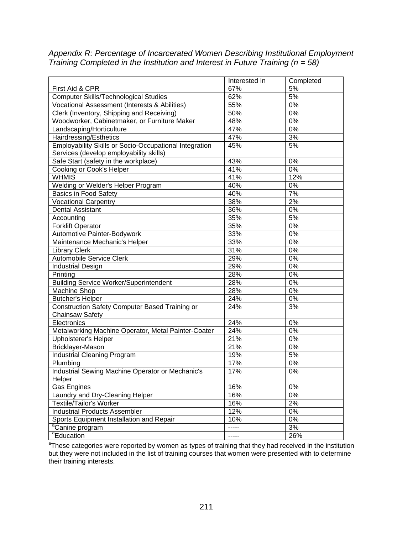*Appendix R: Percentage of Incarcerated Women Describing Institutional Employment Training Completed in the Institution and Interest in Future Training (n = 58)* 

|                                                               | Interested In | Completed |
|---------------------------------------------------------------|---------------|-----------|
| First Aid & CPR                                               | 67%           | 5%        |
| <b>Computer Skills/Technological Studies</b>                  | 62%           | 5%        |
| <b>Vocational Assessment (Interests &amp; Abilities)</b>      | 55%           | 0%        |
| Clerk (Inventory, Shipping and Receiving)                     | 50%           | 0%        |
| Woodworker, Cabinetmaker, or Furniture Maker                  | 48%           | 0%        |
| Landscaping/Horticulture                                      | 47%           | 0%        |
| Hairdressing/Esthetics                                        | 47%           | 3%        |
| <b>Employability Skills or Socio-Occupational Integration</b> | 45%           | 5%        |
| Services (develop employability skills)                       |               |           |
| Safe Start (safety in the workplace)                          | 43%           | 0%        |
| Cooking or Cook's Helper                                      | 41%           | 0%        |
| <b>WHMIS</b>                                                  | 41%           | 12%       |
| Welding or Welder's Helper Program                            | 40%           | 0%        |
| Basics in Food Safety                                         | 40%           | 7%        |
| <b>Vocational Carpentry</b>                                   | 38%           | 2%        |
| <b>Dental Assistant</b>                                       | 36%           | 0%        |
| Accounting                                                    | 35%           | 5%        |
| <b>Forklift Operator</b>                                      | 35%           | 0%        |
| Automotive Painter-Bodywork                                   | 33%           | 0%        |
| Maintenance Mechanic's Helper                                 | 33%           | 0%        |
| <b>Library Clerk</b>                                          | 31%           | 0%        |
| Automobile Service Clerk                                      | 29%           | 0%        |
| <b>Industrial Design</b>                                      | 29%           | 0%        |
| Printing                                                      | 28%           | 0%        |
| <b>Building Service Worker/Superintendent</b>                 | 28%           | 0%        |
| Machine Shop                                                  | 28%           | 0%        |
| <b>Butcher's Helper</b>                                       | 24%           | 0%        |
| <b>Construction Safety Computer Based Training or</b>         | 24%           | 3%        |
| <b>Chainsaw Safety</b>                                        |               |           |
| Electronics                                                   | 24%           | 0%        |
| Metalworking Machine Operator, Metal Painter-Coater           | 24%           | 0%        |
| <b>Upholsterer's Helper</b>                                   | 21%           | 0%        |
| Bricklayer-Mason                                              | 21%           | 0%        |
| <b>Industrial Cleaning Program</b>                            | 19%           | 5%        |
| Plumbing                                                      | 17%           | $0\%$     |
| Industrial Sewing Machine Operator or Mechanic's              | 17%           | 0%        |
| Helper                                                        |               |           |
| Gas Engines                                                   | 16%           | 0%        |
| Laundry and Dry-Cleaning Helper                               | 16%           | 0%        |
| <b>Textile/Tailor's Worker</b>                                | 16%           | 2%        |
| <b>Industrial Products Assembler</b>                          | 12%           | 0%        |
| Sports Equipment Installation and Repair                      | 10%           | 0%        |
| <sup>a</sup> Canine program                                   | -----         | 3%        |
| <sup>a</sup> Education                                        | -----         | 26%       |

<sup>a</sup>These categories were reported by women as types of training that they had received in the institution but they were not included in the list of training courses that women were presented with to determine their training interests.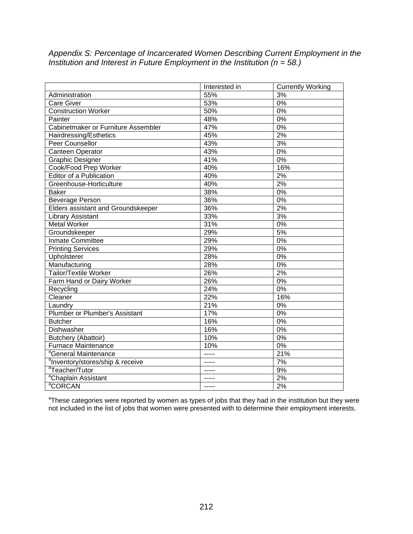*Appendix S: Percentage of Incarcerated Women Describing Current Employment in the Institution and Interest in Future Employment in the Institution (n = 58.)* 

|                                              | Interested in  | <b>Currently Working</b> |
|----------------------------------------------|----------------|--------------------------|
| Administration                               | 55%            | 3%                       |
| Care Giver                                   | 53%            | 0%                       |
| <b>Construction Worker</b>                   | 50%            | 0%                       |
| Painter                                      | 48%            | 0%                       |
| Cabinetmaker or Furniture Assembler          | 47%            | 0%                       |
| Hairdressing/Esthetics                       | 45%            | 2%                       |
| Peer Counsellor                              | 43%            | 3%                       |
| Canteen Operator                             | 43%            | 0%                       |
| <b>Graphic Designer</b>                      | 41%            | 0%                       |
| Cook/Food Prep Worker                        | 40%            | 16%                      |
| Editor of a Publication                      | 40%            | 2%                       |
| Greenhouse-Horticulture                      | 40%            | 2%                       |
| <b>Baker</b>                                 | 38%            | 0%                       |
| <b>Beverage Person</b>                       | 36%            | 0%                       |
| Elders assistant and Groundskeeper           | 36%            | 2%                       |
| <b>Library Assistant</b>                     | 33%            | 3%                       |
| <b>Metal Worker</b>                          | 31%            | $0\%$                    |
| Groundskeeper                                | 29%            | 5%                       |
| <b>Inmate Committee</b>                      | 29%            | 0%                       |
| <b>Printing Services</b>                     | 29%            | 0%                       |
| Upholsterer                                  | 28%            | 0%                       |
| Manufacturing                                | 28%            | 0%                       |
| <b>Tailor/Textile Worker</b>                 | 26%            | 2%                       |
| Farm Hand or Dairy Worker                    | 26%            | 0%                       |
| Recycling                                    | 24%            | $0\%$                    |
| Cleaner                                      | 22%            | 16%                      |
| Laundry                                      | 21%            | 0%                       |
| Plumber or Plumber's Assistant               | 17%            | 0%                       |
| <b>Butcher</b>                               | 16%            | 0%                       |
| Dishwasher                                   | 16%            | 0%                       |
| Butchery (Abattoir)                          | 10%            | $0\%$                    |
| <b>Furnace Maintenance</b>                   | 10%            | 0%                       |
| <sup>a</sup> General Maintenance             | $\overline{a}$ | 21%                      |
| <sup>a</sup> Inventory/stores/ship & receive | $- - - -$      | 7%                       |
| <sup>a</sup> Teacher/Tutor                   |                | 9%                       |
| <sup>a</sup> Chaplain Assistant              |                | 2%                       |
| <sup>a</sup> CORCAN                          | -----          | 2%                       |

<sup>a</sup>These categories were reported by women as types of jobs that they had in the institution but they were not included in the list of jobs that women were presented with to determine their employment interests.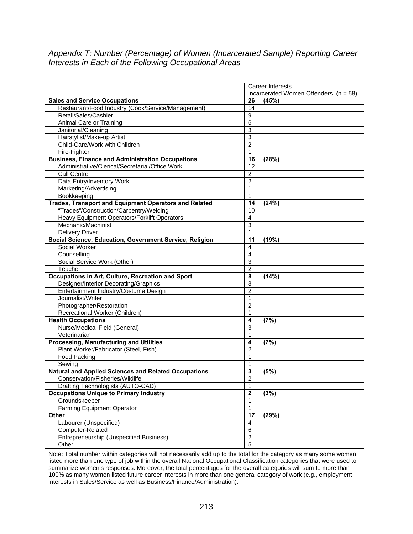# *Appendix T: Number (Percentage) of Women (Incarcerated Sample) Reporting Career Interests in Each of the Following Occupational Areas*

|                                                         | Career Interests -                      |
|---------------------------------------------------------|-----------------------------------------|
|                                                         | Incarcerated Women Offenders $(n = 58)$ |
| <b>Sales and Service Occupations</b>                    | 26<br>(45%)                             |
| Restaurant/Food Industry (Cook/Service/Management)      | $\overline{14}$                         |
| Retail/Sales/Cashier                                    | $\overline{9}$                          |
| Animal Care or Training                                 | $\overline{6}$                          |
| Janitorial/Cleaning                                     | 3                                       |
| Hairstylist/Make-up Artist                              | $\overline{3}$                          |
| Child-Care/Work with Children                           | $\overline{c}$                          |
| Fire-Fighter                                            | $\mathbf{1}$                            |
| <b>Business, Finance and Administration Occupations</b> | (28%)<br>16                             |
| Administrative/Clerical/Secretarial/Office Work         | 12                                      |
| Call Centre                                             | $\overline{2}$                          |
| Data Entry/Inventory Work                               | $\overline{2}$                          |
| Marketing/Advertising                                   | 1                                       |
| Bookkeeping                                             | 1                                       |
| Trades, Transport and Equipment Operators and Related   | $\overline{14}$<br>(24%)                |
| "Trades"/Construction/Carpentry/Welding                 | 10                                      |
| Heavy Equipment Operators/Forklift Operators            | $\overline{4}$                          |
| Mechanic/Machinist                                      | $\overline{3}$                          |
| <b>Delivery Driver</b>                                  | $\mathbf{1}$                            |
| Social Science, Education, Government Service, Religion | 11<br>(19%)                             |
| Social Worker                                           | 4                                       |
| Counselling                                             | 4                                       |
| Social Service Work (Other)                             | $\overline{3}$                          |
| Teacher                                                 | $\overline{2}$                          |
| Occupations in Art, Culture, Recreation and Sport       | 8<br>(14%)                              |
| Designer/Interior Decorating/Graphics                   | $\overline{3}$                          |
| Entertainment Industry/Costume Design                   | $\overline{2}$                          |
| Journalist/Writer                                       | 1                                       |
| Photographer/Restoration                                | $\overline{2}$                          |
| Recreational Worker (Children)                          | $\mathbf{1}$                            |
| <b>Health Occupations</b>                               | $\overline{\mathbf{4}}$<br>(7%)         |
| Nurse/Medical Field (General)                           | $\overline{3}$                          |
| Veterinarian                                            | $\mathbf{1}$                            |
| <b>Processing, Manufacturing and Utilities</b>          | (7%)<br>4                               |
| Plant Worker/Fabricator (Steel, Fish)                   | $\overline{2}$                          |
| Food Packing                                            | 1                                       |
| Sewing                                                  | $\overline{1}$                          |
| Natural and Applied Sciences and Related Occupations    | $\overline{\mathbf{3}}$<br>(5%)         |
| Conservation/Fisheries/Wildlife                         | $\overline{2}$                          |
| Drafting Technologists (AUTO-CAD)                       | 1                                       |
| <b>Occupations Unique to Primary Industry</b>           | $\overline{2}$<br>(3%)                  |
| Groundskeeper                                           | $\mathbf 1$                             |
| <b>Farming Equipment Operator</b>                       | $\overline{1}$                          |
| Other                                                   | $\overline{17}$<br>(29%)                |
| Labourer (Unspecified)                                  | 4                                       |
| Computer-Related                                        | $\overline{6}$                          |
| <b>Entrepreneurship (Unspecified Business)</b>          | $\overline{2}$                          |
| Other                                                   | $\overline{5}$                          |

Note: Total number within categories will not necessarily add up to the total for the category as many some women listed more than one type of job within the overall National Occupational Classification categories that were used to summarize women's responses. Moreover, the total percentages for the overall categories will sum to more than 100% as many women listed future career interests in more than one general category of work (e.g., employment interests in Sales/Service as well as Business/Finance/Administration).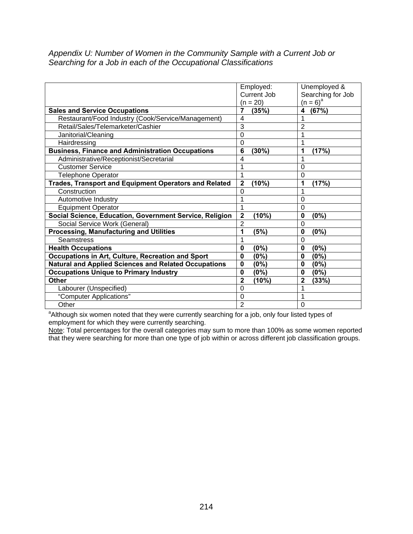*Appendix U: Number of Women in the Community Sample with a Current Job or Searching for a Job in each of the Occupational Classifications* 

|                                                             | Employed:<br><b>Current Job</b> | Unemployed &<br>Searching for Job |
|-------------------------------------------------------------|---------------------------------|-----------------------------------|
|                                                             | $(n = 20)$                      | $(n = 6)^a$                       |
| <b>Sales and Service Occupations</b>                        | 7<br>(35%)                      | (67%)<br>4                        |
| Restaurant/Food Industry (Cook/Service/Management)          | $\overline{4}$                  |                                   |
| Retail/Sales/Telemarketer/Cashier                           | 3                               | $\overline{2}$                    |
| Janitorial/Cleaning                                         | $\Omega$                        |                                   |
| Hairdressing                                                | 0                               |                                   |
| <b>Business, Finance and Administration Occupations</b>     | $6\phantom{1}6$<br>(30%)        | (17%)<br>1                        |
| Administrative/Receptionist/Secretarial                     | 4                               |                                   |
| <b>Customer Service</b>                                     | 1                               | 0                                 |
| <b>Telephone Operator</b>                                   | 1                               | 0                                 |
| Trades, Transport and Equipment Operators and Related       | (10%)<br>$\mathbf{2}$           | (17%)<br>1                        |
| Construction                                                | 0                               |                                   |
| Automotive Industry                                         | 1                               | 0                                 |
| <b>Equipment Operator</b>                                   | 1                               | $\Omega$                          |
| Social Science, Education, Government Service, Religion     | $\mathbf{2}$<br>(10%)           | 0<br>(0%)                         |
| Social Service Work (General)                               | $\overline{2}$                  | 0                                 |
| <b>Processing, Manufacturing and Utilities</b>              | (5%)<br>1                       | 0<br>(0%)                         |
| <b>Seamstress</b>                                           | 1                               | 0                                 |
| <b>Health Occupations</b>                                   | (0%)<br>0                       | (0%)<br>0                         |
| Occupations in Art, Culture, Recreation and Sport           | (0%)<br>$\bf{0}$                | $(0\%)$<br>0                      |
| <b>Natural and Applied Sciences and Related Occupations</b> | (0%)<br>$\mathbf 0$             | (0%)<br>0                         |
| <b>Occupations Unique to Primary Industry</b>               | (0%)<br>$\bf{0}$                | (0%)<br>0                         |
| <b>Other</b>                                                | $\mathbf{2}$<br>(10%)           | $\mathbf{2}$<br>(33%)             |
| Labourer (Unspecified)                                      | $\Omega$                        |                                   |
| "Computer Applications"                                     | $\mathbf 0$                     |                                   |
| Other                                                       | $\overline{2}$                  | 0                                 |

Other 10 and 2 0 and 2 0 and 2 0 dther other and 2 and 2 0 and 2 and 3 and 3 and 4 and 4 and 4 and 4 and 4 and 4 and 4 and 4 and 4 and 4 and 4 and 4 and 4 and 4 and 4 and 4 and 4 and 4 and 4 and 4 and 4 and 4 and 4 and 4 a employment for which they were currently searching.

Note: Total percentages for the overall categories may sum to more than 100% as some women reported that they were searching for more than one type of job within or across different job classification groups.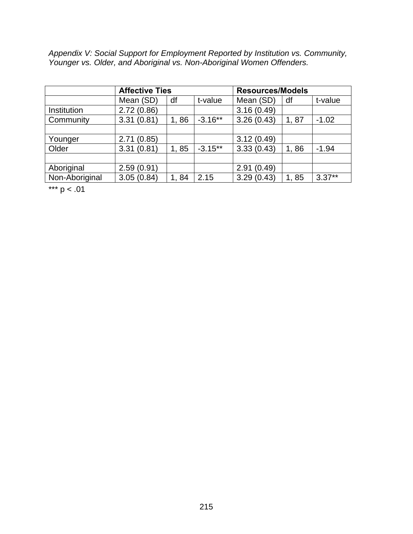*Appendix V: Social Support for Employment Reported by Institution vs. Community, Younger vs. Older, and Aboriginal vs. Non-Aboriginal Women Offenders.* 

|                | <b>Affective Ties</b> |      | <b>Resources/Models</b> |            |      |          |
|----------------|-----------------------|------|-------------------------|------------|------|----------|
|                | Mean (SD)             | df   | t-value                 | Mean (SD)  | df   | t-value  |
| Institution    | 2.72(0.86)            |      |                         | 3.16(0.49) |      |          |
| Community      | 3.31(0.81)            | 1,86 | $-3.16**$               | 3.26(0.43) | 1,87 | $-1.02$  |
|                |                       |      |                         |            |      |          |
| Younger        | 2.71(0.85)            |      |                         | 3.12(0.49) |      |          |
| Older          | 3.31(0.81)            | 1,85 | $-3.15***$              | 3.33(0.43) | 1,86 | $-1.94$  |
|                |                       |      |                         |            |      |          |
| Aboriginal     | 2.59(0.91)            |      |                         | 2.91(0.49) |      |          |
| Non-Aboriginal | 3.05(0.84)            | 1,84 | 2.15                    | 3.29(0.43) | 1,85 | $3.37**$ |

\*\*\*  $p < .01$